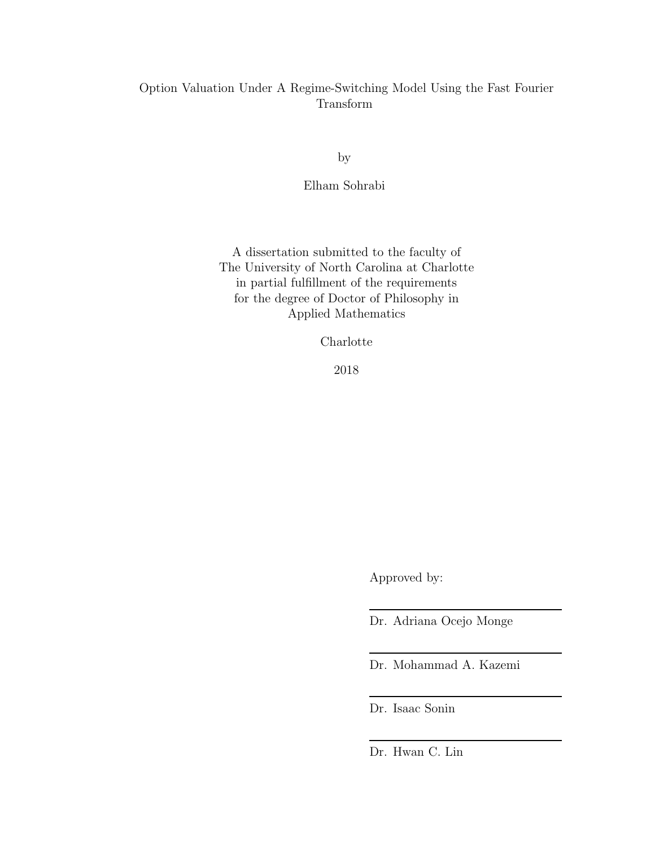# Option Valuation Under A Regime-Switching Model Using the Fast Fourier Transform

by

Elham Sohrabi

A dissertation submitted to the faculty of The University of North Carolina at Charlotte in partial fulfillment of the requirements for the degree of Doctor of Philosophy in Applied Mathematics

Charlotte

2018

Approved by:

Dr. Adriana Ocejo Monge

Dr. Mohammad A. Kazemi

Dr. Isaac Sonin

Dr. Hwan C. Lin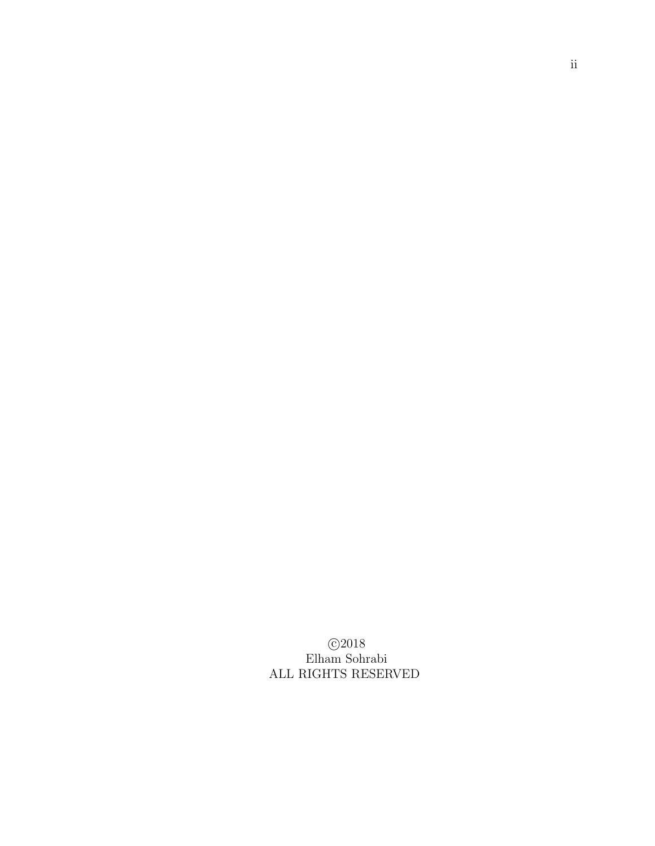$\odot$ 2018 Elham Sohrabi ALL RIGHTS RESERVED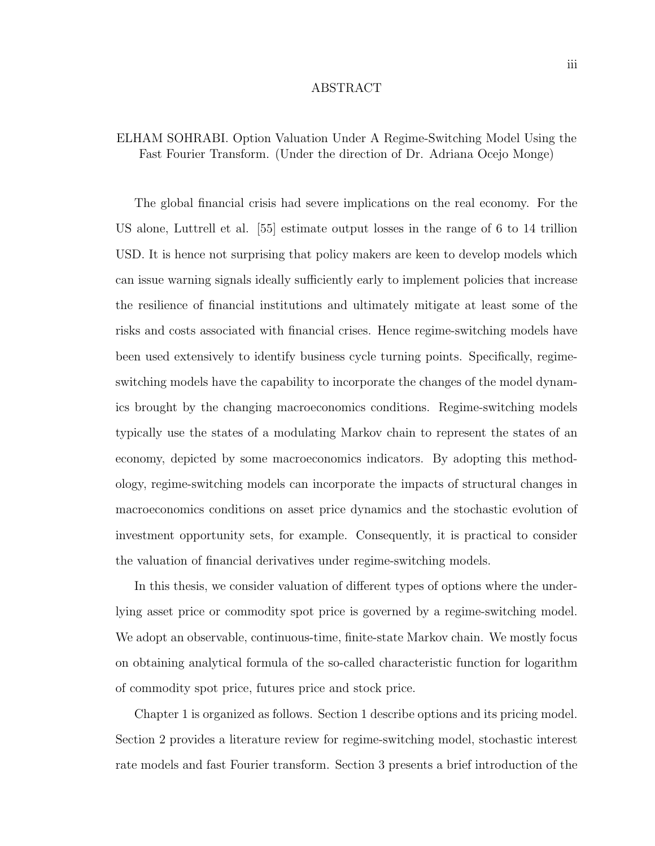#### ABSTRACT

## ELHAM SOHRABI. Option Valuation Under A Regime-Switching Model Using the Fast Fourier Transform. (Under the direction of Dr. Adriana Ocejo Monge)

The global financial crisis had severe implications on the real economy. For the US alone, Luttrell et al. [55] estimate output losses in the range of 6 to 14 trillion USD. It is hence not surprising that policy makers are keen to develop models which can issue warning signals ideally sufficiently early to implement policies that increase the resilience of financial institutions and ultimately mitigate at least some of the risks and costs associated with financial crises. Hence regime-switching models have been used extensively to identify business cycle turning points. Specifically, regimeswitching models have the capability to incorporate the changes of the model dynamics brought by the changing macroeconomics conditions. Regime-switching models typically use the states of a modulating Markov chain to represent the states of an economy, depicted by some macroeconomics indicators. By adopting this methodology, regime-switching models can incorporate the impacts of structural changes in macroeconomics conditions on asset price dynamics and the stochastic evolution of investment opportunity sets, for example. Consequently, it is practical to consider the valuation of financial derivatives under regime-switching models.

In this thesis, we consider valuation of different types of options where the underlying asset price or commodity spot price is governed by a regime-switching model. We adopt an observable, continuous-time, finite-state Markov chain. We mostly focus on obtaining analytical formula of the so-called characteristic function for logarithm of commodity spot price, futures price and stock price.

Chapter 1 is organized as follows. Section 1 describe options and its pricing model. Section 2 provides a literature review for regime-switching model, stochastic interest rate models and fast Fourier transform. Section 3 presents a brief introduction of the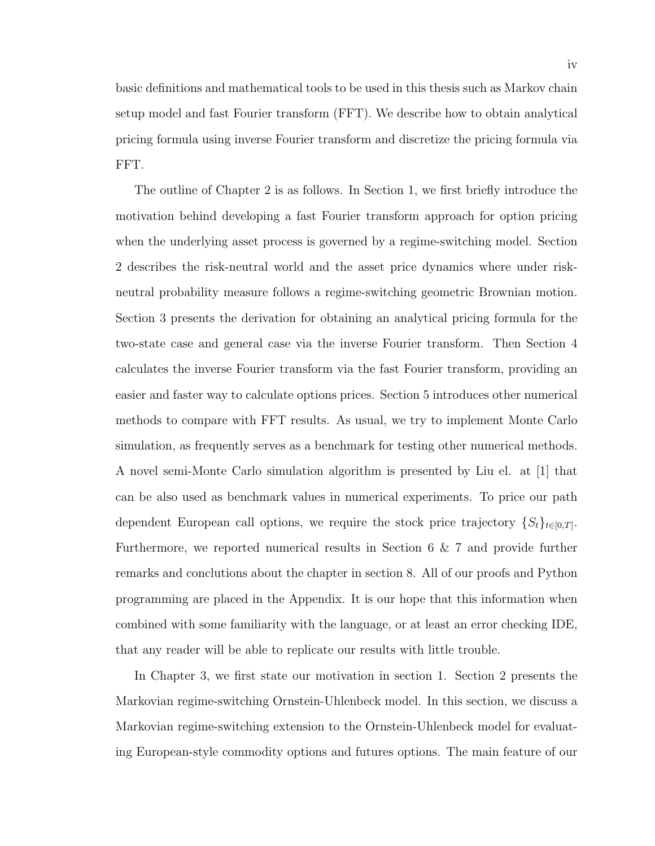basic definitions and mathematical tools to be used in this thesis such as Markov chain setup model and fast Fourier transform (FFT). We describe how to obtain analytical pricing formula using inverse Fourier transform and discretize the pricing formula via FFT.

The outline of Chapter 2 is as follows. In Section 1, we first briefly introduce the motivation behind developing a fast Fourier transform approach for option pricing when the underlying asset process is governed by a regime-switching model. Section 2 describes the risk-neutral world and the asset price dynamics where under riskneutral probability measure follows a regime-switching geometric Brownian motion. Section 3 presents the derivation for obtaining an analytical pricing formula for the two-state case and general case via the inverse Fourier transform. Then Section 4 calculates the inverse Fourier transform via the fast Fourier transform, providing an easier and faster way to calculate options prices. Section 5 introduces other numerical methods to compare with FFT results. As usual, we try to implement Monte Carlo simulation, as frequently serves as a benchmark for testing other numerical methods. A novel semi-Monte Carlo simulation algorithm is presented by Liu el. at [1] that can be also used as benchmark values in numerical experiments. To price our path dependent European call options, we require the stock price trajectory  $\{S_t\}_{t\in[0,T]}$ . Furthermore, we reported numerical results in Section 6 & 7 and provide further remarks and conclutions about the chapter in section 8. All of our proofs and Python programming are placed in the Appendix. It is our hope that this information when combined with some familiarity with the language, or at least an error checking IDE, that any reader will be able to replicate our results with little trouble.

In Chapter 3, we first state our motivation in section 1. Section 2 presents the Markovian regime-switching Ornstein-Uhlenbeck model. In this section, we discuss a Markovian regime-switching extension to the Ornstein-Uhlenbeck model for evaluating European-style commodity options and futures options. The main feature of our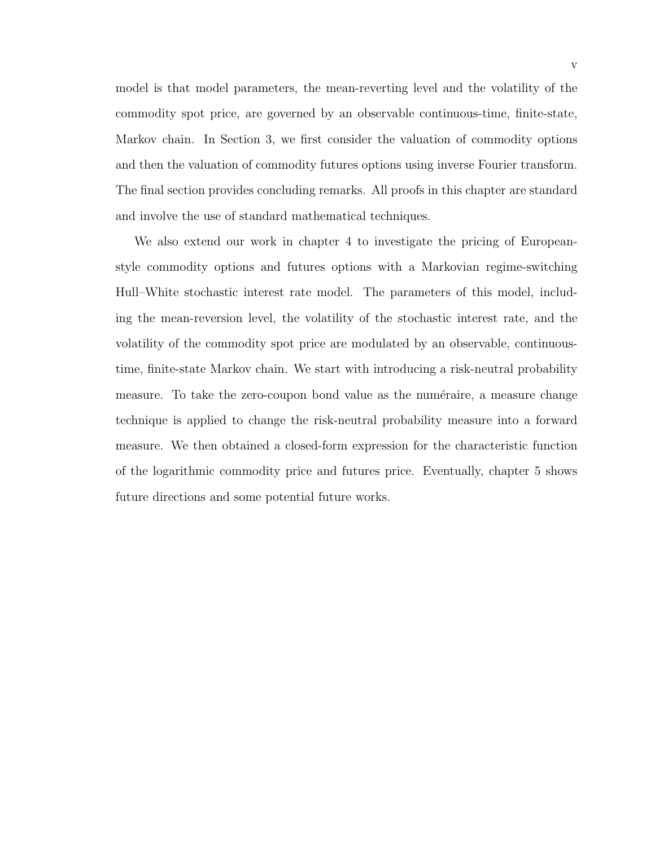model is that model parameters, the mean-reverting level and the volatility of the commodity spot price, are governed by an observable continuous-time, finite-state, Markov chain. In Section 3, we first consider the valuation of commodity options and then the valuation of commodity futures options using inverse Fourier transform. The final section provides concluding remarks. All proofs in this chapter are standard and involve the use of standard mathematical techniques.

We also extend our work in chapter 4 to investigate the pricing of Europeanstyle commodity options and futures options with a Markovian regime-switching Hull–White stochastic interest rate model. The parameters of this model, including the mean-reversion level, the volatility of the stochastic interest rate, and the volatility of the commodity spot price are modulated by an observable, continuoustime, finite-state Markov chain. We start with introducing a risk-neutral probability measure. To take the zero-coupon bond value as the numéraire, a measure change technique is applied to change the risk-neutral probability measure into a forward measure. We then obtained a closed-form expression for the characteristic function of the logarithmic commodity price and futures price. Eventually, chapter 5 shows future directions and some potential future works.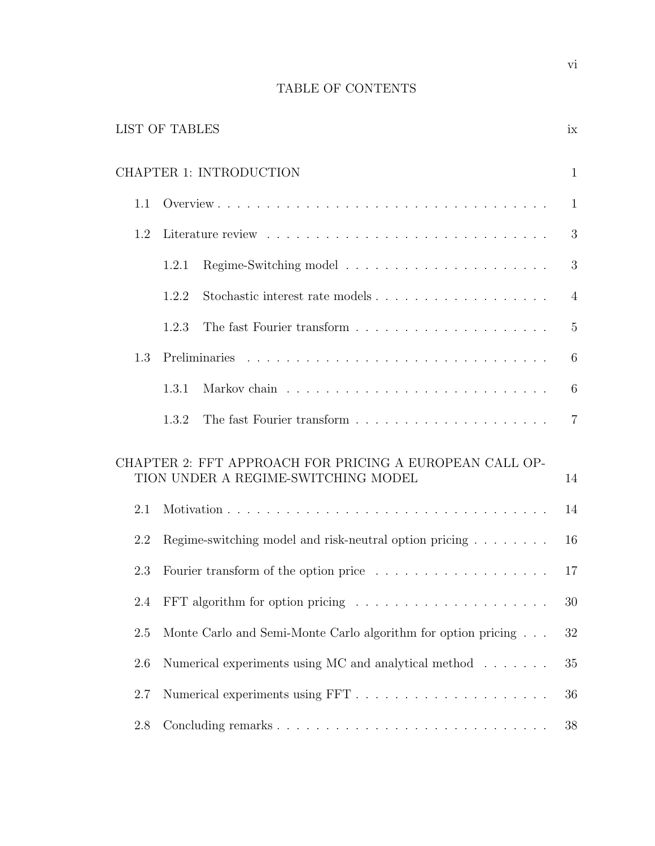# TABLE OF CONTENTS

| <b>LIST OF TABLES</b><br>ix                                                                          |                                                                                                                                                                                                                             |                |  |  |  |  |
|------------------------------------------------------------------------------------------------------|-----------------------------------------------------------------------------------------------------------------------------------------------------------------------------------------------------------------------------|----------------|--|--|--|--|
| <b>CHAPTER 1: INTRODUCTION</b><br>$\mathbf{1}$                                                       |                                                                                                                                                                                                                             |                |  |  |  |  |
| 1.1                                                                                                  |                                                                                                                                                                                                                             | $\mathbf{1}$   |  |  |  |  |
| 1.2                                                                                                  |                                                                                                                                                                                                                             | 3              |  |  |  |  |
|                                                                                                      | 1.2.1                                                                                                                                                                                                                       | 3              |  |  |  |  |
|                                                                                                      | 1.2.2                                                                                                                                                                                                                       | $\overline{4}$ |  |  |  |  |
|                                                                                                      | 1.2.3                                                                                                                                                                                                                       | $\overline{5}$ |  |  |  |  |
| 1.3                                                                                                  |                                                                                                                                                                                                                             | 6              |  |  |  |  |
|                                                                                                      | 1.3.1                                                                                                                                                                                                                       | 6              |  |  |  |  |
|                                                                                                      | 1.3.2                                                                                                                                                                                                                       | $\overline{7}$ |  |  |  |  |
| CHAPTER 2: FFT APPROACH FOR PRICING A EUROPEAN CALL OP-<br>TION UNDER A REGIME-SWITCHING MODEL<br>14 |                                                                                                                                                                                                                             |                |  |  |  |  |
| 2.1                                                                                                  |                                                                                                                                                                                                                             |                |  |  |  |  |
| 2.2                                                                                                  | Regime-switching model and risk-neutral option pricing $\ldots \ldots \ldots$<br>2.3<br>Monte Carlo and Semi-Monte Carlo algorithm for option pricing<br>2.5<br>Numerical experiments using MC and analytical method<br>2.6 |                |  |  |  |  |
|                                                                                                      |                                                                                                                                                                                                                             |                |  |  |  |  |
|                                                                                                      |                                                                                                                                                                                                                             |                |  |  |  |  |
|                                                                                                      |                                                                                                                                                                                                                             |                |  |  |  |  |
|                                                                                                      |                                                                                                                                                                                                                             |                |  |  |  |  |
| 2.7                                                                                                  |                                                                                                                                                                                                                             |                |  |  |  |  |
| 2.8                                                                                                  |                                                                                                                                                                                                                             | 38             |  |  |  |  |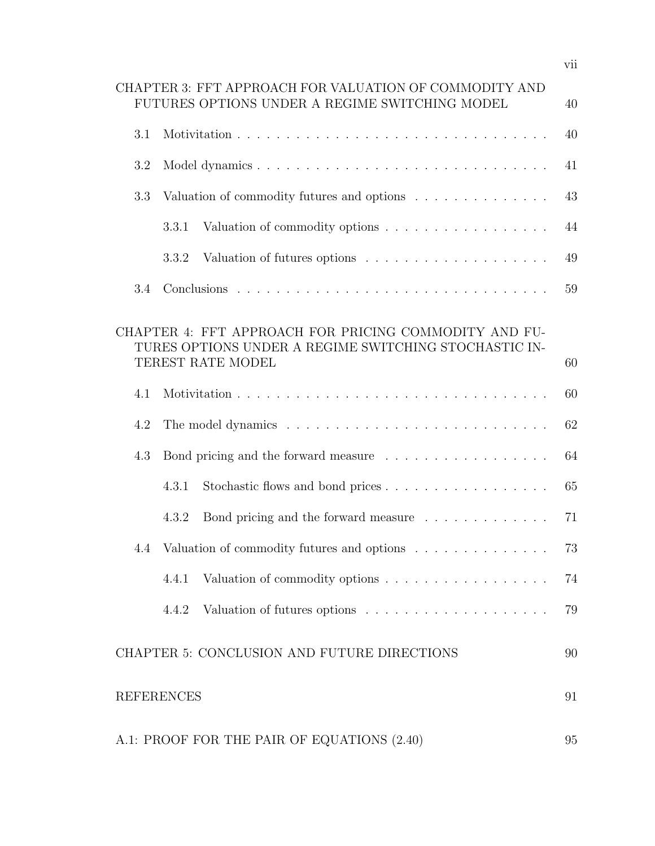| CHAPTER 3: FFT APPROACH FOR VALUATION OF COMMODITY AND<br>FUTURES OPTIONS UNDER A REGIME SWITCHING MODEL<br>40                      |     |                                                                                                      |    |  |  |  |  |
|-------------------------------------------------------------------------------------------------------------------------------------|-----|------------------------------------------------------------------------------------------------------|----|--|--|--|--|
|                                                                                                                                     | 3.1 |                                                                                                      |    |  |  |  |  |
|                                                                                                                                     | 3.2 |                                                                                                      | 41 |  |  |  |  |
|                                                                                                                                     | 3.3 | Valuation of commodity futures and options                                                           | 43 |  |  |  |  |
|                                                                                                                                     |     | Valuation of commodity options<br>3.3.1                                                              | 44 |  |  |  |  |
|                                                                                                                                     |     | 3.3.2                                                                                                | 49 |  |  |  |  |
|                                                                                                                                     | 3.4 |                                                                                                      | 59 |  |  |  |  |
| CHAPTER 4: FFT APPROACH FOR PRICING COMMODITY AND FU-<br>TURES OPTIONS UNDER A REGIME SWITCHING STOCHASTIC IN-<br>TEREST RATE MODEL |     |                                                                                                      |    |  |  |  |  |
|                                                                                                                                     | 4.1 |                                                                                                      | 60 |  |  |  |  |
| 4.2                                                                                                                                 |     |                                                                                                      |    |  |  |  |  |
|                                                                                                                                     | 4.3 | Bond pricing and the forward measure $\phantom{mm} \ldots \ldots \ldots \ldots \ldots \ldots \ldots$ | 64 |  |  |  |  |
|                                                                                                                                     |     | 4.3.1                                                                                                | 65 |  |  |  |  |
|                                                                                                                                     |     | Bond pricing and the forward measure $\ldots \ldots \ldots \ldots$<br>4.3.2                          | 71 |  |  |  |  |
|                                                                                                                                     | 4.4 | Valuation of commodity futures and options                                                           | 73 |  |  |  |  |
|                                                                                                                                     |     | Valuation of commodity options<br>4.4.1                                                              | 74 |  |  |  |  |
|                                                                                                                                     |     | 4.4.2                                                                                                | 79 |  |  |  |  |
|                                                                                                                                     |     | CHAPTER 5: CONCLUSION AND FUTURE DIRECTIONS                                                          | 90 |  |  |  |  |
| <b>REFERENCES</b>                                                                                                                   |     |                                                                                                      |    |  |  |  |  |
| A.1: PROOF FOR THE PAIR OF EQUATIONS (2.40)                                                                                         |     |                                                                                                      |    |  |  |  |  |

vii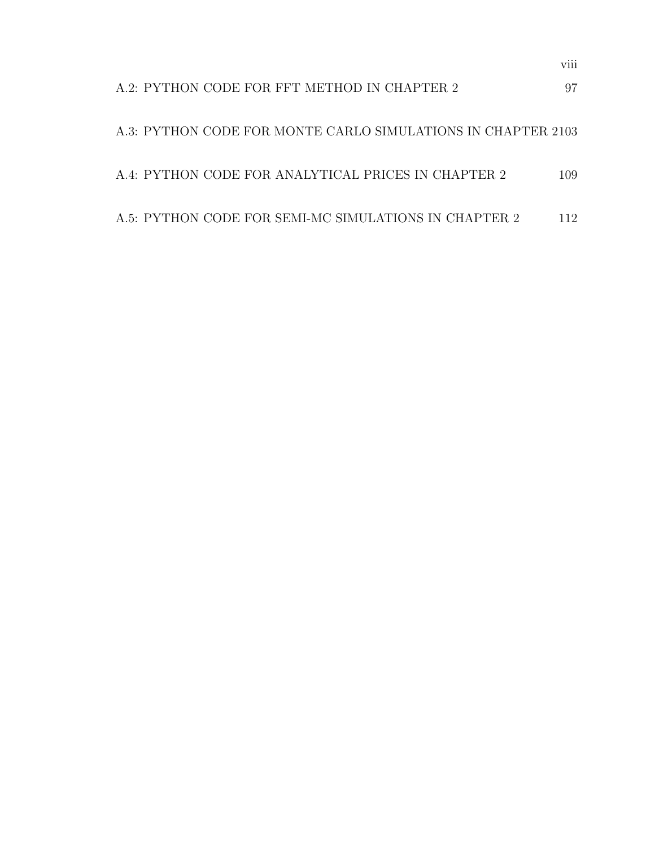|  | A.2: PYTHON CODE FOR FFT METHOD IN CHAPTER 2          |  |  |                                                              | 97  |
|--|-------------------------------------------------------|--|--|--------------------------------------------------------------|-----|
|  |                                                       |  |  | A.3: PYTHON CODE FOR MONTE CARLO SIMULATIONS IN CHAPTER 2103 |     |
|  | A.4: PYTHON CODE FOR ANALYTICAL PRICES IN CHAPTER 2   |  |  |                                                              | 109 |
|  | A.5: PYTHON CODE FOR SEMI-MC SIMULATIONS IN CHAPTER 2 |  |  |                                                              | 112 |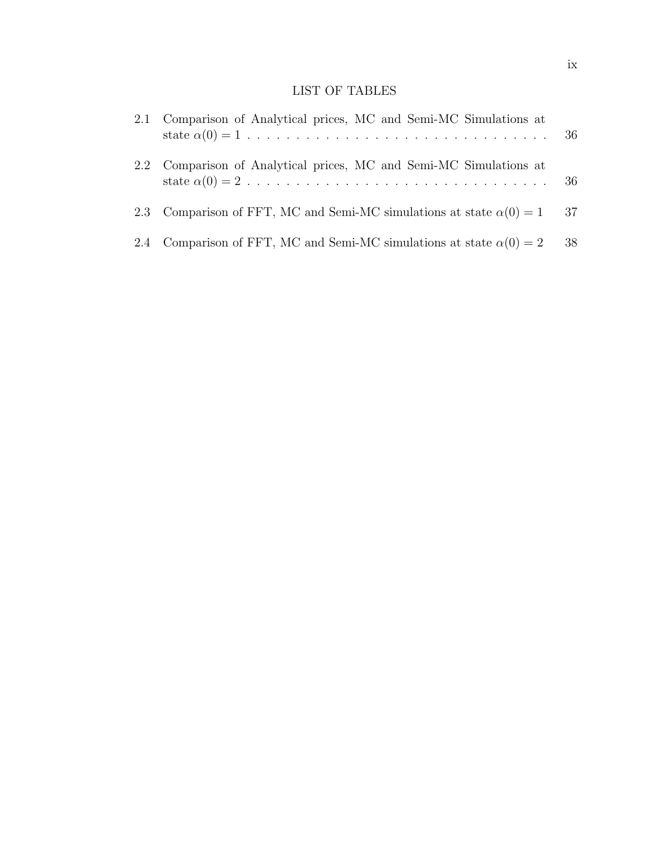# LIST OF TABLES

| 2.1 Comparison of Analytical prices, MC and Semi-MC Simulations at         |      |
|----------------------------------------------------------------------------|------|
| 2.2 Comparison of Analytical prices, MC and Semi-MC Simulations at         |      |
| 2.3 Comparison of FFT, MC and Semi-MC simulations at state $\alpha(0) = 1$ | - 37 |
| 2.4 Comparison of FFT, MC and Semi-MC simulations at state $\alpha(0) = 2$ | 38   |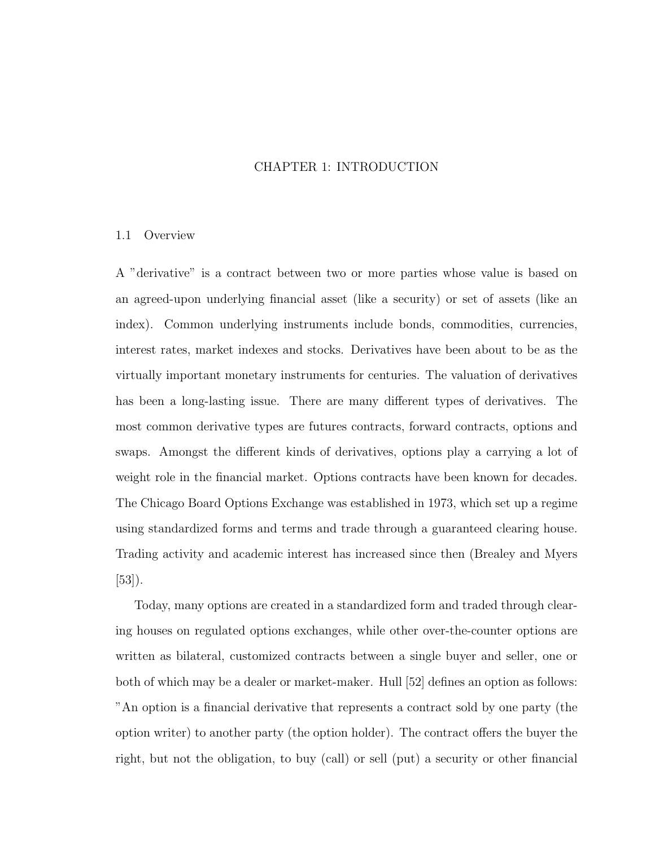## CHAPTER 1: INTRODUCTION

### 1.1 Overview

A "derivative" is a contract between two or more parties whose value is based on an agreed-upon underlying financial asset (like a security) or set of assets (like an index). Common underlying instruments include bonds, commodities, currencies, interest rates, market indexes and stocks. Derivatives have been about to be as the virtually important monetary instruments for centuries. The valuation of derivatives has been a long-lasting issue. There are many different types of derivatives. The most common derivative types are futures contracts, forward contracts, options and swaps. Amongst the different kinds of derivatives, options play a carrying a lot of weight role in the financial market. Options contracts have been known for decades. The Chicago Board Options Exchange was established in 1973, which set up a regime using standardized forms and terms and trade through a guaranteed clearing house. Trading activity and academic interest has increased since then (Brealey and Myers [53]).

Today, many options are created in a standardized form and traded through clearing houses on regulated options exchanges, while other over-the-counter options are written as bilateral, customized contracts between a single buyer and seller, one or both of which may be a dealer or market-maker. Hull [52] defines an option as follows: "An option is a financial derivative that represents a contract sold by one party (the option writer) to another party (the option holder). The contract offers the buyer the right, but not the obligation, to buy (call) or sell (put) a security or other financial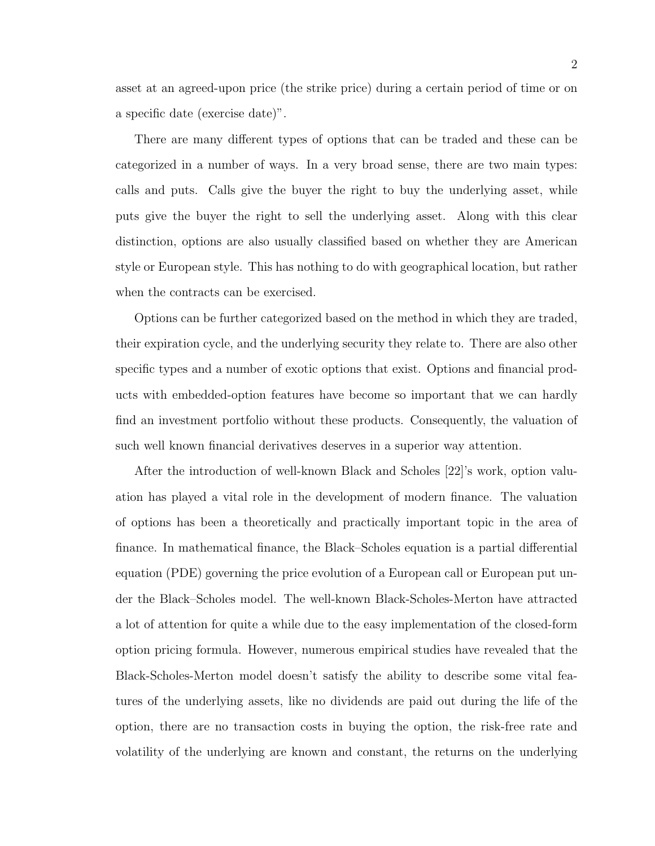asset at an agreed-upon price (the strike price) during a certain period of time or on a specific date (exercise date)".

There are many different types of options that can be traded and these can be categorized in a number of ways. In a very broad sense, there are two main types: calls and puts. Calls give the buyer the right to buy the underlying asset, while puts give the buyer the right to sell the underlying asset. Along with this clear distinction, options are also usually classified based on whether they are American style or European style. This has nothing to do with geographical location, but rather when the contracts can be exercised.

Options can be further categorized based on the method in which they are traded, their expiration cycle, and the underlying security they relate to. There are also other specific types and a number of exotic options that exist. Options and financial products with embedded-option features have become so important that we can hardly find an investment portfolio without these products. Consequently, the valuation of such well known financial derivatives deserves in a superior way attention.

After the introduction of well-known Black and Scholes [22]'s work, option valuation has played a vital role in the development of modern finance. The valuation of options has been a theoretically and practically important topic in the area of finance. In mathematical finance, the Black–Scholes equation is a partial differential equation (PDE) governing the price evolution of a European call or European put under the Black–Scholes model. The well-known Black-Scholes-Merton have attracted a lot of attention for quite a while due to the easy implementation of the closed-form option pricing formula. However, numerous empirical studies have revealed that the Black-Scholes-Merton model doesn't satisfy the ability to describe some vital features of the underlying assets, like no dividends are paid out during the life of the option, there are no transaction costs in buying the option, the risk-free rate and volatility of the underlying are known and constant, the returns on the underlying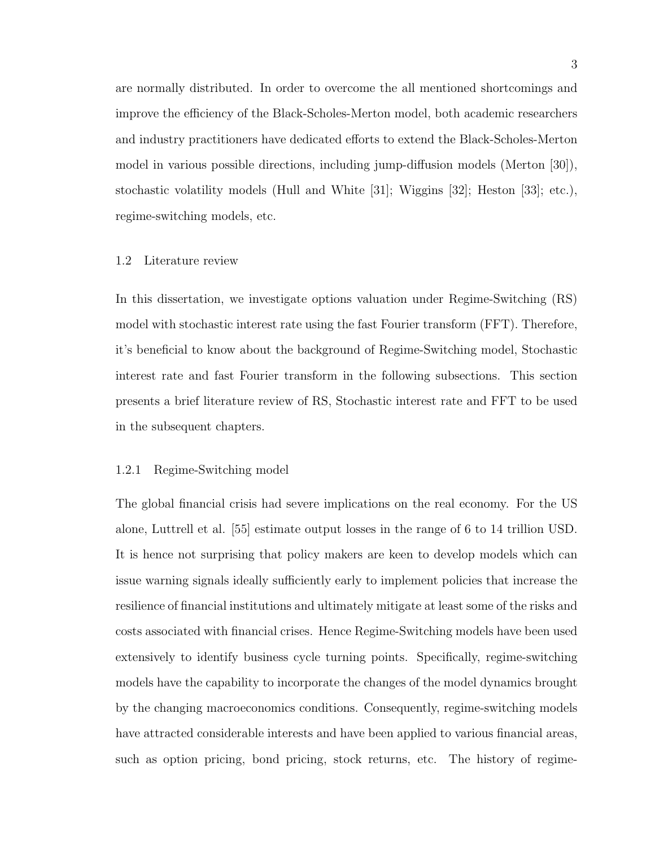are normally distributed. In order to overcome the all mentioned shortcomings and improve the efficiency of the Black-Scholes-Merton model, both academic researchers and industry practitioners have dedicated efforts to extend the Black-Scholes-Merton model in various possible directions, including jump-diffusion models (Merton [30]), stochastic volatility models (Hull and White [31]; Wiggins [32]; Heston [33]; etc.), regime-switching models, etc.

#### 1.2 Literature review

In this dissertation, we investigate options valuation under Regime-Switching (RS) model with stochastic interest rate using the fast Fourier transform (FFT). Therefore, it's beneficial to know about the background of Regime-Switching model, Stochastic interest rate and fast Fourier transform in the following subsections. This section presents a brief literature review of RS, Stochastic interest rate and FFT to be used in the subsequent chapters.

#### 1.2.1 Regime-Switching model

The global financial crisis had severe implications on the real economy. For the US alone, Luttrell et al. [55] estimate output losses in the range of 6 to 14 trillion USD. It is hence not surprising that policy makers are keen to develop models which can issue warning signals ideally sufficiently early to implement policies that increase the resilience of financial institutions and ultimately mitigate at least some of the risks and costs associated with financial crises. Hence Regime-Switching models have been used extensively to identify business cycle turning points. Specifically, regime-switching models have the capability to incorporate the changes of the model dynamics brought by the changing macroeconomics conditions. Consequently, regime-switching models have attracted considerable interests and have been applied to various financial areas, such as option pricing, bond pricing, stock returns, etc. The history of regime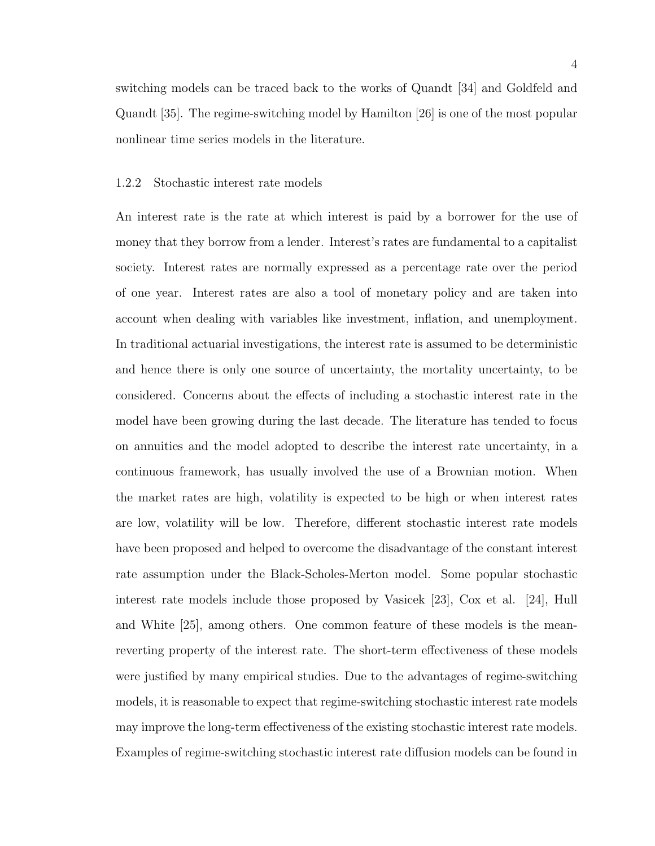switching models can be traced back to the works of Quandt [34] and Goldfeld and Quandt [35]. The regime-switching model by Hamilton [26] is one of the most popular nonlinear time series models in the literature.

#### 1.2.2 Stochastic interest rate models

An interest rate is the rate at which interest is paid by a borrower for the use of money that they borrow from a lender. Interest's rates are fundamental to a capitalist society. Interest rates are normally expressed as a percentage rate over the period of one year. Interest rates are also a tool of monetary policy and are taken into account when dealing with variables like investment, inflation, and unemployment. In traditional actuarial investigations, the interest rate is assumed to be deterministic and hence there is only one source of uncertainty, the mortality uncertainty, to be considered. Concerns about the effects of including a stochastic interest rate in the model have been growing during the last decade. The literature has tended to focus on annuities and the model adopted to describe the interest rate uncertainty, in a continuous framework, has usually involved the use of a Brownian motion. When the market rates are high, volatility is expected to be high or when interest rates are low, volatility will be low. Therefore, different stochastic interest rate models have been proposed and helped to overcome the disadvantage of the constant interest rate assumption under the Black-Scholes-Merton model. Some popular stochastic interest rate models include those proposed by Vasicek [23], Cox et al. [24], Hull and White [25], among others. One common feature of these models is the meanreverting property of the interest rate. The short-term effectiveness of these models were justified by many empirical studies. Due to the advantages of regime-switching models, it is reasonable to expect that regime-switching stochastic interest rate models may improve the long-term effectiveness of the existing stochastic interest rate models. Examples of regime-switching stochastic interest rate diffusion models can be found in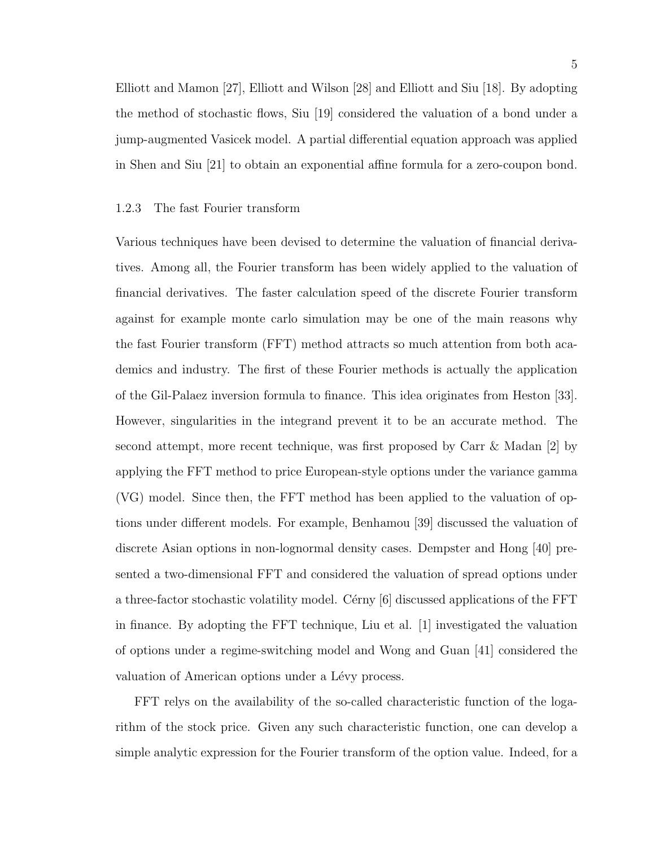Elliott and Mamon [27], Elliott and Wilson [28] and Elliott and Siu [18]. By adopting the method of stochastic flows, Siu [19] considered the valuation of a bond under a jump-augmented Vasicek model. A partial differential equation approach was applied in Shen and Siu [21] to obtain an exponential affine formula for a zero-coupon bond.

#### 1.2.3 The fast Fourier transform

Various techniques have been devised to determine the valuation of financial derivatives. Among all, the Fourier transform has been widely applied to the valuation of financial derivatives. The faster calculation speed of the discrete Fourier transform against for example monte carlo simulation may be one of the main reasons why the fast Fourier transform (FFT) method attracts so much attention from both academics and industry. The first of these Fourier methods is actually the application of the Gil-Palaez inversion formula to finance. This idea originates from Heston [33]. However, singularities in the integrand prevent it to be an accurate method. The second attempt, more recent technique, was first proposed by Carr & Madan [2] by applying the FFT method to price European-style options under the variance gamma (VG) model. Since then, the FFT method has been applied to the valuation of options under different models. For example, Benhamou [39] discussed the valuation of discrete Asian options in non-lognormal density cases. Dempster and Hong [40] presented a two-dimensional FFT and considered the valuation of spread options under a three-factor stochastic volatility model. Cérny  $[6]$  discussed applications of the FFT in finance. By adopting the FFT technique, Liu et al. [1] investigated the valuation of options under a regime-switching model and Wong and Guan [41] considered the valuation of American options under a Lévy process.

FFT relys on the availability of the so-called characteristic function of the logarithm of the stock price. Given any such characteristic function, one can develop a simple analytic expression for the Fourier transform of the option value. Indeed, for a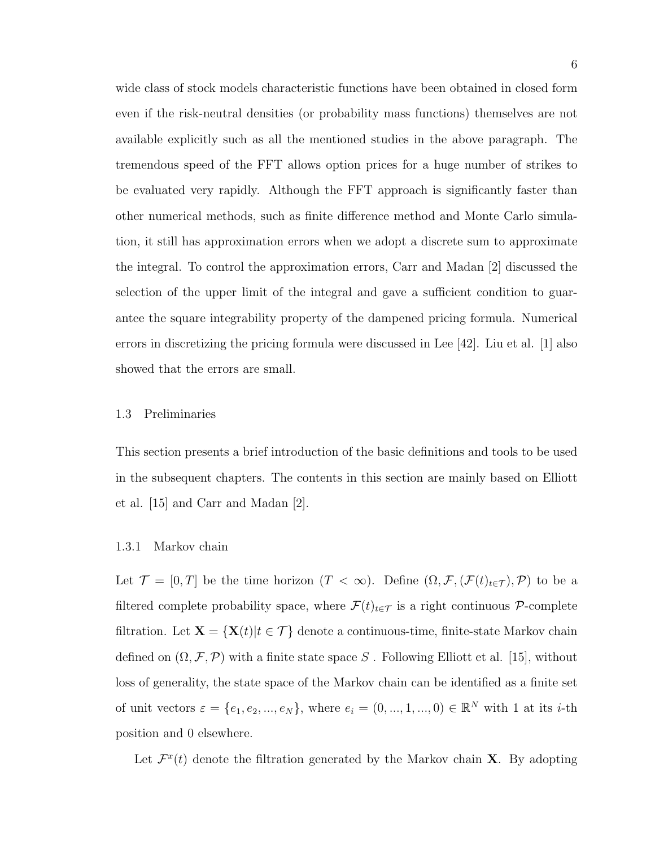wide class of stock models characteristic functions have been obtained in closed form even if the risk-neutral densities (or probability mass functions) themselves are not available explicitly such as all the mentioned studies in the above paragraph. The tremendous speed of the FFT allows option prices for a huge number of strikes to be evaluated very rapidly. Although the FFT approach is significantly faster than other numerical methods, such as finite difference method and Monte Carlo simulation, it still has approximation errors when we adopt a discrete sum to approximate the integral. To control the approximation errors, Carr and Madan [2] discussed the selection of the upper limit of the integral and gave a sufficient condition to guarantee the square integrability property of the dampened pricing formula. Numerical errors in discretizing the pricing formula were discussed in Lee [42]. Liu et al. [1] also showed that the errors are small.

#### 1.3 Preliminaries

This section presents a brief introduction of the basic definitions and tools to be used in the subsequent chapters. The contents in this section are mainly based on Elliott et al. [15] and Carr and Madan [2].

#### 1.3.1 Markov chain

Let  $\mathcal{T} = [0, T]$  be the time horizon  $(T < \infty)$ . Define  $(\Omega, \mathcal{F}, (\mathcal{F}(t)_{t \in \mathcal{T}}), \mathcal{P})$  to be a filtered complete probability space, where  $\mathcal{F}(t)_{t\in\mathcal{T}}$  is a right continuous  $\mathcal{P}$ -complete filtration. Let  $\mathbf{X} = \{ \mathbf{X}(t) | t \in \mathcal{T} \}$  denote a continuous-time, finite-state Markov chain defined on  $(\Omega, \mathcal{F}, \mathcal{P})$  with a finite state space S. Following Elliott et al. [15], without loss of generality, the state space of the Markov chain can be identified as a finite set of unit vectors  $\varepsilon = \{e_1, e_2, ..., e_N\}$ , where  $e_i = (0, ..., 1, ..., 0) \in \mathbb{R}^N$  with 1 at its *i*-th position and 0 elsewhere.

Let  $\mathcal{F}^{x}(t)$  denote the filtration generated by the Markov chain **X**. By adopting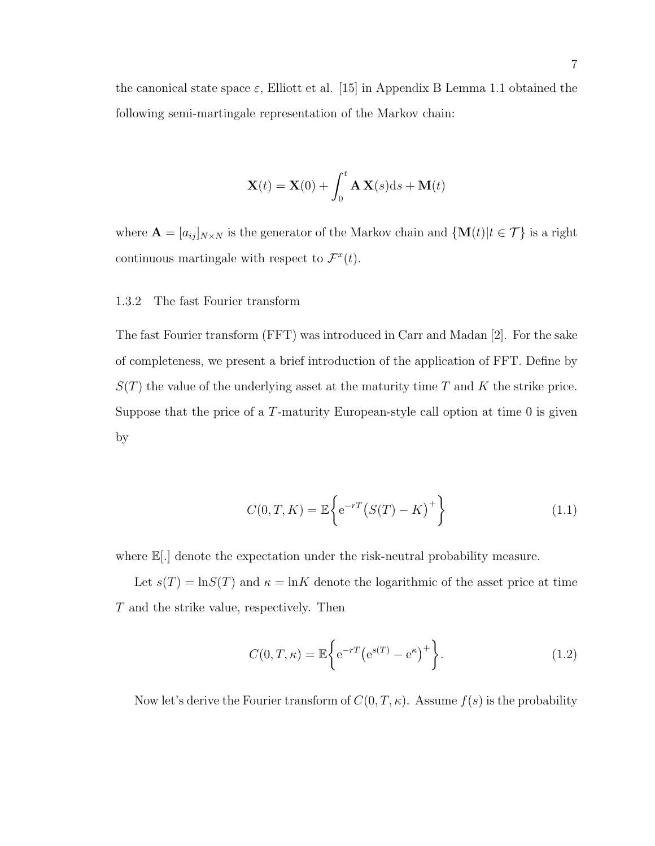the canonical state space  $\varepsilon$ , Elliott et al. [15] in Appendix B Lemma 1.1 obtained the following semi-martingale representation of the Markov chain:

$$
\mathbf{X}(t) = \mathbf{X}(0) + \int_0^t \mathbf{A} \mathbf{X}(s) \mathrm{d}s + \mathbf{M}(t)
$$

where  $\mathbf{A} = [a_{ij}]_{N \times N}$  is the generator of the Markov chain and  $\{\mathbf{M}(t)|t \in \mathcal{T}\}\$ is a right continuous martingale with respect to  $\mathcal{F}^{x}(t)$ .

#### 1.3.2 The fast Fourier transform

The fast Fourier transform (FFT) was introduced in Carr and Madan [2]. For the sake of completeness, we present a brief introduction of the application of FFT. Define by  $S(T)$  the value of the underlying asset at the maturity time T and K the strike price. Suppose that the price of a T-maturity European-style call option at time 0 is given by

$$
C(0, T, K) = \mathbb{E}\left\{e^{-rT}(S(T) - K)^{+}\right\}
$$
\n(1.1)

where  $\mathbb{E}[.]$  denote the expectation under the risk-neutral probability measure.

Let  $s(T) = \ln S(T)$  and  $\kappa = \ln K$  denote the logarithmic of the asset price at time T and the strike value, respectively. Then

$$
C(0,T,\kappa) = \mathbb{E}\bigg\{e^{-rT}\big(e^{s(T)} - e^{\kappa}\big)^+\bigg\}.\tag{1.2}
$$

Now let's derive the Fourier transform of  $C(0, T, \kappa)$ . Assume  $f(s)$  is the probability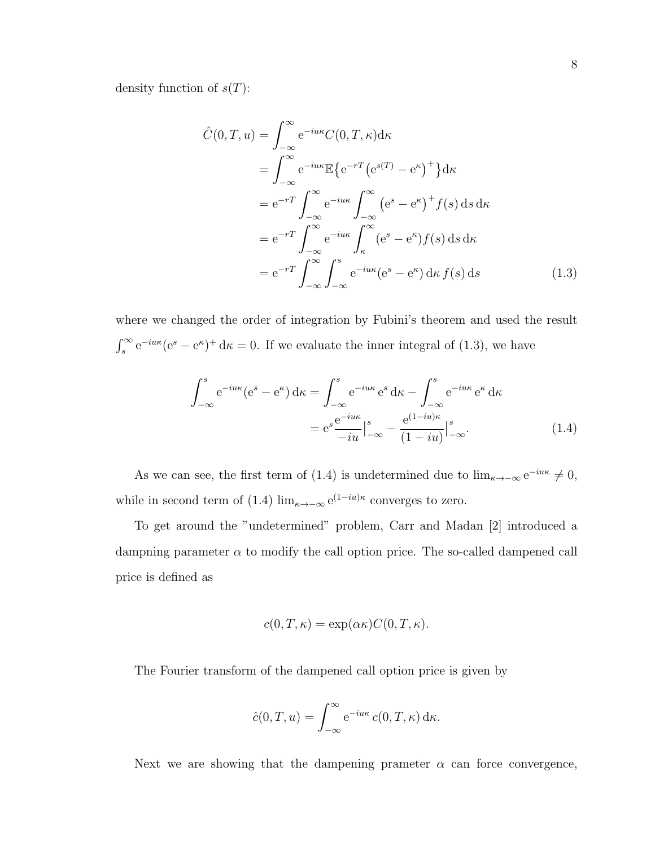density function of  $s(T)$ :

$$
\hat{C}(0,T,u) = \int_{-\infty}^{\infty} e^{-iu\kappa} C(0,T,\kappa) d\kappa
$$
  
\n
$$
= \int_{-\infty}^{\infty} e^{-iu\kappa} \mathbb{E} \{ e^{-rT} (e^{s(T)} - e^{\kappa})^+ \} d\kappa
$$
  
\n
$$
= e^{-rT} \int_{-\infty}^{\infty} e^{-iu\kappa} \int_{-\infty}^{\infty} (e^s - e^{\kappa})^+ f(s) ds d\kappa
$$
  
\n
$$
= e^{-rT} \int_{-\infty}^{\infty} e^{-iu\kappa} \int_{\kappa}^{\infty} (e^s - e^{\kappa}) f(s) ds d\kappa
$$
  
\n
$$
= e^{-rT} \int_{-\infty}^{\infty} \int_{-\infty}^{s} e^{-iu\kappa} (e^s - e^{\kappa}) d\kappa f(s) ds \qquad (1.3)
$$

where we changed the order of integration by Fubini's theorem and used the result  $\int_s^{\infty} e^{-i u \kappa} (e^s - e^{\kappa})^+ d\kappa = 0$ . If we evaluate the inner integral of (1.3), we have

$$
\int_{-\infty}^{s} e^{-i u \kappa} (e^{s} - e^{\kappa}) d\kappa = \int_{-\infty}^{s} e^{-i u \kappa} e^{s} d\kappa - \int_{-\infty}^{s} e^{-i u \kappa} e^{\kappa} d\kappa
$$

$$
= e^{s} \frac{e^{-i u \kappa}}{-i u} \Big|_{-\infty}^{s} - \frac{e^{(1 - i u)\kappa}}{(1 - i u)} \Big|_{-\infty}^{s}.
$$
(1.4)

As we can see, the first term of (1.4) is undetermined due to  $\lim_{\kappa \to -\infty} e^{-i u \kappa} \neq 0$ , while in second term of (1.4)  $\lim_{\kappa \to -\infty} e^{(1-iu)\kappa}$  converges to zero.

To get around the "undetermined" problem, Carr and Madan [2] introduced a dampning parameter  $\alpha$  to modify the call option price. The so-called dampened call price is defined as

$$
c(0,T,\kappa) = \exp(\alpha \kappa) C(0,T,\kappa).
$$

The Fourier transform of the dampened call option price is given by

$$
\hat{c}(0,T,u) = \int_{-\infty}^{\infty} e^{-i u \kappa} c(0,T,\kappa) d\kappa.
$$

Next we are showing that the dampening prameter  $\alpha$  can force convergence,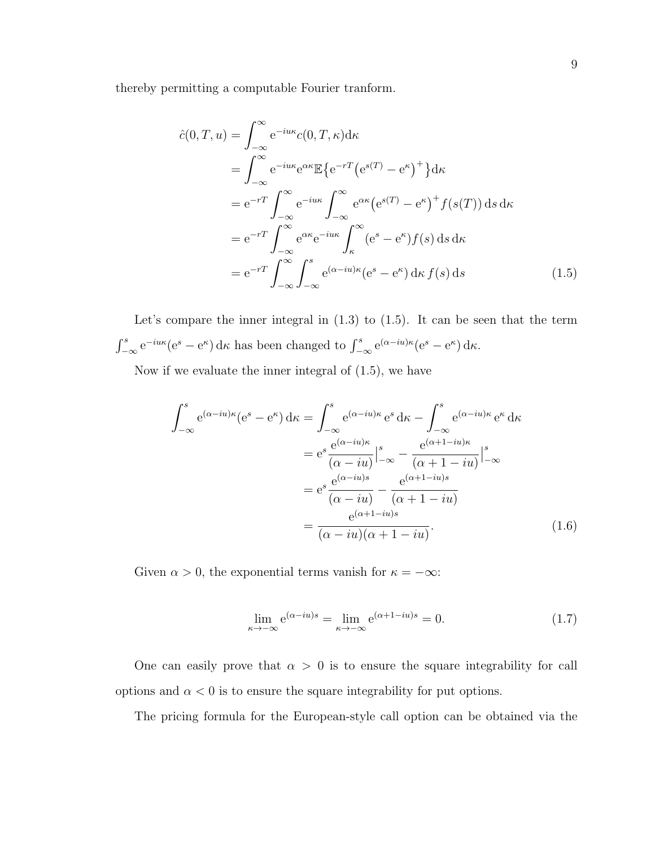thereby permitting a computable Fourier tranform.

$$
\hat{c}(0,T,u) = \int_{-\infty}^{\infty} e^{-iu\kappa} c(0,T,\kappa) d\kappa
$$
  
\n
$$
= \int_{-\infty}^{\infty} e^{-iu\kappa} e^{\alpha \kappa} \mathbb{E} \{ e^{-rT} (e^{s(T)} - e^{\kappa})^+ \} d\kappa
$$
  
\n
$$
= e^{-rT} \int_{-\infty}^{\infty} e^{-iu\kappa} \int_{-\infty}^{\infty} e^{\alpha \kappa} (e^{s(T)} - e^{\kappa})^+ f(s(T)) ds d\kappa
$$
  
\n
$$
= e^{-rT} \int_{-\infty}^{\infty} e^{\alpha \kappa} e^{-iu\kappa} \int_{\kappa}^{\infty} (e^s - e^{\kappa}) f(s) ds d\kappa
$$
  
\n
$$
= e^{-rT} \int_{-\infty}^{\infty} \int_{-\infty}^{s} e^{(\alpha - iu)\kappa} (e^s - e^{\kappa}) d\kappa f(s) ds
$$
 (1.5)

Let's compare the inner integral in  $(1.3)$  to  $(1.5)$ . It can be seen that the term  $\int_{-\infty}^{s} e^{-iu\kappa} (e^s - e^{\kappa}) d\kappa$  has been changed to  $\int_{-\infty}^{s} e^{(\alpha - iu)\kappa} (e^s - e^{\kappa}) d\kappa$ .

Now if we evaluate the inner integral of (1.5), we have

$$
\int_{-\infty}^{s} e^{(\alpha - iu)\kappa} (e^{s} - e^{\kappa}) d\kappa = \int_{-\infty}^{s} e^{(\alpha - iu)\kappa} e^{s} d\kappa - \int_{-\infty}^{s} e^{(\alpha - iu)\kappa} e^{\kappa} d\kappa
$$

$$
= e^{s} \frac{e^{(\alpha - iu)\kappa}}{(\alpha - iu)} \Big|_{-\infty}^{s} - \frac{e^{(\alpha + 1 - iu)\kappa}}{(\alpha + 1 - iu)} \Big|_{-\infty}^{s}
$$

$$
= e^{s} \frac{e^{(\alpha - iu)s}}{(\alpha - iu)} - \frac{e^{(\alpha + 1 - iu)s}}{(\alpha + 1 - iu)}
$$

$$
= \frac{e^{(\alpha + 1 - iu)s}}{(\alpha - iu)(\alpha + 1 - iu)}.
$$
(1.6)

Given  $\alpha > 0$ , the exponential terms vanish for  $\kappa = -\infty$ :

$$
\lim_{\kappa \to -\infty} e^{(\alpha - iu)s} = \lim_{\kappa \to -\infty} e^{(\alpha + 1 - iu)s} = 0.
$$
\n(1.7)

One can easily prove that  $\alpha > 0$  is to ensure the square integrability for call options and  $\alpha < 0$  is to ensure the square integrability for put options.

The pricing formula for the European-style call option can be obtained via the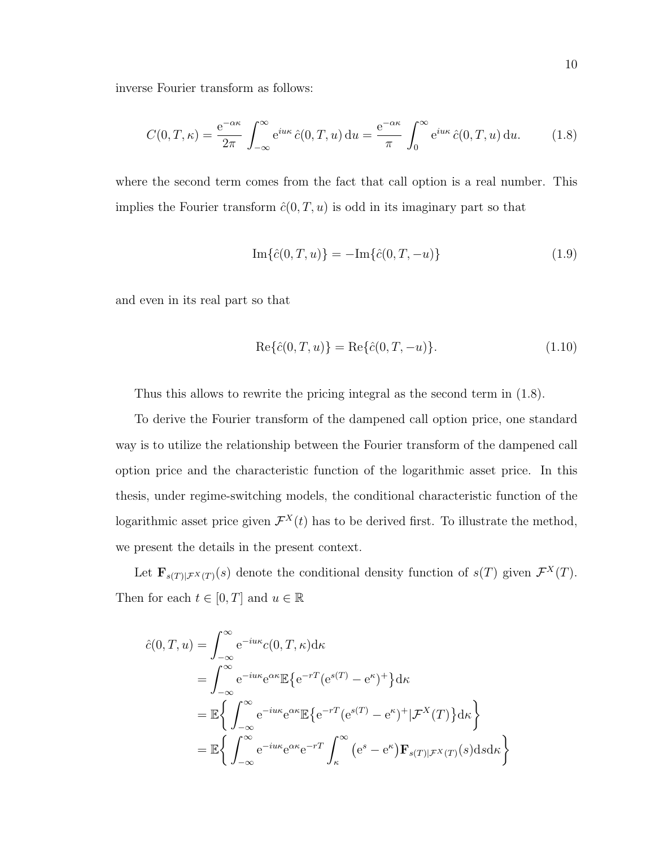inverse Fourier transform as follows:

$$
C(0,T,\kappa) = \frac{e^{-\alpha\kappa}}{2\pi} \int_{-\infty}^{\infty} e^{i u \kappa} \hat{c}(0,T,u) du = \frac{e^{-\alpha\kappa}}{\pi} \int_{0}^{\infty} e^{i u \kappa} \hat{c}(0,T,u) du.
$$
 (1.8)

where the second term comes from the fact that call option is a real number. This implies the Fourier transform  $\hat{c}(0,T,u)$  is odd in its imaginary part so that

$$
\operatorname{Im}\{\hat{c}(0,T,u)\} = -\operatorname{Im}\{\hat{c}(0,T,-u)\}\tag{1.9}
$$

and even in its real part so that

$$
\text{Re}\{\hat{c}(0,T,u)\} = \text{Re}\{\hat{c}(0,T,-u)\}.
$$
\n(1.10)

Thus this allows to rewrite the pricing integral as the second term in (1.8).

To derive the Fourier transform of the dampened call option price, one standard way is to utilize the relationship between the Fourier transform of the dampened call option price and the characteristic function of the logarithmic asset price. In this thesis, under regime-switching models, the conditional characteristic function of the logarithmic asset price given  $\mathcal{F}^{X}(t)$  has to be derived first. To illustrate the method, we present the details in the present context.

Let  $\mathbf{F}_{s(T)|\mathcal{F}^{X}(T)}(s)$  denote the conditional density function of  $s(T)$  given  $\mathcal{F}^{X}(T)$ . Then for each  $t \in [0, T]$  and  $u \in \mathbb{R}$ 

$$
\hat{c}(0,T,u) = \int_{-\infty}^{\infty} e^{-iu\kappa} c(0,T,\kappa) d\kappa
$$
  
\n
$$
= \int_{-\infty}^{\infty} e^{-iu\kappa} e^{\alpha \kappa} \mathbb{E} \{ e^{-rT} (e^{s(T)} - e^{\kappa})^+ \} d\kappa
$$
  
\n
$$
= \mathbb{E} \left\{ \int_{-\infty}^{\infty} e^{-iu\kappa} e^{\alpha \kappa} \mathbb{E} \{ e^{-rT} (e^{s(T)} - e^{\kappa})^+ | \mathcal{F}^X(T) \} d\kappa \right\}
$$
  
\n
$$
= \mathbb{E} \left\{ \int_{-\infty}^{\infty} e^{-iu\kappa} e^{\alpha \kappa} e^{-rT} \int_{\kappa}^{\infty} (e^s - e^{\kappa}) \mathbf{F}_{s(T)|\mathcal{F}^X(T)}(s) ds d\kappa \right\}
$$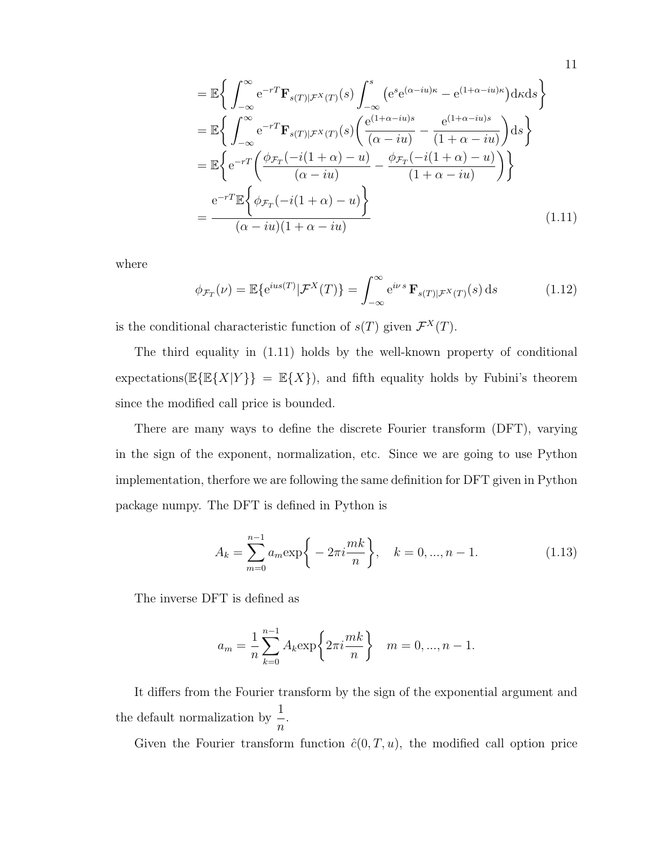$$
= \mathbb{E}\left\{\int_{-\infty}^{\infty} e^{-rT} \mathbf{F}_{s(T)|\mathcal{F}^{X}(T)}(s) \int_{-\infty}^{s} \left( e^{s} e^{(\alpha - iu)\kappa} - e^{(1 + \alpha - iu)\kappa} \right) d\kappa ds \right\}
$$
  
\n
$$
= \mathbb{E}\left\{\int_{-\infty}^{\infty} e^{-rT} \mathbf{F}_{s(T)|\mathcal{F}^{X}(T)}(s) \left( \frac{e^{(1 + \alpha - iu)s}}{(\alpha - iu)} - \frac{e^{(1 + \alpha - iu)s}}{(1 + \alpha - iu)} \right) ds \right\}
$$
  
\n
$$
= \mathbb{E}\left\{ e^{-rT} \left( \frac{\phi_{\mathcal{F}_{T}}(-i(1 + \alpha) - u)}{(\alpha - iu)} - \frac{\phi_{\mathcal{F}_{T}}(-i(1 + \alpha) - u)}{(1 + \alpha - iu)} \right) \right\}
$$
  
\n
$$
= \frac{e^{-rT} \mathbb{E}\left\{\phi_{\mathcal{F}_{T}}(-i(1 + \alpha) - u)\right\}}{(\alpha - iu)(1 + \alpha - iu)}
$$
(1.11)

11

where

$$
\phi_{\mathcal{F}_T}(\nu) = \mathbb{E}\{e^{ius(T)}|\mathcal{F}^X(T)\} = \int_{-\infty}^{\infty} e^{i\nu s} \mathbf{F}_{s(T)|\mathcal{F}^X(T)}(s) ds \qquad (1.12)
$$

is the conditional characteristic function of  $s(T)$  given  $\mathcal{F}^{X}(T)$ .

The third equality in (1.11) holds by the well-known property of conditional expectations( $\mathbb{E}\{\mathbb{E}\{X|Y\}\} = \mathbb{E}\{X\}$ ), and fifth equality holds by Fubini's theorem since the modified call price is bounded.

There are many ways to define the discrete Fourier transform (DFT), varying in the sign of the exponent, normalization, etc. Since we are going to use Python implementation, therfore we are following the same definition for DFT given in Python package numpy. The DFT is defined in Python is

$$
A_k = \sum_{m=0}^{n-1} a_m \exp\bigg\{-2\pi i \frac{mk}{n}\bigg\}, \quad k = 0, ..., n-1.
$$
 (1.13)

The inverse DFT is defined as

$$
a_m = \frac{1}{n} \sum_{k=0}^{n-1} A_k \exp\left\{2\pi i \frac{mk}{n}\right\} \quad m = 0, ..., n-1.
$$

It differs from the Fourier transform by the sign of the exponential argument and the default normalization by  $\frac{1}{x}$ n .

Given the Fourier transform function  $\hat{c}(0,T,u)$ , the modified call option price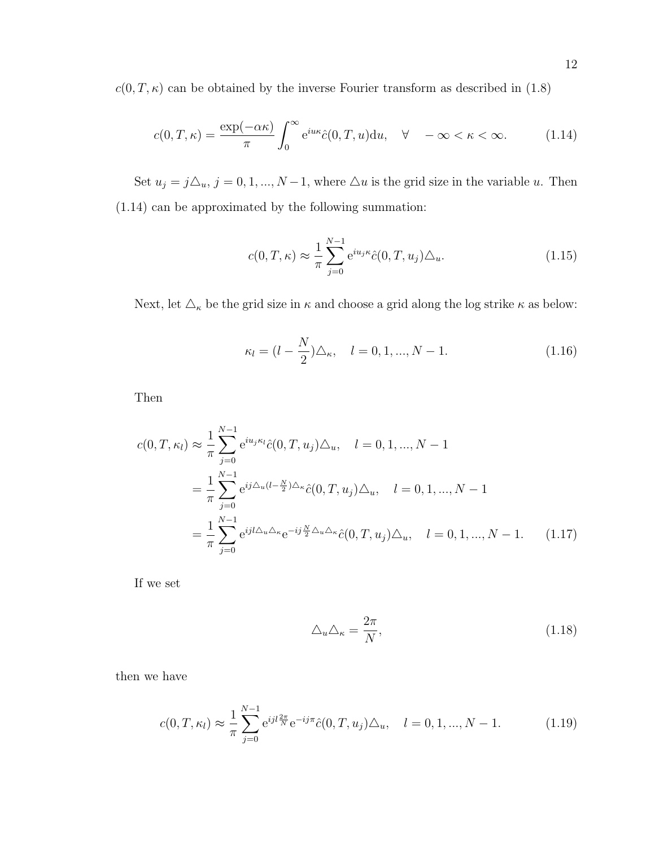$c(0, T, \kappa)$  can be obtained by the inverse Fourier transform as described in (1.8)

$$
c(0,T,\kappa) = \frac{\exp(-\alpha \kappa)}{\pi} \int_0^\infty e^{i u \kappa} \hat{c}(0,T,u) \mathrm{d}u, \quad \forall \quad -\infty < \kappa < \infty. \tag{1.14}
$$

Set  $u_j = j\Delta_u$ ,  $j = 0, 1, ..., N - 1$ , where  $\Delta u$  is the grid size in the variable u. Then (1.14) can be approximated by the following summation:

$$
c(0,T,\kappa) \approx \frac{1}{\pi} \sum_{j=0}^{N-1} e^{iu_j \kappa} \hat{c}(0,T,u_j) \Delta_u.
$$
 (1.15)

Next, let  $\triangle_\kappa$  be the grid size in  $\kappa$  and choose a grid along the log strike  $\kappa$  as below:

$$
\kappa_l = (l - \frac{N}{2})\Delta_\kappa, \quad l = 0, 1, ..., N - 1.
$$
\n(1.16)

Then

$$
c(0, T, \kappa_l) \approx \frac{1}{\pi} \sum_{j=0}^{N-1} e^{iu_j \kappa_l} \hat{c}(0, T, u_j) \Delta_u, \quad l = 0, 1, ..., N-1
$$
  
= 
$$
\frac{1}{\pi} \sum_{j=0}^{N-1} e^{ij \Delta_u (l - \frac{N}{2}) \Delta_\kappa} \hat{c}(0, T, u_j) \Delta_u, \quad l = 0, 1, ..., N-1
$$
  
= 
$$
\frac{1}{\pi} \sum_{j=0}^{N-1} e^{ij l \Delta_u \Delta_\kappa} e^{-ij \frac{N}{2} \Delta_u \Delta_\kappa} \hat{c}(0, T, u_j) \Delta_u, \quad l = 0, 1, ..., N-1.
$$
 (1.17)

If we set

$$
\triangle_u \triangle_\kappa = \frac{2\pi}{N},\tag{1.18}
$$

then we have

$$
c(0,T,\kappa_l) \approx \frac{1}{\pi} \sum_{j=0}^{N-1} e^{ijl\frac{2\pi}{N}} e^{-ij\pi} \hat{c}(0,T,u_j) \Delta_u, \quad l=0,1,...,N-1.
$$
 (1.19)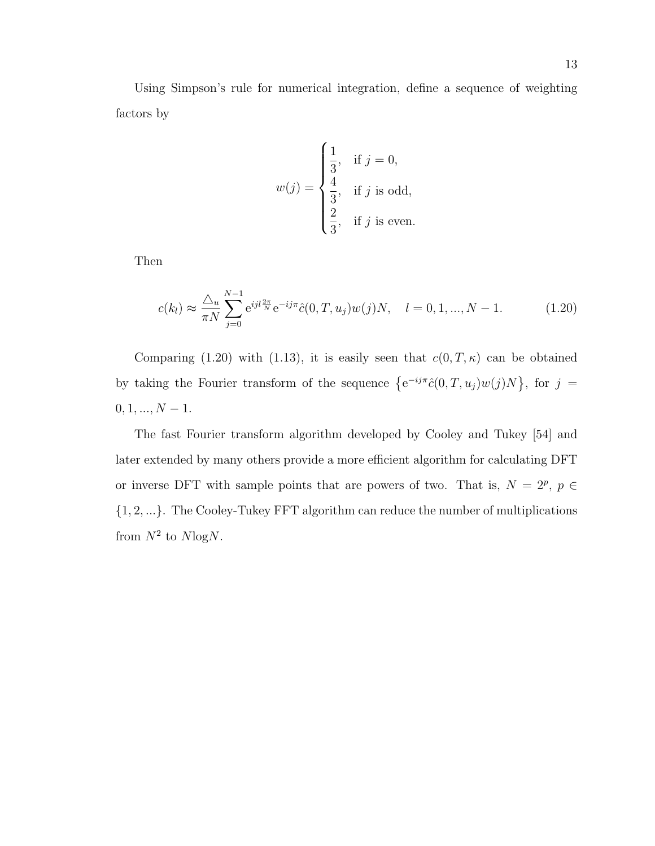Using Simpson's rule for numerical integration, define a sequence of weighting factors by

$$
w(j) = \begin{cases} \frac{1}{3}, & \text{if } j = 0, \\ \frac{4}{3}, & \text{if } j \text{ is odd,} \\ \frac{2}{3}, & \text{if } j \text{ is even.} \end{cases}
$$

Then

$$
c(k_l) \approx \frac{\Delta_u}{\pi N} \sum_{j=0}^{N-1} e^{ijl\frac{2\pi}{N}} e^{-ij\pi} \hat{c}(0, T, u_j) w(j) N, \quad l = 0, 1, ..., N-1.
$$
 (1.20)

Comparing (1.20) with (1.13), it is easily seen that  $c(0,T,\kappa)$  can be obtained by taking the Fourier transform of the sequence  $\{e^{-ij\pi}\hat{c}(0,T,u_j)w(j)N\}$ , for  $j=$  $0,1,...,N-1.$ 

The fast Fourier transform algorithm developed by Cooley and Tukey [54] and later extended by many others provide a more efficient algorithm for calculating DFT or inverse DFT with sample points that are powers of two. That is,  $N = 2^p$ ,  $p \in$ {1, 2, ...}. The Cooley-Tukey FFT algorithm can reduce the number of multiplications from  $N^2$  to  $N \log N$ .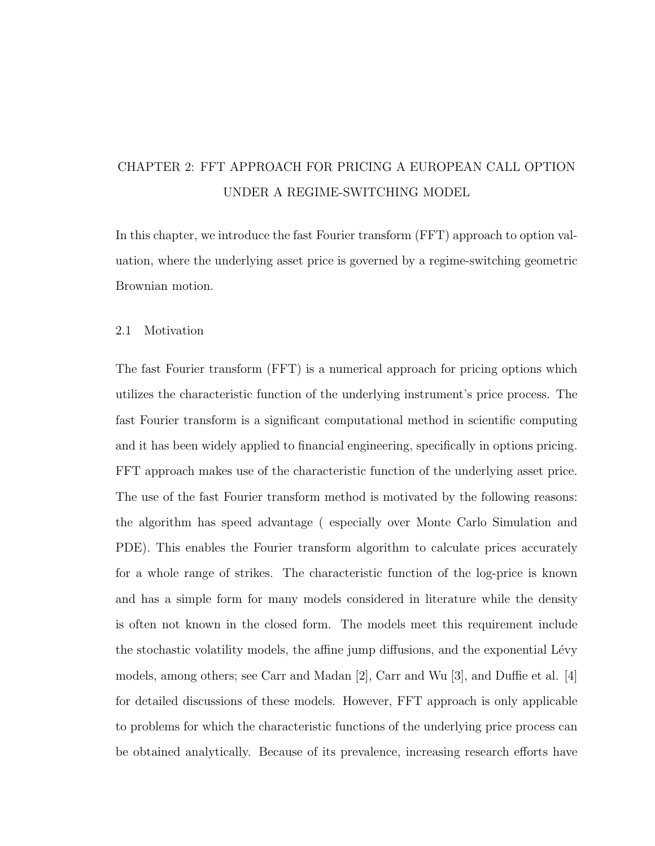# CHAPTER 2: FFT APPROACH FOR PRICING A EUROPEAN CALL OPTION UNDER A REGIME-SWITCHING MODEL

In this chapter, we introduce the fast Fourier transform (FFT) approach to option valuation, where the underlying asset price is governed by a regime-switching geometric Brownian motion.

#### 2.1 Motivation

The fast Fourier transform (FFT) is a numerical approach for pricing options which utilizes the characteristic function of the underlying instrument's price process. The fast Fourier transform is a significant computational method in scientific computing and it has been widely applied to financial engineering, specifically in options pricing. FFT approach makes use of the characteristic function of the underlying asset price. The use of the fast Fourier transform method is motivated by the following reasons: the algorithm has speed advantage ( especially over Monte Carlo Simulation and PDE). This enables the Fourier transform algorithm to calculate prices accurately for a whole range of strikes. The characteristic function of the log-price is known and has a simple form for many models considered in literature while the density is often not known in the closed form. The models meet this requirement include the stochastic volatility models, the affine jump diffusions, and the exponential Lévy models, among others; see Carr and Madan [2], Carr and Wu [3], and Duffie et al. [4] for detailed discussions of these models. However, FFT approach is only applicable to problems for which the characteristic functions of the underlying price process can be obtained analytically. Because of its prevalence, increasing research efforts have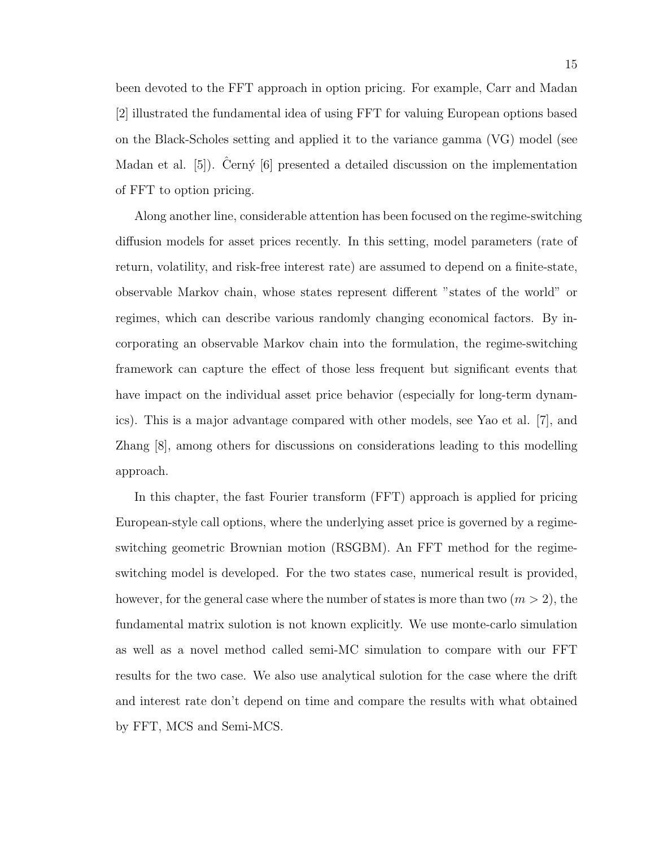been devoted to the FFT approach in option pricing. For example, Carr and Madan [2] illustrated the fundamental idea of using FFT for valuing European options based on the Black-Scholes setting and applied it to the variance gamma (VG) model (see Madan et al. [5]). Cerný [6] presented a detailed discussion on the implementation of FFT to option pricing.

Along another line, considerable attention has been focused on the regime-switching diffusion models for asset prices recently. In this setting, model parameters (rate of return, volatility, and risk-free interest rate) are assumed to depend on a finite-state, observable Markov chain, whose states represent different "states of the world" or regimes, which can describe various randomly changing economical factors. By incorporating an observable Markov chain into the formulation, the regime-switching framework can capture the effect of those less frequent but significant events that have impact on the individual asset price behavior (especially for long-term dynamics). This is a major advantage compared with other models, see Yao et al. [7], and Zhang [8], among others for discussions on considerations leading to this modelling approach.

In this chapter, the fast Fourier transform (FFT) approach is applied for pricing European-style call options, where the underlying asset price is governed by a regimeswitching geometric Brownian motion (RSGBM). An FFT method for the regimeswitching model is developed. For the two states case, numerical result is provided, however, for the general case where the number of states is more than two  $(m > 2)$ , the fundamental matrix sulotion is not known explicitly. We use monte-carlo simulation as well as a novel method called semi-MC simulation to compare with our FFT results for the two case. We also use analytical sulotion for the case where the drift and interest rate don't depend on time and compare the results with what obtained by FFT, MCS and Semi-MCS.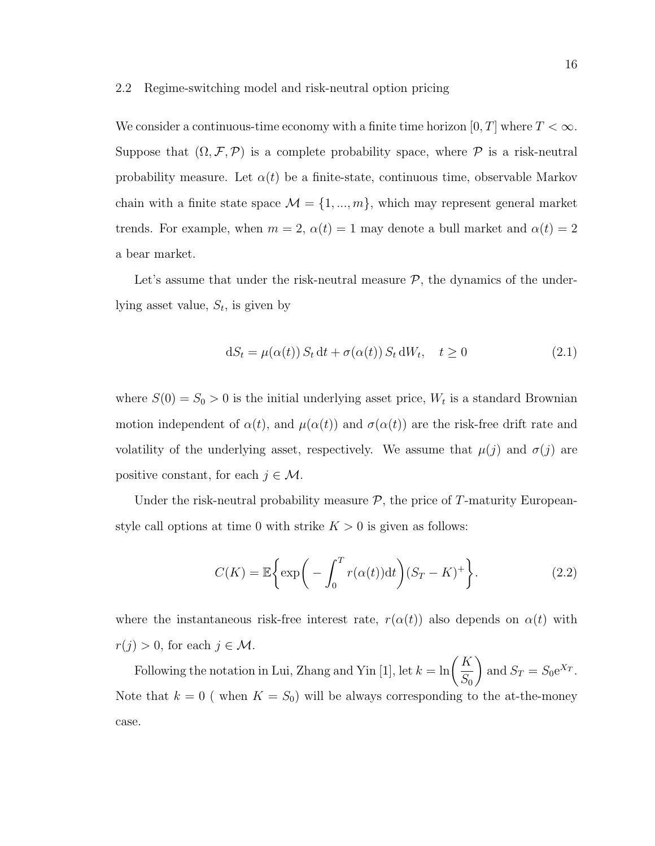#### 2.2 Regime-switching model and risk-neutral option pricing

We consider a continuous-time economy with a finite time horizon  $[0, T]$  where  $T < \infty$ . Suppose that  $(\Omega, \mathcal{F}, \mathcal{P})$  is a complete probability space, where  $\mathcal P$  is a risk-neutral probability measure. Let  $\alpha(t)$  be a finite-state, continuous time, observable Markov chain with a finite state space  $\mathcal{M} = \{1, ..., m\}$ , which may represent general market trends. For example, when  $m = 2$ ,  $\alpha(t) = 1$  may denote a bull market and  $\alpha(t) = 2$ a bear market.

Let's assume that under the risk-neutral measure  $P$ , the dynamics of the underlying asset value,  $S_t$ , is given by

$$
dS_t = \mu(\alpha(t)) S_t dt + \sigma(\alpha(t)) S_t dW_t, \quad t \ge 0
$$
\n(2.1)

where  $S(0) = S_0 > 0$  is the initial underlying asset price,  $W_t$  is a standard Brownian motion independent of  $\alpha(t)$ , and  $\mu(\alpha(t))$  and  $\sigma(\alpha(t))$  are the risk-free drift rate and volatility of the underlying asset, respectively. We assume that  $\mu(j)$  and  $\sigma(j)$  are positive constant, for each  $j \in \mathcal{M}$ .

Under the risk-neutral probability measure  $P$ , the price of T-maturity Europeanstyle call options at time 0 with strike  $K > 0$  is given as follows:

$$
C(K) = \mathbb{E}\bigg\{\exp\bigg(-\int_0^T r(\alpha(t))dt\bigg)(S_T - K)^+\bigg\}.
$$
 (2.2)

where the instantaneous risk-free interest rate,  $r(\alpha(t))$  also depends on  $\alpha(t)$  with  $r(j) > 0$ , for each  $j \in \mathcal{M}$ .

Following the notation in Lui, Zhang and Yin [1], let  $k = \ln\left(\frac{K}{\sigma}\right)$  $S_0$  $\setminus$ and  $S_T = S_0 e^{X_T}$ . Note that  $k = 0$  (when  $K = S_0$ ) will be always corresponding to the at-the-money case.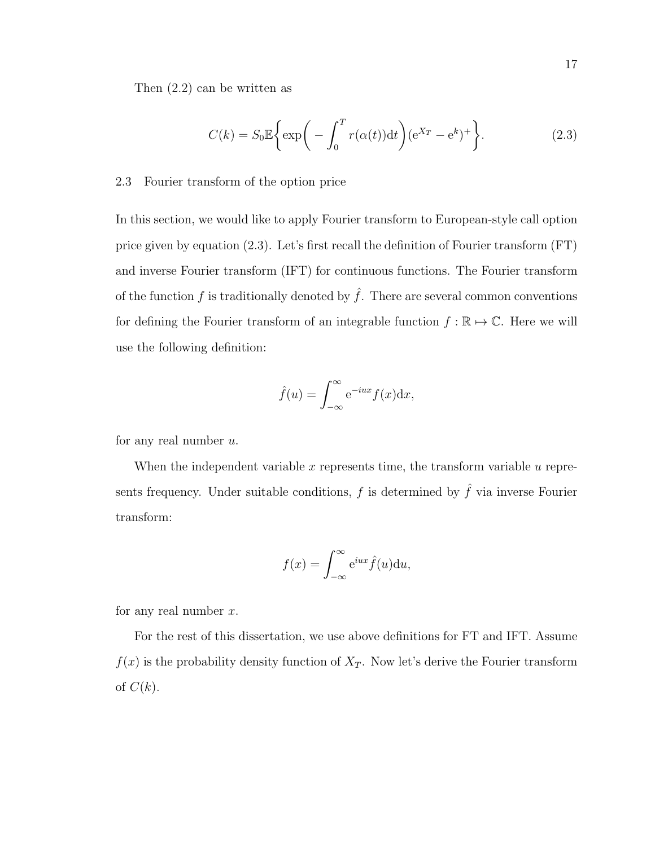Then (2.2) can be written as

$$
C(k) = S_0 \mathbb{E}\left\{\exp\bigg(-\int_0^T r(\alpha(t))dt\bigg)(e^{X_T} - e^k)^+\right\}.
$$
 (2.3)

## 2.3 Fourier transform of the option price

In this section, we would like to apply Fourier transform to European-style call option price given by equation (2.3). Let's first recall the definition of Fourier transform (FT) and inverse Fourier transform (IFT) for continuous functions. The Fourier transform of the function f is traditionally denoted by  $\hat{f}$ . There are several common conventions for defining the Fourier transform of an integrable function  $f : \mathbb{R} \to \mathbb{C}$ . Here we will use the following definition:

$$
\hat{f}(u) = \int_{-\infty}^{\infty} e^{-iux} f(x) dx,
$$

for any real number  $u$ .

When the independent variable  $x$  represents time, the transform variable  $u$  represents frequency. Under suitable conditions,  $f$  is determined by  $\hat{f}$  via inverse Fourier transform:

$$
f(x) = \int_{-\infty}^{\infty} e^{iux} \hat{f}(u) \mathrm{d}u,
$$

for any real number  $x$ .

For the rest of this dissertation, we use above definitions for FT and IFT. Assume  $f(x)$  is the probability density function of  $X_T$ . Now let's derive the Fourier transform of  $C(k)$ .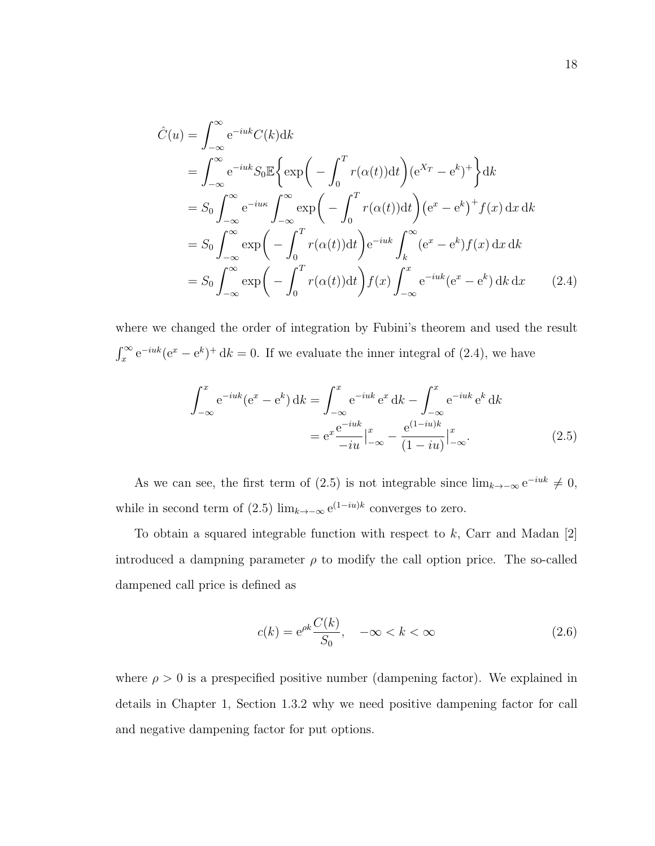$$
\hat{C}(u) = \int_{-\infty}^{\infty} e^{-iuk} C(k) dk
$$
\n
$$
= \int_{-\infty}^{\infty} e^{-iuk} S_0 \mathbb{E} \left\{ \exp\left(-\int_0^T r(\alpha(t)) dt\right) (e^{X_T} - e^k)^+ \right\} dk
$$
\n
$$
= S_0 \int_{-\infty}^{\infty} e^{-iuk} \int_{-\infty}^{\infty} \exp\left(-\int_0^T r(\alpha(t)) dt\right) (e^x - e^k)^+ f(x) dx dk
$$
\n
$$
= S_0 \int_{-\infty}^{\infty} \exp\left(-\int_0^T r(\alpha(t)) dt\right) e^{-iuk} \int_k^{\infty} (e^x - e^k) f(x) dx dk
$$
\n
$$
= S_0 \int_{-\infty}^{\infty} \exp\left(-\int_0^T r(\alpha(t)) dt\right) f(x) \int_{-\infty}^x e^{-iuk} (e^x - e^k) dk dx \qquad (2.4)
$$

where we changed the order of integration by Fubini's theorem and used the result  $\int_x^{\infty} e^{-iuk}(e^x - e^k)^+ dk = 0$ . If we evaluate the inner integral of (2.4), we have

$$
\int_{-\infty}^{x} e^{-iuk} (e^x - e^k) dk = \int_{-\infty}^{x} e^{-iuk} e^x dk - \int_{-\infty}^{x} e^{-iuk} e^k dk
$$

$$
= e^x \frac{e^{-iuk}}{-iu} \Big|_{-\infty}^{x} - \frac{e^{(1-iu)k}}{(1-iu)} \Big|_{-\infty}^{x}.
$$
(2.5)

As we can see, the first term of (2.5) is not integrable since  $\lim_{k\to-\infty} e^{-iuk} \neq 0$ , while in second term of (2.5)  $\lim_{k\to\infty} e^{(1-iu)k}$  converges to zero.

To obtain a squared integrable function with respect to  $k$ , Carr and Madan [2] introduced a dampning parameter  $\rho$  to modify the call option price. The so-called dampened call price is defined as

$$
c(k) = e^{\rho k} \frac{C(k)}{S_0}, \quad -\infty < k < \infty \tag{2.6}
$$

where  $\rho > 0$  is a prespecified positive number (dampening factor). We explained in details in Chapter 1, Section 1.3.2 why we need positive dampening factor for call and negative dampening factor for put options.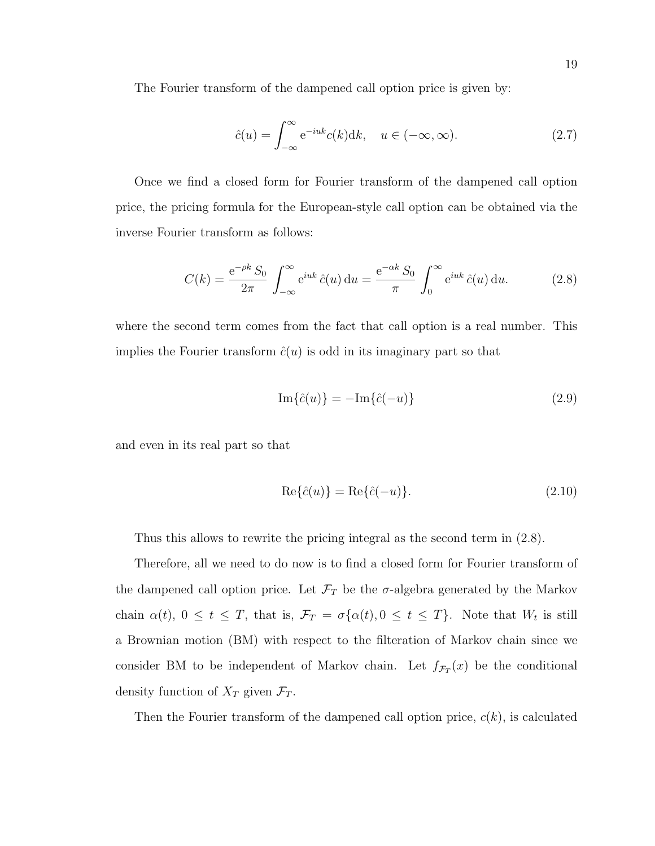The Fourier transform of the dampened call option price is given by:

$$
\hat{c}(u) = \int_{-\infty}^{\infty} e^{-iuk} c(k) dk, \quad u \in (-\infty, \infty).
$$
 (2.7)

Once we find a closed form for Fourier transform of the dampened call option price, the pricing formula for the European-style call option can be obtained via the inverse Fourier transform as follows:

$$
C(k) = \frac{e^{-\rho k} S_0}{2\pi} \int_{-\infty}^{\infty} e^{iuk} \hat{c}(u) du = \frac{e^{-\alpha k} S_0}{\pi} \int_0^{\infty} e^{iuk} \hat{c}(u) du.
$$
 (2.8)

where the second term comes from the fact that call option is a real number. This implies the Fourier transform  $\hat{c}(u)$  is odd in its imaginary part so that

$$
\operatorname{Im}\{\hat{c}(u)\} = -\operatorname{Im}\{\hat{c}(-u)\}\tag{2.9}
$$

and even in its real part so that

$$
\operatorname{Re}\{\hat{c}(u)\} = \operatorname{Re}\{\hat{c}(-u)\}.
$$
\n(2.10)

Thus this allows to rewrite the pricing integral as the second term in (2.8).

Therefore, all we need to do now is to find a closed form for Fourier transform of the dampened call option price. Let  $\mathcal{F}_T$  be the  $\sigma$ -algebra generated by the Markov chain  $\alpha(t)$ ,  $0 \le t \le T$ , that is,  $\mathcal{F}_T = \sigma\{\alpha(t), 0 \le t \le T\}$ . Note that  $W_t$  is still a Brownian motion (BM) with respect to the filteration of Markov chain since we consider BM to be independent of Markov chain. Let  $f_{\mathcal{F}_T}(x)$  be the conditional density function of  $X_T$  given  $\mathcal{F}_T$ .

Then the Fourier transform of the dampened call option price,  $c(k)$ , is calculated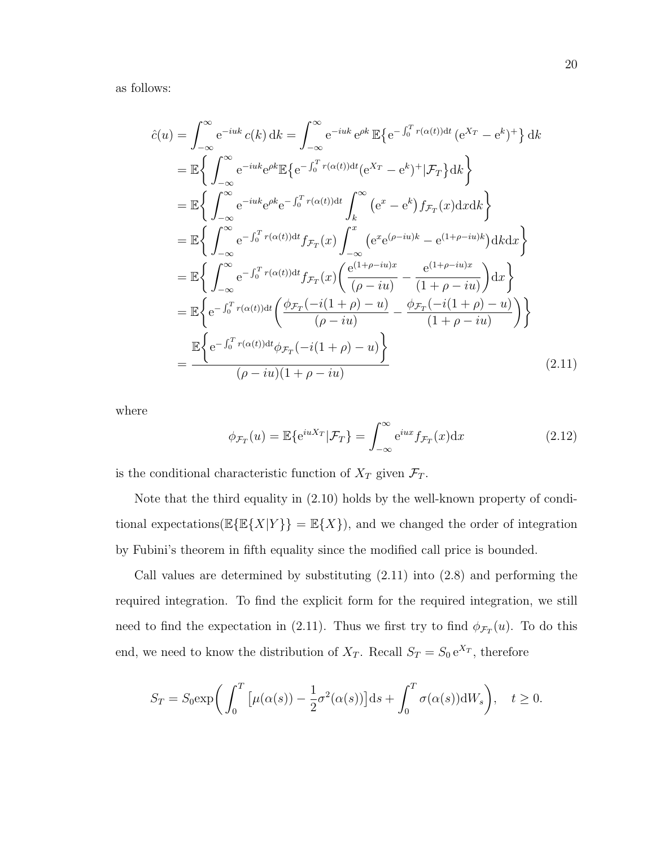as follows:

$$
\hat{c}(u) = \int_{-\infty}^{\infty} e^{-iuk} c(k) dk = \int_{-\infty}^{\infty} e^{-iuk} e^{\rho k} \mathbb{E}\left\{e^{-\int_{0}^{T} r(\alpha(t))dt} (e^{X_T} - e^k)^+\right\} dk
$$
\n
$$
= \mathbb{E}\left\{\int_{-\infty}^{\infty} e^{-iuk} e^{\rho k} \mathbb{E}\left\{e^{-\int_{0}^{T} r(\alpha(t))dt} (e^{X_T} - e^k)^+\right| \mathcal{F}_T\right\} dk\right\}
$$
\n
$$
= \mathbb{E}\left\{\int_{-\infty}^{\infty} e^{-iuk} e^{\rho k} e^{-\int_{0}^{T} r(\alpha(t))dt} \int_{k}^{\infty} (e^x - e^k) f_{\mathcal{F}_T}(x) dx k\right\}
$$
\n
$$
= \mathbb{E}\left\{\int_{-\infty}^{\infty} e^{-\int_{0}^{T} r(\alpha(t))dt} f_{\mathcal{F}_T}(x) \int_{-\infty}^{x} (e^x e^{(\rho - iu)k} - e^{(1 + \rho - iu)k}) dk dx\right\}
$$
\n
$$
= \mathbb{E}\left\{\int_{-\infty}^{\infty} e^{-\int_{0}^{T} r(\alpha(t))dt} f_{\mathcal{F}_T}(x) \left(\frac{e^{(1 + \rho - iu)x}}{(\rho - iu)} - \frac{e^{(1 + \rho - iu)x}}{(1 + \rho - iu)}\right) dx\right\}
$$
\n
$$
= \mathbb{E}\left\{e^{-\int_{0}^{T} r(\alpha(t))dt} \left(\frac{\phi_{\mathcal{F}_T}(-i(1 + \rho) - u)}{(\rho - iu)} - \frac{\phi_{\mathcal{F}_T}(-i(1 + \rho) - u)}{(1 + \rho - iu)}\right)\right\}
$$
\n
$$
= \frac{\mathbb{E}\left\{e^{-\int_{0}^{T} r(\alpha(t))dt} \phi_{\mathcal{F}_T}(-i(1 + \rho) - u)\right\}}{(\rho - iu)(1 + \rho - iu)}
$$
\n(2.11)

where

$$
\phi_{\mathcal{F}_T}(u) = \mathbb{E}\{e^{iuX_T}|\mathcal{F}_T\} = \int_{-\infty}^{\infty} e^{iux} f_{\mathcal{F}_T}(x) dx \qquad (2.12)
$$

is the conditional characteristic function of  $X_T$  given  $\mathcal{F}_T$ .

Note that the third equality in (2.10) holds by the well-known property of conditional expectations( $\mathbb{E}\{\mathbb{E}\{X|Y\}\} = \mathbb{E}\{X\}$ ), and we changed the order of integration by Fubini's theorem in fifth equality since the modified call price is bounded.

Call values are determined by substituting (2.11) into (2.8) and performing the required integration. To find the explicit form for the required integration, we still need to find the expectation in (2.11). Thus we first try to find  $\phi_{\mathcal{F}_T}(u)$ . To do this end, we need to know the distribution of  $X_T$ . Recall  $S_T = S_0 e^{X_T}$ , therefore

$$
S_T = S_0 \exp\bigg(\int_0^T \big[\mu(\alpha(s)) - \frac{1}{2}\sigma^2(\alpha(s))\big]ds + \int_0^T \sigma(\alpha(s))dW_s\bigg), \quad t \ge 0.
$$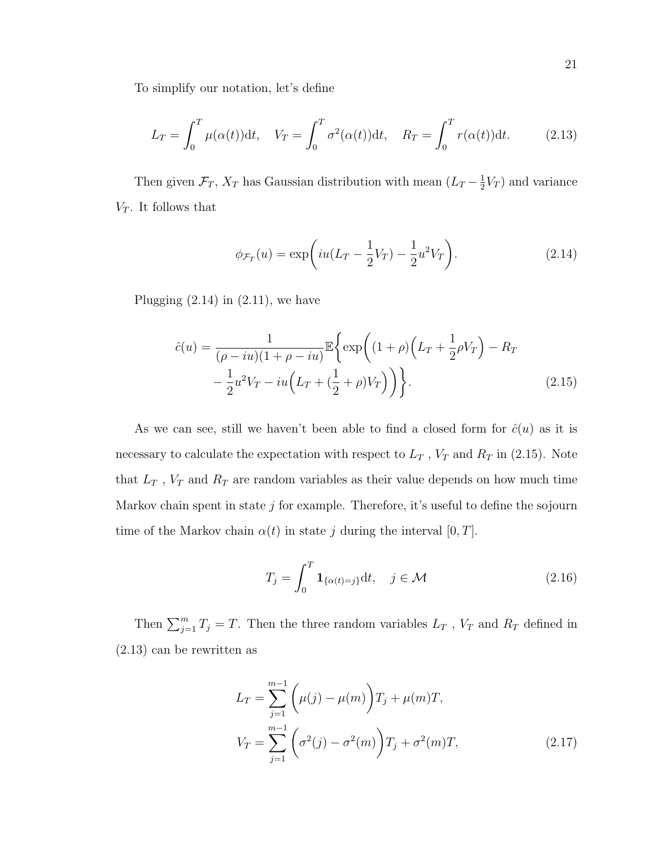To simplify our notation, let's define

$$
L_T = \int_0^T \mu(\alpha(t))dt, \quad V_T = \int_0^T \sigma^2(\alpha(t))dt, \quad R_T = \int_0^T r(\alpha(t))dt.
$$
 (2.13)

Then given  $\mathcal{F}_T$ ,  $X_T$  has Gaussian distribution with mean  $(L_T - \frac{1}{2})$  $\frac{1}{2}V_T$  and variance  $V_T$ . It follows that

$$
\phi_{\mathcal{F}_T}(u) = \exp\left(iu(L_T - \frac{1}{2}V_T) - \frac{1}{2}u^2V_T\right).
$$
\n(2.14)

Plugging  $(2.14)$  in  $(2.11)$ , we have

$$
\hat{c}(u) = \frac{1}{(\rho - iu)(1 + \rho - iu)} \mathbb{E}\left\{\exp\left((1 + \rho)\left(L_T + \frac{1}{2}\rho V_T\right) - R_T\right) - \frac{1}{2}u^2V_T - iu\left(L_T + (\frac{1}{2} + \rho)V_T\right)\right)\right\}.
$$
\n(2.15)

As we can see, still we haven't been able to find a closed form for  $\hat{c}(u)$  as it is necessary to calculate the expectation with respect to  $L_T$ ,  $V_T$  and  $R_T$  in (2.15). Note that  $L_T$ ,  $V_T$  and  $R_T$  are random variables as their value depends on how much time Markov chain spent in state  $j$  for example. Therefore, it's useful to define the sojourn time of the Markov chain  $\alpha(t)$  in state j during the interval [0, T].

$$
T_j = \int_0^T \mathbf{1}_{\{\alpha(t) = j\}} \mathrm{d}t, \quad j \in \mathcal{M}
$$
\n(2.16)

Then  $\sum_{j=1}^{m} T_j = T$ . Then the three random variables  $L_T$ ,  $V_T$  and  $R_T$  defined in (2.13) can be rewritten as

$$
L_T = \sum_{j=1}^{m-1} \left( \mu(j) - \mu(m) \right) T_j + \mu(m) T,
$$
  

$$
V_T = \sum_{j=1}^{m-1} \left( \sigma^2(j) - \sigma^2(m) \right) T_j + \sigma^2(m) T,
$$
 (2.17)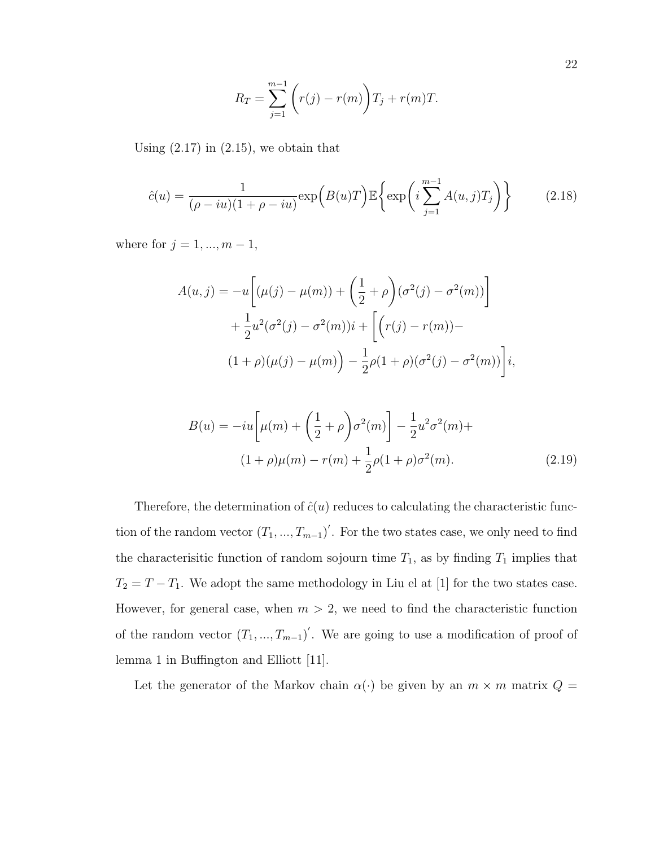$$
R_T = \sum_{j=1}^{m-1} \left( r(j) - r(m) \right) T_j + r(m)T.
$$

Using  $(2.17)$  in  $(2.15)$ , we obtain that

$$
\hat{c}(u) = \frac{1}{(\rho - iu)(1 + \rho - iu)} \exp\left(B(u)T\right) \mathbb{E}\left\{\exp\left(i\sum_{j=1}^{m-1} A(u,j)T_j\right)\right\} \tag{2.18}
$$

where for  $j = 1, ..., m - 1$ ,

$$
A(u, j) = -u \left[ (\mu(j) - \mu(m)) + \left( \frac{1}{2} + \rho \right) (\sigma^2(j) - \sigma^2(m)) \right] + \frac{1}{2} u^2 (\sigma^2(j) - \sigma^2(m)) i + \left[ \left( r(j) - r(m) \right) - \left( 1 + \rho \right) (\mu(j) - \mu(m)) \right] - \frac{1}{2} \rho(1 + \rho) (\sigma^2(j) - \sigma^2(m)) \right] i,
$$

$$
B(u) = -iu \left[ \mu(m) + \left(\frac{1}{2} + \rho\right) \sigma^2(m) \right] - \frac{1}{2} u^2 \sigma^2(m) +
$$
  

$$
(1 + \rho)\mu(m) - r(m) + \frac{1}{2}\rho(1 + \rho)\sigma^2(m).
$$
 (2.19)

Therefore, the determination of  $\hat{c}(u)$  reduces to calculating the characteristic function of the random vector  $(T_1, ..., T_{m-1})'$ . For the two states case, we only need to find the characterisitic function of random sojourn time  $T_1$ , as by finding  $T_1$  implies that  $T_2 = T - T_1$ . We adopt the same methodology in Liu el at [1] for the two states case. However, for general case, when  $m > 2$ , we need to find the characteristic function of the random vector  $(T_1, ..., T_{m-1})'$ . We are going to use a modification of proof of lemma 1 in Buffington and Elliott [11].

Let the generator of the Markov chain  $\alpha(\cdot)$  be given by an  $m \times m$  matrix  $Q =$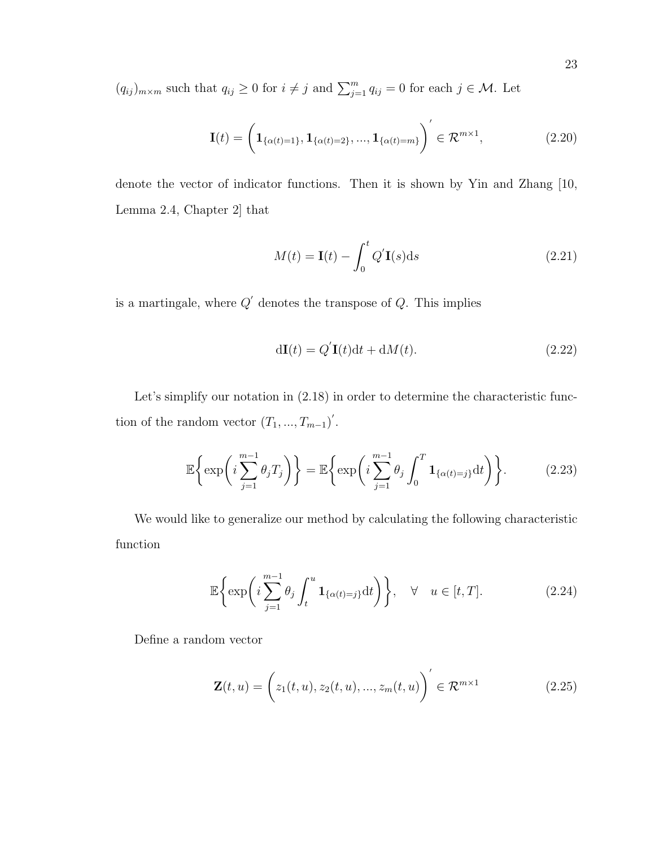$(q_{ij})_{m \times m}$  such that  $q_{ij} \geq 0$  for  $i \neq j$  and  $\sum_{j=1}^{m} q_{ij} = 0$  for each  $j \in \mathcal{M}$ . Let

$$
\mathbf{I}(t) = \left(\mathbf{1}_{\{\alpha(t)=1\}}, \mathbf{1}_{\{\alpha(t)=2\}}, \dots, \mathbf{1}_{\{\alpha(t)=m\}}\right)' \in \mathcal{R}^{m \times 1},\tag{2.20}
$$

denote the vector of indicator functions. Then it is shown by Yin and Zhang [10, Lemma 2.4, Chapter 2] that

$$
M(t) = \mathbf{I}(t) - \int_0^t Q' \mathbf{I}(s) \mathrm{d}s \tag{2.21}
$$

is a martingale, where  $Q'$  denotes the transpose of  $Q$ . This implies

$$
d\mathbf{I}(t) = Q'\mathbf{I}(t)dt + dM(t).
$$
 (2.22)

Let's simplify our notation in  $(2.18)$  in order to determine the characteristic function of the random vector  $(T_1, ..., T_{m-1})'$ .

$$
\mathbb{E}\left\{\exp\left(i\sum_{j=1}^{m-1}\theta_jT_j\right)\right\} = \mathbb{E}\left\{\exp\left(i\sum_{j=1}^{m-1}\theta_j\int_0^T\mathbf{1}_{\{\alpha(t)=j\}}dt\right)\right\}.
$$
 (2.23)

We would like to generalize our method by calculating the following characteristic function

$$
\mathbb{E}\left\{\exp\left(i\sum_{j=1}^{m-1}\theta_j\int_t^u \mathbf{1}_{\{\alpha(t)=j\}}\mathrm{d}t\right)\right\}, \quad \forall \quad u \in [t, T].\tag{2.24}
$$

Define a random vector

$$
\mathbf{Z}(t, u) = \left(z_1(t, u), z_2(t, u), ..., z_m(t, u)\right)' \in \mathcal{R}^{m \times 1}
$$
 (2.25)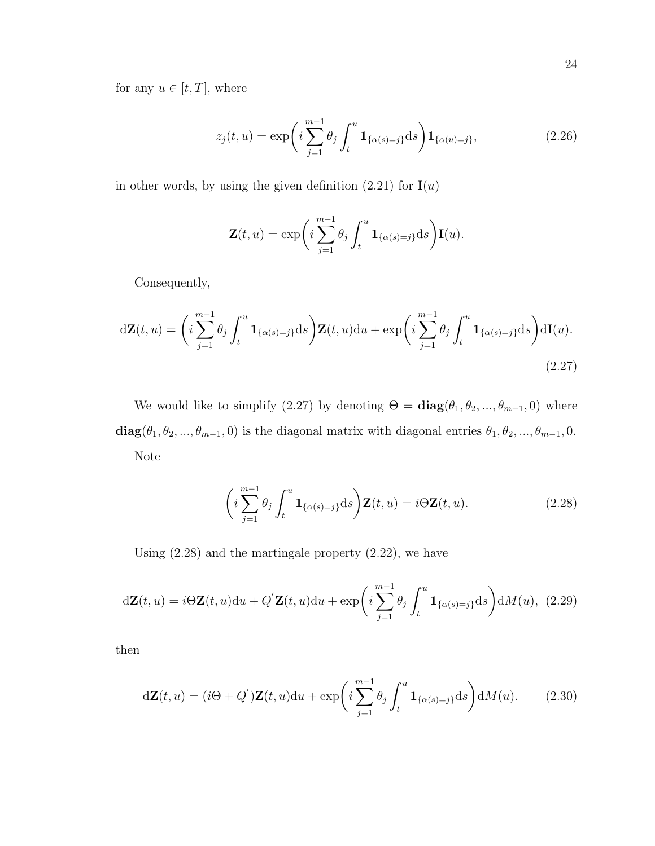for any  $u\in[t,T],$  where

$$
z_j(t, u) = \exp\left(i\sum_{j=1}^{m-1} \theta_j \int_t^u \mathbf{1}_{\{\alpha(s)=j\}} ds\right) \mathbf{1}_{\{\alpha(u)=j\}},
$$
\n(2.26)

in other words, by using the given definition  $(2.21)$  for  $\mathbf{I}(u)$ 

$$
\mathbf{Z}(t, u) = \exp\bigg(i\sum_{j=1}^{m-1} \theta_j \int_t^u \mathbf{1}_{\{\alpha(s)=j\}} ds\bigg) \mathbf{I}(u).
$$

Consequently,

$$
d\mathbf{Z}(t, u) = \left(i\sum_{j=1}^{m-1} \theta_j \int_t^u \mathbf{1}_{\{\alpha(s)=j\}} ds\right) \mathbf{Z}(t, u) du + \exp\left(i\sum_{j=1}^{m-1} \theta_j \int_t^u \mathbf{1}_{\{\alpha(s)=j\}} ds\right) d\mathbf{I}(u).
$$
\n(2.27)

We would like to simplify (2.27) by denoting  $\Theta = \text{diag}(\theta_1, \theta_2, ..., \theta_{m-1}, 0)$  where  $diag(\theta_1, \theta_2, ..., \theta_{m-1}, 0)$  is the diagonal matrix with diagonal entries  $\theta_1, \theta_2, ..., \theta_{m-1}, 0$ . Note

$$
\left(i\sum_{j=1}^{m-1}\theta_j\int_t^u\mathbf{1}_{\{\alpha(s)=j\}}ds\right)\mathbf{Z}(t,u)=i\Theta\mathbf{Z}(t,u). \tag{2.28}
$$

Using (2.28) and the martingale property (2.22), we have

$$
d\mathbf{Z}(t, u) = i\Theta \mathbf{Z}(t, u)du + Q'\mathbf{Z}(t, u)du + \exp\bigg(i\sum_{j=1}^{m-1}\theta_j\int_t^u \mathbf{1}_{\{\alpha(s)=j\}}ds\bigg)dM(u), \tag{2.29}
$$

then

$$
d\mathbf{Z}(t, u) = (i\Theta + Q')\mathbf{Z}(t, u)du + \exp\left(i\sum_{j=1}^{m-1}\theta_j\int_t^u \mathbf{1}_{\{\alpha(s)=j\}}ds\right)dM(u). \tag{2.30}
$$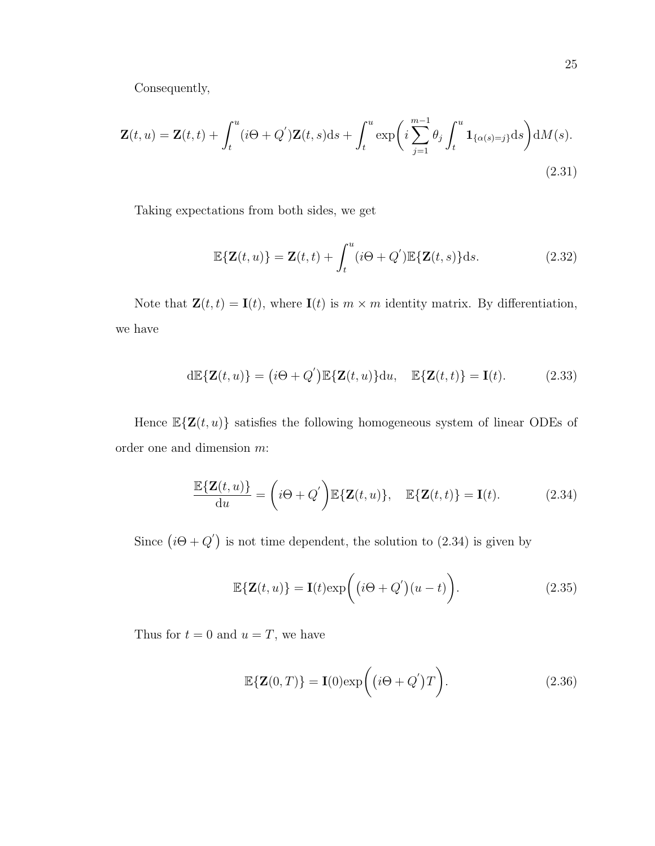Consequently,

$$
\mathbf{Z}(t, u) = \mathbf{Z}(t, t) + \int_{t}^{u} (i\Theta + Q')\mathbf{Z}(t, s)ds + \int_{t}^{u} \exp\left(i\sum_{j=1}^{m-1} \theta_{j} \int_{t}^{u} \mathbf{1}_{\{\alpha(s)=j\}}ds\right) dM(s).
$$
\n(2.31)

Taking expectations from both sides, we get

$$
\mathbb{E}\{\mathbf{Z}(t,u)\} = \mathbf{Z}(t,t) + \int_{t}^{u} (i\Theta + Q^{'}) \mathbb{E}\{\mathbf{Z}(t,s)\} ds.
$$
 (2.32)

Note that  $\mathbf{Z}(t, t) = \mathbf{I}(t)$ , where  $\mathbf{I}(t)$  is  $m \times m$  identity matrix. By differentiation, we have

$$
d\mathbb{E}\{\mathbf{Z}(t,u)\} = (i\Theta + Q')\mathbb{E}\{\mathbf{Z}(t,u)\}du, \quad \mathbb{E}\{\mathbf{Z}(t,t)\} = \mathbf{I}(t). \tag{2.33}
$$

Hence  $\mathbb{E}\{\mathbf{Z}(t,u)\}$  satisfies the following homogeneous system of linear ODEs of order one and dimension m:

$$
\frac{\mathbb{E}\{\mathbf{Z}(t,u)\}}{\mathrm{d}u} = \left(i\Theta + Q'\right)\mathbb{E}\{\mathbf{Z}(t,u)\}, \quad \mathbb{E}\{\mathbf{Z}(t,t)\} = \mathbf{I}(t). \tag{2.34}
$$

Since  $(i\Theta + Q')$  is not time dependent, the solution to (2.34) is given by

$$
\mathbb{E}\{\mathbf{Z}(t,u)\} = \mathbf{I}(t)\exp\bigg((i\Theta + Q')(u-t)\bigg). \tag{2.35}
$$

Thus for  $t = 0$  and  $u = T$ , we have

$$
\mathbb{E}\{\mathbf{Z}(0,T)\} = \mathbf{I}(0)\exp\bigg((i\Theta + Q')T\bigg). \tag{2.36}
$$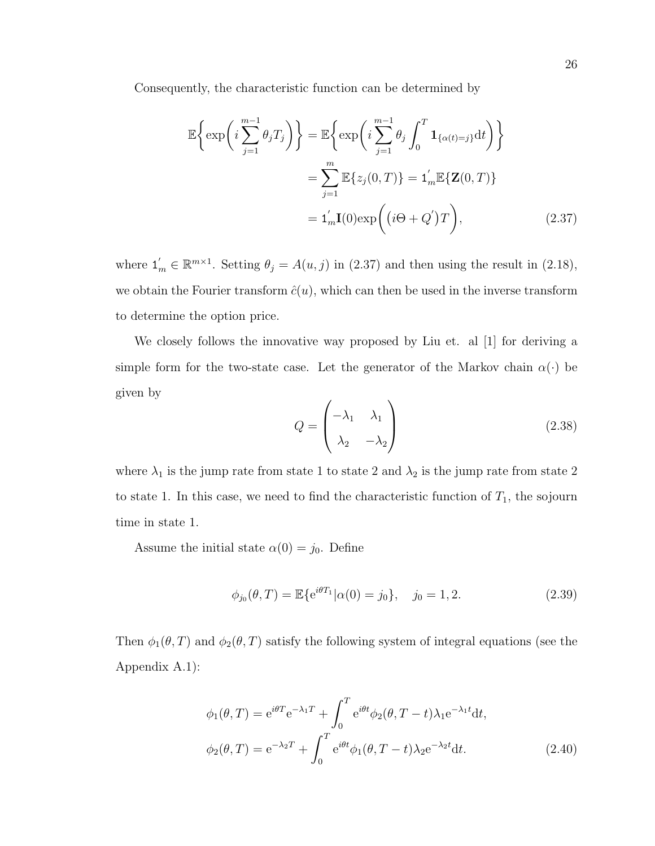Consequently, the characteristic function can be determined by

$$
\mathbb{E}\left\{\exp\left(i\sum_{j=1}^{m-1}\theta_jT_j\right)\right\} = \mathbb{E}\left\{\exp\left(i\sum_{j=1}^{m-1}\theta_j\int_0^T \mathbf{1}_{\{\alpha(t)=j\}}dt\right)\right\}
$$

$$
= \sum_{j=1}^m \mathbb{E}\left\{z_j(0,T)\right\} = \mathbf{1}_m'\mathbb{E}\left\{\mathbf{Z}(0,T)\right\}
$$

$$
= \mathbf{1}_m'\mathbf{I}(0)\exp\left(\left(i\Theta + Q'\right)T\right),\tag{2.37}
$$

where  $\mathbf{1}'_m \in \mathbb{R}^{m \times 1}$ . Setting  $\theta_j = A(u, j)$  in (2.37) and then using the result in (2.18), we obtain the Fourier transform  $\hat{c}(u)$ , which can then be used in the inverse transform to determine the option price.

We closely follows the innovative way proposed by Liu et. al [1] for deriving a simple form for the two-state case. Let the generator of the Markov chain  $\alpha(\cdot)$  be given by  $\overline{1}$ 

$$
Q = \begin{pmatrix} -\lambda_1 & \lambda_1 \\ \lambda_2 & -\lambda_2 \end{pmatrix}
$$
 (2.38)

where  $\lambda_1$  is the jump rate from state 1 to state 2 and  $\lambda_2$  is the jump rate from state 2 to state 1. In this case, we need to find the characteristic function of  $T_1$ , the sojourn time in state 1.

Assume the initial state  $\alpha(0) = j_0$ . Define

$$
\phi_{j_0}(\theta, T) = \mathbb{E}\{e^{i\theta T_1}|\alpha(0) = j_0\}, \quad j_0 = 1, 2. \tag{2.39}
$$

Then  $\phi_1(\theta, T)$  and  $\phi_2(\theta, T)$  satisfy the following system of integral equations (see the Appendix A.1):

$$
\phi_1(\theta, T) = e^{i\theta T} e^{-\lambda_1 T} + \int_0^T e^{i\theta t} \phi_2(\theta, T - t) \lambda_1 e^{-\lambda_1 t} dt,
$$
  

$$
\phi_2(\theta, T) = e^{-\lambda_2 T} + \int_0^T e^{i\theta t} \phi_1(\theta, T - t) \lambda_2 e^{-\lambda_2 t} dt.
$$
 (2.40)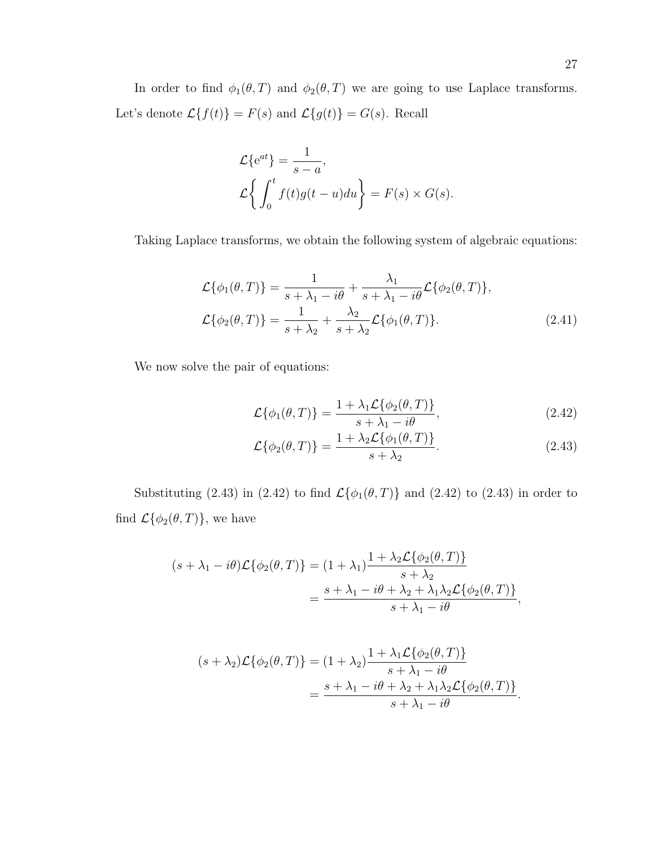In order to find  $\phi_1(\theta, T)$  and  $\phi_2(\theta, T)$  we are going to use Laplace transforms. Let's denote  $\mathcal{L}{f(t)} = F(s)$  and  $\mathcal{L}{g(t)} = G(s)$ . Recall

$$
\mathcal{L}\lbrace e^{at}\rbrace = \frac{1}{s-a},
$$
  

$$
\mathcal{L}\left\{\int_0^t f(t)g(t-u)du\right\} = F(s) \times G(s).
$$

Taking Laplace transforms, we obtain the following system of algebraic equations:

$$
\mathcal{L}\{\phi_1(\theta, T)\} = \frac{1}{s + \lambda_1 - i\theta} + \frac{\lambda_1}{s + \lambda_1 - i\theta} \mathcal{L}\{\phi_2(\theta, T)\},
$$
  

$$
\mathcal{L}\{\phi_2(\theta, T)\} = \frac{1}{s + \lambda_2} + \frac{\lambda_2}{s + \lambda_2} \mathcal{L}\{\phi_1(\theta, T)\}.
$$
 (2.41)

We now solve the pair of equations:

$$
\mathcal{L}\{\phi_1(\theta, T)\} = \frac{1 + \lambda_1 \mathcal{L}\{\phi_2(\theta, T)\}}{s + \lambda_1 - i\theta},
$$
\n(2.42)

$$
\mathcal{L}\{\phi_2(\theta, T)\} = \frac{1 + \lambda_2 \mathcal{L}\{\phi_1(\theta, T)\}}{s + \lambda_2}.
$$
\n(2.43)

Substituting (2.43) in (2.42) to find  $\mathcal{L}\{\phi_1(\theta,T)\}\$  and (2.42) to (2.43) in order to find  $\mathcal{L}\{\phi_2(\theta,T)\}\text{, we have}$ 

$$
(s + \lambda_1 - i\theta)\mathcal{L}\{\phi_2(\theta, T)\} = (1 + \lambda_1) \frac{1 + \lambda_2 \mathcal{L}\{\phi_2(\theta, T)\}}{s + \lambda_2}
$$
  
= 
$$
\frac{s + \lambda_1 - i\theta + \lambda_2 + \lambda_1 \lambda_2 \mathcal{L}\{\phi_2(\theta, T)\}}{s + \lambda_1 - i\theta},
$$

$$
(s+\lambda_2)\mathcal{L}\{\phi_2(\theta,T)\} = (1+\lambda_2)\frac{1+\lambda_1\mathcal{L}\{\phi_2(\theta,T)\}}{s+\lambda_1-i\theta}
$$

$$
= \frac{s+\lambda_1-i\theta+\lambda_2+\lambda_1\lambda_2\mathcal{L}\{\phi_2(\theta,T)\}}{s+\lambda_1-i\theta}.
$$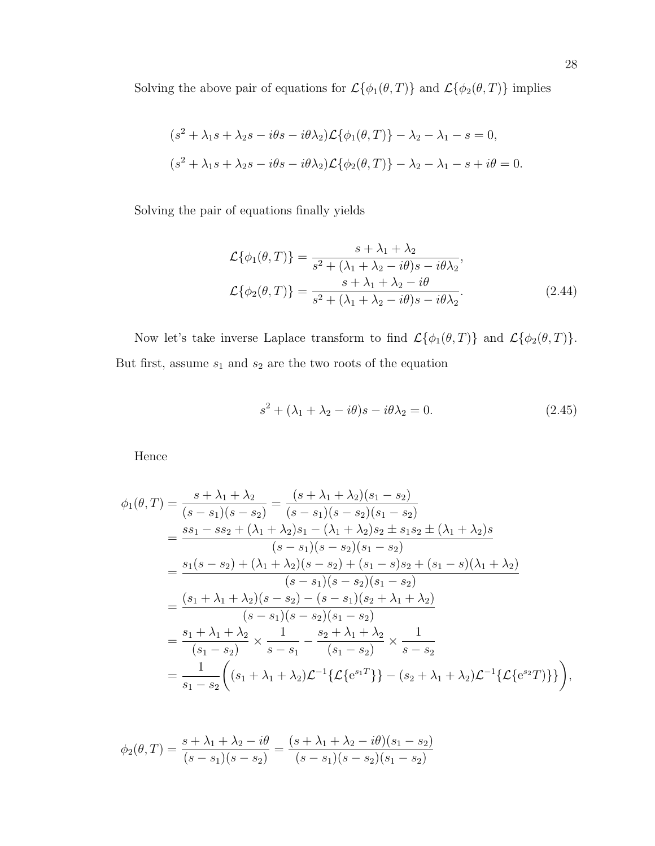Solving the above pair of equations for  $\mathcal{L}\{\phi_{1}(\theta,T)\}$  and  $\mathcal{L}\{\phi_{2}(\theta,T)\}$  implies

$$
(s2 + \lambda_1 s + \lambda_2 s - i\theta s - i\theta \lambda_2) \mathcal{L}{\lbrace \phi_1(\theta, T) \rbrace - \lambda_2 - \lambda_1 - s = 0, (s2 + \lambda_1 s + \lambda_2 s - i\theta s - i\theta \lambda_2) \mathcal{L}{\lbrace \phi_2(\theta, T) \rbrace - \lambda_2 - \lambda_1 - s + i\theta = 0.}
$$

Solving the pair of equations finally yields

$$
\mathcal{L}\{\phi_1(\theta, T)\} = \frac{s + \lambda_1 + \lambda_2}{s^2 + (\lambda_1 + \lambda_2 - i\theta)s - i\theta\lambda_2},
$$
  

$$
\mathcal{L}\{\phi_2(\theta, T)\} = \frac{s + \lambda_1 + \lambda_2 - i\theta}{s^2 + (\lambda_1 + \lambda_2 - i\theta)s - i\theta\lambda_2}.
$$
(2.44)

Now let's take inverse Laplace transform to find  $\mathcal{L}\{\phi_1(\theta,T)\}$  and  $\mathcal{L}\{\phi_2(\theta,T)\}$ . But first, assume  $s_1$  and  $s_2$  are the two roots of the equation

$$
s^2 + (\lambda_1 + \lambda_2 - i\theta)s - i\theta\lambda_2 = 0.
$$
 (2.45)

Hence

$$
\phi_1(\theta,T) = \frac{s + \lambda_1 + \lambda_2}{(s - s_1)(s - s_2)} = \frac{(s + \lambda_1 + \lambda_2)(s_1 - s_2)}{(s - s_1)(s - s_2)(s_1 - s_2)}
$$
  
\n
$$
= \frac{ss_1 - ss_2 + (\lambda_1 + \lambda_2)s_1 - (\lambda_1 + \lambda_2)s_2 \pm s_1s_2 \pm (\lambda_1 + \lambda_2)s_2}{(s - s_1)(s - s_2)(s_1 - s_2)}
$$
  
\n
$$
= \frac{s_1(s - s_2) + (\lambda_1 + \lambda_2)(s - s_2) + (s_1 - s)s_2 + (s_1 - s)(\lambda_1 + \lambda_2)}{(s - s_1)(s - s_2)(s_1 - s_2)}
$$
  
\n
$$
= \frac{(s_1 + \lambda_1 + \lambda_2)(s - s_2) - (s - s_1)(s_2 + \lambda_1 + \lambda_2)}{(s - s_1)(s - s_2)(s_1 - s_2)}
$$
  
\n
$$
= \frac{s_1 + \lambda_1 + \lambda_2}{(s_1 - s_2)} \times \frac{1}{s - s_1} - \frac{s_2 + \lambda_1 + \lambda_2}{(s_1 - s_2)} \times \frac{1}{s - s_2}
$$
  
\n
$$
= \frac{1}{s_1 - s_2} \left( (s_1 + \lambda_1 + \lambda_2) \mathcal{L}^{-1} \{ \mathcal{L} \{ e^{s_1 T} \} \} - (s_2 + \lambda_1 + \lambda_2) \mathcal{L}^{-1} \{ \mathcal{L} \{ e^{s_2 T} \} \} \right),
$$

$$
\phi_2(\theta, T) = \frac{s + \lambda_1 + \lambda_2 - i\theta}{(s - s_1)(s - s_2)} = \frac{(s + \lambda_1 + \lambda_2 - i\theta)(s_1 - s_2)}{(s - s_1)(s - s_2)(s_1 - s_2)}
$$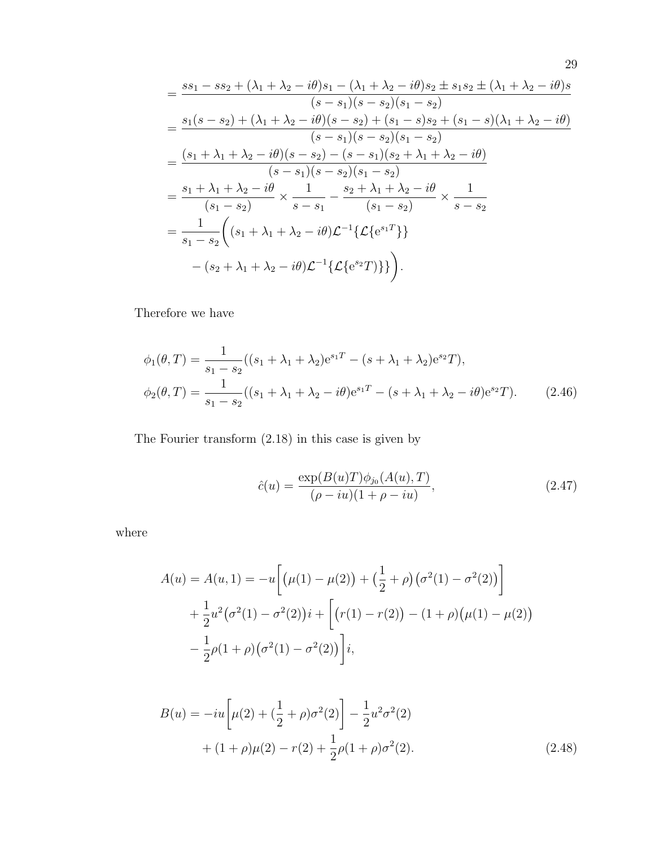$$
= \frac{ss_1 - ss_2 + (\lambda_1 + \lambda_2 - i\theta)s_1 - (\lambda_1 + \lambda_2 - i\theta)s_2 \pm s_1s_2 \pm (\lambda_1 + \lambda_2 - i\theta)s}{(s - s_1)(s - s_2)(s_1 - s_2)}
$$
  
\n
$$
= \frac{s_1(s - s_2) + (\lambda_1 + \lambda_2 - i\theta)(s - s_2) + (s_1 - s)s_2 + (s_1 - s)(\lambda_1 + \lambda_2 - i\theta)}{(s - s_1)(s - s_2)(s_1 - s_2)}
$$
  
\n
$$
= \frac{(s_1 + \lambda_1 + \lambda_2 - i\theta)(s - s_2) - (s - s_1)(s_2 + \lambda_1 + \lambda_2 - i\theta)}{(s - s_1)(s - s_2)(s_1 - s_2)}
$$
  
\n
$$
= \frac{s_1 + \lambda_1 + \lambda_2 - i\theta}{(s_1 - s_2)} \times \frac{1}{s - s_1} - \frac{s_2 + \lambda_1 + \lambda_2 - i\theta}{(s_1 - s_2)} \times \frac{1}{s - s_2}
$$
  
\n
$$
= \frac{1}{s_1 - s_2} \left( (s_1 + \lambda_1 + \lambda_2 - i\theta) \mathcal{L}^{-1} \{ \mathcal{L} \{ e^{s_1 T} \} \} - (s_2 + \lambda_1 + \lambda_2 - i\theta) \mathcal{L}^{-1} \{ \mathcal{L} \{ e^{s_2 T} \} \} \right).
$$

Therefore we have

$$
\phi_1(\theta, T) = \frac{1}{s_1 - s_2} ((s_1 + \lambda_1 + \lambda_2) e^{s_1 T} - (s + \lambda_1 + \lambda_2) e^{s_2 T}),
$$
  
\n
$$
\phi_2(\theta, T) = \frac{1}{s_1 - s_2} ((s_1 + \lambda_1 + \lambda_2 - i\theta) e^{s_1 T} - (s + \lambda_1 + \lambda_2 - i\theta) e^{s_2 T}).
$$
\n(2.46)

The Fourier transform (2.18) in this case is given by

$$
\hat{c}(u) = \frac{\exp(B(u)T)\phi_{j_0}(A(u), T)}{(\rho - iu)(1 + \rho - iu)},
$$
\n(2.47)

where

$$
A(u) = A(u, 1) = -u \left[ \left( \mu(1) - \mu(2) \right) + \left( \frac{1}{2} + \rho \right) \left( \sigma^2(1) - \sigma^2(2) \right) \right] + \frac{1}{2} u^2 \left( \sigma^2(1) - \sigma^2(2) \right) i + \left[ \left( r(1) - r(2) \right) - \left( 1 + \rho \right) \left( \mu(1) - \mu(2) \right) \right] - \frac{1}{2} \rho(1 + \rho) \left( \sigma^2(1) - \sigma^2(2) \right) i,
$$

$$
B(u) = -iu \left[ \mu(2) + \left(\frac{1}{2} + \rho\right) \sigma^2(2) \right] - \frac{1}{2} u^2 \sigma^2(2)
$$
  
+ 
$$
(1 + \rho)\mu(2) - r(2) + \frac{1}{2}\rho(1 + \rho)\sigma^2(2).
$$
 (2.48)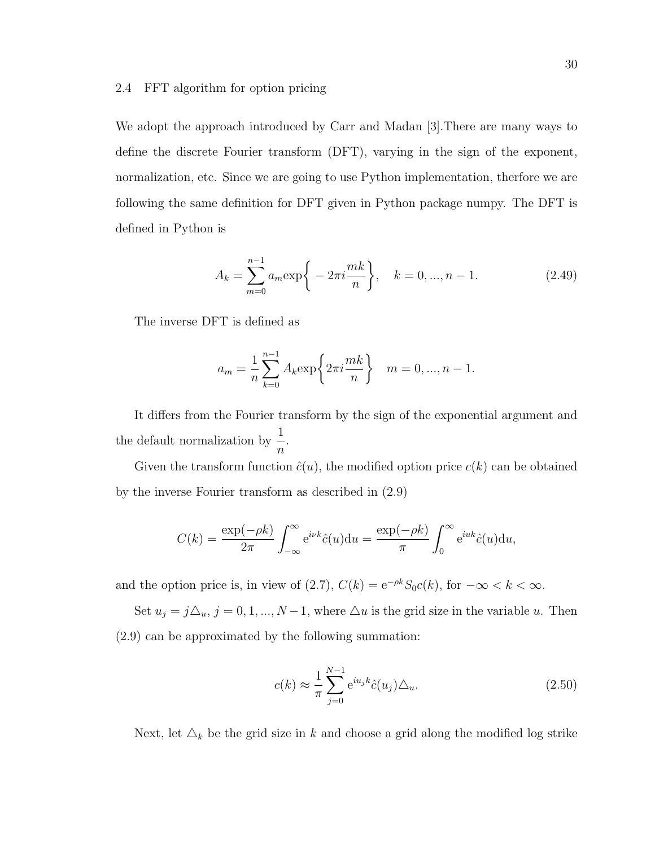#### 2.4 FFT algorithm for option pricing

We adopt the approach introduced by Carr and Madan [3]. There are many ways to define the discrete Fourier transform (DFT), varying in the sign of the exponent, normalization, etc. Since we are going to use Python implementation, therfore we are following the same definition for DFT given in Python package numpy. The DFT is defined in Python is

$$
A_k = \sum_{m=0}^{n-1} a_m \exp\bigg\{-2\pi i \frac{mk}{n}\bigg\}, \quad k = 0, ..., n-1.
$$
 (2.49)

The inverse DFT is defined as

$$
a_m = \frac{1}{n} \sum_{k=0}^{n-1} A_k \exp\left\{2\pi i \frac{mk}{n}\right\} \quad m = 0, ..., n-1.
$$

It differs from the Fourier transform by the sign of the exponential argument and the default normalization by  $\frac{1}{x}$  $\overline{n}$ .

Given the transform function  $\hat{c}(u)$ , the modified option price  $c(k)$  can be obtained by the inverse Fourier transform as described in (2.9)

$$
C(k) = \frac{\exp(-\rho k)}{2\pi} \int_{-\infty}^{\infty} e^{i\nu k} \hat{c}(u) du = \frac{\exp(-\rho k)}{\pi} \int_{0}^{\infty} e^{iuk} \hat{c}(u) du,
$$

and the option price is, in view of (2.7),  $C(k) = e^{-\rho k} S_0 c(k)$ , for  $-\infty < k < \infty$ .

Set  $u_j = j\Delta_u$ ,  $j = 0, 1, ..., N - 1$ , where  $\Delta u$  is the grid size in the variable u. Then (2.9) can be approximated by the following summation:

$$
c(k) \approx \frac{1}{\pi} \sum_{j=0}^{N-1} e^{iu_j k} \hat{c}(u_j) \Delta_u.
$$
 (2.50)

Next, let  $\Delta_k$  be the grid size in k and choose a grid along the modified log strike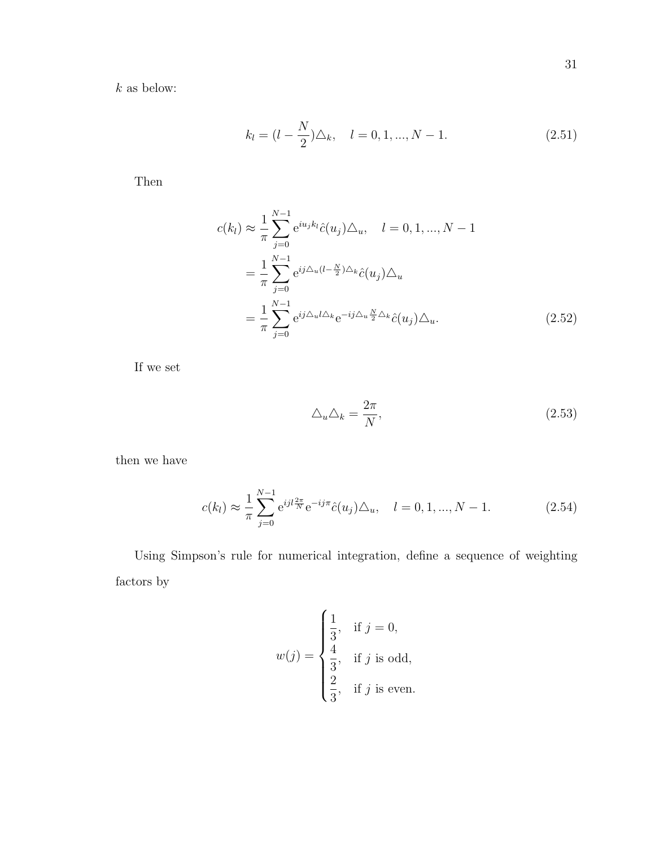$\boldsymbol{k}$  as below:

$$
k_l = (l - \frac{N}{2})\Delta_k, \quad l = 0, 1, ..., N - 1.
$$
\n(2.51)

Then

$$
c(k_l) \approx \frac{1}{\pi} \sum_{j=0}^{N-1} e^{iu_j k_l} \hat{c}(u_j) \Delta_u, \quad l = 0, 1, ..., N-1
$$

$$
= \frac{1}{\pi} \sum_{j=0}^{N-1} e^{ij \Delta_u (l - \frac{N}{2}) \Delta_k} \hat{c}(u_j) \Delta_u
$$

$$
= \frac{1}{\pi} \sum_{j=0}^{N-1} e^{ij \Delta_u l \Delta_k} e^{-ij \Delta_u \frac{N}{2} \Delta_k} \hat{c}(u_j) \Delta_u.
$$
(2.52)

If we set

$$
\triangle_u \triangle_k = \frac{2\pi}{N},\tag{2.53}
$$

then we have

$$
c(k_l) \approx \frac{1}{\pi} \sum_{j=0}^{N-1} e^{ijl\frac{2\pi}{N}} e^{-ij\pi} \hat{c}(u_j) \Delta_u, \quad l = 0, 1, ..., N-1.
$$
 (2.54)

Using Simpson's rule for numerical integration, define a sequence of weighting factors by

$$
w(j) = \begin{cases} \frac{1}{3}, & \text{if } j = 0, \\ \frac{4}{3}, & \text{if } j \text{ is odd,} \\ \frac{2}{3}, & \text{if } j \text{ is even.} \end{cases}
$$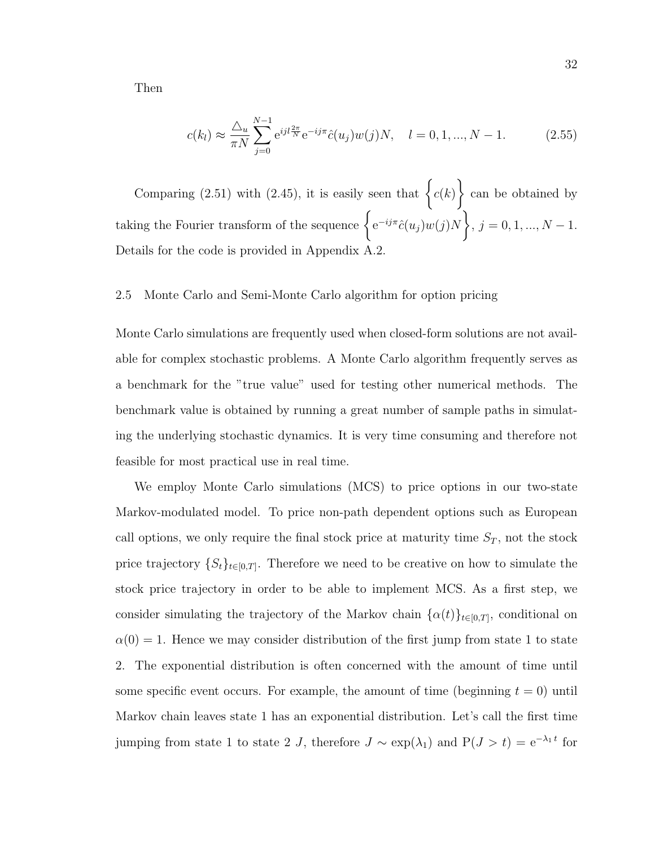Then

$$
c(k_l) \approx \frac{\Delta_u}{\pi N} \sum_{j=0}^{N-1} e^{ijl\frac{2\pi}{N}} e^{-ij\pi} \hat{c}(u_j) w(j) N, \quad l = 0, 1, ..., N-1.
$$
 (2.55)

Comparing (2.51) with (2.45), it is easily seen that  $\big\{c(k)$  $\mathcal{L}$ can be obtained by taking the Fourier transform of the sequence  $\{e^{-ij\pi}\hat{c}(u_j)w(j)N\}$  $, j = 0, 1, ..., N - 1.$ Details for the code is provided in Appendix A.2.

#### 2.5 Monte Carlo and Semi-Monte Carlo algorithm for option pricing

Monte Carlo simulations are frequently used when closed-form solutions are not available for complex stochastic problems. A Monte Carlo algorithm frequently serves as a benchmark for the "true value" used for testing other numerical methods. The benchmark value is obtained by running a great number of sample paths in simulating the underlying stochastic dynamics. It is very time consuming and therefore not feasible for most practical use in real time.

We employ Monte Carlo simulations (MCS) to price options in our two-state Markov-modulated model. To price non-path dependent options such as European call options, we only require the final stock price at maturity time  $S_T$ , not the stock price trajectory  $\{S_t\}_{t\in[0,T]}$ . Therefore we need to be creative on how to simulate the stock price trajectory in order to be able to implement MCS. As a first step, we consider simulating the trajectory of the Markov chain  $\{\alpha(t)\}_{t\in[0,T]}$ , conditional on  $\alpha(0) = 1$ . Hence we may consider distribution of the first jump from state 1 to state 2. The exponential distribution is often concerned with the amount of time until some specific event occurs. For example, the amount of time (beginning  $t = 0$ ) until Markov chain leaves state 1 has an exponential distribution. Let's call the first time jumping from state 1 to state 2 J, therefore  $J \sim \exp(\lambda_1)$  and  $P(J > t) = e^{-\lambda_1 t}$  for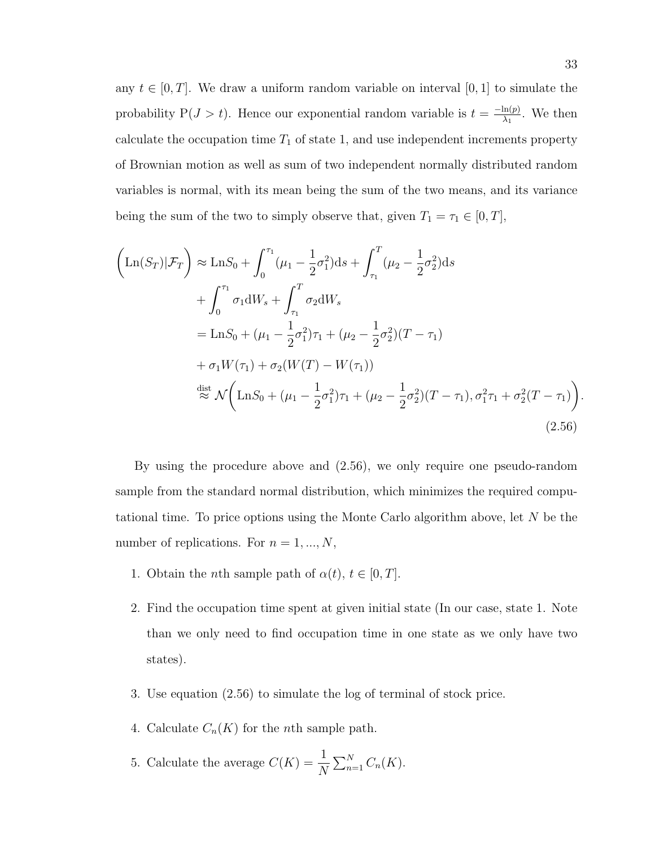any  $t \in [0, T]$ . We draw a uniform random variable on interval [0, 1] to simulate the probability  $P(J > t)$ . Hence our exponential random variable is  $t = \frac{-\ln(p)}{\lambda}$  $\frac{\ln(p)}{\lambda_1}$ . We then calculate the occupation time  $T_1$  of state 1, and use independent increments property of Brownian motion as well as sum of two independent normally distributed random variables is normal, with its mean being the sum of the two means, and its variance being the sum of the two to simply observe that, given  $T_1 = \tau_1 \in [0, T]$ ,

$$
\left(\text{Ln}(S_T)|\mathcal{F}_T\right) \approx \text{Ln}S_0 + \int_0^{\tau_1} (\mu_1 - \frac{1}{2}\sigma_1^2) \, \mathrm{d}s + \int_{\tau_1}^T (\mu_2 - \frac{1}{2}\sigma_2^2) \, \mathrm{d}s + \int_0^{\tau_1} \sigma_1 \, \mathrm{d}W_s + \int_{\tau_1}^T \sigma_2 \, \mathrm{d}W_s
$$
\n
$$
= \text{Ln}S_0 + (\mu_1 - \frac{1}{2}\sigma_1^2)\tau_1 + (\mu_2 - \frac{1}{2}\sigma_2^2)(T - \tau_1)
$$
\n
$$
+ \sigma_1 W(\tau_1) + \sigma_2 (W(T) - W(\tau_1))
$$
\n
$$
\stackrel{\text{dist}}{\approx} \mathcal{N}\left(\text{Ln}S_0 + (\mu_1 - \frac{1}{2}\sigma_1^2)\tau_1 + (\mu_2 - \frac{1}{2}\sigma_2^2)(T - \tau_1), \sigma_1^2 \tau_1 + \sigma_2^2 (T - \tau_1)\right).
$$
\n(2.56)

By using the procedure above and (2.56), we only require one pseudo-random sample from the standard normal distribution, which minimizes the required computational time. To price options using the Monte Carlo algorithm above, let N be the number of replications. For  $n = 1, ..., N$ ,

- 1. Obtain the *n*th sample path of  $\alpha(t)$ ,  $t \in [0, T]$ .
- 2. Find the occupation time spent at given initial state (In our case, state 1. Note than we only need to find occupation time in one state as we only have two states).
- 3. Use equation (2.56) to simulate the log of terminal of stock price.
- 4. Calculate  $C_n(K)$  for the *n*th sample path.
- 5. Calculate the average  $C(K) = \frac{1}{N}$ N  $\sum_{n=1}^N C_n(K)$ .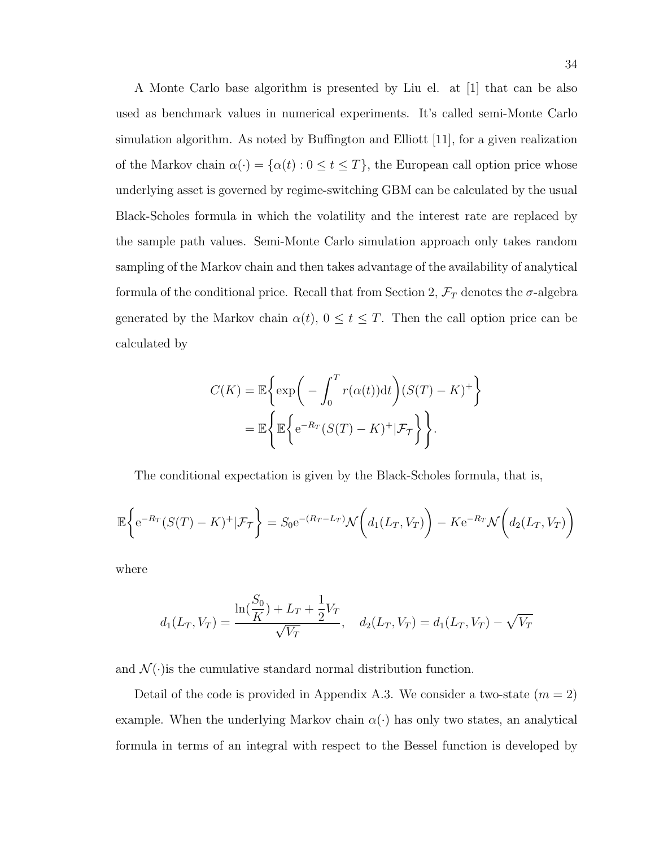A Monte Carlo base algorithm is presented by Liu el. at [1] that can be also used as benchmark values in numerical experiments. It's called semi-Monte Carlo simulation algorithm. As noted by Buffington and Elliott [11], for a given realization of the Markov chain  $\alpha(\cdot) = {\alpha(t) : 0 \le t \le T}$ , the European call option price whose underlying asset is governed by regime-switching GBM can be calculated by the usual Black-Scholes formula in which the volatility and the interest rate are replaced by the sample path values. Semi-Monte Carlo simulation approach only takes random sampling of the Markov chain and then takes advantage of the availability of analytical formula of the conditional price. Recall that from Section 2,  $\mathcal{F}_T$  denotes the  $\sigma$ -algebra generated by the Markov chain  $\alpha(t)$ ,  $0 \le t \le T$ . Then the call option price can be calculated by

$$
C(K) = \mathbb{E}\left\{\exp\left(-\int_0^T r(\alpha(t))dt\right)(S(T) - K)^+\right\}
$$

$$
= \mathbb{E}\left\{\mathbb{E}\left\{e^{-R_T}(S(T) - K)^+|\mathcal{F}_{\mathcal{T}}\right\}\right\}.
$$

The conditional expectation is given by the Black-Scholes formula, that is,

$$
\mathbb{E}\left\{e^{-R_T}(S(T)-K)^+|\mathcal{F}_{\mathcal{T}}\right\} = S_0e^{-(R_T-L_T)}\mathcal{N}\left(d_1(L_T,V_T)\right) - Ke^{-R_T}\mathcal{N}\left(d_2(L_T,V_T)\right)
$$

where

$$
d_1(L_T, V_T) = \frac{\ln(\frac{S_0}{K}) + L_T + \frac{1}{2}V_T}{\sqrt{V_T}}, \quad d_2(L_T, V_T) = d_1(L_T, V_T) - \sqrt{V_T}
$$

and  $\mathcal{N}(\cdot)$  is the cumulative standard normal distribution function.

Detail of the code is provided in Appendix A.3. We consider a two-state  $(m = 2)$ example. When the underlying Markov chain  $\alpha(\cdot)$  has only two states, an analytical formula in terms of an integral with respect to the Bessel function is developed by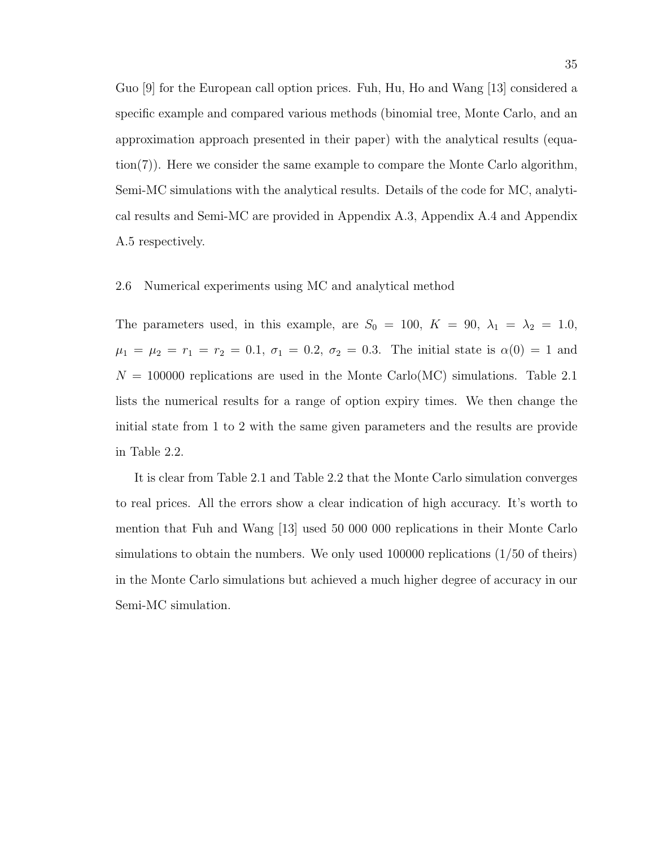Guo [9] for the European call option prices. Fuh, Hu, Ho and Wang [13] considered a specific example and compared various methods (binomial tree, Monte Carlo, and an approximation approach presented in their paper) with the analytical results (equation(7)). Here we consider the same example to compare the Monte Carlo algorithm, Semi-MC simulations with the analytical results. Details of the code for MC, analytical results and Semi-MC are provided in Appendix A.3, Appendix A.4 and Appendix A.5 respectively.

#### 2.6 Numerical experiments using MC and analytical method

The parameters used, in this example, are  $S_0 = 100$ ,  $K = 90$ ,  $\lambda_1 = \lambda_2 = 1.0$ ,  $\mu_1 = \mu_2 = r_1 = r_2 = 0.1, \sigma_1 = 0.2, \sigma_2 = 0.3.$  The initial state is  $\alpha(0) = 1$  and  $N = 100000$  replications are used in the Monte Carlo(MC) simulations. Table 2.1 lists the numerical results for a range of option expiry times. We then change the initial state from 1 to 2 with the same given parameters and the results are provide in Table 2.2.

It is clear from Table 2.1 and Table 2.2 that the Monte Carlo simulation converges to real prices. All the errors show a clear indication of high accuracy. It's worth to mention that Fuh and Wang [13] used 50 000 000 replications in their Monte Carlo simulations to obtain the numbers. We only used 100000 replications (1/50 of theirs) in the Monte Carlo simulations but achieved a much higher degree of accuracy in our Semi-MC simulation.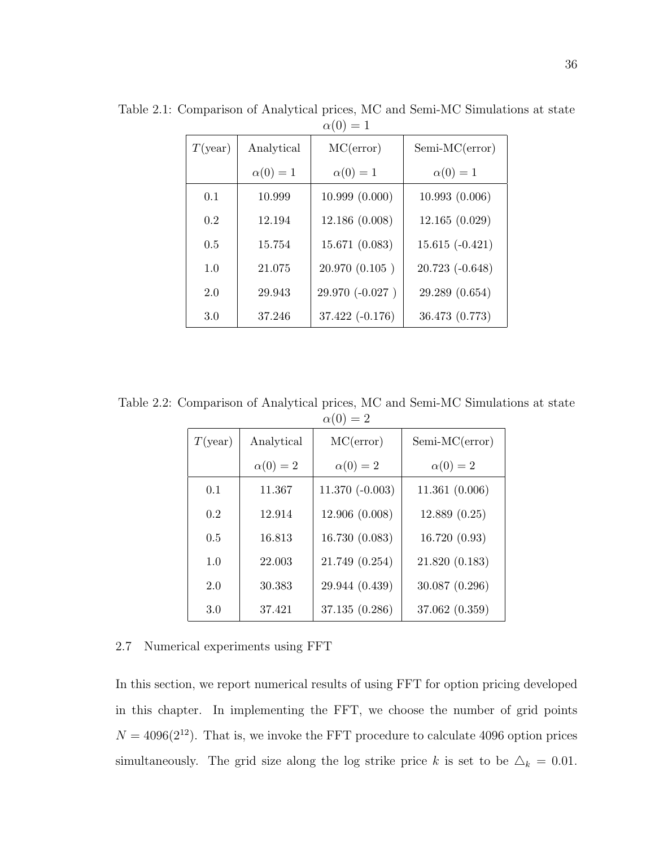| T(year) | Analytical    | MC(error)        | $Semi-MC(error)$    |
|---------|---------------|------------------|---------------------|
|         | $\alpha(0)=1$ | $\alpha(0)=1$    | $\alpha(0)=1$       |
| 0.1     | 10.999        | 10.999(0.000)    | 10.993(0.006)       |
| 0.2     | 12.194        | 12.186 (0.008)   | 12.165(0.029)       |
| 0.5     | 15.754        | 15.671 (0.083)   | $15.615(-0.421)$    |
| 1.0     | 21.075        | 20.970(0.105)    | $20.723$ $(-0.648)$ |
| 2.0     | 29.943        | 29.970 (-0.027)  | 29.289 (0.654)      |
| 3.0     | 37.246        | $37.422(-0.176)$ | 36.473 (0.773)      |

Table 2.1: Comparison of Analytical prices, MC and Semi-MC Simulations at state  $\alpha(0) = 1$ 

Table 2.2: Comparison of Analytical prices, MC and Semi-MC Simulations at state  $\alpha(0) = 2$ 

| T(year) | Analytical    | MC(error)        | $Semi-MC(error)$ |  |
|---------|---------------|------------------|------------------|--|
|         | $\alpha(0)=2$ | $\alpha(0)=2$    | $\alpha(0)=2$    |  |
| 0.1     | 11.367        | $11.370(-0.003)$ | 11.361(0.006)    |  |
| 0.2     | 12.914        | 12.906 (0.008)   | 12.889(0.25)     |  |
| 0.5     | 16.813        | 16.730 (0.083)   | 16.720(0.93)     |  |
| 1.0     | 22.003        | 21.749 (0.254)   | 21.820(0.183)    |  |
| 2.0     | 30.383        | 29.944 (0.439)   | 30.087 (0.296)   |  |
| 3.0     | 37.421        | 37.135 (0.286)   | 37.062 (0.359)   |  |

# 2.7 Numerical experiments using FFT

In this section, we report numerical results of using FFT for option pricing developed in this chapter. In implementing the FFT, we choose the number of grid points  $N = 4096(2^{12})$ . That is, we invoke the FFT procedure to calculate 4096 option prices simultaneously. The grid size along the log strike price k is set to be  $\Delta_k = 0.01$ .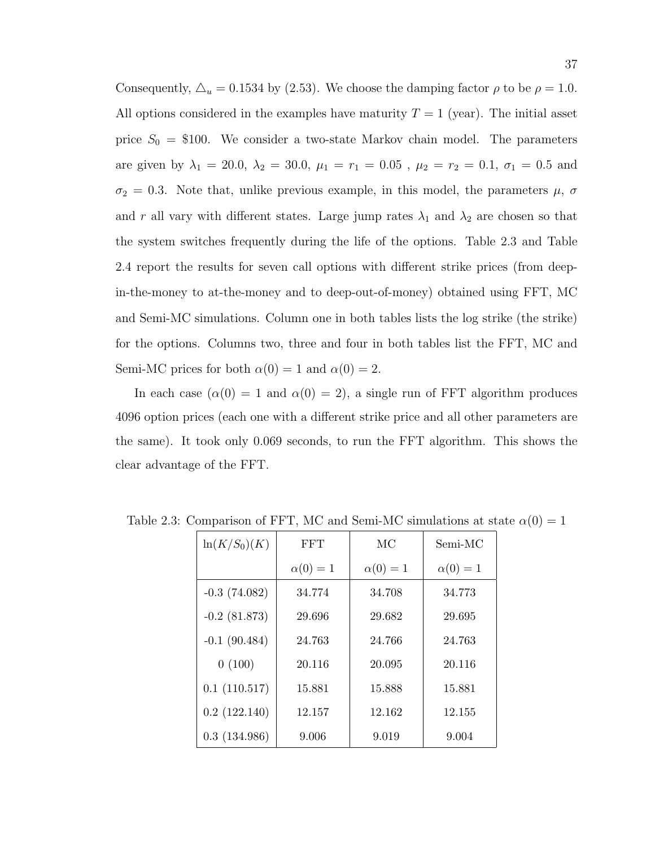Consequently,  $\Delta_u = 0.1534$  by (2.53). We choose the damping factor  $\rho$  to be  $\rho = 1.0$ . All options considered in the examples have maturity  $T = 1$  (year). The initial asset price  $S_0 = \$100$ . We consider a two-state Markov chain model. The parameters are given by  $\lambda_1 = 20.0, \ \lambda_2 = 30.0, \ \mu_1 = r_1 = 0.05$  ,  $\mu_2 = r_2 = 0.1, \ \sigma_1 = 0.5$  and  $\sigma_2 = 0.3$ . Note that, unlike previous example, in this model, the parameters  $\mu$ ,  $\sigma$ and r all vary with different states. Large jump rates  $\lambda_1$  and  $\lambda_2$  are chosen so that the system switches frequently during the life of the options. Table 2.3 and Table 2.4 report the results for seven call options with different strike prices (from deepin-the-money to at-the-money and to deep-out-of-money) obtained using FFT, MC and Semi-MC simulations. Column one in both tables lists the log strike (the strike) for the options. Columns two, three and four in both tables list the FFT, MC and Semi-MC prices for both  $\alpha(0) = 1$  and  $\alpha(0) = 2$ .

In each case  $(\alpha(0) = 1$  and  $\alpha(0) = 2)$ , a single run of FFT algorithm produces 4096 option prices (each one with a different strike price and all other parameters are the same). It took only 0.069 seconds, to run the FFT algorithm. This shows the clear advantage of the FFT.

| $\ln(K/S_0)(K)$ | <b>FFT</b>    | МC            | Semi-MC       |
|-----------------|---------------|---------------|---------------|
|                 | $\alpha(0)=1$ | $\alpha(0)=1$ | $\alpha(0)=1$ |
| $-0.3(74.082)$  | 34.774        | 34.708        | 34.773        |
| $-0.2$ (81.873) | 29.696        | 29.682        | 29.695        |
| $-0.1(90.484)$  | 24.763        | 24.766        | 24.763        |
| 0(100)          | 20.116        | 20.095        | 20.116        |
| 0.1(110.517)    | 15.881        | 15.888        | 15.881        |
| 0.2(122.140)    | 12.157        | 12.162        | 12.155        |
| 0.3(134.986)    | 9.006         | 9.019         | 9.004         |

Table 2.3: Comparison of FFT, MC and Semi-MC simulations at state  $\alpha(0) = 1$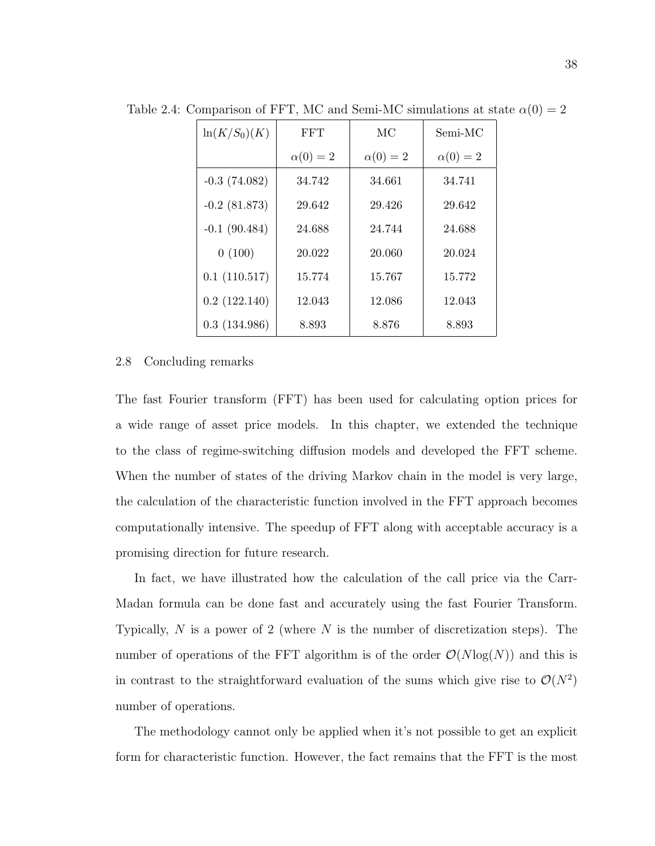| $\ln(K/S_0)(K)$ | <b>FFT</b>    | МC            | Semi-MC       |
|-----------------|---------------|---------------|---------------|
|                 | $\alpha(0)=2$ | $\alpha(0)=2$ | $\alpha(0)=2$ |
| $-0.3(74.082)$  | 34.742        | 34.661        | 34.741        |
| $-0.2$ (81.873) | 29.642        | 29.426        | 29.642        |
| $-0.1(90.484)$  | 24.688        | 24.744        | 24.688        |
| 0(100)          | 20.022        | 20.060        | 20.024        |
| 0.1(110.517)    | 15.774        | 15.767        | 15.772        |
| 0.2(122.140)    | 12.043        | 12.086        | 12.043        |
| 0.3(134.986)    | 8.893         | 8.876         | 8.893         |

Table 2.4: Comparison of FFT, MC and Semi-MC simulations at state  $\alpha(0) = 2$ 

#### 2.8 Concluding remarks

The fast Fourier transform (FFT) has been used for calculating option prices for a wide range of asset price models. In this chapter, we extended the technique to the class of regime-switching diffusion models and developed the FFT scheme. When the number of states of the driving Markov chain in the model is very large, the calculation of the characteristic function involved in the FFT approach becomes computationally intensive. The speedup of FFT along with acceptable accuracy is a promising direction for future research.

In fact, we have illustrated how the calculation of the call price via the Carr-Madan formula can be done fast and accurately using the fast Fourier Transform. Typically,  $N$  is a power of 2 (where  $N$  is the number of discretization steps). The number of operations of the FFT algorithm is of the order  $\mathcal{O}(N \log(N))$  and this is in contrast to the straightforward evaluation of the sums which give rise to  $\mathcal{O}(N^2)$ number of operations.

The methodology cannot only be applied when it's not possible to get an explicit form for characteristic function. However, the fact remains that the FFT is the most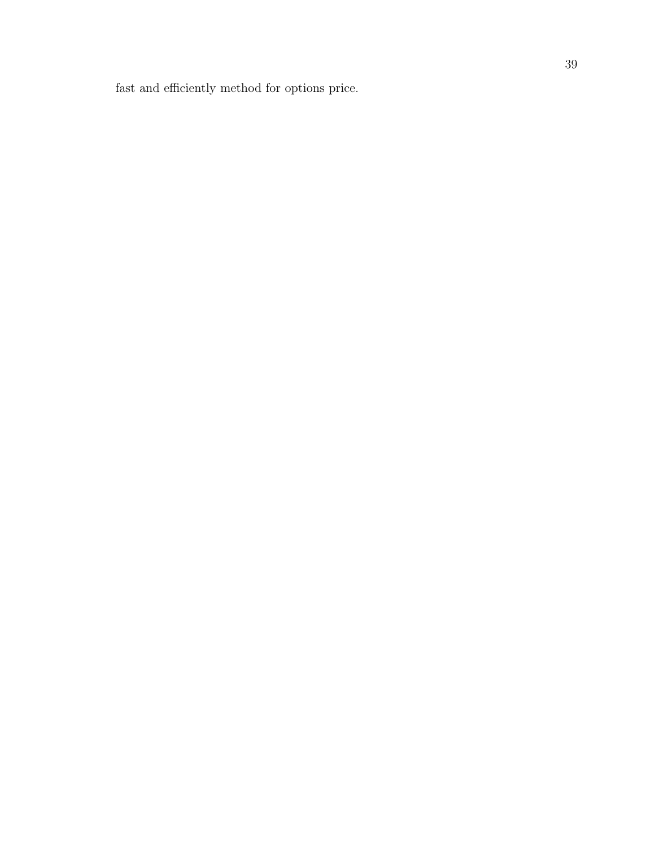fast and efficiently method for options price.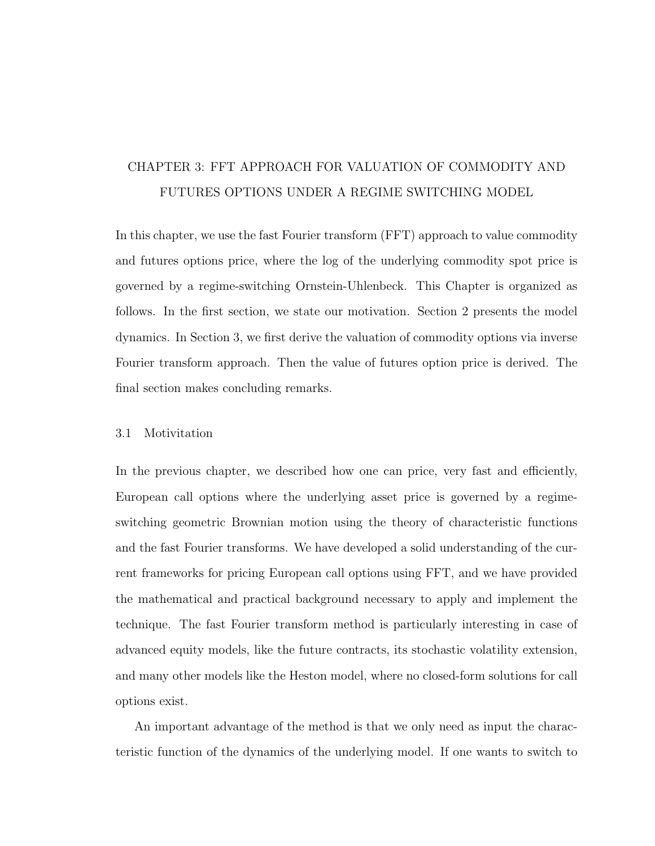# CHAPTER 3: FFT APPROACH FOR VALUATION OF COMMODITY AND FUTURES OPTIONS UNDER A REGIME SWITCHING MODEL

In this chapter, we use the fast Fourier transform (FFT) approach to value commodity and futures options price, where the log of the underlying commodity spot price is governed by a regime-switching Ornstein-Uhlenbeck. This Chapter is organized as follows. In the first section, we state our motivation. Section 2 presents the model dynamics. In Section 3, we first derive the valuation of commodity options via inverse Fourier transform approach. Then the value of futures option price is derived. The final section makes concluding remarks.

### 3.1 Motivitation

In the previous chapter, we described how one can price, very fast and efficiently, European call options where the underlying asset price is governed by a regimeswitching geometric Brownian motion using the theory of characteristic functions and the fast Fourier transforms. We have developed a solid understanding of the current frameworks for pricing European call options using FFT, and we have provided the mathematical and practical background necessary to apply and implement the technique. The fast Fourier transform method is particularly interesting in case of advanced equity models, like the future contracts, its stochastic volatility extension, and many other models like the Heston model, where no closed-form solutions for call options exist.

An important advantage of the method is that we only need as input the characteristic function of the dynamics of the underlying model. If one wants to switch to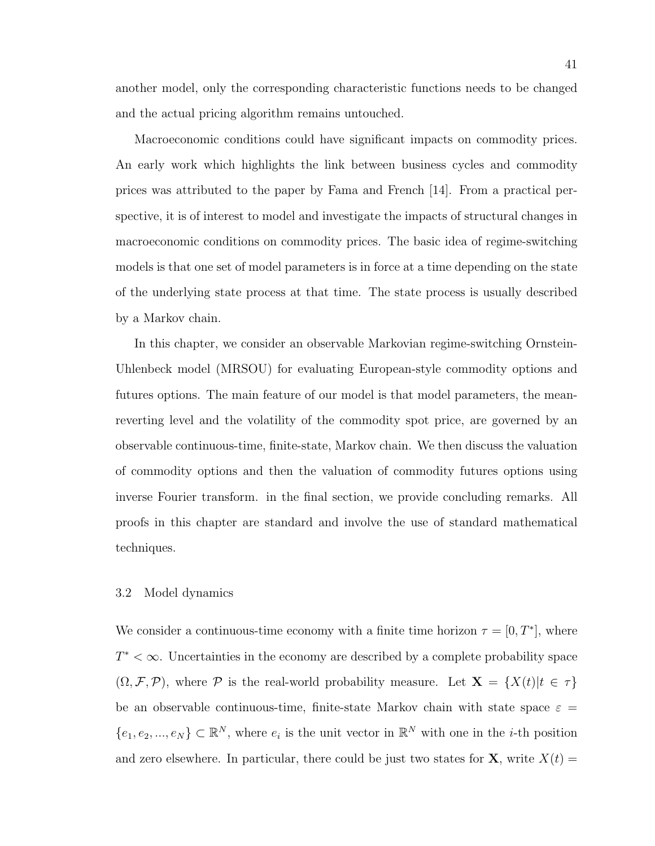Macroeconomic conditions could have significant impacts on commodity prices. An early work which highlights the link between business cycles and commodity prices was attributed to the paper by Fama and French [14]. From a practical perspective, it is of interest to model and investigate the impacts of structural changes in macroeconomic conditions on commodity prices. The basic idea of regime-switching models is that one set of model parameters is in force at a time depending on the state of the underlying state process at that time. The state process is usually described by a Markov chain.

In this chapter, we consider an observable Markovian regime-switching Ornstein-Uhlenbeck model (MRSOU) for evaluating European-style commodity options and futures options. The main feature of our model is that model parameters, the meanreverting level and the volatility of the commodity spot price, are governed by an observable continuous-time, finite-state, Markov chain. We then discuss the valuation of commodity options and then the valuation of commodity futures options using inverse Fourier transform. in the final section, we provide concluding remarks. All proofs in this chapter are standard and involve the use of standard mathematical techniques.

#### 3.2 Model dynamics

We consider a continuous-time economy with a finite time horizon  $\tau = [0, T^*]$ , where  $T^* < \infty$ . Uncertainties in the economy are described by a complete probability space  $(\Omega, \mathcal{F}, \mathcal{P})$ , where  $\mathcal P$  is the real-world probability measure. Let  $\mathbf{X} = \{X(t)|t \in \tau\}$ be an observable continuous-time, finite-state Markov chain with state space  $\varepsilon =$  $\{e_1, e_2, ..., e_N\} \subset \mathbb{R}^N$ , where  $e_i$  is the unit vector in  $\mathbb{R}^N$  with one in the *i*-th position and zero elsewhere. In particular, there could be just two states for **X**, write  $X(t) =$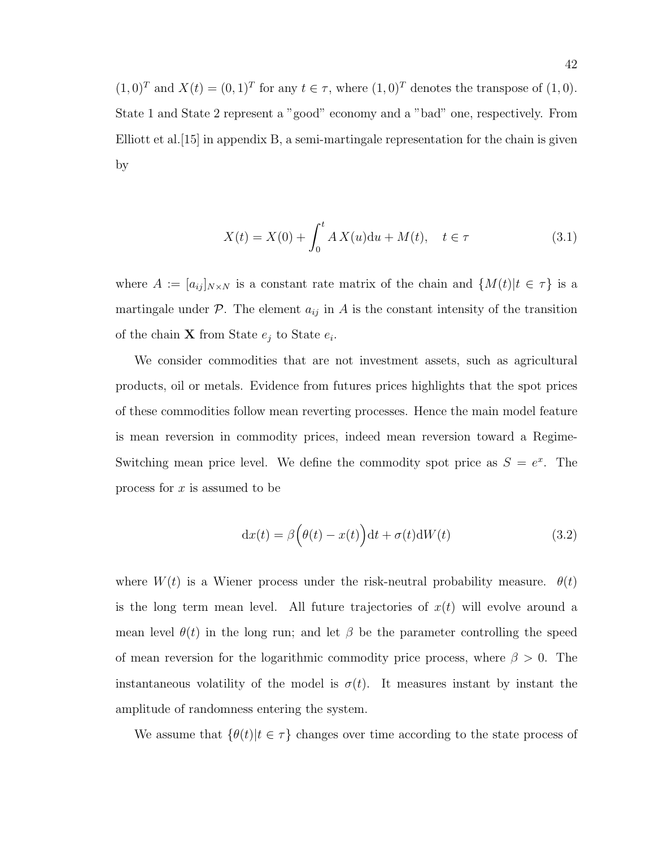$(1,0)^T$  and  $X(t) = (0,1)^T$  for any  $t \in \tau$ , where  $(1,0)^T$  denotes the transpose of  $(1,0)$ . State 1 and State 2 represent a "good" economy and a "bad" one, respectively. From Elliott et al.[15] in appendix B, a semi-martingale representation for the chain is given by

$$
X(t) = X(0) + \int_0^t A X(u) \, du + M(t), \quad t \in \tau \tag{3.1}
$$

where  $A := [a_{ij}]_{N \times N}$  is a constant rate matrix of the chain and  $\{M(t)|t \in \tau\}$  is a martingale under  $P$ . The element  $a_{ij}$  in A is the constant intensity of the transition of the chain **X** from State  $e_j$  to State  $e_i$ .

We consider commodities that are not investment assets, such as agricultural products, oil or metals. Evidence from futures prices highlights that the spot prices of these commodities follow mean reverting processes. Hence the main model feature is mean reversion in commodity prices, indeed mean reversion toward a Regime-Switching mean price level. We define the commodity spot price as  $S = e^x$ . The process for  $x$  is assumed to be

$$
dx(t) = \beta \left(\theta(t) - x(t)\right)dt + \sigma(t)dW(t)
$$
\n(3.2)

where  $W(t)$  is a Wiener process under the risk-neutral probability measure.  $\theta(t)$ is the long term mean level. All future trajectories of  $x(t)$  will evolve around a mean level  $\theta(t)$  in the long run; and let  $\beta$  be the parameter controlling the speed of mean reversion for the logarithmic commodity price process, where  $\beta > 0$ . The instantaneous volatility of the model is  $\sigma(t)$ . It measures instant by instant the amplitude of randomness entering the system.

We assume that  $\{\theta(t)|t \in \tau\}$  changes over time according to the state process of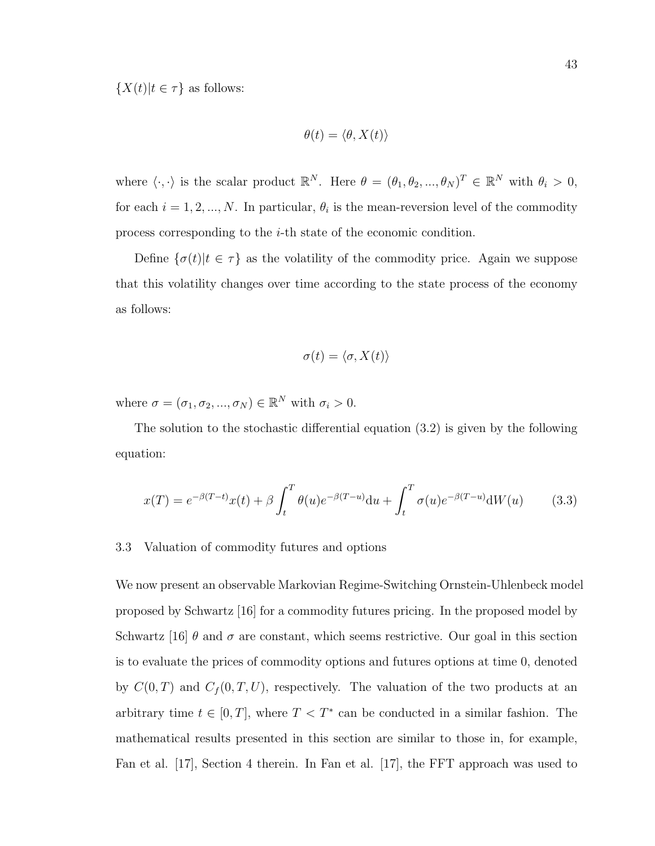$\{X(t)|t \in \tau\}$  as follows:

$$
\theta(t) = \langle \theta, X(t) \rangle
$$

where  $\langle \cdot, \cdot \rangle$  is the scalar product  $\mathbb{R}^N$ . Here  $\theta = (\theta_1, \theta_2, ..., \theta_N)^T \in \mathbb{R}^N$  with  $\theta_i > 0$ , for each  $i = 1, 2, ..., N$ . In particular,  $\theta_i$  is the mean-reversion level of the commodity process corresponding to the i-th state of the economic condition.

Define  $\{\sigma(t)|t \in \tau\}$  as the volatility of the commodity price. Again we suppose that this volatility changes over time according to the state process of the economy as follows:

$$
\sigma(t) = \langle \sigma, X(t) \rangle
$$

where  $\sigma = (\sigma_1, \sigma_2, ..., \sigma_N) \in \mathbb{R}^N$  with  $\sigma_i > 0$ .

The solution to the stochastic differential equation (3.2) is given by the following equation:

$$
x(T) = e^{-\beta(T-t)}x(t) + \beta \int_{t}^{T} \theta(u)e^{-\beta(T-u)}du + \int_{t}^{T} \sigma(u)e^{-\beta(T-u)}dW(u)
$$
 (3.3)

#### 3.3 Valuation of commodity futures and options

We now present an observable Markovian Regime-Switching Ornstein-Uhlenbeck model proposed by Schwartz [16] for a commodity futures pricing. In the proposed model by Schwartz [16]  $\theta$  and  $\sigma$  are constant, which seems restrictive. Our goal in this section is to evaluate the prices of commodity options and futures options at time 0, denoted by  $C(0,T)$  and  $C_f(0,T,U)$ , respectively. The valuation of the two products at an arbitrary time  $t \in [0, T]$ , where  $T < T^*$  can be conducted in a similar fashion. The mathematical results presented in this section are similar to those in, for example, Fan et al. [17], Section 4 therein. In Fan et al. [17], the FFT approach was used to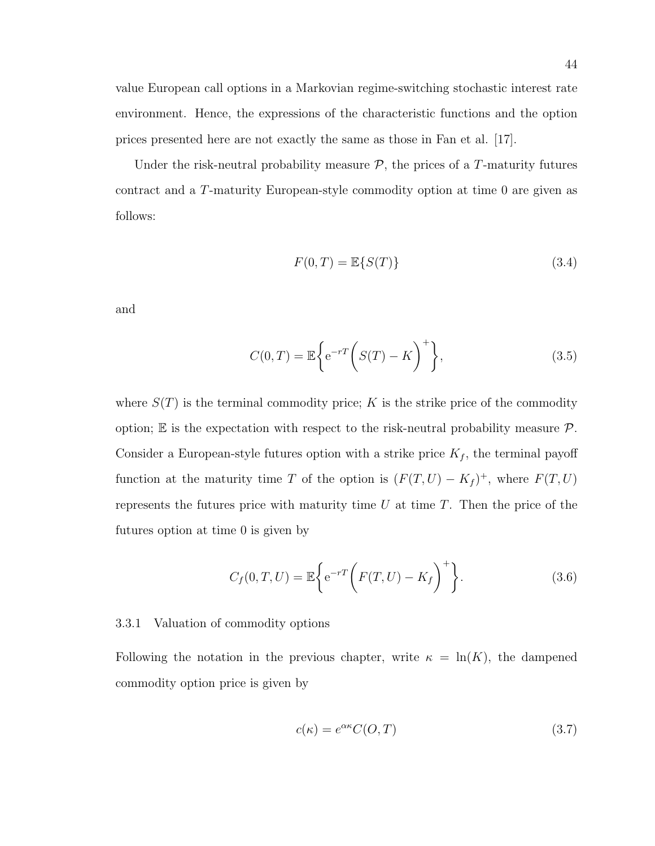value European call options in a Markovian regime-switching stochastic interest rate environment. Hence, the expressions of the characteristic functions and the option prices presented here are not exactly the same as those in Fan et al. [17].

Under the risk-neutral probability measure  $P$ , the prices of a T-maturity futures contract and a T-maturity European-style commodity option at time 0 are given as follows:

$$
F(0,T) = \mathbb{E}\{S(T)\}\tag{3.4}
$$

and

$$
C(0,T) = \mathbb{E}\bigg\{e^{-rT}\bigg(S(T) - K\bigg)^+\bigg\},\tag{3.5}
$$

where  $S(T)$  is the terminal commodity price; K is the strike price of the commodity option;  $\mathbb E$  is the expectation with respect to the risk-neutral probability measure  $\mathcal P$ . Consider a European-style futures option with a strike price  $K_f$ , the terminal payoff function at the maturity time T of the option is  $(F(T, U) - K_f)^+$ , where  $F(T, U)$ represents the futures price with maturity time  $U$  at time  $T$ . Then the price of the futures option at time 0 is given by

$$
C_f(0, T, U) = \mathbb{E}\bigg\{ e^{-rT} \bigg( F(T, U) - K_f \bigg)^+ \bigg\}.
$$
 (3.6)

#### 3.3.1 Valuation of commodity options

Following the notation in the previous chapter, write  $\kappa = \ln(K)$ , the dampened commodity option price is given by

$$
c(\kappa) = e^{\alpha \kappa} C(O, T) \tag{3.7}
$$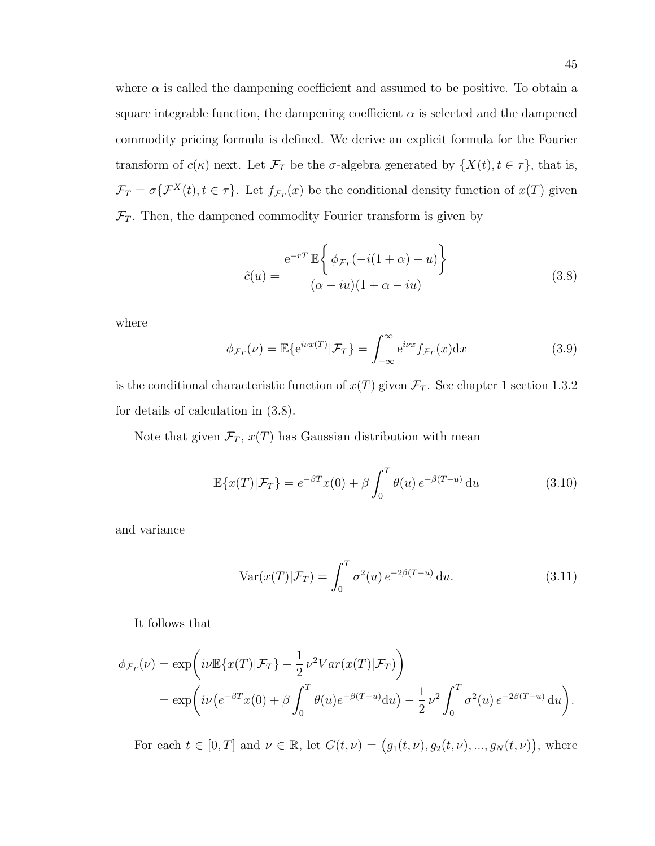where  $\alpha$  is called the dampening coefficient and assumed to be positive. To obtain a square integrable function, the dampening coefficient  $\alpha$  is selected and the dampened commodity pricing formula is defined. We derive an explicit formula for the Fourier transform of  $c(\kappa)$  next. Let  $\mathcal{F}_T$  be the  $\sigma$ -algebra generated by  $\{X(t), t \in \tau\}$ , that is,  $\mathcal{F}_T = \sigma\{\mathcal{F}^X(t), t \in \tau\}.$  Let  $f_{\mathcal{F}_T}(x)$  be the conditional density function of  $x(T)$  given  $\mathcal{F}_T$ . Then, the dampened commodity Fourier transform is given by

$$
\hat{c}(u) = \frac{e^{-rT} \mathbb{E}\left\{\phi_{\mathcal{F}_T}(-i(1+\alpha) - u)\right\}}{(\alpha - iu)(1 + \alpha - iu)}
$$
(3.8)

where

$$
\phi_{\mathcal{F}_T}(\nu) = \mathbb{E}\{e^{i\nu x(T)}|\mathcal{F}_T\} = \int_{-\infty}^{\infty} e^{i\nu x} f_{\mathcal{F}_T}(x) dx \qquad (3.9)
$$

is the conditional characteristic function of  $x(T)$  given  $\mathcal{F}_T$ . See chapter 1 section 1.3.2 for details of calculation in (3.8).

Note that given  $\mathcal{F}_T$ ,  $x(T)$  has Gaussian distribution with mean

$$
\mathbb{E}\lbrace x(T)|\mathcal{F}_T\rbrace = e^{-\beta T}x(0) + \beta \int_0^T \theta(u) e^{-\beta(T-u)} du \qquad (3.10)
$$

and variance

$$
\text{Var}(x(T)|\mathcal{F}_T) = \int_0^T \sigma^2(u) e^{-2\beta(T-u)} \, \mathrm{d}u. \tag{3.11}
$$

It follows that

$$
\phi_{\mathcal{F}_T}(\nu) = \exp\left(i\nu \mathbb{E}\{x(T)|\mathcal{F}_T\} - \frac{1}{2}\nu^2 Var(x(T)|\mathcal{F}_T)\right)
$$
  
= 
$$
\exp\left(i\nu \left(e^{-\beta T}x(0) + \beta \int_0^T \theta(u)e^{-\beta(T-u)}du\right) - \frac{1}{2}\nu^2 \int_0^T \sigma^2(u)e^{-2\beta(T-u)}du\right).
$$

For each  $t \in [0, T]$  and  $\nu \in \mathbb{R}$ , let  $G(t, \nu) = (g_1(t, \nu), g_2(t, \nu), ..., g_N(t, \nu))$ , where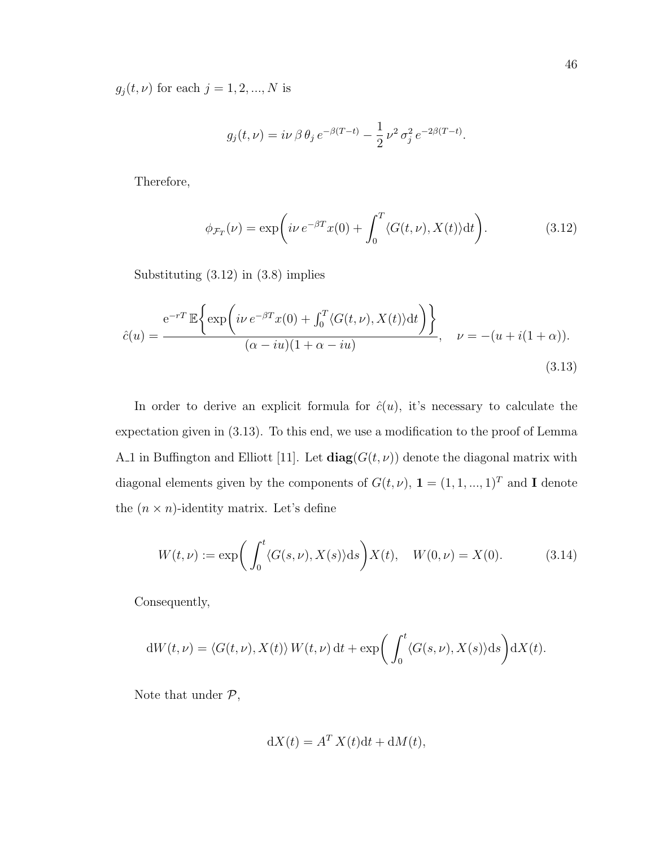$g_j(t, \nu)$  for each  $j = 1, 2, ..., N$  is

$$
g_j(t,\nu) = i\nu \beta \theta_j e^{-\beta(T-t)} - \frac{1}{2} \nu^2 \sigma_j^2 e^{-2\beta(T-t)}.
$$

Therefore,

$$
\phi_{\mathcal{F}_T}(\nu) = \exp\left(i\nu \, e^{-\beta T} x(0) + \int_0^T \langle G(t,\nu), X(t) \rangle \mathrm{d}t\right). \tag{3.12}
$$

Substituting (3.12) in (3.8) implies

$$
\hat{c}(u) = \frac{e^{-rT} \mathbb{E}\left\{ \exp\left(i\nu e^{-\beta T} x(0) + \int_0^T \langle G(t,\nu), X(t) \rangle dt\right) \right\}}{(\alpha - iu)(1 + \alpha - iu)}, \quad \nu = -(u + i(1 + \alpha)).
$$
\n(3.13)

In order to derive an explicit formula for  $\hat{c}(u)$ , it's necessary to calculate the expectation given in (3.13). To this end, we use a modification to the proof of Lemma A.1 in Buffington and Elliott [11]. Let  $diag(G(t, \nu))$  denote the diagonal matrix with diagonal elements given by the components of  $G(t, \nu)$ ,  $\mathbf{1} = (1, 1, ..., 1)^T$  and **I** denote the  $(n \times n)$ -identity matrix. Let's define

$$
W(t,\nu) := \exp\bigg(\int_0^t \langle G(s,\nu), X(s) \rangle ds\bigg) X(t), \quad W(0,\nu) = X(0). \tag{3.14}
$$

Consequently,

$$
dW(t,\nu) = \langle G(t,\nu), X(t) \rangle W(t,\nu) dt + \exp\bigg(\int_0^t \langle G(s,\nu), X(s) \rangle ds\bigg) dX(t).
$$

Note that under  $\mathcal{P},$ 

$$
dX(t) = A^T X(t)dt + dM(t),
$$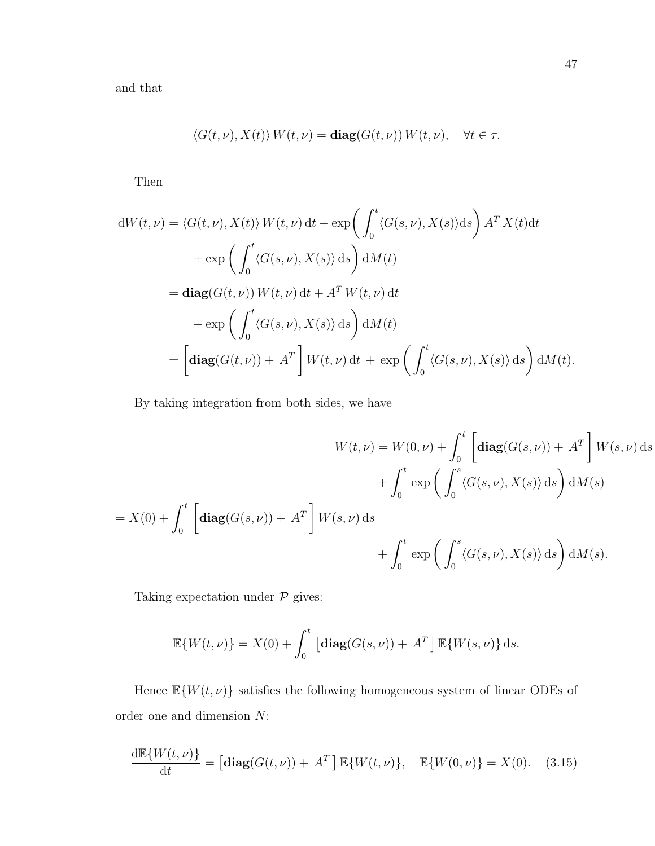and that

$$
\langle G(t,\nu), X(t) \rangle W(t,\nu) = \mathbf{diag}(G(t,\nu)) W(t,\nu), \quad \forall t \in \tau.
$$

Then

$$
dW(t,\nu) = \langle G(t,\nu), X(t) \rangle W(t,\nu) dt + \exp\left(\int_0^t \langle G(s,\nu), X(s) \rangle ds\right) A^T X(t) dt
$$
  
+ 
$$
\exp\left(\int_0^t \langle G(s,\nu), X(s) \rangle ds\right) dM(t)
$$
  
= 
$$
\mathbf{diag}(G(t,\nu)) W(t,\nu) dt + A^T W(t,\nu) dt
$$
  
+ 
$$
\exp\left(\int_0^t \langle G(s,\nu), X(s) \rangle ds\right) dM(t)
$$
  
= 
$$
\left[\mathbf{diag}(G(t,\nu)) + A^T\right] W(t,\nu) dt + \exp\left(\int_0^t \langle G(s,\nu), X(s) \rangle ds\right) dM(t).
$$

By taking integration from both sides, we have

$$
W(t,\nu) = W(0,\nu) + \int_0^t \left[ \operatorname{diag}(G(s,\nu)) + A^T \right] W(s,\nu) ds
$$
  
+ 
$$
\int_0^t \exp\left(\int_0^s \langle G(s,\nu), X(s) \rangle ds\right) dM(s)
$$
  
= 
$$
X(0) + \int_0^t \left[ \operatorname{diag}(G(s,\nu)) + A^T \right] W(s,\nu) ds
$$
  
+ 
$$
\int_0^t \exp\left(\int_0^s \langle G(s,\nu), X(s) \rangle ds\right) dM(s).
$$

Taking expectation under  $\mathcal P$  gives:

$$
\mathbb{E}\{W(t,\nu)\}=X(0)+\int_0^t\left[\mathbf{diag}(G(s,\nu))+A^T\right]\mathbb{E}\{W(s,\nu)\}\,\mathrm{d}s.
$$

Hence  $\mathbb{E}\{W(t,\nu)\}$  satisfies the following homogeneous system of linear ODEs of order one and dimension N:

$$
\frac{\mathrm{d}\mathbb{E}\{W(t,\nu)\}}{\mathrm{d}t} = \left[\mathbf{diag}(G(t,\nu)) + A^T\right] \mathbb{E}\{W(t,\nu)\}, \quad \mathbb{E}\{W(0,\nu)\} = X(0). \quad (3.15)
$$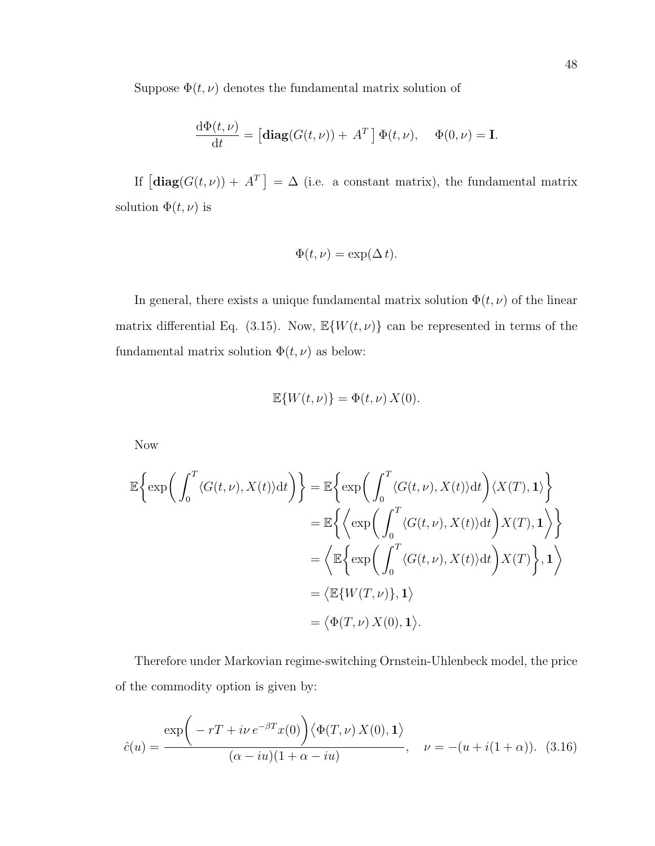Suppose  $\Phi(t,\nu)$  denotes the fundamental matrix solution of

$$
\frac{\mathrm{d}\Phi(t,\nu)}{\mathrm{d}t} = \left[\mathbf{diag}(G(t,\nu)) + A^T\right] \Phi(t,\nu), \quad \Phi(0,\nu) = \mathbf{I}.
$$

If  $\left[\text{diag}(G(t,\nu)) + A^T\right] = \Delta$  (i.e. a constant matrix), the fundamental matrix solution  $\Phi(t,\nu)$  is

$$
\Phi(t,\nu) = \exp(\Delta t).
$$

In general, there exists a unique fundamental matrix solution  $\Phi(t, \nu)$  of the linear matrix differential Eq. (3.15). Now,  $\mathbb{E}\{W(t,\nu)\}\)$  can be represented in terms of the fundamental matrix solution  $\Phi(t, \nu)$  as below:

$$
\mathbb{E}\{W(t,\nu)\} = \Phi(t,\nu) X(0).
$$

Now

$$
\mathbb{E}\left\{\exp\left(\int_0^T \langle G(t,\nu), X(t)\rangle dt\right)\right\} = \mathbb{E}\left\{\exp\left(\int_0^T \langle G(t,\nu), X(t)\rangle dt\right) \langle X(T), \mathbf{1}\rangle\right\}
$$

$$
= \mathbb{E}\left\{\left\langle \exp\left(\int_0^T \langle G(t,\nu), X(t)\rangle dt\right) X(T), \mathbf{1}\right\rangle\right\}
$$

$$
= \left\langle \mathbb{E}\left\{\exp\left(\int_0^T \langle G(t,\nu), X(t)\rangle dt\right) X(T)\right\}, \mathbf{1}\right\rangle
$$

$$
= \left\langle \mathbb{E}\{W(T,\nu)\}, \mathbf{1}\right\rangle
$$

$$
= \left\langle \Phi(T,\nu) X(0), \mathbf{1}\right\rangle.
$$

Therefore under Markovian regime-switching Ornstein-Uhlenbeck model, the price of the commodity option is given by:

$$
\hat{c}(u) = \frac{\exp\left(-rT + i\nu e^{-\beta T}x(0)\right)\left\langle \Phi(T,\nu) X(0), \mathbf{1} \right\rangle}{(\alpha - iu)(1 + \alpha - iu)}, \quad \nu = -(u + i(1 + \alpha)). \tag{3.16}
$$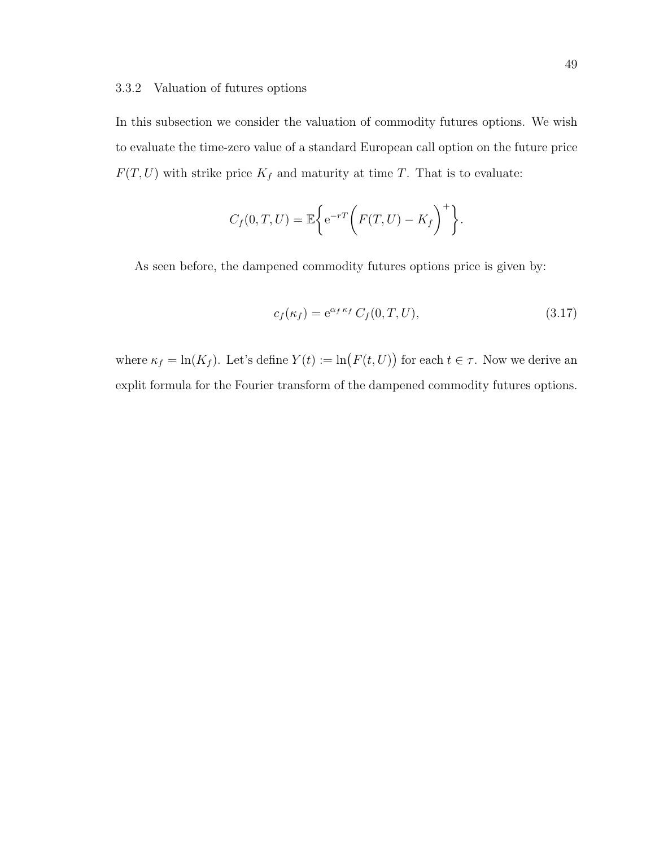#### 3.3.2 Valuation of futures options

In this subsection we consider the valuation of commodity futures options. We wish to evaluate the time-zero value of a standard European call option on the future price  $F(T, U)$  with strike price  $K_f$  and maturity at time T. That is to evaluate:

$$
C_f(0,T,U) = \mathbb{E}\bigg\{e^{-rT}\bigg(F(T,U)-K_f\bigg)^+\bigg\}.
$$

As seen before, the dampened commodity futures options price is given by:

$$
c_f(\kappa_f) = e^{\alpha_f \kappa_f} C_f(0, T, U), \qquad (3.17)
$$

where  $\kappa_f = \ln(K_f)$ . Let's define  $Y(t) := \ln(F(t, U))$  for each  $t \in \tau$ . Now we derive an explit formula for the Fourier transform of the dampened commodity futures options.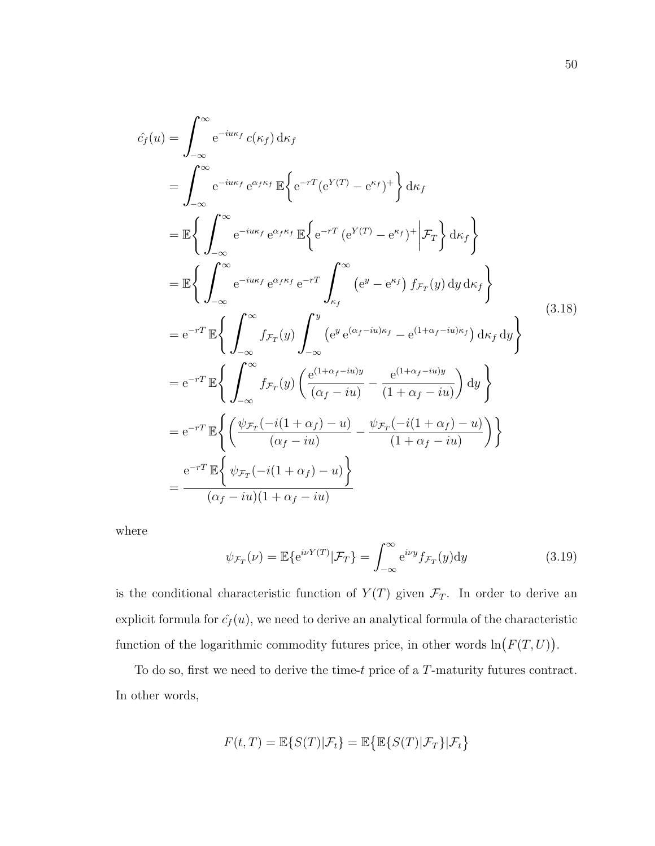$$
\hat{c}_f(u) = \int_{-\infty}^{\infty} e^{-i u \kappa_f} c(\kappa_f) d\kappa_f
$$
\n
$$
= \int_{-\infty}^{\infty} e^{-i u \kappa_f} e^{\alpha_f \kappa_f} \mathbb{E} \Big\{ e^{-rT} (e^{Y(T)} - e^{\kappa_f})^+ \Big\} d\kappa_f
$$
\n
$$
= \mathbb{E} \Big\{ \int_{-\infty}^{\infty} e^{-i u \kappa_f} e^{\alpha_f \kappa_f} \mathbb{E} \Big\{ e^{-rT} (e^{Y(T)} - e^{\kappa_f})^+ \Big| \mathcal{F}_T \Big\} d\kappa_f \Big\}
$$
\n
$$
= \mathbb{E} \Big\{ \int_{-\infty}^{\infty} e^{-i u \kappa_f} e^{\alpha_f \kappa_f} e^{-rT} \int_{\kappa_f}^{\infty} (e^y - e^{\kappa_f}) f \mathcal{F}_T(y) dy d\kappa_f \Big\}
$$
\n
$$
= e^{-rT} \mathbb{E} \Big\{ \int_{-\infty}^{\infty} f \mathcal{F}_T(y) \int_{-\infty}^y (e^y e^{(\alpha_f - i u) \kappa_f} - e^{(1 + \alpha_f - i u) \kappa_f}) d\kappa_f dy \Big\}
$$
\n
$$
= e^{-rT} \mathbb{E} \Big\{ \int_{-\infty}^{\infty} f \mathcal{F}_T(y) \Big( \frac{e^{(1 + \alpha_f - i u) y}}{(\alpha_f - i u)} - \frac{e^{(1 + \alpha_f - i u) y}}{(1 + \alpha_f - i u)} \Big) dy \Big\}
$$
\n
$$
= e^{-rT} \mathbb{E} \Big\{ \Big( \frac{\psi \mathcal{F}_T(-i(1 + \alpha_f) - u)}{(\alpha_f - i u)} - \frac{\psi \mathcal{F}_T(-i(1 + \alpha_f) - u)}{(1 + \alpha_f - i u)} \Big) \Big\}
$$
\n
$$
= \frac{e^{-rT} \mathbb{E} \Big\{ \psi \mathcal{F}_T(-i(1 + \alpha_f) - u) \Big\}}{(\alpha_f - i u)(1 + \alpha_f - i u)}
$$

where

$$
\psi_{\mathcal{F}_T}(\nu) = \mathbb{E}\{e^{i\nu Y(T)}|\mathcal{F}_T\} = \int_{-\infty}^{\infty} e^{i\nu y} f_{\mathcal{F}_T}(y) dy \qquad (3.19)
$$

is the conditional characteristic function of  $Y(T)$  given  $\mathcal{F}_T$ . In order to derive an explicit formula for  $\hat{c}_f(u)$ , we need to derive an analytical formula of the characteristic function of the logarithmic commodity futures price, in other words  $\ln(F(T, U))$ .

To do so, first we need to derive the time-t price of a T-maturity futures contract. In other words,

$$
F(t,T) = \mathbb{E}\{S(T)|\mathcal{F}_t\} = \mathbb{E}\{\mathbb{E}\{S(T)|\mathcal{F}_T\}|\mathcal{F}_t\}
$$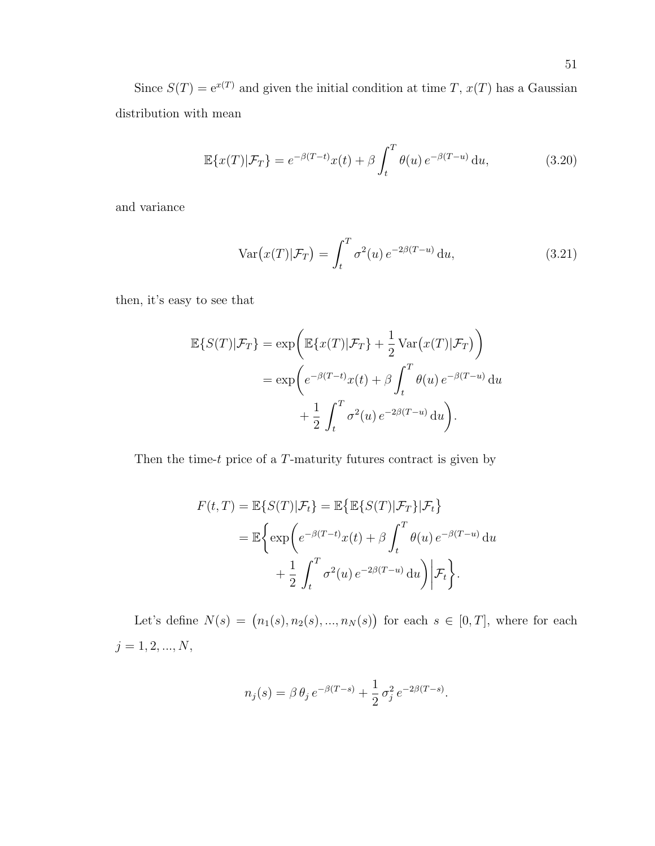Since  $S(T) = e^{x(T)}$  and given the initial condition at time T,  $x(T)$  has a Gaussian distribution with mean

$$
\mathbb{E}\lbrace x(T)|\mathcal{F}_T\rbrace = e^{-\beta(T-t)}x(t) + \beta \int_t^T \theta(u) e^{-\beta(T-u)} \, \mathrm{d}u,\tag{3.20}
$$

and variance

$$
\text{Var}\big(x(T)|\mathcal{F}_T\big) = \int_t^T \sigma^2(u) \, e^{-2\beta(T-u)} \, \mathrm{d}u,\tag{3.21}
$$

then, it's easy to see that

$$
\mathbb{E}\{S(T)|\mathcal{F}_T\} = \exp\left(\mathbb{E}\{x(T)|\mathcal{F}_T\} + \frac{1}{2}\text{Var}\big(x(T)|\mathcal{F}_T\big)\right)
$$

$$
= \exp\left(e^{-\beta(T-t)}x(t) + \beta\int_t^T \theta(u)\,e^{-\beta(T-u)}\,\mathrm{d}u\right)
$$

$$
+ \frac{1}{2}\int_t^T \sigma^2(u)\,e^{-2\beta(T-u)}\,\mathrm{d}u\right).
$$

Then the time-t price of a  $T$ -maturity futures contract is given by

$$
F(t,T) = \mathbb{E}\{S(T)|\mathcal{F}_t\} = \mathbb{E}\{\mathbb{E}\{S(T)|\mathcal{F}_T\}|\mathcal{F}_t\}
$$
  
= 
$$
\mathbb{E}\bigg\{\exp\bigg(e^{-\beta(T-t)}x(t) + \beta \int_t^T \theta(u) e^{-\beta(T-u)} du + \frac{1}{2} \int_t^T \sigma^2(u) e^{-2\beta(T-u)} du\bigg)\bigg|\mathcal{F}_t\bigg\}.
$$

Let's define  $N(s) = (n_1(s), n_2(s), ..., n_N(s))$  for each  $s \in [0, T]$ , where for each  $j=1,2,...,N,$ 

$$
n_j(s) = \beta \theta_j e^{-\beta(T-s)} + \frac{1}{2} \sigma_j^2 e^{-2\beta(T-s)}.
$$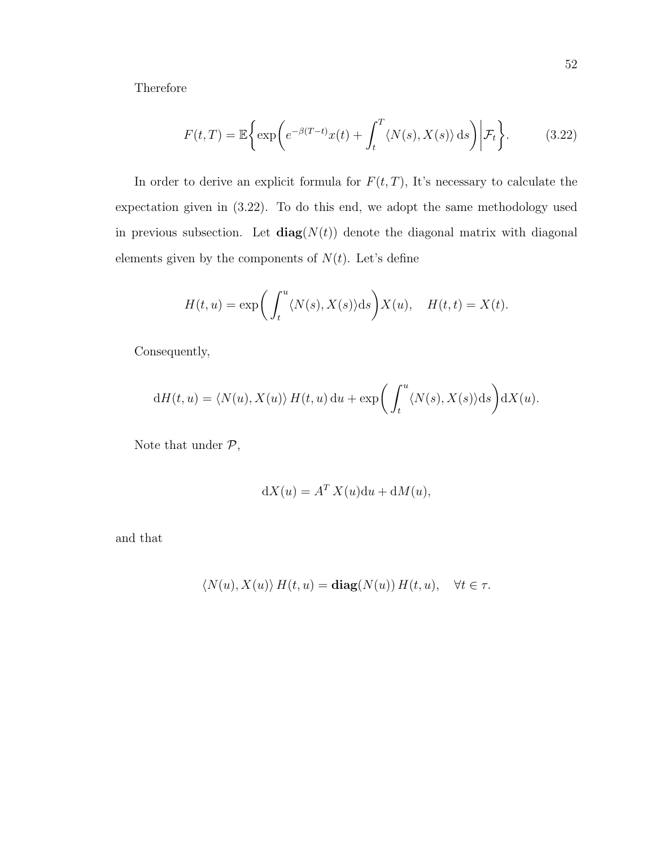Therefore

$$
F(t,T) = \mathbb{E}\bigg\{\exp\bigg(e^{-\beta(T-t)}x(t) + \int_t^T \langle N(s), X(s) \rangle ds\bigg)\bigg|\mathcal{F}_t\bigg\}.
$$
 (3.22)

In order to derive an explicit formula for  $F(t,T)$ , It's necessary to calculate the expectation given in (3.22). To do this end, we adopt the same methodology used in previous subsection. Let  $diag(N(t))$  denote the diagonal matrix with diagonal elements given by the components of  $N(t)$ . Let's define

$$
H(t, u) = \exp\bigg(\int_t^u \langle N(s), X(s) \rangle ds\bigg) X(u), \quad H(t, t) = X(t).
$$

Consequently,

$$
dH(t, u) = \langle N(u), X(u) \rangle H(t, u) du + \exp\left(\int_t^u \langle N(s), X(s) \rangle ds\right) dX(u).
$$

Note that under  $\mathcal{P},$ 

$$
dX(u) = A^T X(u) du + dM(u),
$$

and that

$$
\langle N(u), X(u) \rangle H(t, u) = \mathbf{diag}(N(u)) H(t, u), \quad \forall t \in \tau.
$$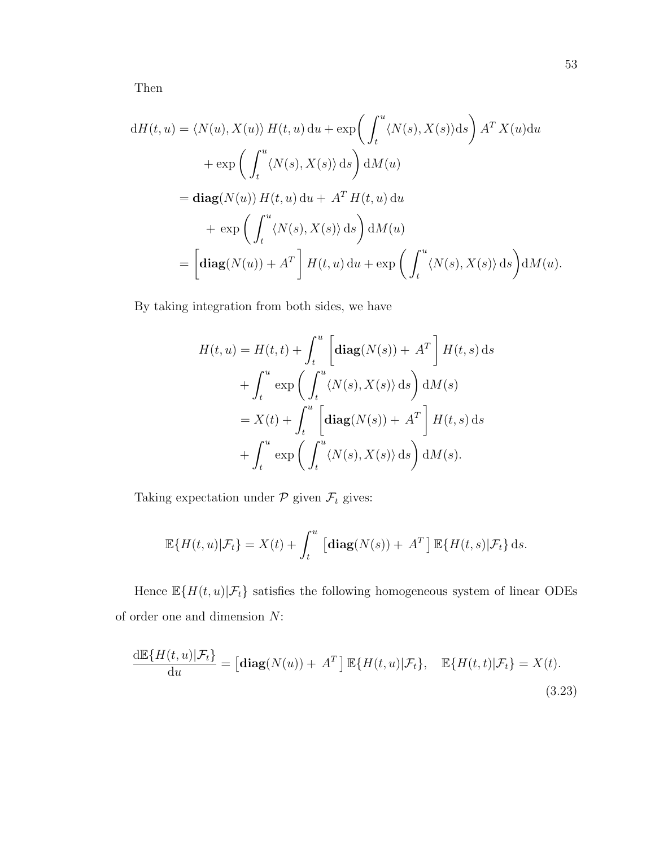Then

$$
dH(t, u) = \langle N(u), X(u) \rangle H(t, u) du + \exp\left(\int_t^u \langle N(s), X(s) \rangle ds\right) A^T X(u) du
$$
  
+ 
$$
\exp\left(\int_t^u \langle N(s), X(s) \rangle ds\right) dM(u)
$$
  
= 
$$
\mathbf{diag}(N(u)) H(t, u) du + A^T H(t, u) du
$$
  
+ 
$$
\exp\left(\int_t^u \langle N(s), X(s) \rangle ds\right) dM(u)
$$
  
= 
$$
\left[\mathbf{diag}(N(u)) + A^T\right] H(t, u) du + \exp\left(\int_t^u \langle N(s), X(s) \rangle ds\right) dM(u).
$$

By taking integration from both sides, we have

$$
H(t, u) = H(t, t) + \int_{t}^{u} \left[ \operatorname{diag}(N(s)) + A^{T} \right] H(t, s) ds
$$
  
+ 
$$
\int_{t}^{u} \exp \left( \int_{t}^{u} \langle N(s), X(s) \rangle ds \right) dM(s)
$$
  
= 
$$
X(t) + \int_{t}^{u} \left[ \operatorname{diag}(N(s)) + A^{T} \right] H(t, s) ds
$$
  
+ 
$$
\int_{t}^{u} \exp \left( \int_{t}^{u} \langle N(s), X(s) \rangle ds \right) dM(s).
$$

Taking expectation under  $\mathcal P$  given  $\mathcal F_t$  gives:

$$
\mathbb{E}\{H(t, u)|\mathcal{F}_t\} = X(t) + \int_t^u \left[\text{diag}(N(s)) + A^T\right] \mathbb{E}\{H(t, s)|\mathcal{F}_t\} ds.
$$

Hence  $\mathbb{E}\{H(t,u)|\mathcal{F}_t\}$  satisfies the following homogeneous system of linear ODEs of order one and dimension N:

$$
\frac{\mathrm{d}\mathbb{E}\{H(t,u)|\mathcal{F}_t\}}{\mathrm{d}u} = \left[\text{diag}(N(u)) + A^T\right] \mathbb{E}\{H(t,u)|\mathcal{F}_t\}, \quad \mathbb{E}\{H(t,t)|\mathcal{F}_t\} = X(t).
$$
\n(3.23)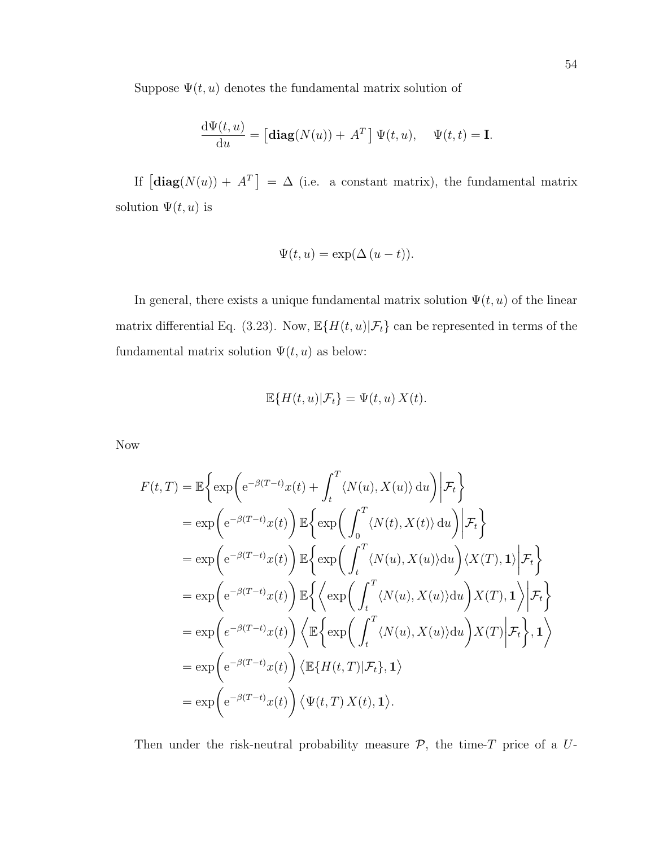Suppose  $\Psi(t, u)$  denotes the fundamental matrix solution of

$$
\frac{\mathrm{d}\Psi(t,u)}{\mathrm{d}u} = \left[\mathbf{diag}(N(u)) + A^T\right] \Psi(t,u), \quad \Psi(t,t) = \mathbf{I}.
$$

If  $\left[\text{diag}(N(u)) + A^T\right] = \Delta$  (i.e. a constant matrix), the fundamental matrix solution  $\Psi(t, u)$  is

$$
\Psi(t, u) = \exp(\Delta (u - t)).
$$

In general, there exists a unique fundamental matrix solution  $\Psi(t, u)$  of the linear matrix differential Eq. (3.23). Now,  $\mathbb{E}\{H(t, u)|\mathcal{F}_t\}$  can be represented in terms of the fundamental matrix solution  $\Psi(t, u)$  as below:

$$
\mathbb{E}\{H(t,u)|\mathcal{F}_t\} = \Psi(t,u) X(t).
$$

Now

$$
F(t,T) = \mathbb{E}\left\{\exp\left(e^{-\beta(T-t)}x(t) + \int_t^T \langle N(u), X(u)\rangle du\right) \middle| \mathcal{F}_t\right\}
$$
  
\n
$$
= \exp\left(e^{-\beta(T-t)}x(t)\right) \mathbb{E}\left\{\exp\left(\int_0^T \langle N(t), X(t)\rangle du\right) \middle| \mathcal{F}_t\right\}
$$
  
\n
$$
= \exp\left(e^{-\beta(T-t)}x(t)\right) \mathbb{E}\left\{\exp\left(\int_t^T \langle N(u), X(u)\rangle du\right) \langle X(T), 1\rangle \middle| \mathcal{F}_t\right\}
$$
  
\n
$$
= \exp\left(e^{-\beta(T-t)}x(t)\right) \mathbb{E}\left\{\left\langle \exp\left(\int_t^T \langle N(u), X(u)\rangle du\right) X(T), 1\rangle \middle| \mathcal{F}_t\right\}
$$
  
\n
$$
= \exp\left(e^{-\beta(T-t)}x(t)\right) \left\langle \mathbb{E}\left\{\exp\left(\int_t^T \langle N(u), X(u)\rangle du\right) X(T)\middle| \mathcal{F}_t\right\}, 1\rangle\right\}
$$
  
\n
$$
= \exp\left(e^{-\beta(T-t)}x(t)\right) \left\langle \mathbb{E}\left\{H(t,T)| \mathcal{F}_t\right\}, 1\rangle\right\}
$$
  
\n
$$
= \exp\left(e^{-\beta(T-t)}x(t)\right) \left\langle \mathbb{E}\left\{H(t,T)| \mathcal{F}_t\right\}, 1\rangle\right\}
$$

Then under the risk-neutral probability measure  $P$ , the time-T price of a  $U$ -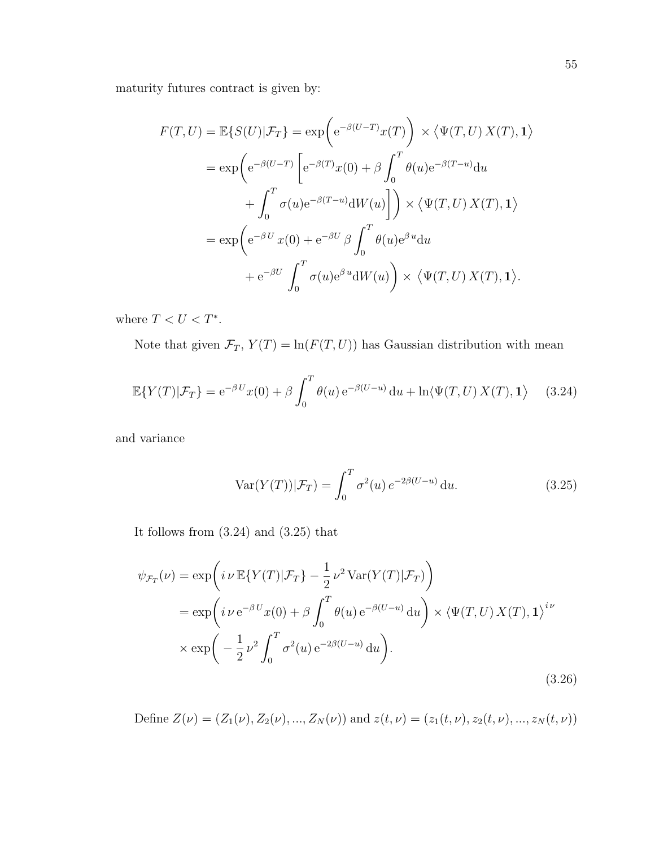maturity futures contract is given by:

$$
F(T, U) = \mathbb{E}\{S(U)|\mathcal{F}_T\} = \exp\left(e^{-\beta(U-T)}x(T)\right) \times \langle \Psi(T, U) X(T), \mathbf{1} \rangle
$$
  
\n
$$
= \exp\left(e^{-\beta(U-T)}\left[e^{-\beta(T)}x(0) + \beta \int_0^T \theta(u)e^{-\beta(T-u)}du + \int_0^T \sigma(u)e^{-\beta(T-u)}dW(u)\right]\right) \times \langle \Psi(T, U) X(T), \mathbf{1} \rangle
$$
  
\n
$$
= \exp\left(e^{-\beta U}x(0) + e^{-\beta U} \beta \int_0^T \theta(u)e^{\beta u}du + e^{-\beta U} \int_0^T \sigma(u)e^{\beta u}dW(u)\right) \times \langle \Psi(T, U) X(T), \mathbf{1} \rangle.
$$

where  $T < U < T^*$ .

Note that given  $\mathcal{F}_T$ ,  $Y(T) = \ln(F(T, U))$  has Gaussian distribution with mean

$$
\mathbb{E}\{Y(T)|\mathcal{F}_T\} = e^{-\beta U}x(0) + \beta \int_0^T \theta(u) e^{-\beta(U-u)} du + \ln \langle \Psi(T, U) X(T), \mathbf{1} \rangle \tag{3.24}
$$

and variance

$$
\operatorname{Var}(Y(T))|\mathcal{F}_T) = \int_0^T \sigma^2(u) e^{-2\beta(U-u)} du.
$$
\n(3.25)

It follows from (3.24) and (3.25) that

$$
\psi_{\mathcal{F}_T}(\nu) = \exp\left(i \nu \mathbb{E}\{Y(T)|\mathcal{F}_T\} - \frac{1}{2} \nu^2 \operatorname{Var}(Y(T)|\mathcal{F}_T)\right)
$$
  
\n
$$
= \exp\left(i \nu \mathbb{e}^{-\beta U} x(0) + \beta \int_0^T \theta(u) \mathbb{e}^{-\beta(U-u)} du\right) \times \langle \Psi(T, U) X(T), \mathbf{1} \rangle^{i\nu}
$$
  
\n
$$
\times \exp\left(-\frac{1}{2} \nu^2 \int_0^T \sigma^2(u) \mathbb{e}^{-2\beta(U-u)} du\right).
$$
\n(3.26)

Define  $Z(\nu) = (Z_1(\nu), Z_2(\nu), ..., Z_N(\nu))$  and  $z(t, \nu) = (z_1(t, \nu), z_2(t, \nu), ..., z_N(t, \nu))$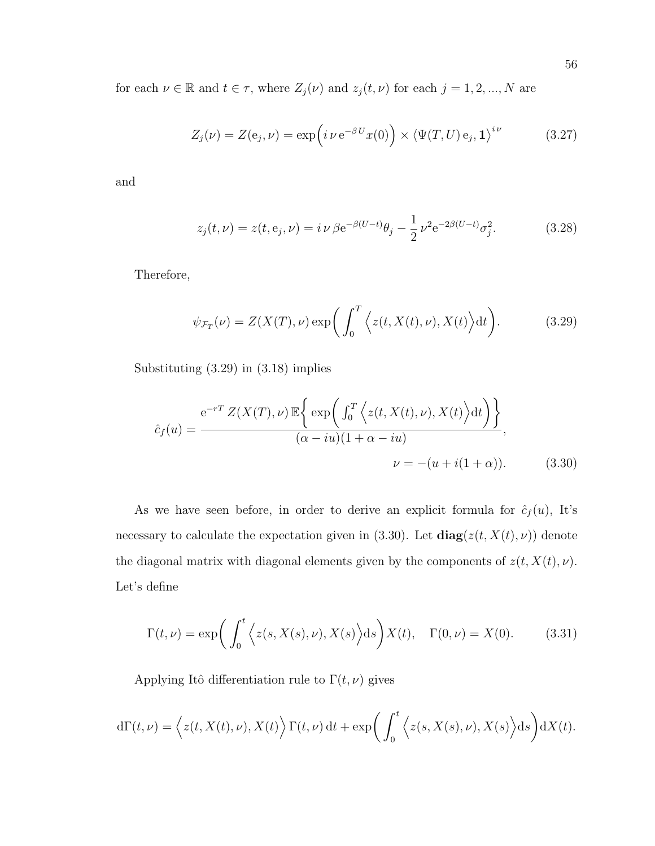for each  $\nu \in \mathbb{R}$  and  $t \in \tau$ , where  $Z_j(\nu)$  and  $z_j(t, \nu)$  for each  $j = 1, 2, ..., N$  are

$$
Z_j(\nu) = Z(e_j, \nu) = \exp\left(i \nu e^{-\beta U} x(0)\right) \times \left\langle \Psi(T, U) e_j, \mathbf{1} \right\rangle^{i\nu} \tag{3.27}
$$

and

$$
z_j(t,\nu) = z(t,\mathbf{e}_j,\nu) = i\,\nu\,\beta\mathbf{e}^{-\beta(U-t)}\theta_j - \frac{1}{2}\,\nu^2\mathbf{e}^{-2\beta(U-t)}\sigma_j^2. \tag{3.28}
$$

Therefore,

$$
\psi_{\mathcal{F}_T}(\nu) = Z(X(T), \nu) \exp\bigg(\int_0^T \Big\langle z(t, X(t), \nu), X(t) \Big\rangle dt\bigg). \tag{3.29}
$$

Substituting (3.29) in (3.18) implies

$$
\hat{c}_f(u) = \frac{e^{-rT} Z(X(T), \nu) \mathbb{E}\left\{ \exp\left(\int_0^T \left\langle z(t, X(t), \nu), X(t) \right\rangle dt\right) \right\}}{(\alpha - iu)(1 + \alpha - iu)},
$$
\n
$$
\nu = -(u + i(1 + \alpha)). \tag{3.30}
$$

As we have seen before, in order to derive an explicit formula for  $\hat{c}_f(u)$ , It's necessary to calculate the expectation given in (3.30). Let  $diag(z(t, X(t), \nu))$  denote the diagonal matrix with diagonal elements given by the components of  $z(t, X(t), \nu)$ . Let's define

$$
\Gamma(t,\nu) = \exp\bigg(\int_0^t \Big\langle z(s,X(s),\nu), X(s)\Big\rangle ds\bigg)X(t), \quad \Gamma(0,\nu) = X(0). \tag{3.31}
$$

Applying Itô differentiation rule to  $\Gamma(t, \nu)$  gives

$$
d\Gamma(t,\nu) = \left\langle z(t,X(t),\nu),X(t)\right\rangle \Gamma(t,\nu) dt + \exp\bigg(\int_0^t \left\langle z(s,X(s),\nu),X(s)\right\rangle ds\bigg) dX(t).
$$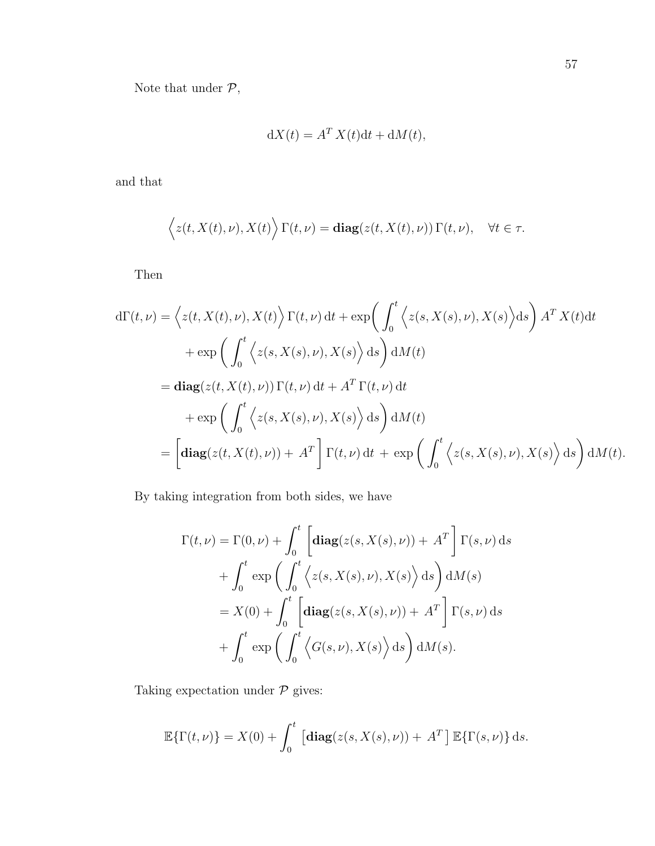Note that under  $\mathcal{P},$ 

$$
dX(t) = A^T X(t) dt + dM(t),
$$

and that

$$
\langle z(t, X(t), \nu), X(t) \rangle \Gamma(t, \nu) = \mathbf{diag}(z(t, X(t), \nu)) \Gamma(t, \nu), \quad \forall t \in \tau.
$$

Then

$$
d\Gamma(t,\nu) = \left\langle z(t,X(t),\nu), X(t) \right\rangle \Gamma(t,\nu) dt + \exp\left(\int_0^t \left\langle z(s,X(s),\nu), X(s) \right\rangle ds\right) A^T X(t) dt
$$
  
+ 
$$
\exp\left(\int_0^t \left\langle z(s,X(s),\nu), X(s) \right\rangle ds\right) dM(t)
$$
  
= 
$$
\mathbf{diag}(z(t,X(t),\nu)) \Gamma(t,\nu) dt + A^T \Gamma(t,\nu) dt
$$
  
+ 
$$
\exp\left(\int_0^t \left\langle z(s,X(s),\nu), X(s) \right\rangle ds\right) dM(t)
$$
  
= 
$$
\left[\mathbf{diag}(z(t,X(t),\nu)) + A^T\right] \Gamma(t,\nu) dt + \exp\left(\int_0^t \left\langle z(s,X(s),\nu), X(s) \right\rangle ds\right) dM(t).
$$

By taking integration from both sides, we have

$$
\Gamma(t,\nu) = \Gamma(0,\nu) + \int_0^t \left[ \operatorname{diag}(z(s,X(s),\nu)) + A^T \right] \Gamma(s,\nu) ds
$$
  
+ 
$$
\int_0^t \exp\left(\int_0^t \left\langle z(s,X(s),\nu),X(s) \right\rangle ds \right) dM(s)
$$
  
= 
$$
X(0) + \int_0^t \left[ \operatorname{diag}(z(s,X(s),\nu)) + A^T \right] \Gamma(s,\nu) ds
$$
  
+ 
$$
\int_0^t \exp\left(\int_0^t \left\langle G(s,\nu),X(s) \right\rangle ds \right) dM(s).
$$

Taking expectation under  $\mathcal P$  gives:

$$
\mathbb{E}\{\Gamma(t,\nu)\} = X(0) + \int_0^t \left[ \mathbf{diag}(z(s,X(s),\nu)) + A^T \right] \mathbb{E}\{\Gamma(s,\nu)\} ds.
$$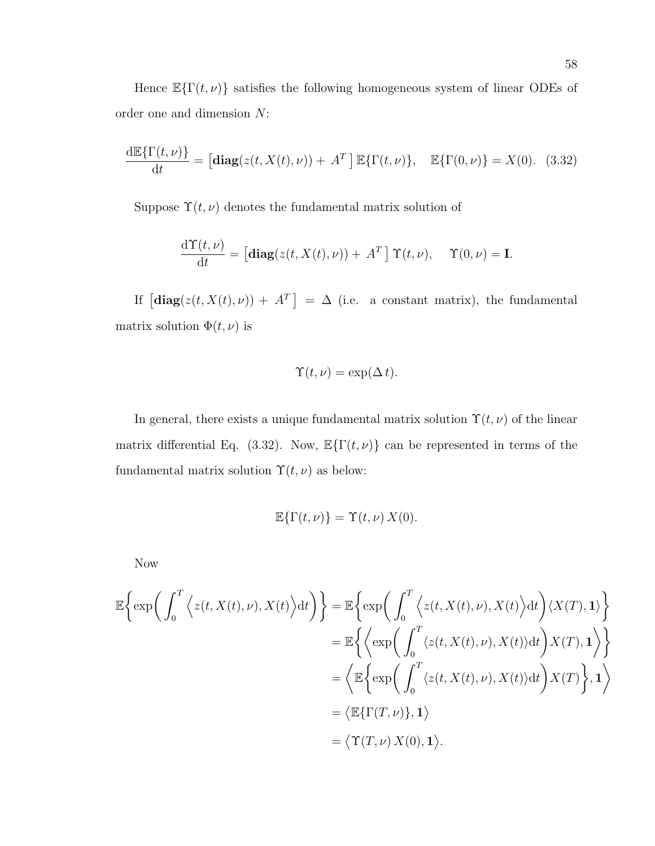Hence  $\mathbb{E}\{\Gamma(t,\nu)\}\$  satisfies the following homogeneous system of linear ODEs of order one and dimension N:

$$
\frac{\mathrm{d}\mathbb{E}\{\Gamma(t,\nu)\}}{\mathrm{d}t} = \left[\mathbf{diag}(z(t,X(t),\nu)) + A^T\right]\mathbb{E}\{\Gamma(t,\nu)\}, \quad \mathbb{E}\{\Gamma(0,\nu)\} = X(0). \tag{3.32}
$$

Suppose  $\Upsilon(t, \nu)$  denotes the fundamental matrix solution of

$$
\frac{\mathrm{d}\Upsilon(t,\nu)}{\mathrm{d}t} = \left[\mathbf{diag}(z(t,X(t),\nu)) + A^T\right]\Upsilon(t,\nu), \quad \Upsilon(0,\nu) = \mathbf{I}.
$$

If  $\left[\text{diag}(z(t, X(t), \nu)) + A^T\right] = \Delta$  (i.e. a constant matrix), the fundamental matrix solution  $\Phi(t,\nu)$  is

$$
\Upsilon(t,\nu) = \exp(\Delta t).
$$

In general, there exists a unique fundamental matrix solution  $\Upsilon(t, \nu)$  of the linear matrix differential Eq. (3.32). Now,  $\mathbb{E}\{\Gamma(t,\nu)\}\)$  can be represented in terms of the fundamental matrix solution  $\Upsilon(t, \nu)$  as below:

$$
\mathbb{E}\{\Gamma(t,\nu)\} = \Upsilon(t,\nu) X(0).
$$

Now

$$
\mathbb{E}\left\{\exp\left(\int_0^T \left\langle z(t, X(t), \nu), X(t)\right\rangle dt\right)\right\} = \mathbb{E}\left\{\exp\left(\int_0^T \left\langle z(t, X(t), \nu), X(t)\right\rangle dt\right) \langle X(T), \mathbf{1}\rangle\right\}
$$

$$
= \mathbb{E}\left\{\left\langle \exp\left(\int_0^T \langle z(t, X(t), \nu), X(t)\rangle dt\right) X(T), \mathbf{1}\right\rangle\right\}
$$

$$
= \left\langle \mathbb{E}\left\{\exp\left(\int_0^T \langle z(t, X(t), \nu), X(t)\rangle dt\right) X(T)\right\}, \mathbf{1}\right\rangle
$$

$$
= \left\langle \mathbb{E}\{\Gamma(T, \nu)\}, \mathbf{1}\right\rangle
$$

$$
= \left\langle \Upsilon(T, \nu), \mathbf{1}\right\rangle.
$$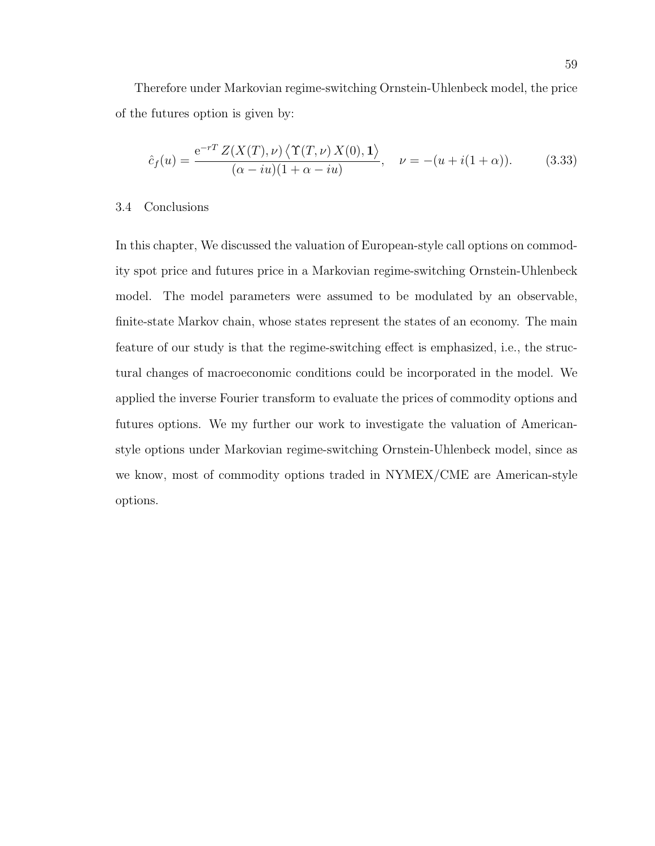Therefore under Markovian regime-switching Ornstein-Uhlenbeck model, the price of the futures option is given by:

$$
\hat{c}_f(u) = \frac{e^{-rT} Z(X(T), \nu) \langle \Upsilon(T, \nu) X(0), \mathbf{1} \rangle}{(\alpha - iu)(1 + \alpha - iu)}, \quad \nu = -(u + i(1 + \alpha)). \tag{3.33}
$$

### 3.4 Conclusions

In this chapter, We discussed the valuation of European-style call options on commodity spot price and futures price in a Markovian regime-switching Ornstein-Uhlenbeck model. The model parameters were assumed to be modulated by an observable, finite-state Markov chain, whose states represent the states of an economy. The main feature of our study is that the regime-switching effect is emphasized, i.e., the structural changes of macroeconomic conditions could be incorporated in the model. We applied the inverse Fourier transform to evaluate the prices of commodity options and futures options. We my further our work to investigate the valuation of Americanstyle options under Markovian regime-switching Ornstein-Uhlenbeck model, since as we know, most of commodity options traded in NYMEX/CME are American-style options.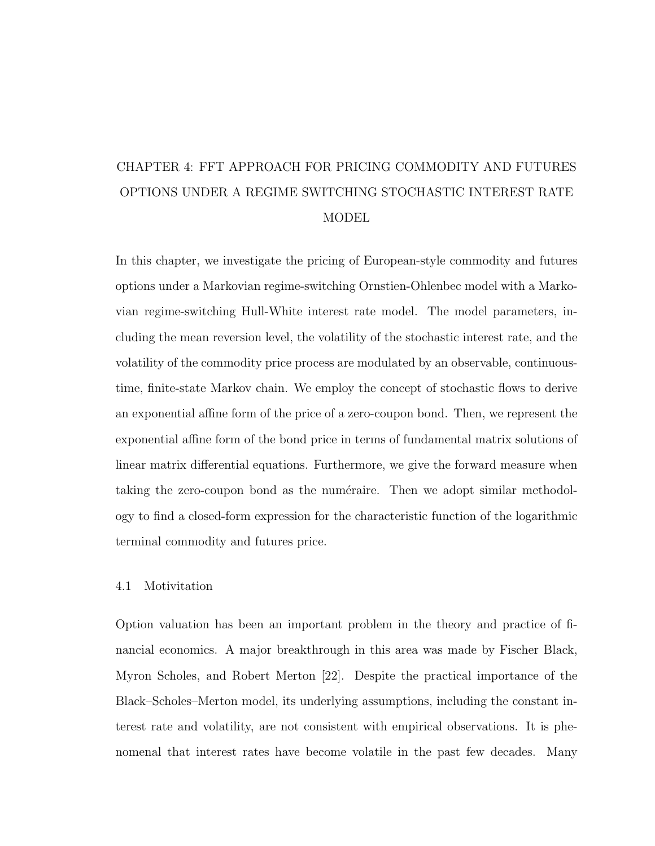# CHAPTER 4: FFT APPROACH FOR PRICING COMMODITY AND FUTURES OPTIONS UNDER A REGIME SWITCHING STOCHASTIC INTEREST RATE MODEL

In this chapter, we investigate the pricing of European-style commodity and futures options under a Markovian regime-switching Ornstien-Ohlenbec model with a Markovian regime-switching Hull-White interest rate model. The model parameters, including the mean reversion level, the volatility of the stochastic interest rate, and the volatility of the commodity price process are modulated by an observable, continuoustime, finite-state Markov chain. We employ the concept of stochastic flows to derive an exponential affine form of the price of a zero-coupon bond. Then, we represent the exponential affine form of the bond price in terms of fundamental matrix solutions of linear matrix differential equations. Furthermore, we give the forward measure when taking the zero-coupon bond as the numéraire. Then we adopt similar methodology to find a closed-form expression for the characteristic function of the logarithmic terminal commodity and futures price.

## 4.1 Motivitation

Option valuation has been an important problem in the theory and practice of financial economics. A major breakthrough in this area was made by Fischer Black, Myron Scholes, and Robert Merton [22]. Despite the practical importance of the Black–Scholes–Merton model, its underlying assumptions, including the constant interest rate and volatility, are not consistent with empirical observations. It is phenomenal that interest rates have become volatile in the past few decades. Many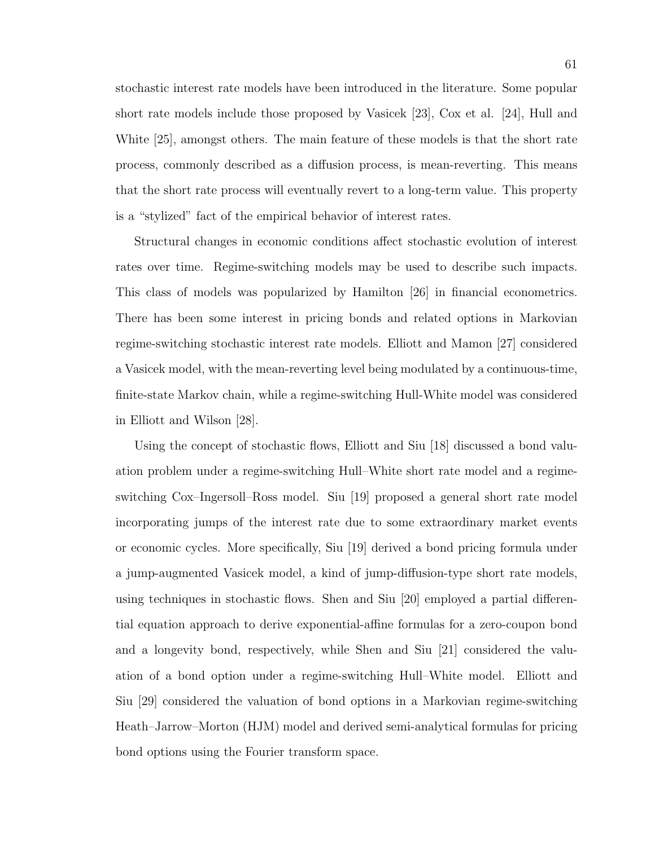stochastic interest rate models have been introduced in the literature. Some popular short rate models include those proposed by Vasicek [23], Cox et al. [24], Hull and White [25], amongst others. The main feature of these models is that the short rate process, commonly described as a diffusion process, is mean-reverting. This means that the short rate process will eventually revert to a long-term value. This property is a "stylized" fact of the empirical behavior of interest rates.

Structural changes in economic conditions affect stochastic evolution of interest rates over time. Regime-switching models may be used to describe such impacts. This class of models was popularized by Hamilton [26] in financial econometrics. There has been some interest in pricing bonds and related options in Markovian regime-switching stochastic interest rate models. Elliott and Mamon [27] considered a Vasicek model, with the mean-reverting level being modulated by a continuous-time, finite-state Markov chain, while a regime-switching Hull-White model was considered in Elliott and Wilson [28].

Using the concept of stochastic flows, Elliott and Siu [18] discussed a bond valuation problem under a regime-switching Hull–White short rate model and a regimeswitching Cox–Ingersoll–Ross model. Siu [19] proposed a general short rate model incorporating jumps of the interest rate due to some extraordinary market events or economic cycles. More specifically, Siu [19] derived a bond pricing formula under a jump-augmented Vasicek model, a kind of jump-diffusion-type short rate models, using techniques in stochastic flows. Shen and Siu [20] employed a partial differential equation approach to derive exponential-affine formulas for a zero-coupon bond and a longevity bond, respectively, while Shen and Siu [21] considered the valuation of a bond option under a regime-switching Hull–White model. Elliott and Siu [29] considered the valuation of bond options in a Markovian regime-switching Heath–Jarrow–Morton (HJM) model and derived semi-analytical formulas for pricing bond options using the Fourier transform space.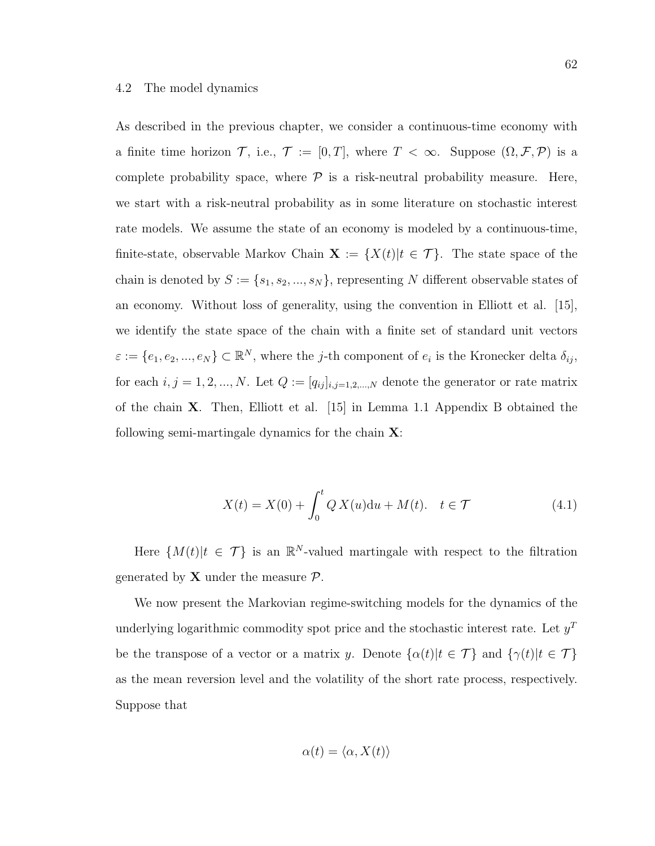#### 4.2 The model dynamics

As described in the previous chapter, we consider a continuous-time economy with a finite time horizon  $\mathcal{T}$ , i.e.,  $\mathcal{T} := [0, T]$ , where  $T < \infty$ . Suppose  $(\Omega, \mathcal{F}, \mathcal{P})$  is a complete probability space, where  $P$  is a risk-neutral probability measure. Here, we start with a risk-neutral probability as in some literature on stochastic interest rate models. We assume the state of an economy is modeled by a continuous-time, finite-state, observable Markov Chain  $\mathbf{X} := \{X(t)|t \in \mathcal{T}\}\$ . The state space of the chain is denoted by  $S := \{s_1, s_2, ..., s_N\}$ , representing N different observable states of an economy. Without loss of generality, using the convention in Elliott et al. [15], we identify the state space of the chain with a finite set of standard unit vectors  $\varepsilon := \{e_1, e_2, ..., e_N\} \subset \mathbb{R}^N$ , where the *j*-th component of  $e_i$  is the Kronecker delta  $\delta_{ij}$ , for each  $i, j = 1, 2, ..., N$ . Let  $Q := [q_{ij}]_{i,j=1,2,...,N}$  denote the generator or rate matrix of the chain X. Then, Elliott et al. [15] in Lemma 1.1 Appendix B obtained the following semi-martingale dynamics for the chain  $X$ :

$$
X(t) = X(0) + \int_0^t Q X(u) \, du + M(t). \quad t \in \mathcal{T} \tag{4.1}
$$

Here  $\{M(t)|t \in \mathcal{T}\}\$ is an  $\mathbb{R}^N$ -valued martingale with respect to the filtration generated by **X** under the measure  $\mathcal{P}$ .

We now present the Markovian regime-switching models for the dynamics of the underlying logarithmic commodity spot price and the stochastic interest rate. Let  $y<sup>T</sup>$ be the transpose of a vector or a matrix y. Denote  $\{\alpha(t)|t \in \mathcal{T}\}\$ and  $\{\gamma(t)|t \in \mathcal{T}\}\$ as the mean reversion level and the volatility of the short rate process, respectively. Suppose that

$$
\alpha(t) = \langle \alpha, X(t) \rangle
$$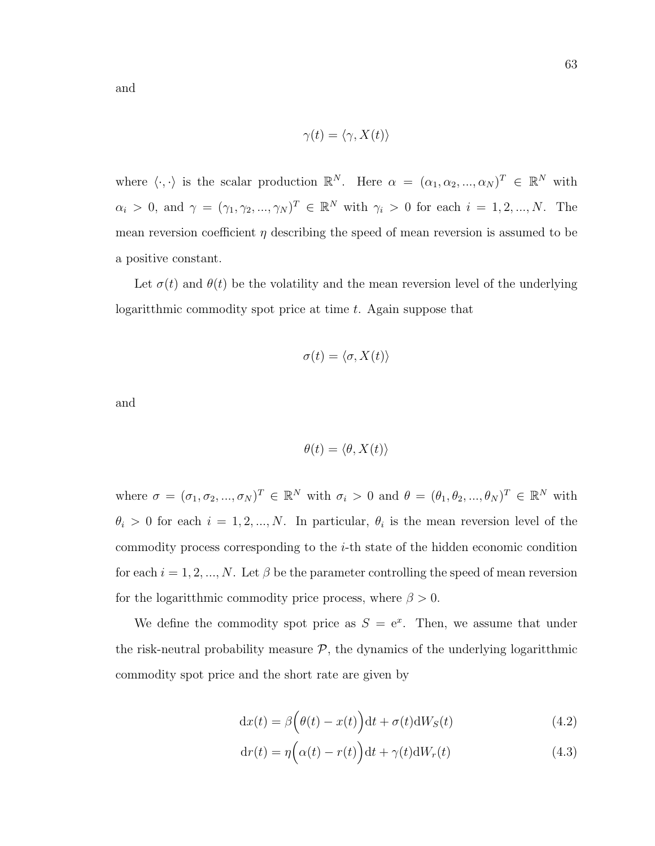and

$$
\gamma(t) = \langle \gamma, X(t) \rangle
$$

where  $\langle \cdot, \cdot \rangle$  is the scalar production  $\mathbb{R}^N$ . Here  $\alpha = (\alpha_1, \alpha_2, ..., \alpha_N)^T \in \mathbb{R}^N$  with  $\alpha_i > 0$ , and  $\gamma = (\gamma_1, \gamma_2, ..., \gamma_N)^T \in \mathbb{R}^N$  with  $\gamma_i > 0$  for each  $i = 1, 2, ..., N$ . The mean reversion coefficient  $\eta$  describing the speed of mean reversion is assumed to be a positive constant.

Let  $\sigma(t)$  and  $\theta(t)$  be the volatility and the mean reversion level of the underlying logaritthmic commodity spot price at time t. Again suppose that

$$
\sigma(t) = \langle \sigma, X(t) \rangle
$$

and

$$
\theta(t) = \langle \theta, X(t) \rangle
$$

where  $\sigma = (\sigma_1, \sigma_2, ..., \sigma_N)^T \in \mathbb{R}^N$  with  $\sigma_i > 0$  and  $\theta = (\theta_1, \theta_2, ..., \theta_N)^T \in \mathbb{R}^N$  with  $\theta_i > 0$  for each  $i = 1, 2, ..., N$ . In particular,  $\theta_i$  is the mean reversion level of the commodity process corresponding to the i-th state of the hidden economic condition for each  $i = 1, 2, ..., N$ . Let  $\beta$  be the parameter controlling the speed of mean reversion for the logaritthmic commodity price process, where  $\beta > 0$ .

We define the commodity spot price as  $S = e^x$ . Then, we assume that under the risk-neutral probability measure  $P$ , the dynamics of the underlying logaritthmic commodity spot price and the short rate are given by

$$
dx(t) = \beta \left(\theta(t) - x(t)\right)dt + \sigma(t)dW_S(t)
$$
\n(4.2)

$$
dr(t) = \eta \left( \alpha(t) - r(t) \right) dt + \gamma(t) dW_r(t)
$$
\n(4.3)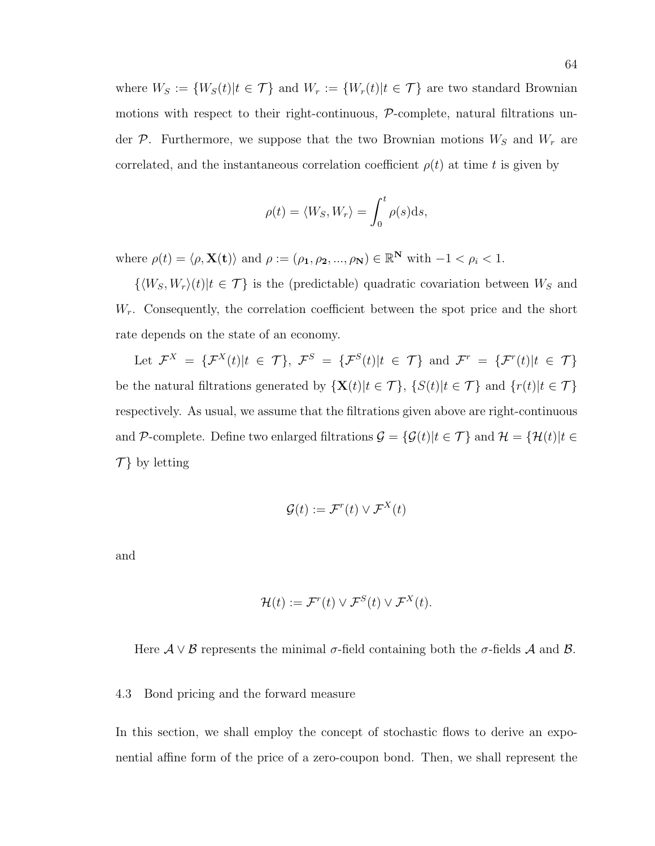where  $W_S := \{W_S(t) | t \in \mathcal{T} \}$  and  $W_r := \{W_r(t) | t \in \mathcal{T} \}$  are two standard Brownian motions with respect to their right-continuous, P-complete, natural filtrations under  $P$ . Furthermore, we suppose that the two Brownian motions  $W_S$  and  $W_r$  are correlated, and the instantaneous correlation coefficient  $\rho(t)$  at time t is given by

$$
\rho(t) = \langle W_S, W_r \rangle = \int_0^t \rho(s) \mathrm{d}s,
$$

where  $\rho(t) = \langle \rho, \mathbf{X(t)} \rangle$  and  $\rho := (\rho_1, \rho_2, ..., \rho_N) \in \mathbb{R}^N$  with  $-1 < \rho_i < 1$ .

 $\{ \langle W_S, W_r \rangle(t) | t \in \mathcal{T} \}$  is the (predictable) quadratic covariation between  $W_S$  and  $W_r$ . Consequently, the correlation coefficient between the spot price and the short rate depends on the state of an economy.

Let  $\mathcal{F}^X = {\{\mathcal{F}^X(t)|t \in \mathcal{T}\}, \ \mathcal{F}^S = {\{\mathcal{F}^S(t)|t \in \mathcal{T}\} \text{ and } \mathcal{F}^r = {\{\mathcal{F}^r(t)|t \in \mathcal{T}\}}$ be the natural filtrations generated by  $\{X(t)|t \in \mathcal{T}\}$ ,  $\{S(t)|t \in \mathcal{T}\}$  and  $\{r(t)|t \in \mathcal{T}\}$ respectively. As usual, we assume that the filtrations given above are right-continuous and P-complete. Define two enlarged filtrations  $\mathcal{G} = \{ \mathcal{G}(t) | t \in \mathcal{T} \}$  and  $\mathcal{H} = \{ \mathcal{H}(t) | t \in \mathcal{T} \}$  $\mathcal{T}$  by letting

$$
\mathcal{G}(t) := \mathcal{F}^r(t) \vee \mathcal{F}^X(t)
$$

and

$$
\mathcal{H}(t) := \mathcal{F}^r(t) \vee \mathcal{F}^S(t) \vee \mathcal{F}^X(t).
$$

Here  $A \vee B$  represents the minimal  $\sigma$ -field containing both the  $\sigma$ -fields A and B.

### 4.3 Bond pricing and the forward measure

In this section, we shall employ the concept of stochastic flows to derive an exponential affine form of the price of a zero-coupon bond. Then, we shall represent the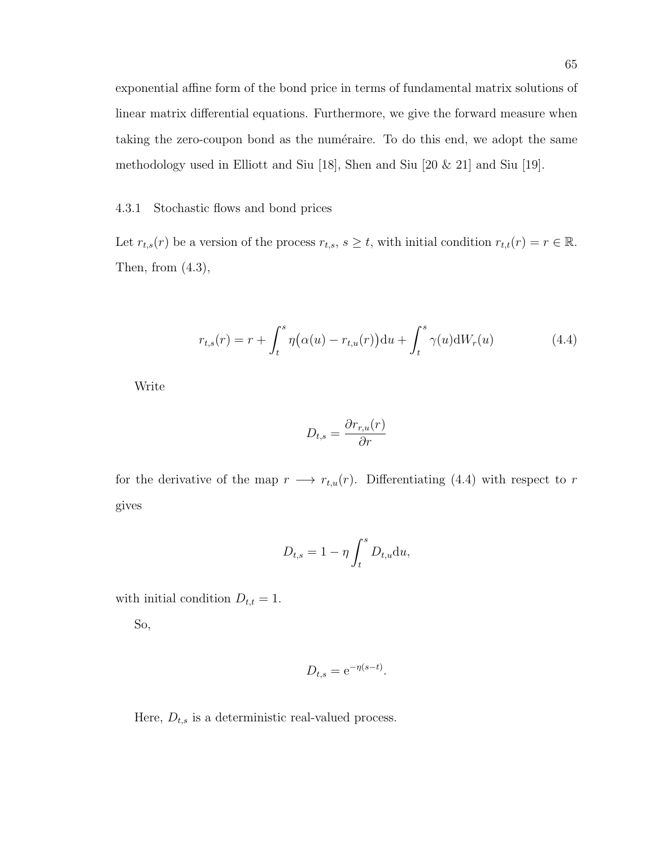exponential affine form of the bond price in terms of fundamental matrix solutions of linear matrix differential equations. Furthermore, we give the forward measure when taking the zero-coupon bond as the numéraire. To do this end, we adopt the same methodology used in Elliott and Siu [18], Shen and Siu [20 & 21] and Siu [19].

### 4.3.1 Stochastic flows and bond prices

Let  $r_{t,s}(r)$  be a version of the process  $r_{t,s}$ ,  $s \geq t$ , with initial condition  $r_{t,t}(r) = r \in \mathbb{R}$ . Then, from  $(4.3)$ ,

$$
r_{t,s}(r) = r + \int_{t}^{s} \eta(\alpha(u) - r_{t,u}(r)) \, \mathrm{d}u + \int_{t}^{s} \gamma(u) \, \mathrm{d}W_r(u) \tag{4.4}
$$

Write

$$
D_{t,s} = \frac{\partial r_{r,u}(r)}{\partial r}
$$

for the derivative of the map  $r \longrightarrow r_{t,u}(r)$ . Differentiating (4.4) with respect to r gives

$$
D_{t,s} = 1 - \eta \int_t^s D_{t,u} \mathrm{d}u,
$$

with initial condition  $D_{t,t} = 1$ .

So,

$$
D_{t,s} = e^{-\eta(s-t)}.
$$

Here,  $D_{t,s}$  is a deterministic real-valued process.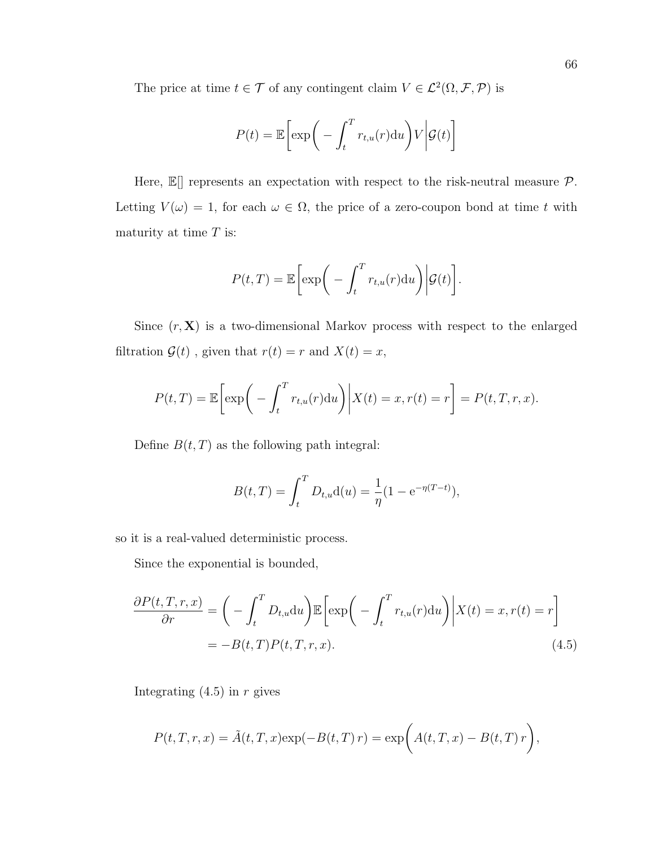The price at time  $t \in \mathcal{T}$  of any contingent claim  $V \in \mathcal{L}^2(\Omega, \mathcal{F}, \mathcal{P})$  is

$$
P(t) = \mathbb{E}\bigg[\exp\bigg(-\int_t^T r_{t,u}(r) \mathrm{d}u\bigg)V\bigg|\mathcal{G}(t)\bigg]
$$

Here,  $\mathbb{E}$  represents an expectation with respect to the risk-neutral measure  $\mathcal{P}$ . Letting  $V(\omega) = 1$ , for each  $\omega \in \Omega$ , the price of a zero-coupon bond at time t with maturity at time  $T$  is:

$$
P(t,T) = \mathbb{E}\bigg[\exp\bigg(-\int_t^T r_{t,u}(r) \mathrm{d}u\bigg)\bigg|\mathcal{G}(t)\bigg].
$$

Since  $(r, X)$  is a two-dimensional Markov process with respect to the enlarged filtration  $\mathcal{G}(t)$ , given that  $r(t) = r$  and  $X(t) = x$ ,

$$
P(t,T) = \mathbb{E}\bigg[\exp\bigg(-\int_t^T r_{t,u}(r) \mathrm{d}u\bigg)\bigg|X(t) = x, r(t) = r\bigg] = P(t,T,r,x).
$$

Define  $B(t, T)$  as the following path integral:

$$
B(t,T) = \int_t^T D_{t,u} d(u) = \frac{1}{\eta} (1 - e^{-\eta(T-t)}),
$$

so it is a real-valued deterministic process.

Since the exponential is bounded,

$$
\frac{\partial P(t,T,r,x)}{\partial r} = \left( -\int_t^T D_{t,u} \mathrm{d}u \right) \mathbb{E} \left[ \exp\left( -\int_t^T r_{t,u}(r) \mathrm{d}u \right) \middle| X(t) = x, r(t) = r \right]
$$
\n
$$
= -B(t,T)P(t,T,r,x). \tag{4.5}
$$

Integrating  $(4.5)$  in r gives

$$
P(t, T, r, x) = \tilde{A}(t, T, x) \exp(-B(t, T) r) = \exp\bigg(A(t, T, x) - B(t, T) r\bigg),
$$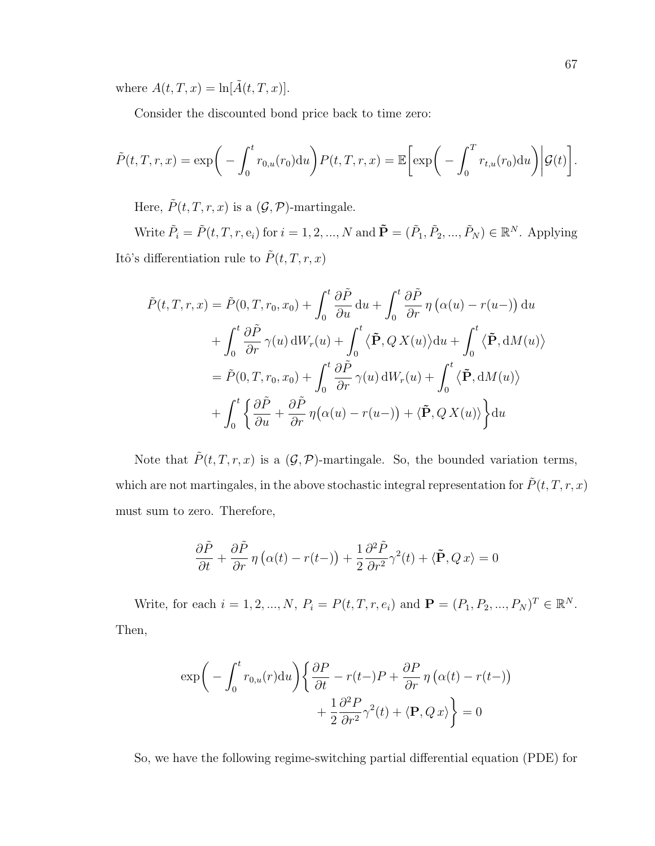where  $A(t, T, x) = \ln[\tilde{A}(t, T, x)].$ 

Consider the discounted bond price back to time zero:

$$
\tilde{P}(t,T,r,x) = \exp\bigg(-\int_0^t r_{0,u}(r_0) \mathrm{d}u\bigg) P(t,T,r,x) = \mathbb{E}\bigg[\exp\bigg(-\int_0^T r_{t,u}(r_0) \mathrm{d}u\bigg)\bigg|\mathcal{G}(t)\bigg].
$$

Here,  $\tilde{P}(t, T, r, x)$  is a  $(\mathcal{G}, \mathcal{P})$ -martingale.

Write  $\tilde{P}_i = \tilde{P}(t, T, r, e_i)$  for  $i = 1, 2, ..., N$  and  $\tilde{\mathbf{P}} = (\tilde{P}_1, \tilde{P}_2, ..., \tilde{P}_N) \in \mathbb{R}^N$ . Applying Itô's differentiation rule to  $\tilde{P}(t,T,r,x)$ 

$$
\tilde{P}(t,T,r,x) = \tilde{P}(0,T,r_0,x_0) + \int_0^t \frac{\partial \tilde{P}}{\partial u} du + \int_0^t \frac{\partial \tilde{P}}{\partial r} \eta (\alpha(u) - r(u-)) du \n+ \int_0^t \frac{\partial \tilde{P}}{\partial r} \gamma(u) dW_r(u) + \int_0^t \langle \tilde{P}, Q X(u) \rangle du + \int_0^t \langle \tilde{P}, dM(u) \rangle \n= \tilde{P}(0,T,r_0,x_0) + \int_0^t \frac{\partial \tilde{P}}{\partial r} \gamma(u) dW_r(u) + \int_0^t \langle \tilde{P}, dM(u) \rangle \n+ \int_0^t \left\{ \frac{\partial \tilde{P}}{\partial u} + \frac{\partial \tilde{P}}{\partial r} \eta (\alpha(u) - r(u-)) + \langle \tilde{P}, Q X(u) \rangle \right\} du
$$

Note that  $\tilde{P}(t, T, r, x)$  is a  $(\mathcal{G}, \mathcal{P})$ -martingale. So, the bounded variation terms, which are not martingales, in the above stochastic integral representation for  $\tilde{P}(t,T,r,x)$ must sum to zero. Therefore,

$$
\frac{\partial \tilde{P}}{\partial t} + \frac{\partial \tilde{P}}{\partial r} \eta \left( \alpha(t) - r(t-) \right) + \frac{1}{2} \frac{\partial^2 \tilde{P}}{\partial r^2} \gamma^2(t) + \langle \tilde{P}, Q x \rangle = 0
$$

Write, for each  $i = 1, 2, ..., N$ ,  $P_i = P(t, T, r, e_i)$  and  $\mathbf{P} = (P_1, P_2, ..., P_N)^T \in \mathbb{R}^N$ . Then,

$$
\exp\bigg(-\int_0^t r_{0,u}(r) \mathrm{d}u\bigg) \bigg\{\frac{\partial P}{\partial t} - r(t-)P + \frac{\partial P}{\partial r} \eta \left(\alpha(t) - r(t-)\right) + \frac{1}{2} \frac{\partial^2 P}{\partial r^2} \gamma^2(t) + \langle \mathbf{P}, Q \, x \rangle \bigg\} = 0
$$

So, we have the following regime-switching partial differential equation (PDE) for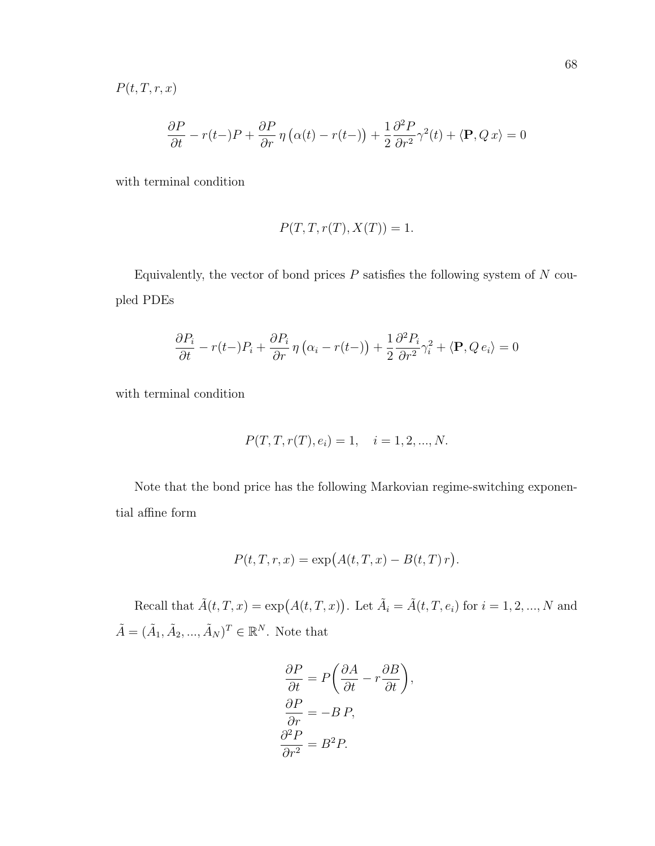$P(t, T, r, x)$ 

$$
\frac{\partial P}{\partial t} - r(t-)P + \frac{\partial P}{\partial r} \eta \left( \alpha(t) - r(t-) \right) + \frac{1}{2} \frac{\partial^2 P}{\partial r^2} \gamma^2(t) + \langle \mathbf{P}, Q \, x \rangle = 0
$$

with terminal condition

$$
P(T, T, r(T), X(T)) = 1.
$$

Equivalently, the vector of bond prices  $P$  satisfies the following system of  $N$  coupled PDEs

$$
\frac{\partial P_i}{\partial t} - r(t - P_i) + \frac{\partial P_i}{\partial r} \eta \left( \alpha_i - r(t - \right) \right) + \frac{1}{2} \frac{\partial^2 P_i}{\partial r^2} \gamma_i^2 + \langle \mathbf{P}, Q e_i \rangle = 0
$$

with terminal condition

$$
P(T, T, r(T), e_i) = 1, \quad i = 1, 2, ..., N.
$$

Note that the bond price has the following Markovian regime-switching exponential affine form

$$
P(t,T,r,x) = \exp(A(t,T,x) - B(t,T) r).
$$

Recall that  $\tilde{A}(t, T, x) = \exp(A(t, T, x))$ . Let  $\tilde{A}_i = \tilde{A}(t, T, e_i)$  for  $i = 1, 2, ..., N$  and  $\tilde{A} = (\tilde{A}_1, \tilde{A}_2, ..., \tilde{A}_N)^T \in \mathbb{R}^N$ . Note that

$$
\frac{\partial P}{\partial t} = P \left( \frac{\partial A}{\partial t} - r \frac{\partial B}{\partial t} \right),\newline\n\frac{\partial P}{\partial r} = -B P,\newline\n\frac{\partial^2 P}{\partial r^2} = B^2 P.
$$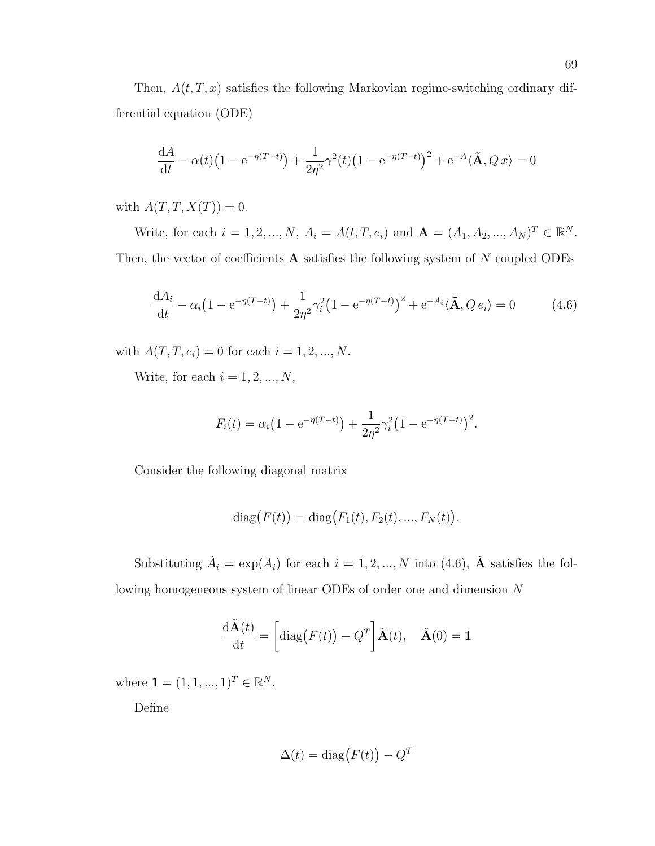Then,  $A(t, T, x)$  satisfies the following Markovian regime-switching ordinary differential equation (ODE)

$$
\frac{dA}{dt} - \alpha(t) \left( 1 - e^{-\eta(T-t)} \right) + \frac{1}{2\eta^2} \gamma^2(t) \left( 1 - e^{-\eta(T-t)} \right)^2 + e^{-A} \langle \tilde{\mathbf{A}}, Q x \rangle = 0
$$

with  $A(T, T, X(T)) = 0$ .

Write, for each  $i = 1, 2, ..., N$ ,  $A_i = A(t, T, e_i)$  and  $\mathbf{A} = (A_1, A_2, ..., A_N)^T \in \mathbb{R}^N$ . Then, the vector of coefficients  $A$  satisfies the following system of  $N$  coupled ODEs

$$
\frac{dA_i}{dt} - \alpha_i (1 - e^{-\eta(T - t)}) + \frac{1}{2\eta^2} \gamma_i^2 (1 - e^{-\eta(T - t)})^2 + e^{-A_i} \langle \tilde{\mathbf{A}}, Q e_i \rangle = 0 \tag{4.6}
$$

with  $A(T, T, e_i) = 0$  for each  $i = 1, 2, ..., N$ .

Write, for each  $i=1,2,...,N,$ 

$$
F_i(t) = \alpha_i \left( 1 - e^{-\eta (T-t)} \right) + \frac{1}{2\eta^2} \gamma_i^2 \left( 1 - e^{-\eta (T-t)} \right)^2.
$$

Consider the following diagonal matrix

diag
$$
(F(t))
$$
 = diag $(F_1(t), F_2(t), ..., F_N(t))$ .

Substituting  $\tilde{A}_i = \exp(A_i)$  for each  $i = 1, 2, ..., N$  into (4.6),  $\tilde{A}$  satisfies the following homogeneous system of linear ODEs of order one and dimension N

$$
\frac{\mathrm{d}\tilde{\mathbf{A}}(t)}{\mathrm{d}t} = \left[\mathrm{diag}(F(t)) - Q^T\right]\tilde{\mathbf{A}}(t), \quad \tilde{\mathbf{A}}(0) = \mathbf{1}
$$

where  $\mathbf{1} = (1, 1, ..., 1)^T \in \mathbb{R}^N$ .

Define

$$
\Delta(t) = \text{diag}\big(F(t)\big) - Q^T
$$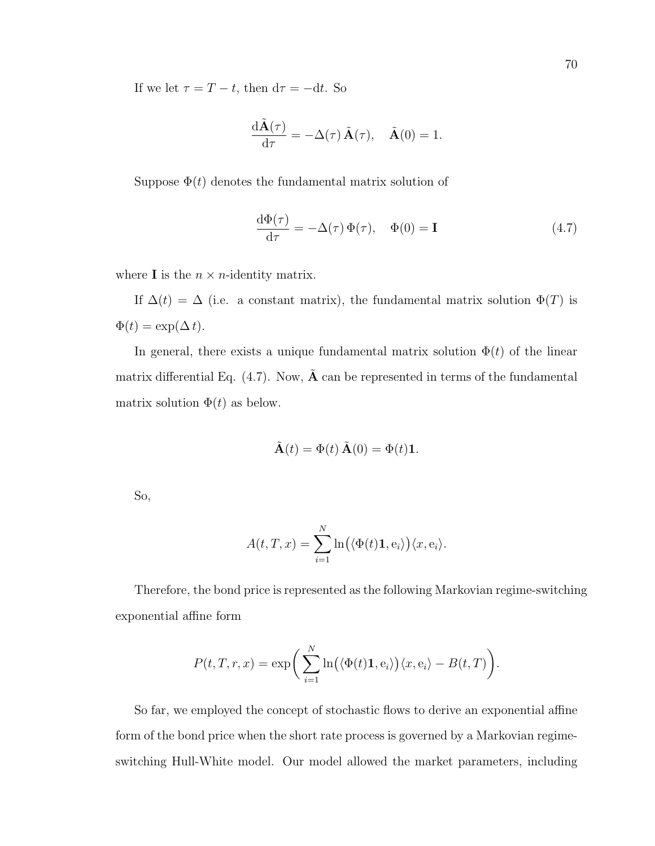If we let  $\tau = T - t$ , then  $d\tau = -dt$ . So

$$
\frac{\mathrm{d}\tilde{\mathbf{A}}(\tau)}{\mathrm{d}\tau} = -\Delta(\tau)\,\tilde{\mathbf{A}}(\tau), \quad \tilde{\mathbf{A}}(0) = 1.
$$

Suppose  $\Phi(t)$  denotes the fundamental matrix solution of

$$
\frac{\mathrm{d}\Phi(\tau)}{\mathrm{d}\tau} = -\Delta(\tau)\,\Phi(\tau), \quad \Phi(0) = \mathbf{I} \tag{4.7}
$$

where **I** is the  $n \times n$ -identity matrix.

If  $\Delta(t) = \Delta$  (i.e. a constant matrix), the fundamental matrix solution  $\Phi(T)$  is  $\Phi(t) = \exp(\Delta t).$ 

In general, there exists a unique fundamental matrix solution  $\Phi(t)$  of the linear matrix differential Eq.  $(4.7)$ . Now,  $\tilde{A}$  can be represented in terms of the fundamental matrix solution  $\Phi(t)$  as below.

$$
\tilde{\mathbf{A}}(t) = \Phi(t) \,\tilde{\mathbf{A}}(0) = \Phi(t)\mathbf{1}.
$$

So,

$$
A(t,T,x) = \sum_{i=1}^{N} \ln(\langle \Phi(t)\mathbf{1}, \mathbf{e}_i \rangle) \langle x, \mathbf{e}_i \rangle.
$$

Therefore, the bond price is represented as the following Markovian regime-switching exponential affine form

$$
P(t,T,r,x) = \exp\bigg(\sum_{i=1}^N \ln(\langle \Phi(t)\mathbf{1}, \mathbf{e}_i \rangle) \langle x, \mathbf{e}_i \rangle - B(t,T)\bigg).
$$

So far, we employed the concept of stochastic flows to derive an exponential affine form of the bond price when the short rate process is governed by a Markovian regimeswitching Hull-White model. Our model allowed the market parameters, including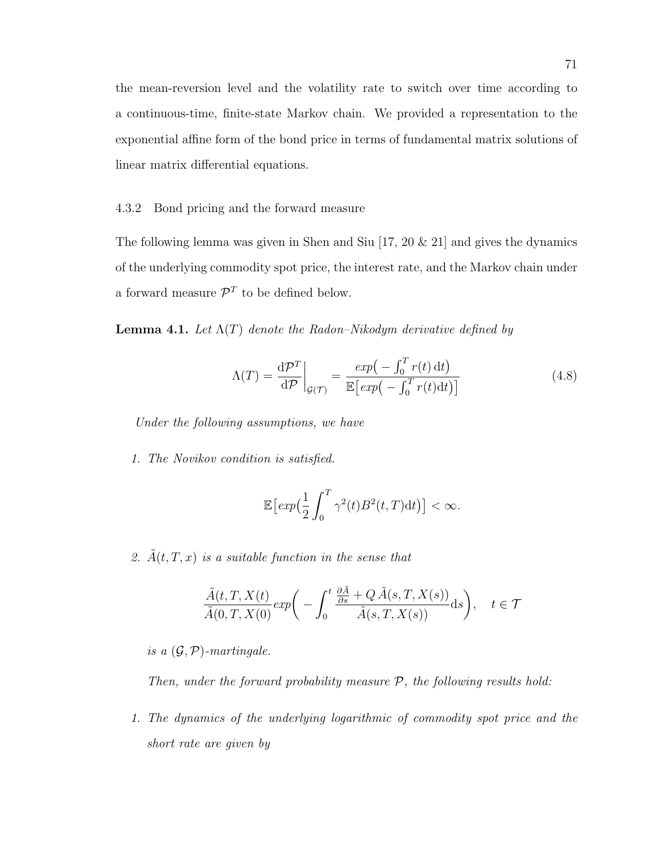the mean-reversion level and the volatility rate to switch over time according to a continuous-time, finite-state Markov chain. We provided a representation to the exponential affine form of the bond price in terms of fundamental matrix solutions of linear matrix differential equations.

4.3.2 Bond pricing and the forward measure

The following lemma was given in Shen and Siu [17, 20 & 21] and gives the dynamics of the underlying commodity spot price, the interest rate, and the Markov chain under a forward measure  $\mathcal{P}^T$  to be defined below.

**Lemma 4.1.** Let  $\Lambda(T)$  denote the Radon–Nikodym derivative defined by

$$
\Lambda(T) = \frac{\mathrm{d}\mathcal{P}^T}{\mathrm{d}\mathcal{P}}\bigg|_{\mathcal{G}(\mathcal{T})} = \frac{\exp\left(-\int_0^T r(t) \,\mathrm{d}t\right)}{\mathbb{E}\left[\exp\left(-\int_0^T r(t) \,\mathrm{d}t\right)\right]}
$$
(4.8)

Under the following assumptions, we have

1. The Novikov condition is satisfied.

$$
\mathbb{E}\left[\exp\left(\frac{1}{2}\int_0^T\gamma^2(t)B^2(t,T)\mathrm{d}t\right)\right]<\infty.
$$

2.  $\tilde{A}(t, T, x)$  is a suitable function in the sense that

$$
\frac{\tilde{A}(t,T,X(t)}{\tilde{A}(0,T,X(0)}exp\bigg(-\int_0^t\frac{\frac{\partial \tilde{A}}{\partial s}+Q\,\tilde{A}(s,T,X(s))}{\tilde{A}(s,T,X(s))}\mathrm{d} s\bigg),\quad t\in\mathcal{T}
$$

is a  $(\mathcal{G}, \mathcal{P})$ -martingale.

Then, under the forward probability measure  $P$ , the following results hold:

1. The dynamics of the underlying logarithmic of commodity spot price and the short rate are given by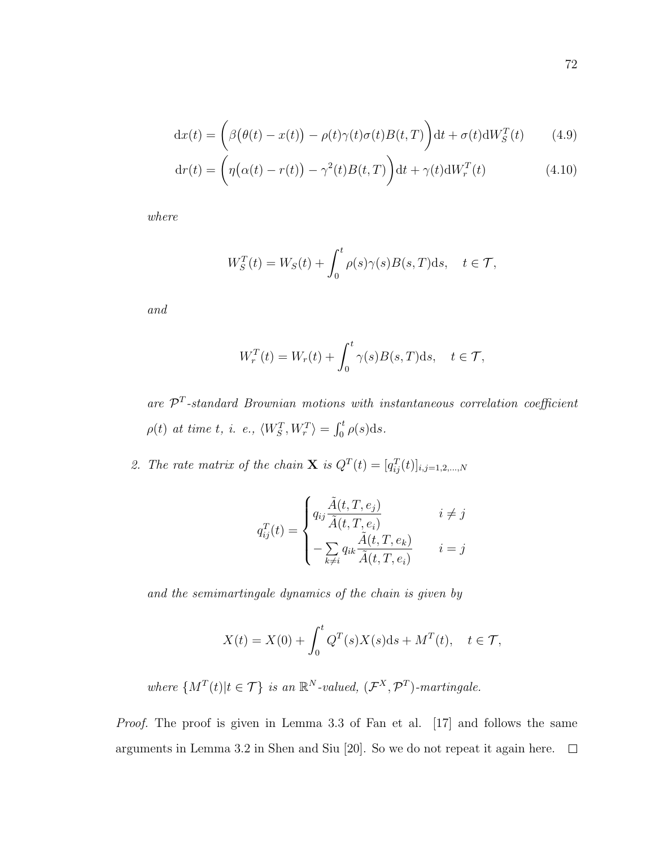$$
dx(t) = \left(\beta(\theta(t) - x(t)) - \rho(t)\gamma(t)\sigma(t)B(t,T)\right)dt + \sigma(t)dW_S^T(t) \tag{4.9}
$$

$$
dr(t) = \left(\eta\big(\alpha(t) - r(t)\big) - \gamma^2(t)B(t, T)\right)dt + \gamma(t)dW_r^T(t)
$$
\n(4.10)

where

$$
W_S^T(t) = W_S(t) + \int_0^t \rho(s)\gamma(s)B(s,T)\mathrm{d}s, \quad t \in \mathcal{T},
$$

and

$$
W_r^T(t) = W_r(t) + \int_0^t \gamma(s)B(s,T)ds, \quad t \in \mathcal{T},
$$

are  $\mathcal{P}^T$ -standard Brownian motions with instantaneous correlation coefficient  $\rho(t)$  at time t, i. e.,  $\langle W_S^T, W_r^T \rangle = \int_0^t \rho(s) \mathrm{d}s.$ 

2. The rate matrix of the chain **X** is  $Q^T(t) = [q_{ij}^T(t)]_{i,j=1,2,...,N}$ 

$$
q_{ij}^{T}(t) = \begin{cases} q_{ij} \frac{\tilde{A}(t, T, e_j)}{\tilde{A}(t, T, e_i)} & i \neq j \\ -\sum_{k \neq i} q_{ik} \frac{\tilde{A}(t, T, e_k)}{\tilde{A}(t, T, e_i)} & i = j \end{cases}
$$

and the semimartingale dynamics of the chain is given by

$$
X(t) = X(0) + \int_0^t Q^T(s)X(s)ds + M^T(t), \quad t \in \mathcal{T},
$$

where  $\{M^T(t)|t \in \mathcal{T}\}\$  is an  $\mathbb{R}^N$ -valued,  $(\mathcal{F}^X, \mathcal{P}^T)$ -martingale.

Proof. The proof is given in Lemma 3.3 of Fan et al. [17] and follows the same arguments in Lemma 3.2 in Shen and Siu [20]. So we do not repeat it again here.  $\Box$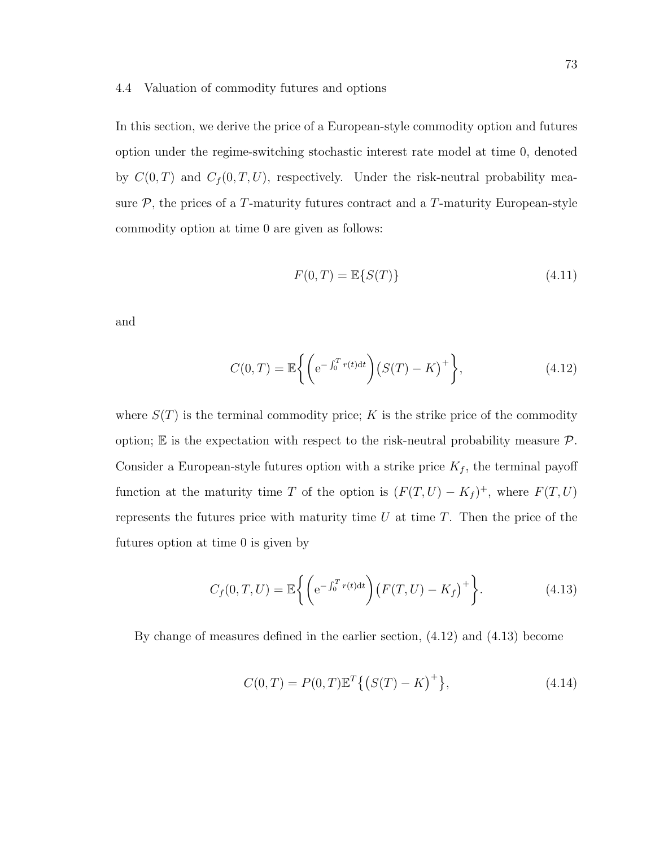#### 4.4 Valuation of commodity futures and options

In this section, we derive the price of a European-style commodity option and futures option under the regime-switching stochastic interest rate model at time 0, denoted by  $C(0,T)$  and  $C_f(0,T,U)$ , respectively. Under the risk-neutral probability measure  $P$ , the prices of a T-maturity futures contract and a T-maturity European-style commodity option at time 0 are given as follows:

$$
F(0,T) = \mathbb{E}\{S(T)\}\tag{4.11}
$$

and

$$
C(0,T) = \mathbb{E}\left\{ \left( e^{-\int_0^T r(t)dt} \right) (S(T) - K)^+ \right\},
$$
\n(4.12)

where  $S(T)$  is the terminal commodity price; K is the strike price of the commodity option;  $\mathbb E$  is the expectation with respect to the risk-neutral probability measure  $\mathcal P$ . Consider a European-style futures option with a strike price  $K_f$ , the terminal payoff function at the maturity time T of the option is  $(F(T, U) - K_f)^+$ , where  $F(T, U)$ represents the futures price with maturity time  $U$  at time  $T$ . Then the price of the futures option at time 0 is given by

$$
C_f(0,T,U) = \mathbb{E}\left\{ \left( e^{-\int_0^T r(t)dt} \right) \left( F(T,U) - K_f \right)^+ \right\}.
$$
 (4.13)

By change of measures defined in the earlier section, (4.12) and (4.13) become

$$
C(0,T) = P(0,T)\mathbb{E}^T\{(S(T) - K)^+\},\tag{4.14}
$$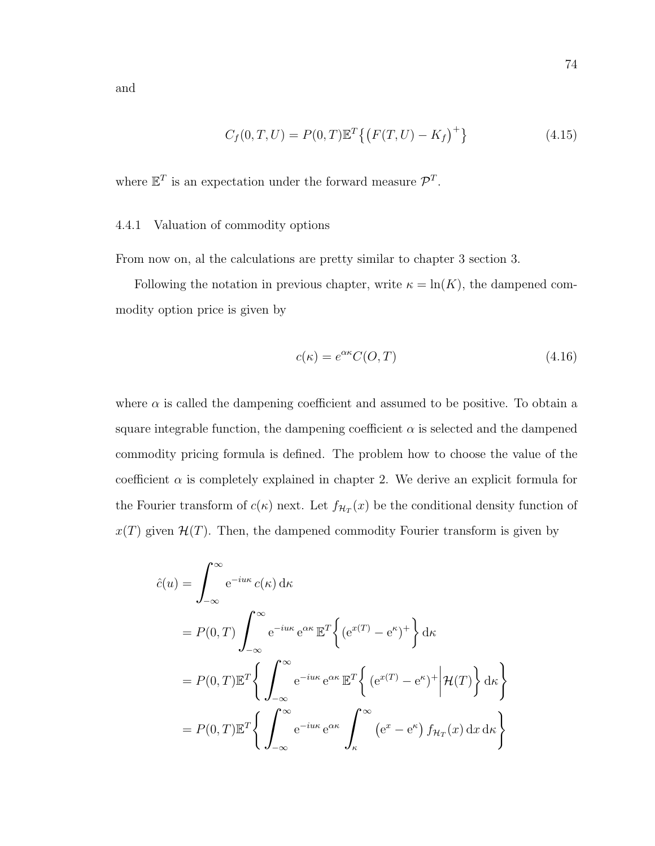and

$$
C_f(0,T,U) = P(0,T)\mathbb{E}^T\{(F(T,U) - K_f)^+\}
$$
\n(4.15)

where  $\mathbb{E}^T$  is an expectation under the forward measure  $\mathcal{P}^T$ .

### 4.4.1 Valuation of commodity options

From now on, al the calculations are pretty similar to chapter 3 section 3.

Following the notation in previous chapter, write  $\kappa = \ln(K)$ , the dampened commodity option price is given by

$$
c(\kappa) = e^{\alpha \kappa} C(O, T) \tag{4.16}
$$

where  $\alpha$  is called the dampening coefficient and assumed to be positive. To obtain a square integrable function, the dampening coefficient  $\alpha$  is selected and the dampened commodity pricing formula is defined. The problem how to choose the value of the coefficient  $\alpha$  is completely explained in chapter 2. We derive an explicit formula for the Fourier transform of  $c(\kappa)$  next. Let  $f_{\mathcal{H}_T}(x)$  be the conditional density function of  $x(T)$  given  $\mathcal{H}(T)$ . Then, the dampened commodity Fourier transform is given by

$$
\hat{c}(u) = \int_{-\infty}^{\infty} e^{-i u \kappa} c(\kappa) d\kappa
$$
  
\n
$$
= P(0, T) \int_{-\infty}^{\infty} e^{-i u \kappa} e^{\alpha \kappa} \mathbb{E}^{T} \left\{ (e^{x(T)} - e^{\kappa})^{+} \right\} d\kappa
$$
  
\n
$$
= P(0, T) \mathbb{E}^{T} \left\{ \int_{-\infty}^{\infty} e^{-i u \kappa} e^{\alpha \kappa} \mathbb{E}^{T} \left\{ (e^{x(T)} - e^{\kappa})^{+} \middle| \mathcal{H}(T) \right\} d\kappa \right\}
$$
  
\n
$$
= P(0, T) \mathbb{E}^{T} \left\{ \int_{-\infty}^{\infty} e^{-i u \kappa} e^{\alpha \kappa} \int_{\kappa}^{\infty} (e^{x} - e^{\kappa}) f_{\mathcal{H}_{T}}(x) dx d\kappa \right\}
$$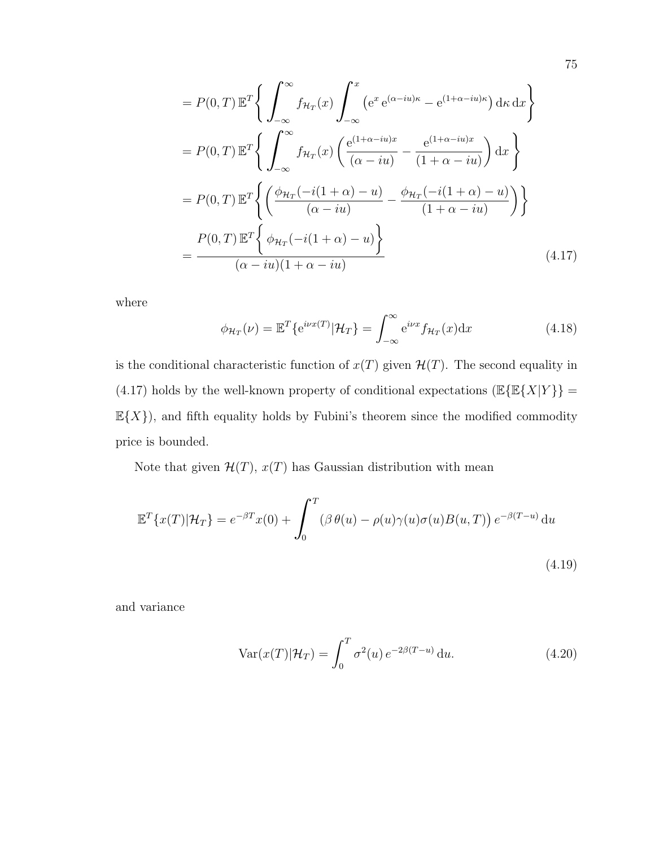$$
= P(0, T) \mathbb{E}^{T} \Bigg\{ \int_{-\infty}^{\infty} f_{\mathcal{H}_{T}}(x) \int_{-\infty}^{x} \left( e^{x} e^{(\alpha - iu)\kappa} - e^{(1 + \alpha - iu)\kappa} \right) d\kappa \, dx \Bigg\}
$$

$$
= P(0, T) \mathbb{E}^{T} \Bigg\{ \int_{-\infty}^{\infty} f_{\mathcal{H}_{T}}(x) \left( \frac{e^{(1 + \alpha - iu)x}}{(\alpha - iu)} - \frac{e^{(1 + \alpha - iu)x}}{(1 + \alpha - iu)} \right) dx \Bigg\}
$$

$$
= P(0, T) \mathbb{E}^{T} \Bigg\{ \left( \frac{\phi_{\mathcal{H}_{T}}(-i(1 + \alpha) - u)}{(\alpha - iu)} - \frac{\phi_{\mathcal{H}_{T}}(-i(1 + \alpha) - u)}{(1 + \alpha - iu)} \right) \Bigg\}
$$

$$
= \frac{P(0, T) \mathbb{E}^{T} \Bigg\{ \phi_{\mathcal{H}_{T}}(-i(1 + \alpha) - u) \Bigg\}}{(\alpha - iu)(1 + \alpha - iu)}
$$
(4.17)

where

$$
\phi_{\mathcal{H}_T}(\nu) = \mathbb{E}^T \{ e^{i\nu x(T)} | \mathcal{H}_T \} = \int_{-\infty}^{\infty} e^{i\nu x} f_{\mathcal{H}_T}(x) dx \tag{4.18}
$$

is the conditional characteristic function of  $x(T)$  given  $\mathcal{H}(T)$ . The second equality in (4.17) holds by the well-known property of conditional expectations  $(\mathbb{E}\{\mathbb{E}\{X|Y\}\}=$  $\mathbb{E}\{X\}$ ), and fifth equality holds by Fubini's theorem since the modified commodity price is bounded.

Note that given  $\mathcal{H}(T)$ ,  $x(T)$  has Gaussian distribution with mean

$$
\mathbb{E}^{T}\lbrace x(T)|\mathcal{H}_{T}\rbrace = e^{-\beta T}x(0) + \int_{0}^{T} (\beta \theta(u) - \rho(u)\gamma(u)\sigma(u)B(u,T)) e^{-\beta(T-u)} du
$$
\n(4.19)

and variance

$$
\text{Var}(x(T)|\mathcal{H}_T) = \int_0^T \sigma^2(u) e^{-2\beta(T-u)} \, \mathrm{d}u. \tag{4.20}
$$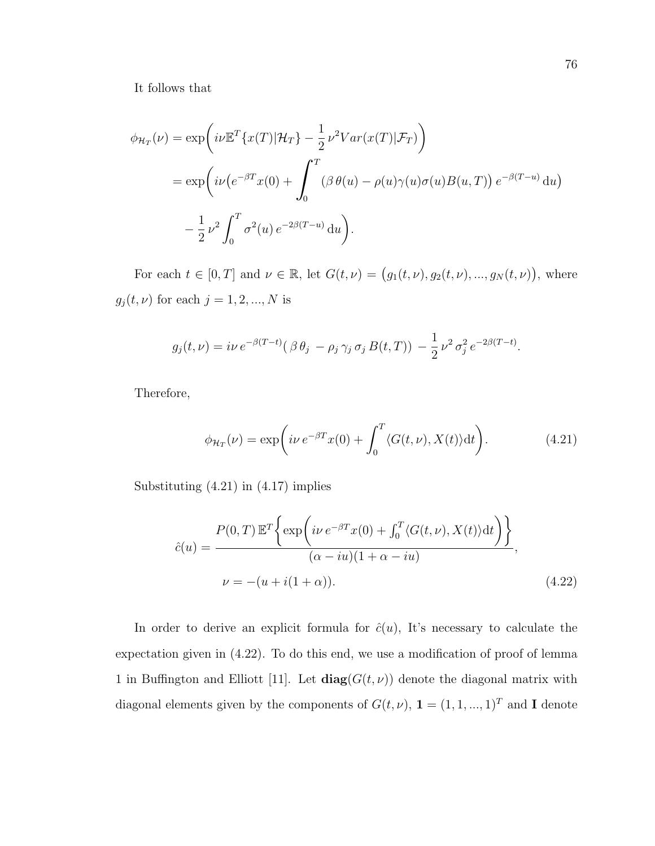It follows that

$$
\phi_{\mathcal{H}_T}(\nu) = \exp\left(i\nu \mathbb{E}^T \{x(T)|\mathcal{H}_T\} - \frac{1}{2} \nu^2 Var(x(T)|\mathcal{F}_T)\right)
$$
  
= 
$$
\exp\left(i\nu \left(e^{-\beta T}x(0) + \int_0^T (\beta \theta(u) - \rho(u)\gamma(u)\sigma(u)B(u,T)\right)e^{-\beta(T-u)}du\right)
$$
  

$$
-\frac{1}{2} \nu^2 \int_0^T \sigma^2(u) e^{-2\beta(T-u)} du.
$$

For each  $t \in [0, T]$  and  $\nu \in \mathbb{R}$ , let  $G(t, \nu) = (g_1(t, \nu), g_2(t, \nu), ..., g_N(t, \nu))$ , where  $g_j(t,\nu)$  for each  $j=1,2,...,N$  is

$$
g_j(t,\nu) = i\nu e^{-\beta(T-t)} (\beta \theta_j - \rho_j \gamma_j \sigma_j B(t,T)) - \frac{1}{2} \nu^2 \sigma_j^2 e^{-2\beta(T-t)}.
$$

Therefore,

$$
\phi_{\mathcal{H}_T}(\nu) = \exp\bigg(i\nu \, e^{-\beta T} x(0) + \int_0^T \langle G(t,\nu), X(t) \rangle \mathrm{d}t\bigg). \tag{4.21}
$$

Substituting (4.21) in (4.17) implies

$$
\hat{c}(u) = \frac{P(0,T) \mathbb{E}^T \left\{ \exp\left(i\nu e^{-\beta T} x(0) + \int_0^T \langle G(t,\nu), X(t) \rangle dt\right) \right\}}{(\alpha - iu)(1 + \alpha - iu)},
$$
\n
$$
\nu = -(u + i(1 + \alpha)). \tag{4.22}
$$

In order to derive an explicit formula for  $\hat{c}(u)$ , It's necessary to calculate the expectation given in (4.22). To do this end, we use a modification of proof of lemma 1 in Buffington and Elliott [11]. Let  $diag(G(t, \nu))$  denote the diagonal matrix with diagonal elements given by the components of  $G(t,\nu),\,\mathbf{1}=(1,1,...,1)^T$  and  $\mathbf{I}$  denote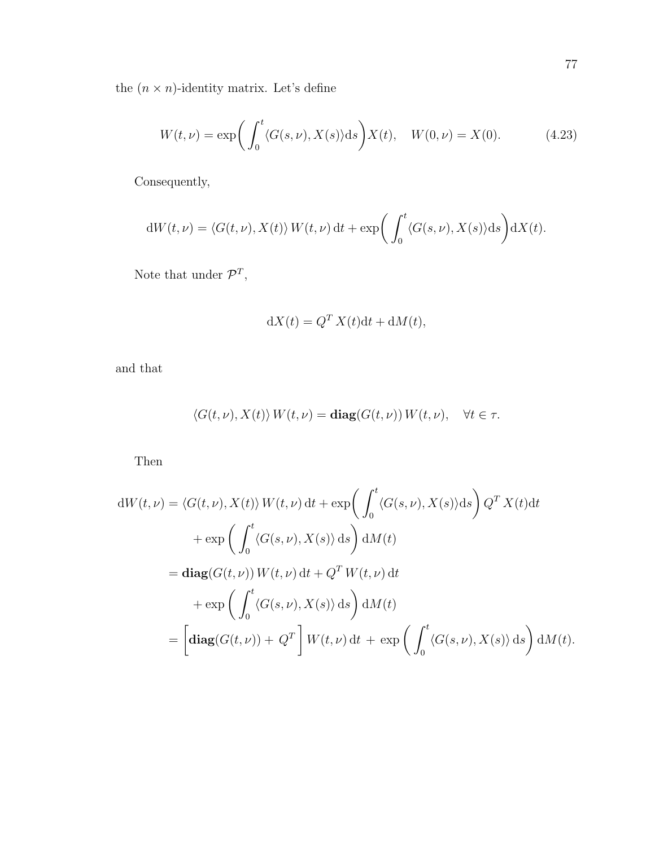the  $(n\times n)$ -identity matrix. Let's define

$$
W(t,\nu) = \exp\bigg(\int_0^t \langle G(s,\nu), X(s) \rangle ds\bigg) X(t), \quad W(0,\nu) = X(0). \tag{4.23}
$$

Consequently,

$$
dW(t,\nu) = \langle G(t,\nu), X(t) \rangle W(t,\nu) dt + \exp\bigg(\int_0^t \langle G(s,\nu), X(s) \rangle ds\bigg) dX(t).
$$

Note that under  $\mathcal{P}^T$ ,

$$
dX(t) = Q^T X(t) dt + dM(t),
$$

and that

$$
\langle G(t,\nu), X(t) \rangle W(t,\nu) = \mathbf{diag}(G(t,\nu)) W(t,\nu), \quad \forall t \in \tau.
$$

Then

$$
dW(t,\nu) = \langle G(t,\nu), X(t) \rangle W(t,\nu) dt + \exp\left(\int_0^t \langle G(s,\nu), X(s) \rangle ds\right) Q^T X(t) dt
$$
  
+ 
$$
\exp\left(\int_0^t \langle G(s,\nu), X(s) \rangle ds\right) dM(t)
$$
  
= 
$$
\mathbf{diag}(G(t,\nu)) W(t,\nu) dt + Q^T W(t,\nu) dt
$$
  
+ 
$$
\exp\left(\int_0^t \langle G(s,\nu), X(s) \rangle ds\right) dM(t)
$$
  
= 
$$
\left[\mathbf{diag}(G(t,\nu)) + Q^T\right] W(t,\nu) dt + \exp\left(\int_0^t \langle G(s,\nu), X(s) \rangle ds\right) dM(t).
$$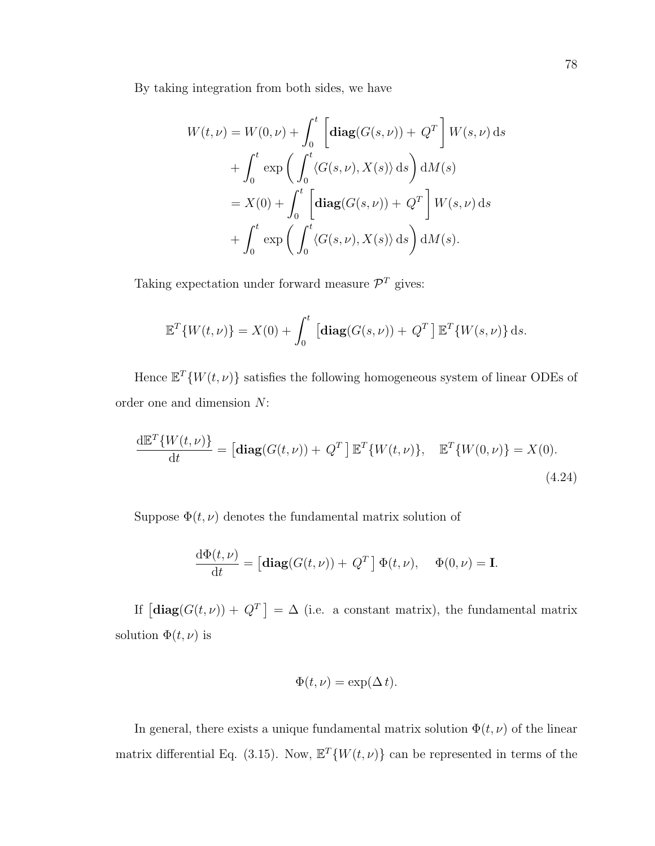By taking integration from both sides, we have

$$
W(t,\nu) = W(0,\nu) + \int_0^t \left[ \operatorname{diag}(G(s,\nu)) + Q^T \right] W(s,\nu) \, ds
$$
  
+ 
$$
\int_0^t \exp\left(\int_0^t \langle G(s,\nu), X(s) \rangle \, ds\right) dM(s)
$$
  
= 
$$
X(0) + \int_0^t \left[ \operatorname{diag}(G(s,\nu)) + Q^T \right] W(s,\nu) \, ds
$$
  
+ 
$$
\int_0^t \exp\left(\int_0^t \langle G(s,\nu), X(s) \rangle \, ds\right) dM(s).
$$

Taking expectation under forward measure  $\mathcal{P}^T$  gives:

$$
\mathbb{E}^T\{W(t,\nu)\} = X(0) + \int_0^t \left[\text{diag}(G(s,\nu)) + Q^T\right] \mathbb{E}^T\{W(s,\nu)\} ds.
$$

Hence  $\mathbb{E}^T \{ W(t, \nu) \}$  satisfies the following homogeneous system of linear ODEs of order one and dimension N:

$$
\frac{\mathrm{d}\mathbb{E}^T\{W(t,\nu)\}}{\mathrm{d}t} = \left[\text{diag}(G(t,\nu)) + Q^T\right] \mathbb{E}^T\{W(t,\nu)\}, \quad \mathbb{E}^T\{W(0,\nu)\} = X(0).
$$
\n(4.24)

Suppose  $\Phi(t,\nu)$  denotes the fundamental matrix solution of

$$
\frac{\mathrm{d}\Phi(t,\nu)}{\mathrm{d}t} = \left[\mathbf{diag}(G(t,\nu)) + Q^T\right] \Phi(t,\nu), \quad \Phi(0,\nu) = \mathbf{I}.
$$

If  $\left[\text{diag}(G(t,\nu)) + Q^T\right] = \Delta$  (i.e. a constant matrix), the fundamental matrix solution  $\Phi(t,\nu)$  is

$$
\Phi(t,\nu) = \exp(\Delta t).
$$

In general, there exists a unique fundamental matrix solution  $\Phi(t, \nu)$  of the linear matrix differential Eq. (3.15). Now,  $\mathbb{E}^{T}\{W(t,\nu)\}\)$  can be represented in terms of the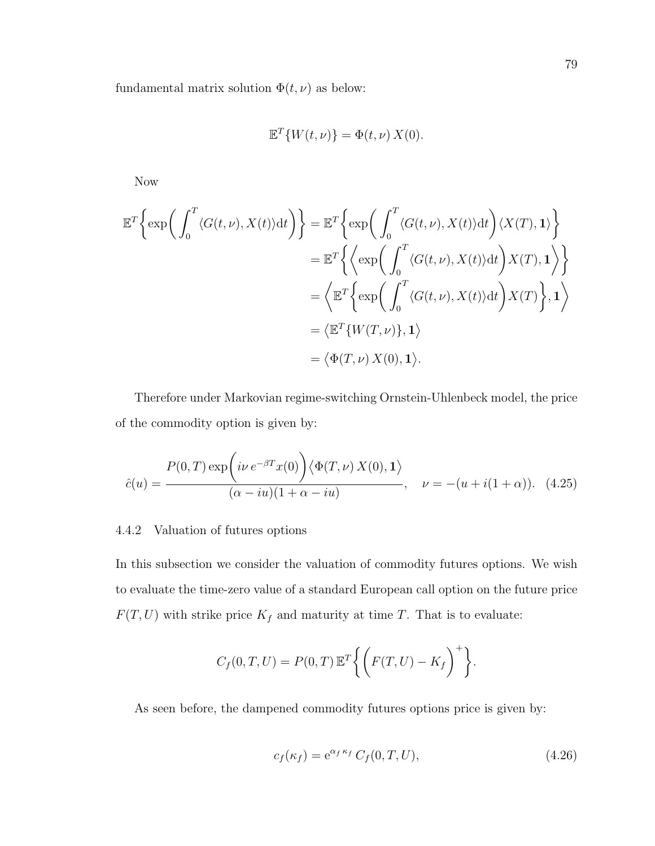fundamental matrix solution  $\Phi(t, \nu)$  as below:

$$
\mathbb{E}^T \{ W(t,\nu) \} = \Phi(t,\nu) X(0).
$$

Now

$$
\mathbb{E}^{T}\Big\{\exp\bigg(\int_{0}^{T}\langle G(t,\nu),X(t)\rangle dt\bigg)\Big\} = \mathbb{E}^{T}\Big\{\exp\bigg(\int_{0}^{T}\langle G(t,\nu),X(t)\rangle dt\bigg)\langle X(T),1\rangle\Big\}
$$
  
\n
$$
= \mathbb{E}^{T}\Big\{\Big\langle \exp\bigg(\int_{0}^{T}\langle G(t,\nu),X(t)\rangle dt\bigg)\overline{X(T)},1\Big\rangle\Big\}
$$
  
\n
$$
= \Big\langle \mathbb{E}^{T}\Big\{\exp\bigg(\int_{0}^{T}\langle G(t,\nu),X(t)\rangle dt\bigg)\overline{X(T)}\Big\},1\Big\rangle
$$
  
\n
$$
= \langle \mathbb{E}^{T}\{W(T,\nu)\},1\rangle
$$
  
\n
$$
= \langle \Phi(T,\nu)\overline{X(0)},1\rangle.
$$

Therefore under Markovian regime-switching Ornstein-Uhlenbeck model, the price of the commodity option is given by:

$$
\hat{c}(u) = \frac{P(0,T) \exp\left(i\nu e^{-\beta T}x(0)\right) \langle \Phi(T,\nu) X(0), \mathbf{1}\rangle}{(\alpha - iu)(1 + \alpha - iu)}, \quad \nu = -(u + i(1 + \alpha)). \tag{4.25}
$$

# 4.4.2 Valuation of futures options

In this subsection we consider the valuation of commodity futures options. We wish to evaluate the time-zero value of a standard European call option on the future price  $F(T, U)$  with strike price  $K_f$  and maturity at time T. That is to evaluate:

$$
C_f(0,T,U) = P(0,T) \mathbb{E}^T \bigg\{ \bigg(F(T,U) - K_f \bigg)^+ \bigg\}.
$$

As seen before, the dampened commodity futures options price is given by:

$$
c_f(\kappa_f) = e^{\alpha_f \kappa_f} C_f(0, T, U), \qquad (4.26)
$$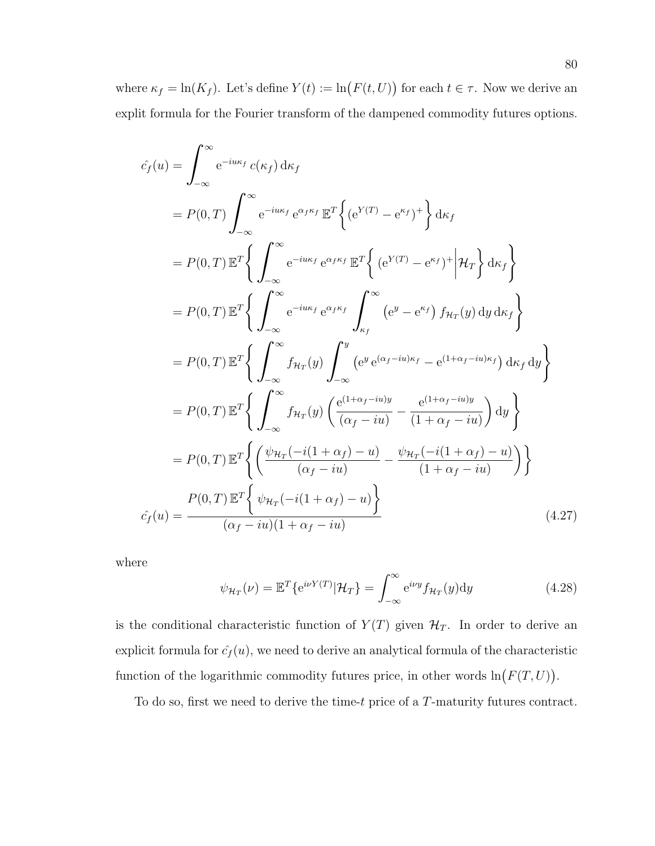where  $\kappa_f = \ln(K_f)$ . Let's define  $Y(t) := \ln(F(t, U))$  for each  $t \in \tau$ . Now we derive an explit formula for the Fourier transform of the dampened commodity futures options.

$$
\hat{c}_f(u) = \int_{-\infty}^{\infty} e^{-i u \kappa_f} c(\kappa_f) d\kappa_f
$$
  
\n
$$
= P(0, T) \int_{-\infty}^{\infty} e^{-i u \kappa_f} e^{\alpha_f \kappa_f} \mathbb{E}^T \Big\{ (e^{Y(T)} - e^{\kappa_f})^+ \Big\} d\kappa_f
$$
  
\n
$$
= P(0, T) \mathbb{E}^T \Big\{ \int_{-\infty}^{\infty} e^{-i u \kappa_f} e^{\alpha_f \kappa_f} \mathbb{E}^T \Big\{ (e^{Y(T)} - e^{\kappa_f})^+ \Big| \mathcal{H}_T \Big\} d\kappa_f \Big\}
$$
  
\n
$$
= P(0, T) \mathbb{E}^T \Big\{ \int_{-\infty}^{\infty} e^{-i u \kappa_f} e^{\alpha_f \kappa_f} \int_{\kappa_f}^{\infty} (e^y - e^{\kappa_f}) f \mathcal{H}_T(y) dy d\kappa_f \Big\}
$$
  
\n
$$
= P(0, T) \mathbb{E}^T \Big\{ \int_{-\infty}^{\infty} f \mathcal{H}_T(y) \int_{-\infty}^y (e^y e^{(\alpha_f - i u) \kappa_f} - e^{(1 + \alpha_f - i u) \kappa_f}) d\kappa_f dy \Big\}
$$
  
\n
$$
= P(0, T) \mathbb{E}^T \Big\{ \int_{-\infty}^{\infty} f \mathcal{H}_T(y) \Big( \frac{e^{(1 + \alpha_f - i u) y}}{(\alpha_f - i u)} - \frac{e^{(1 + \alpha_f - i u) y}}{(1 + \alpha_f - i u)} \Big) dy \Big\}
$$
  
\n
$$
= P(0, T) \mathbb{E}^T \Big\{ \Big( \frac{\psi_{\mathcal{H}_T}(-i(1 + \alpha_f) - u)}{(\alpha_f - i u)} - \frac{\psi_{\mathcal{H}_T}(-i(1 + \alpha_f) - u)}{(1 + \alpha_f - i u)} \Big) \Big\}
$$
  
\n
$$
\hat{c}_f(u) = \frac{P(0, T) \mathbb{E}^T \Big\{ \psi_{\mathcal{H}_T}(-i(1 + \alpha_f) - u)}{(\alpha_f - i u)(1 + \alpha_f - i u)}
$$

where

$$
\psi_{\mathcal{H}_T}(\nu) = \mathbb{E}^T \{ e^{i\nu Y(T)} | \mathcal{H}_T \} = \int_{-\infty}^{\infty} e^{i\nu y} f_{\mathcal{H}_T}(y) dy \qquad (4.28)
$$

is the conditional characteristic function of  $Y(T)$  given  $\mathcal{H}_T$ . In order to derive an explicit formula for  $\hat{c}_f(u)$ , we need to derive an analytical formula of the characteristic function of the logarithmic commodity futures price, in other words  $\ln(F(T, U))$ .

To do so, first we need to derive the time-t price of a T-maturity futures contract.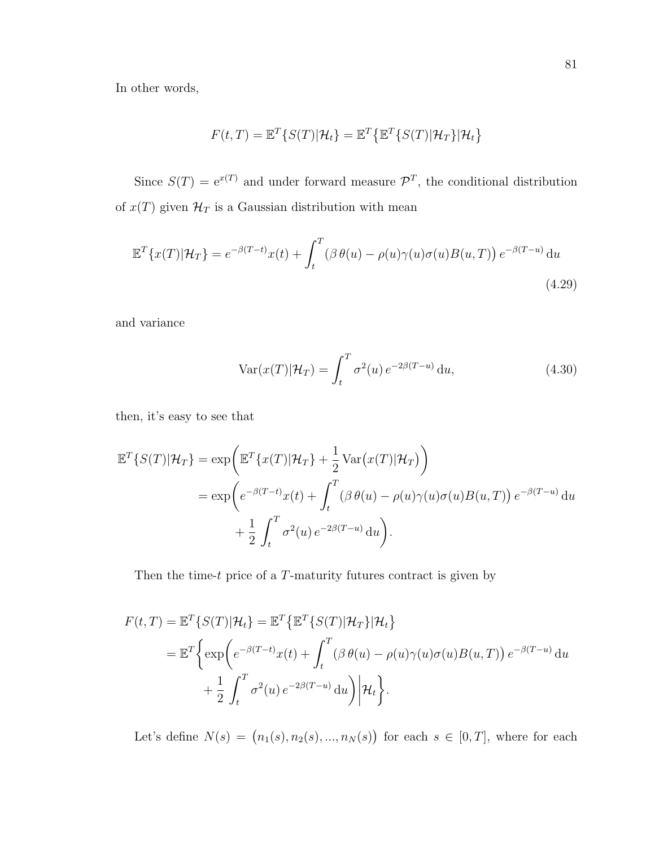In other words,

$$
F(t,T) = \mathbb{E}^T \{ S(T) | \mathcal{H}_t \} = \mathbb{E}^T \{ \mathbb{E}^T \{ S(T) | \mathcal{H}_T \} | \mathcal{H}_t \}
$$

Since  $S(T) = e^{x(T)}$  and under forward measure  $\mathcal{P}^{T}$ , the conditional distribution of  $x(T)$  given  $\mathcal{H}_T$  is a Gaussian distribution with mean

$$
\mathbb{E}^{T}\lbrace x(T)|\mathcal{H}_{T}\rbrace = e^{-\beta(T-t)}x(t) + \int_{t}^{T} (\beta \theta(u) - \rho(u)\gamma(u)\sigma(u)B(u,T)) e^{-\beta(T-u)} du
$$
\n(4.29)

and variance

$$
\text{Var}(x(T)|\mathcal{H}_T) = \int_t^T \sigma^2(u) e^{-2\beta(T-u)} \, \mathrm{d}u,\tag{4.30}
$$

then, it's easy to see that

$$
\mathbb{E}^{T}\{S(T)|\mathcal{H}_{T}\} = \exp\left(\mathbb{E}^{T}\{x(T)|\mathcal{H}_{T}\} + \frac{1}{2}\text{Var}\big(x(T)|\mathcal{H}_{T}\big)\right)
$$
  
= 
$$
\exp\left(e^{-\beta(T-t)}x(t) + \int_{t}^{T} (\beta \theta(u) - \rho(u)\gamma(u)\sigma(u)B(u,T)) e^{-\beta(T-u)} du + \frac{1}{2} \int_{t}^{T} \sigma^{2}(u) e^{-2\beta(T-u)} du\right).
$$

Then the time- $t$  price of a  $T$ -maturity futures contract is given by

$$
F(t,T) = \mathbb{E}^{T} \{ S(T) | \mathcal{H}_{t} \} = \mathbb{E}^{T} \{ \mathbb{E}^{T} \{ S(T) | \mathcal{H}_{T} \} | \mathcal{H}_{t} \}
$$
  
= 
$$
\mathbb{E}^{T} \Biggl\{ \exp \Biggl( e^{-\beta (T-t)} x(t) + \int_{t}^{T} (\beta \theta(u) - \rho(u) \gamma(u) \sigma(u) B(u, T)) e^{-\beta (T-u)} du + \frac{1}{2} \int_{t}^{T} \sigma^{2}(u) e^{-2\beta (T-u)} du \Biggr) \Biggr| \mathcal{H}_{t} \Biggr\}.
$$

Let's define  $N(s) = (n_1(s), n_2(s), ..., n_N(s))$  for each  $s \in [0, T]$ , where for each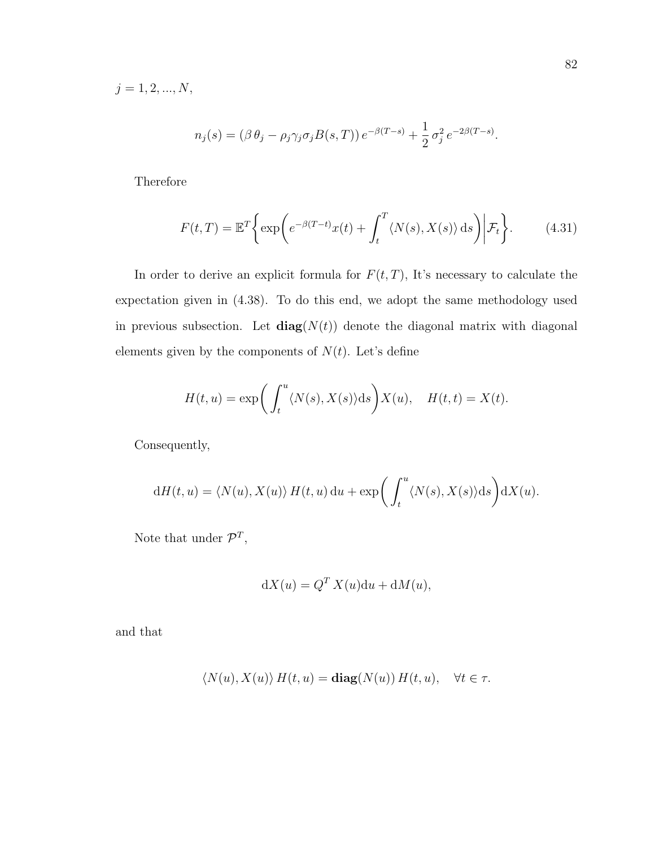$j = 1, 2, ..., N,$ 

$$
n_j(s) = (\beta \theta_j - \rho_j \gamma_j \sigma_j B(s, T)) e^{-\beta (T - s)} + \frac{1}{2} \sigma_j^2 e^{-2\beta (T - s)}.
$$

Therefore

$$
F(t,T) = \mathbb{E}^T \left\{ \exp \left( e^{-\beta(T-t)} x(t) + \int_t^T \langle N(s), X(s) \rangle \, \mathrm{d}s \right) \middle| \mathcal{F}_t \right\}.
$$
 (4.31)

In order to derive an explicit formula for  $F(t,T)$ , It's necessary to calculate the expectation given in (4.38). To do this end, we adopt the same methodology used in previous subsection. Let  $diag(N(t))$  denote the diagonal matrix with diagonal elements given by the components of  $N(t)$ . Let's define

$$
H(t, u) = \exp\bigg(\int_t^u \langle N(s), X(s) \rangle ds\bigg) X(u), \quad H(t, t) = X(t).
$$

Consequently,

$$
dH(t, u) = \langle N(u), X(u) \rangle H(t, u) du + \exp\left(\int_t^u \langle N(s), X(s) \rangle ds\right) dX(u).
$$

Note that under  $\mathcal{P}^T$ ,

$$
dX(u) = Q^T X(u) du + dM(u),
$$

and that

$$
\langle N(u), X(u) \rangle H(t, u) = \mathbf{diag}(N(u)) H(t, u), \quad \forall t \in \tau.
$$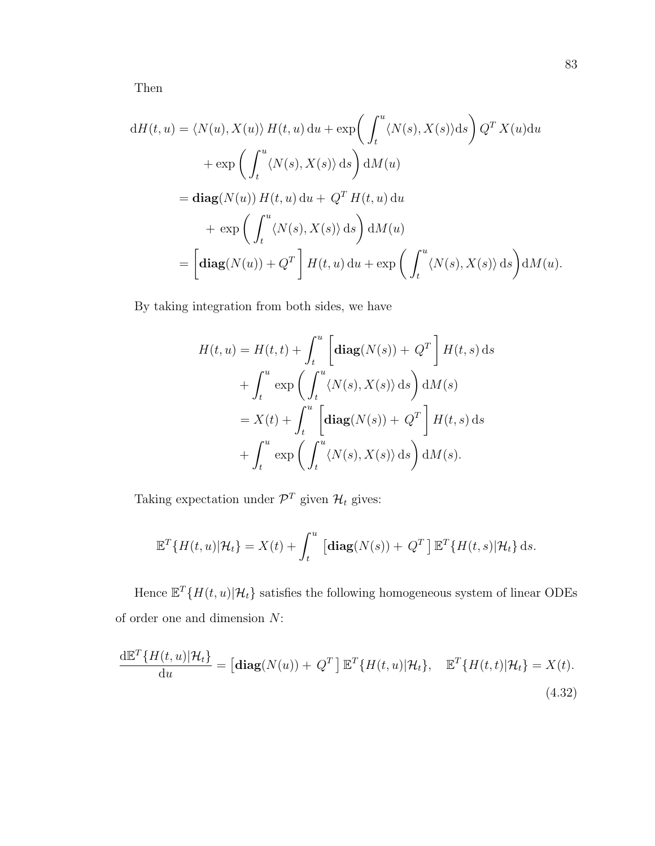Then

$$
dH(t, u) = \langle N(u), X(u) \rangle H(t, u) du + \exp\left(\int_t^u \langle N(s), X(s) \rangle ds\right) Q^T X(u) du
$$
  
+ 
$$
\exp\left(\int_t^u \langle N(s), X(s) \rangle ds\right) dM(u)
$$
  
= 
$$
\mathbf{diag}(N(u)) H(t, u) du + Q^T H(t, u) du
$$
  
+ 
$$
\exp\left(\int_t^u \langle N(s), X(s) \rangle ds\right) dM(u)
$$
  
= 
$$
\left[\mathbf{diag}(N(u)) + Q^T\right] H(t, u) du + \exp\left(\int_t^u \langle N(s), X(s) \rangle ds\right) dM(u).
$$

By taking integration from both sides, we have

$$
H(t, u) = H(t, t) + \int_{t}^{u} \left[ \operatorname{diag}(N(s)) + Q^{T} \right] H(t, s) \, ds
$$

$$
+ \int_{t}^{u} \exp\left(\int_{t}^{u} \langle N(s), X(s) \rangle \, ds\right) dM(s)
$$

$$
= X(t) + \int_{t}^{u} \left[ \operatorname{diag}(N(s)) + Q^{T} \right] H(t, s) \, ds
$$

$$
+ \int_{t}^{u} \exp\left(\int_{t}^{u} \langle N(s), X(s) \rangle \, ds\right) dM(s).
$$

Taking expectation under  $\mathcal{P}^T$  given  $\mathcal{H}_t$  gives:

$$
\mathbb{E}^T\{H(t,u)|\mathcal{H}_t\} = X(t) + \int_t^u \left[\mathbf{diag}(N(s)) + Q^T\right] \mathbb{E}^T\{H(t,s)|\mathcal{H}_t\} ds.
$$

Hence  $\mathbb{E}^T\{H(t, u)|\mathcal{H}_t\}$  satisfies the following homogeneous system of linear ODEs of order one and dimension N:

$$
\frac{\mathrm{d}\mathbb{E}^T\{H(t,u)|\mathcal{H}_t\}}{\mathrm{d}u} = \left[\mathbf{diag}(N(u)) + Q^T\right]\mathbb{E}^T\{H(t,u)|\mathcal{H}_t\}, \quad \mathbb{E}^T\{H(t,t)|\mathcal{H}_t\} = X(t).
$$
\n(4.32)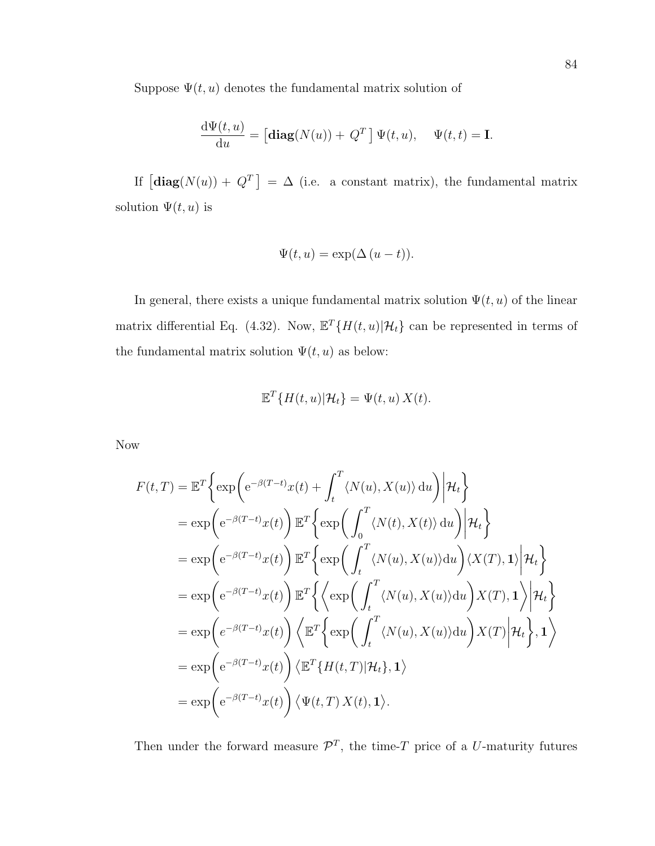Suppose  $\Psi(t, u)$  denotes the fundamental matrix solution of

$$
\frac{\mathrm{d}\Psi(t,u)}{\mathrm{d}u} = \left[\mathbf{diag}(N(u)) + Q^T\right]\Psi(t,u), \quad \Psi(t,t) = \mathbf{I}.
$$

If  $\left[\text{diag}(N(u)) + Q^T\right] = \Delta$  (i.e. a constant matrix), the fundamental matrix solution  $\Psi(t, u)$  is

$$
\Psi(t, u) = \exp(\Delta (u - t)).
$$

In general, there exists a unique fundamental matrix solution  $\Psi(t, u)$  of the linear matrix differential Eq. (4.32). Now,  $\mathbb{E}^{T}\{H(t, u)|\mathcal{H}_{t}\}$  can be represented in terms of the fundamental matrix solution  $\Psi(t, u)$  as below:

$$
\mathbb{E}^T\{H(t,u)|\mathcal{H}_t\} = \Psi(t,u) X(t).
$$

Now

$$
F(t,T) = \mathbb{E}^{T} \Biggl\{ \exp \Biggl( e^{-\beta(T-t)} x(t) + \int_{t}^{T} \langle N(u), X(u) \rangle du \Biggr) \Biggr| \mathcal{H}_{t} \Biggr\}
$$
  
\n
$$
= \exp \Biggl( e^{-\beta(T-t)} x(t) \Biggr) \mathbb{E}^{T} \Biggl\{ \exp \Biggl( \int_{0}^{T} \langle N(t), X(t) \rangle du \Biggr) \Biggr| \mathcal{H}_{t} \Biggr\}
$$
  
\n
$$
= \exp \Biggl( e^{-\beta(T-t)} x(t) \Biggr) \mathbb{E}^{T} \Biggl\{ \exp \Biggl( \int_{t}^{T} \langle N(u), X(u) \rangle du \Biggr) \langle X(T), 1 \rangle \Biggr| \mathcal{H}_{t} \Biggr\}
$$
  
\n
$$
= \exp \Biggl( e^{-\beta(T-t)} x(t) \Biggr) \mathbb{E}^{T} \Biggl\{ \Biggl\{ \exp \Biggl( \int_{t}^{T} \langle N(u), X(u) \rangle du \Biggr) X(T), 1 \Biggr) \Biggr| \mathcal{H}_{t} \Biggr\}
$$
  
\n
$$
= \exp \Biggl( e^{-\beta(T-t)} x(t) \Biggr) \Biggl\langle \mathbb{E}^{T} \Biggl\{ \exp \Biggl( \int_{t}^{T} \langle N(u), X(u) \rangle du \Biggr) X(T) \Biggr| \mathcal{H}_{t} \Biggr\}, 1 \Biggr\rangle
$$
  
\n
$$
= \exp \Biggl( e^{-\beta(T-t)} x(t) \Biggr) \Biggl\langle \mathbb{E}^{T} \{ H(t, T) | \mathcal{H}_{t} \}, 1 \Biggr\rangle
$$
  
\n
$$
= \exp \Biggl( e^{-\beta(T-t)} x(t) \Biggr) \Biggl\langle \Psi(t, T) X(t), 1 \Biggr\rangle.
$$

Then under the forward measure  $\mathcal{P}^T$ , the time-T price of a U-maturity futures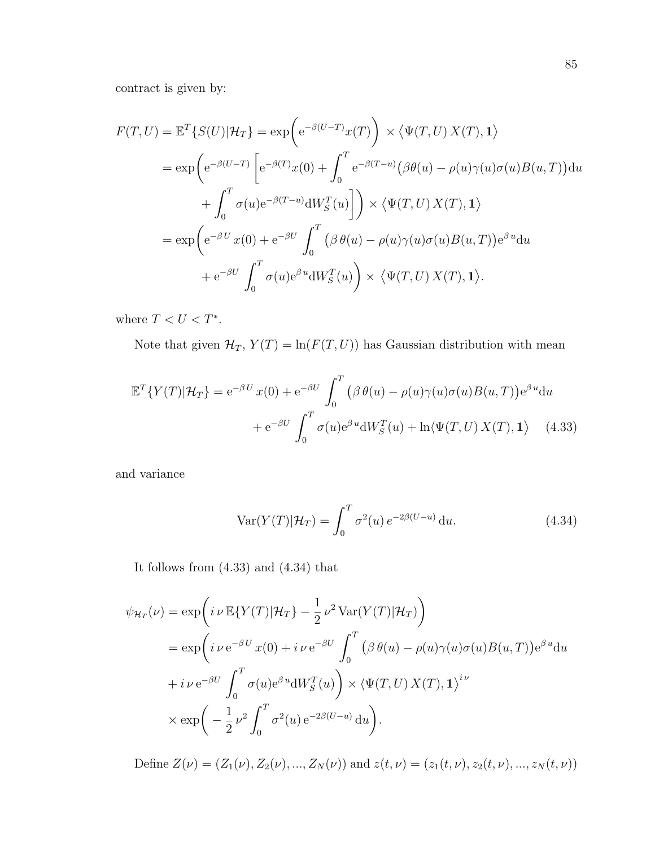contract is given by:

$$
F(T, U) = \mathbb{E}^{T} \{ S(U) | \mathcal{H}_{T} \} = \exp \left( e^{-\beta(U-T)} x(T) \right) \times \langle \Psi(T, U) X(T), 1 \rangle
$$
  
\n
$$
= \exp \left( e^{-\beta(U-T)} \left[ e^{-\beta(T)} x(0) + \int_{0}^{T} e^{-\beta(T-u)} (\beta \theta(u) - \rho(u) \gamma(u) \sigma(u) B(u, T)) \, du \right. \right.\n+ \int_{0}^{T} \sigma(u) e^{-\beta(T-u)} dW_{S}^{T}(u) \right] \right) \times \langle \Psi(T, U) X(T), 1 \rangle
$$
  
\n
$$
= \exp \left( e^{-\beta U} x(0) + e^{-\beta U} \int_{0}^{T} (\beta \theta(u) - \rho(u) \gamma(u) \sigma(u) B(u, T)) e^{\beta u} du
$$
  
\n
$$
+ e^{-\beta U} \int_{0}^{T} \sigma(u) e^{\beta u} dW_{S}^{T}(u) \right) \times \langle \Psi(T, U) X(T), 1 \rangle.
$$

where  $T < U < T^*$ .

Note that given  $\mathcal{H}_T$ ,  $Y(T) = \ln(F(T, U))$  has Gaussian distribution with mean

$$
\mathbb{E}^{T}\lbrace Y(T)|\mathcal{H}_{T}\rbrace = e^{-\beta U} x(0) + e^{-\beta U} \int_{0}^{T} (\beta \theta(u) - \rho(u)\gamma(u)\sigma(u)B(u,T))e^{\beta u} du
$$

$$
+ e^{-\beta U} \int_{0}^{T} \sigma(u)e^{\beta u}dW_{S}^{T}(u) + \ln\langle\Psi(T,U) X(T), \mathbf{1}\rangle \tag{4.33}
$$

and variance

$$
\operatorname{Var}(Y(T)|\mathcal{H}_T) = \int_0^T \sigma^2(u) e^{-2\beta(U-u)} du. \tag{4.34}
$$

It follows from (4.33) and (4.34) that

$$
\psi_{\mathcal{H}_T}(\nu) = \exp\left(i \nu \mathbb{E}\{Y(T)|\mathcal{H}_T\} - \frac{1}{2} \nu^2 \operatorname{Var}(Y(T)|\mathcal{H}_T)\right)
$$
  
\n
$$
= \exp\left(i \nu \mathrm{e}^{-\beta U} x(0) + i \nu \mathrm{e}^{-\beta U} \int_0^T \left(\beta \theta(u) - \rho(u)\gamma(u)\sigma(u)B(u,T)\right) \mathrm{e}^{\beta u} \mathrm{d}u
$$
  
\n
$$
+ i \nu \mathrm{e}^{-\beta U} \int_0^T \sigma(u) \mathrm{e}^{\beta u} \mathrm{d}W_S^T(u) \right) \times \left\langle \Psi(T,U) X(T), \mathbf{1} \right\rangle^{i\nu}
$$
  
\n
$$
\times \exp\left(-\frac{1}{2} \nu^2 \int_0^T \sigma^2(u) \mathrm{e}^{-2\beta(U-u)} \mathrm{d}u\right).
$$

Define  $Z(\nu) = (Z_1(\nu), Z_2(\nu), ..., Z_N(\nu))$  and  $z(t, \nu) = (z_1(t, \nu), z_2(t, \nu), ..., z_N(t, \nu))$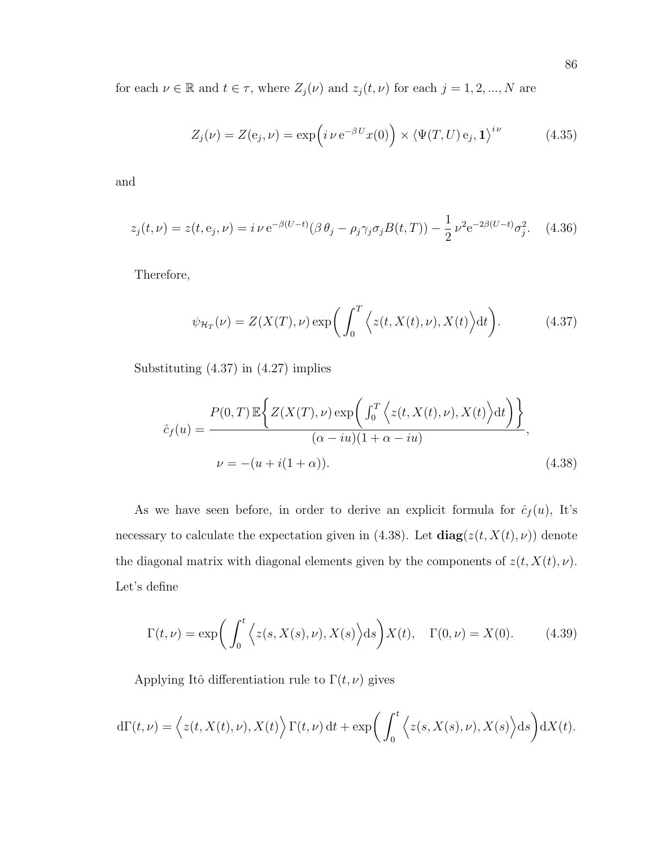for each  $\nu \in \mathbb{R}$  and  $t \in \tau$ , where  $Z_j(\nu)$  and  $z_j(t, \nu)$  for each  $j = 1, 2, ..., N$  are

$$
Z_j(\nu) = Z(e_j, \nu) = \exp\left(i \nu e^{-\beta U} x(0)\right) \times \left\langle \Psi(T, U) e_j, \mathbf{1} \right\rangle^{i\nu}
$$
(4.35)

and

$$
z_j(t,\nu) = z(t, e_j, \nu) = i \nu e^{-\beta(U-t)} (\beta \theta_j - \rho_j \gamma_j \sigma_j B(t, T)) - \frac{1}{2} \nu^2 e^{-2\beta(U-t)} \sigma_j^2.
$$
 (4.36)

Therefore,

$$
\psi_{\mathcal{H}_T}(\nu) = Z(X(T), \nu) \exp\bigg(\int_0^T \Big\langle z(t, X(t), \nu), X(t) \Big\rangle dt\bigg). \tag{4.37}
$$

Substituting (4.37) in (4.27) implies

$$
\hat{c}_f(u) = \frac{P(0,T) \mathbb{E}\left\{ Z(X(T),\nu) \exp\left(\int_0^T \left\langle z(t,X(t),\nu), X(t) \right\rangle dt\right) \right\}}{(\alpha - iu)(1 + \alpha - iu)},
$$
\n
$$
\nu = -(u + i(1 + \alpha)). \tag{4.38}
$$

As we have seen before, in order to derive an explicit formula for  $\hat{c}_f(u)$ , It's necessary to calculate the expectation given in (4.38). Let  $diag(z(t, X(t), \nu))$  denote the diagonal matrix with diagonal elements given by the components of  $z(t, X(t), \nu)$ . Let's define

$$
\Gamma(t,\nu) = \exp\bigg(\int_0^t \Big\langle z(s,X(s),\nu), X(s)\Big\rangle ds\bigg)X(t), \quad \Gamma(0,\nu) = X(0). \tag{4.39}
$$

Applying Itô differentiation rule to  $\Gamma(t, \nu)$  gives

$$
d\Gamma(t,\nu) = \left\langle z(t,X(t),\nu),X(t)\right\rangle \Gamma(t,\nu) dt + \exp\bigg(\int_0^t \left\langle z(s,X(s),\nu),X(s)\right\rangle ds\bigg) dX(t).
$$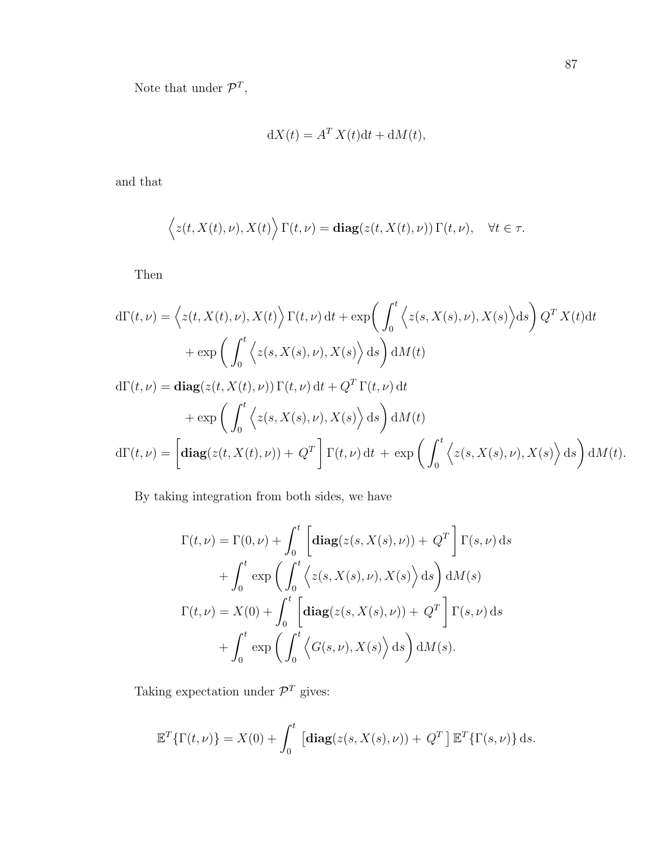Note that under  $\mathcal{P}^T$ ,

$$
dX(t) = A^T X(t) dt + dM(t),
$$

and that

$$
\langle z(t, X(t), \nu), X(t) \rangle \Gamma(t, \nu) = \mathbf{diag}(z(t, X(t), \nu)) \Gamma(t, \nu), \quad \forall t \in \tau.
$$

Then

$$
d\Gamma(t,\nu) = \left\langle z(t,X(t),\nu), X(t) \right\rangle \Gamma(t,\nu) dt + \exp\left(\int_0^t \left\langle z(s,X(s),\nu), X(s) \right\rangle ds\right) Q^T X(t) dt + \exp\left(\int_0^t \left\langle z(s,X(s),\nu), X(s) \right\rangle ds\right) dM(t) d\Gamma(t,\nu) = \mathbf{diag}(z(t,X(t),\nu)) \Gamma(t,\nu) dt + Q^T \Gamma(t,\nu) dt + \exp\left(\int_0^t \left\langle z(s,X(s),\nu), X(s) \right\rangle ds\right) dM(t) d\Gamma(t,\nu) = \left[\mathbf{diag}(z(t,X(t),\nu)) + Q^T \right] \Gamma(t,\nu) dt + \exp\left(\int_0^t \left\langle z(s,X(s),\nu), X(s) \right\rangle ds\right) dM(t).
$$

By taking integration from both sides, we have

$$
\Gamma(t,\nu) = \Gamma(0,\nu) + \int_0^t \left[ \mathbf{diag}(z(s,X(s),\nu)) + Q^T \right] \Gamma(s,\nu) ds
$$

$$
+ \int_0^t \exp\left(\int_0^t \left\langle z(s,X(s),\nu),X(s)\right\rangle ds\right) dM(s)
$$

$$
\Gamma(t,\nu) = X(0) + \int_0^t \left[ \mathbf{diag}(z(s,X(s),\nu)) + Q^T \right] \Gamma(s,\nu) ds
$$

$$
+ \int_0^t \exp\left(\int_0^t \left\langle G(s,\nu),X(s)\right\rangle ds\right) dM(s).
$$

Taking expectation under  $\mathcal{P}^T$  gives:

$$
\mathbb{E}^{T}\{\Gamma(t,\nu)\} = X(0) + \int_{0}^{t} \left[ \mathbf{diag}(z(s,X(s),\nu)) + Q^{T} \right] \mathbb{E}^{T}\{\Gamma(s,\nu)\} ds.
$$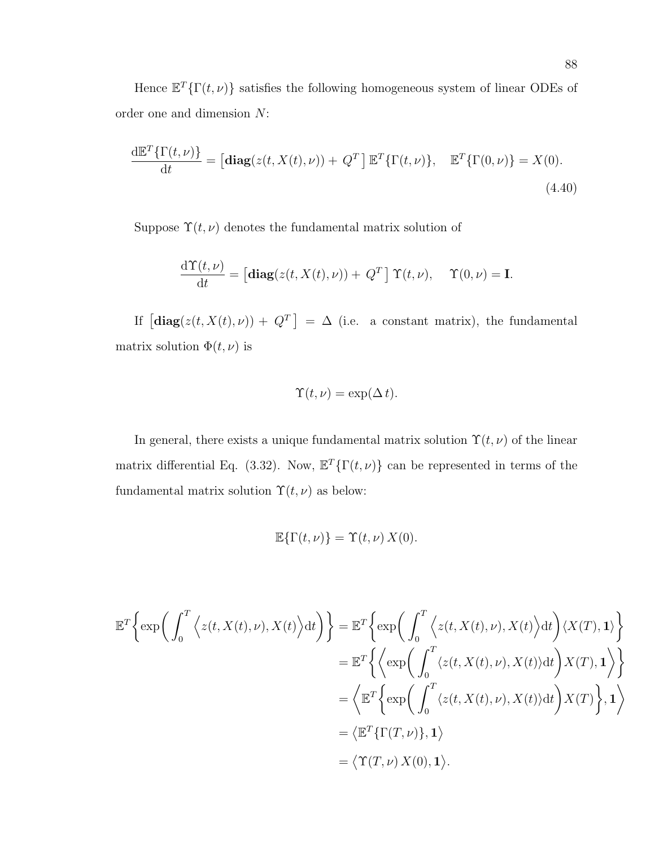Hence  $\mathbb{E}^T\{\Gamma(t,\nu)\}\$  satisfies the following homogeneous system of linear ODEs of order one and dimension N:

$$
\frac{\mathrm{d}\mathbb{E}^T\{\Gamma(t,\nu)\}}{\mathrm{d}t} = \left[\mathbf{diag}(z(t,X(t),\nu)) + Q^T\right]\mathbb{E}^T\{\Gamma(t,\nu)\}, \quad \mathbb{E}^T\{\Gamma(0,\nu)\} = X(0).
$$
\n(4.40)

Suppose  $\Upsilon(t, \nu)$  denotes the fundamental matrix solution of

$$
\frac{\mathrm{d}\Upsilon(t,\nu)}{\mathrm{d}t} = \left[\mathbf{diag}(z(t,X(t),\nu)) + Q^T\right]\Upsilon(t,\nu), \quad \Upsilon(0,\nu) = \mathbf{I}.
$$

If  $\left[\text{diag}(z(t, X(t), \nu)) + Q^T\right] = \Delta$  (i.e. a constant matrix), the fundamental matrix solution  $\Phi(t, \nu)$  is

$$
\Upsilon(t,\nu) = \exp(\Delta t).
$$

In general, there exists a unique fundamental matrix solution  $\Upsilon(t, \nu)$  of the linear matrix differential Eq. (3.32). Now,  $\mathbb{E}^{T}\{\Gamma(t,\nu)\}\)$  can be represented in terms of the fundamental matrix solution  $\Upsilon(t, \nu)$  as below:

$$
\mathbb{E}\{\Gamma(t,\nu)\} = \Upsilon(t,\nu) X(0).
$$

$$
\mathbb{E}^{T}\Big\{\exp\bigg(\int_{0}^{T}\Big\langle z(t,X(t),\nu),X(t)\Big\rangle dt\bigg)\Big\} = \mathbb{E}^{T}\Big\{\exp\bigg(\int_{0}^{T}\Big\langle z(t,X(t),\nu),X(t)\Big\rangle dt\bigg)\langle X(T),1\rangle\Big\}
$$

$$
= \mathbb{E}^{T}\Big\{\Big\langle \exp\bigg(\int_{0}^{T}\langle z(t,X(t),\nu),X(t)\rangle dt\bigg)\langle X(T),1\rangle\Big\}
$$

$$
= \Big\langle \mathbb{E}^{T}\Big\{\exp\bigg(\int_{0}^{T}\langle z(t,X(t),\nu),X(t)\rangle dt\bigg)\langle X(T),1\rangle\Big\}
$$

$$
= \Big\langle \mathbb{E}^{T}\{\Gamma(T,\nu)\},1\rangle
$$

$$
= \Big\langle \Upsilon(T,\nu),\Upsilon(0),1\rangle.
$$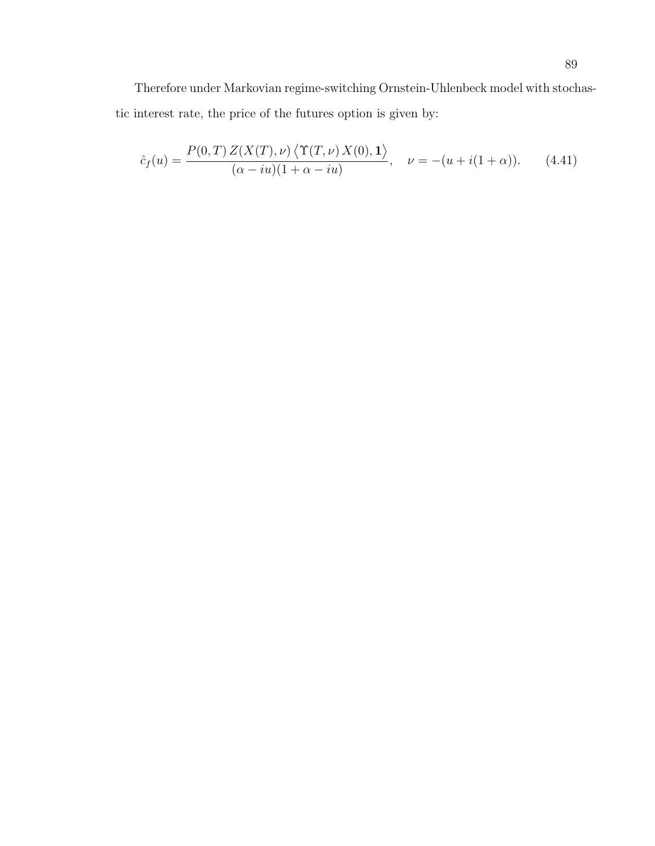Therefore under Markovian regime-switching Ornstein-Uhlenbeck model with stochastic interest rate, the price of the futures option is given by:

$$
\hat{c}_f(u) = \frac{P(0,T) Z(X(T), \nu) \langle \Upsilon(T, \nu) X(0), \mathbf{1} \rangle}{(\alpha - iu)(1 + \alpha - iu)}, \quad \nu = -(u + i(1 + \alpha)). \tag{4.41}
$$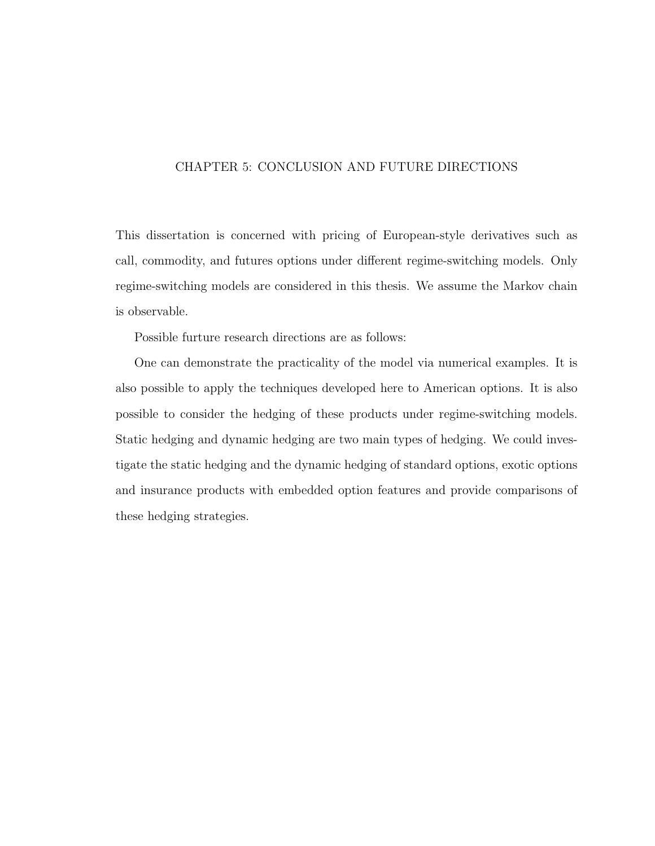# CHAPTER 5: CONCLUSION AND FUTURE DIRECTIONS

This dissertation is concerned with pricing of European-style derivatives such as call, commodity, and futures options under different regime-switching models. Only regime-switching models are considered in this thesis. We assume the Markov chain is observable.

Possible furture research directions are as follows:

One can demonstrate the practicality of the model via numerical examples. It is also possible to apply the techniques developed here to American options. It is also possible to consider the hedging of these products under regime-switching models. Static hedging and dynamic hedging are two main types of hedging. We could investigate the static hedging and the dynamic hedging of standard options, exotic options and insurance products with embedded option features and provide comparisons of these hedging strategies.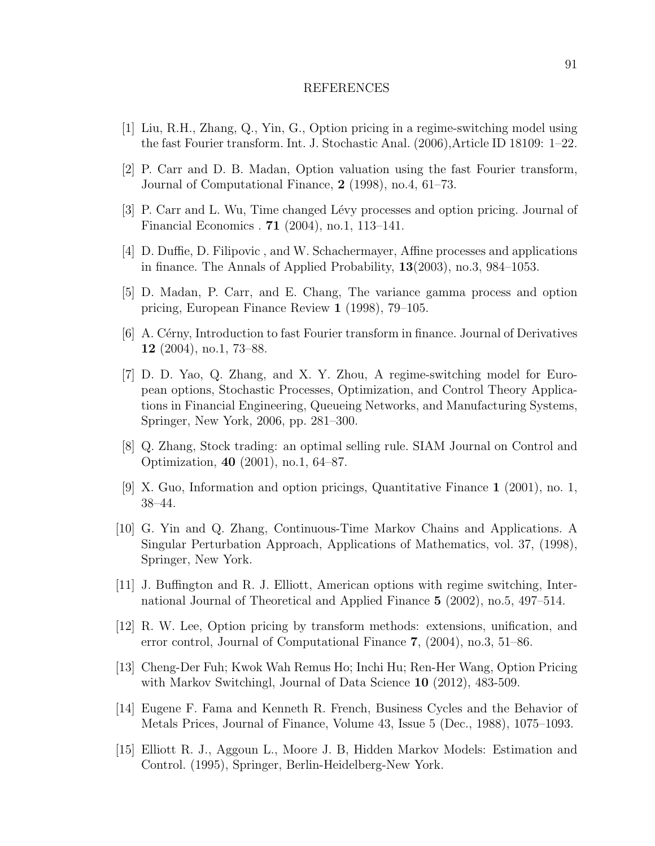#### REFERENCES

- [1] Liu, R.H., Zhang, Q., Yin, G., Option pricing in a regime-switching model using the fast Fourier transform. Int. J. Stochastic Anal. (2006),Article ID 18109: 1–22.
- [2] P. Carr and D. B. Madan, Option valuation using the fast Fourier transform, Journal of Computational Finance, 2 (1998), no.4, 61–73.
- [3] P. Carr and L. Wu, Time changed L´evy processes and option pricing. Journal of Financial Economics . 71 (2004), no.1, 113–141.
- [4] D. Duffie, D. Filipovic , and W. Schachermayer, Affine processes and applications in finance. The Annals of Applied Probability, 13(2003), no.3, 984–1053.
- [5] D. Madan, P. Carr, and E. Chang, The variance gamma process and option pricing, European Finance Review 1 (1998), 79–105.
- [6] A. Cérny, Introduction to fast Fourier transform in finance. Journal of Derivatives 12 (2004), no.1, 73–88.
- [7] D. D. Yao, Q. Zhang, and X. Y. Zhou, A regime-switching model for European options, Stochastic Processes, Optimization, and Control Theory Applications in Financial Engineering, Queueing Networks, and Manufacturing Systems, Springer, New York, 2006, pp. 281–300.
- [8] Q. Zhang, Stock trading: an optimal selling rule. SIAM Journal on Control and Optimization, 40 (2001), no.1, 64–87.
- [9] X. Guo, Information and option pricings, Quantitative Finance 1 (2001), no. 1, 38–44.
- [10] G. Yin and Q. Zhang, Continuous-Time Markov Chains and Applications. A Singular Perturbation Approach, Applications of Mathematics, vol. 37, (1998), Springer, New York.
- [11] J. Buffington and R. J. Elliott, American options with regime switching, International Journal of Theoretical and Applied Finance 5 (2002), no.5, 497–514.
- [12] R. W. Lee, Option pricing by transform methods: extensions, unification, and error control, Journal of Computational Finance 7, (2004), no.3, 51–86.
- [13] Cheng-Der Fuh; Kwok Wah Remus Ho; Inchi Hu; Ren-Her Wang, Option Pricing with Markov Switchingl, Journal of Data Science 10 (2012), 483-509.
- [14] Eugene F. Fama and Kenneth R. French, Business Cycles and the Behavior of Metals Prices, Journal of Finance, Volume 43, Issue 5 (Dec., 1988), 1075–1093.
- [15] Elliott R. J., Aggoun L., Moore J. B, Hidden Markov Models: Estimation and Control. (1995), Springer, Berlin-Heidelberg-New York.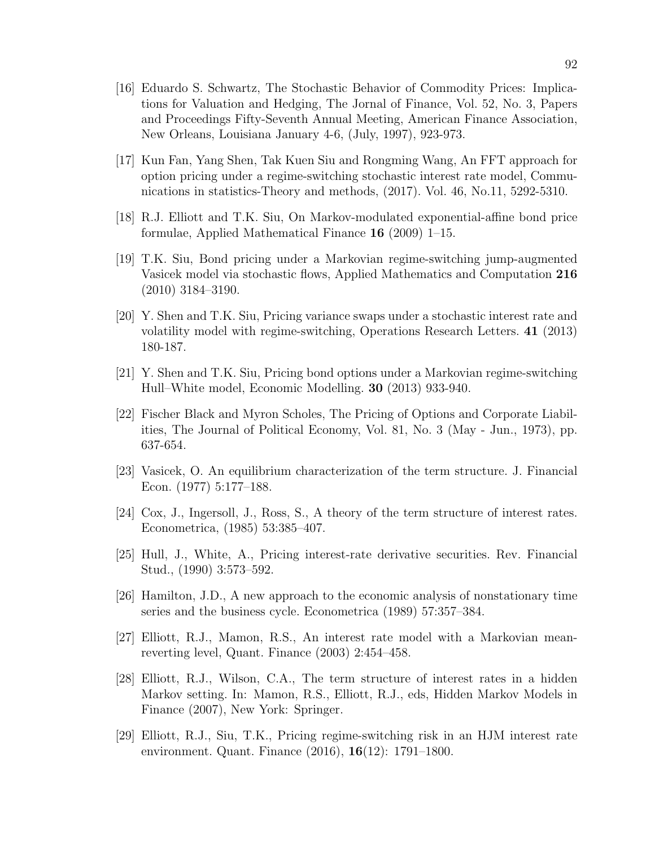- [16] Eduardo S. Schwartz, The Stochastic Behavior of Commodity Prices: Implications for Valuation and Hedging, The Jornal of Finance, Vol. 52, No. 3, Papers and Proceedings Fifty-Seventh Annual Meeting, American Finance Association, New Orleans, Louisiana January 4-6, (July, 1997), 923-973.
- [17] Kun Fan, Yang Shen, Tak Kuen Siu and Rongming Wang, An FFT approach for option pricing under a regime-switching stochastic interest rate model, Communications in statistics-Theory and methods, (2017). Vol. 46, No.11, 5292-5310.
- [18] R.J. Elliott and T.K. Siu, On Markov-modulated exponential-affine bond price formulae, Applied Mathematical Finance 16 (2009) 1–15.
- [19] T.K. Siu, Bond pricing under a Markovian regime-switching jump-augmented Vasicek model via stochastic flows, Applied Mathematics and Computation 216 (2010) 3184–3190.
- [20] Y. Shen and T.K. Siu, Pricing variance swaps under a stochastic interest rate and volatility model with regime-switching, Operations Research Letters. 41 (2013) 180-187.
- [21] Y. Shen and T.K. Siu, Pricing bond options under a Markovian regime-switching Hull–White model, Economic Modelling. 30 (2013) 933-940.
- [22] Fischer Black and Myron Scholes, The Pricing of Options and Corporate Liabilities, The Journal of Political Economy, Vol. 81, No. 3 (May - Jun., 1973), pp. 637-654.
- [23] Vasicek, O. An equilibrium characterization of the term structure. J. Financial Econ. (1977) 5:177–188.
- [24] Cox, J., Ingersoll, J., Ross, S., A theory of the term structure of interest rates. Econometrica, (1985) 53:385–407.
- [25] Hull, J., White, A., Pricing interest-rate derivative securities. Rev. Financial Stud., (1990) 3:573–592.
- [26] Hamilton, J.D., A new approach to the economic analysis of nonstationary time series and the business cycle. Econometrica (1989) 57:357–384.
- [27] Elliott, R.J., Mamon, R.S., An interest rate model with a Markovian meanreverting level, Quant. Finance (2003) 2:454–458.
- [28] Elliott, R.J., Wilson, C.A., The term structure of interest rates in a hidden Markov setting. In: Mamon, R.S., Elliott, R.J., eds, Hidden Markov Models in Finance (2007), New York: Springer.
- [29] Elliott, R.J., Siu, T.K., Pricing regime-switching risk in an HJM interest rate environment. Quant. Finance (2016), 16(12): 1791–1800.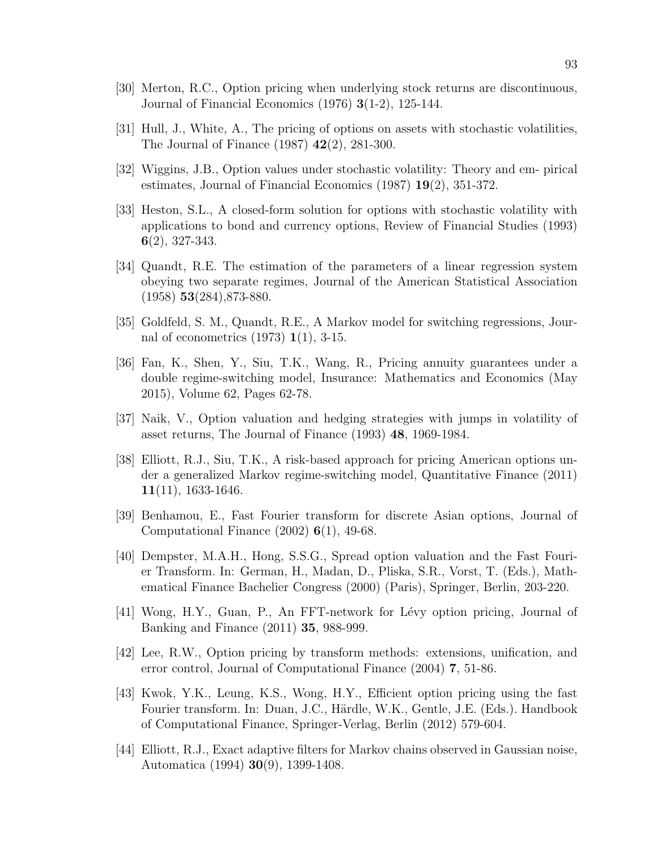- [30] Merton, R.C., Option pricing when underlying stock returns are discontinuous, Journal of Financial Economics (1976) 3(1-2), 125-144.
- [31] Hull, J., White, A., The pricing of options on assets with stochastic volatilities, The Journal of Finance (1987) 42(2), 281-300.
- [32] Wiggins, J.B., Option values under stochastic volatility: Theory and em- pirical estimates, Journal of Financial Economics (1987) 19(2), 351-372.
- [33] Heston, S.L., A closed-form solution for options with stochastic volatility with applications to bond and currency options, Review of Financial Studies (1993) 6(2), 327-343.
- [34] Quandt, R.E. The estimation of the parameters of a linear regression system obeying two separate regimes, Journal of the American Statistical Association  $(1958)$  53 $(284)$ , 873-880.
- [35] Goldfeld, S. M., Quandt, R.E., A Markov model for switching regressions, Journal of econometrics (1973) 1(1), 3-15.
- [36] Fan, K., Shen, Y., Siu, T.K., Wang, R., Pricing annuity guarantees under a double regime-switching model, Insurance: Mathematics and Economics (May 2015), Volume 62, Pages 62-78.
- [37] Naik, V., Option valuation and hedging strategies with jumps in volatility of asset returns, The Journal of Finance (1993) 48, 1969-1984.
- [38] Elliott, R.J., Siu, T.K., A risk-based approach for pricing American options under a generalized Markov regime-switching model, Quantitative Finance (2011)  $11(11)$ , 1633-1646.
- [39] Benhamou, E., Fast Fourier transform for discrete Asian options, Journal of Computational Finance  $(2002)$  6(1), 49-68.
- [40] Dempster, M.A.H., Hong, S.S.G., Spread option valuation and the Fast Fourier Transform. In: German, H., Madan, D., Pliska, S.R., Vorst, T. (Eds.), Mathematical Finance Bachelier Congress (2000) (Paris), Springer, Berlin, 203-220.
- [41] Wong, H.Y., Guan, P., An FFT-network for Lévy option pricing, Journal of Banking and Finance (2011) 35, 988-999.
- [42] Lee, R.W., Option pricing by transform methods: extensions, unification, and error control, Journal of Computational Finance (2004) 7, 51-86.
- [43] Kwok, Y.K., Leung, K.S., Wong, H.Y., Efficient option pricing using the fast Fourier transform. In: Duan, J.C., Härdle, W.K., Gentle, J.E. (Eds.). Handbook of Computational Finance, Springer-Verlag, Berlin (2012) 579-604.
- [44] Elliott, R.J., Exact adaptive filters for Markov chains observed in Gaussian noise, Automatica (1994) 30(9), 1399-1408.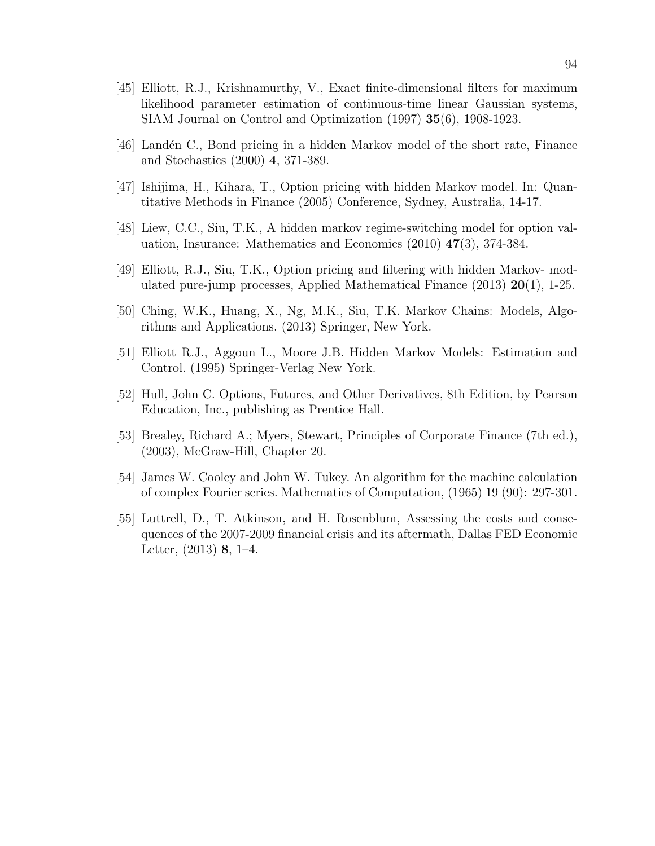- [45] Elliott, R.J., Krishnamurthy, V., Exact finite-dimensional filters for maximum likelihood parameter estimation of continuous-time linear Gaussian systems, SIAM Journal on Control and Optimization (1997) 35(6), 1908-1923.
- [46] Land´en C., Bond pricing in a hidden Markov model of the short rate, Finance and Stochastics (2000) 4, 371-389.
- [47] Ishijima, H., Kihara, T., Option pricing with hidden Markov model. In: Quantitative Methods in Finance (2005) Conference, Sydney, Australia, 14-17.
- [48] Liew, C.C., Siu, T.K., A hidden markov regime-switching model for option valuation, Insurance: Mathematics and Economics (2010) 47(3), 374-384.
- [49] Elliott, R.J., Siu, T.K., Option pricing and filtering with hidden Markov- modulated pure-jump processes, Applied Mathematical Finance  $(2013)$  **20** $(1)$ , 1-25.
- [50] Ching, W.K., Huang, X., Ng, M.K., Siu, T.K. Markov Chains: Models, Algorithms and Applications. (2013) Springer, New York.
- [51] Elliott R.J., Aggoun L., Moore J.B. Hidden Markov Models: Estimation and Control. (1995) Springer-Verlag New York.
- [52] Hull, John C. Options, Futures, and Other Derivatives, 8th Edition, by Pearson Education, Inc., publishing as Prentice Hall.
- [53] Brealey, Richard A.; Myers, Stewart, Principles of Corporate Finance (7th ed.), (2003), McGraw-Hill, Chapter 20.
- [54] James W. Cooley and John W. Tukey. An algorithm for the machine calculation of complex Fourier series. Mathematics of Computation, (1965) 19 (90): 297-301.
- [55] Luttrell, D., T. Atkinson, and H. Rosenblum, Assessing the costs and consequences of the 2007-2009 financial crisis and its aftermath, Dallas FED Economic Letter, (2013) 8, 1–4.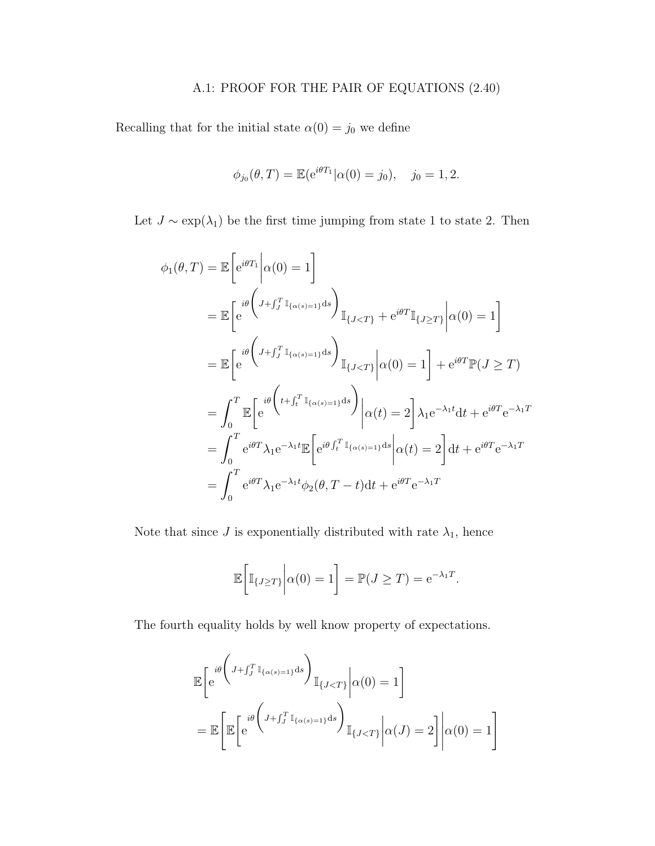# A.1: PROOF FOR THE PAIR OF EQUATIONS (2.40)

Recalling that for the initial state  $\alpha(0) = j_0$  we define

$$
\phi_{j_0}(\theta, T) = \mathbb{E}(e^{i\theta T_1}|\alpha(0) = j_0), \quad j_0 = 1, 2.
$$

Let  $J \sim \exp(\lambda_1)$  be the first time jumping from state 1 to state 2. Then

$$
\phi_1(\theta, T) = \mathbb{E} \left[ e^{i\theta T_1} \middle| \alpha(0) = 1 \right]
$$
\n
$$
= \mathbb{E} \left[ e^{i\theta \left( J + \int_J^T \mathbb{I}_{\{\alpha(s) = 1\}} ds \right)} \mathbb{I}_{\{J < T\}} + e^{i\theta T} \mathbb{I}_{\{J \ge T\}} \middle| \alpha(0) = 1 \right]
$$
\n
$$
= \mathbb{E} \left[ e^{i\theta \left( J + \int_J^T \mathbb{I}_{\{\alpha(s) = 1\}} ds \right)} \mathbb{I}_{\{J < T\}} \middle| \alpha(0) = 1 \right] + e^{i\theta T} \mathbb{P}(J \ge T)
$$
\n
$$
= \int_0^T \mathbb{E} \left[ e^{i\theta \left( t + \int_t^T \mathbb{I}_{\{\alpha(s) = 1\}} ds \right)} \middle| \alpha(t) = 2 \right] \lambda_1 e^{-\lambda_1 t} dt + e^{i\theta T} e^{-\lambda_1 T}
$$
\n
$$
= \int_0^T e^{i\theta T} \lambda_1 e^{-\lambda_1 t} \mathbb{E} \left[ e^{i\theta \int_t^T \mathbb{I}_{\{\alpha(s) = 1\}} ds} \middle| \alpha(t) = 2 \right] dt + e^{i\theta T} e^{-\lambda_1 T}
$$
\n
$$
= \int_0^T e^{i\theta T} \lambda_1 e^{-\lambda_1 t} \phi_2(\theta, T - t) dt + e^{i\theta T} e^{-\lambda_1 T}
$$

Note that since  $J$  is exponentially distributed with rate  $\lambda_1,$  hence

$$
\mathbb{E}\bigg[\mathbb{I}_{\{J\geq T\}}\bigg|\alpha(0)=1\bigg]=\mathbb{P}(J\geq T)=e^{-\lambda_1 T}.
$$

The fourth equality holds by well know property of expectations.

$$
\mathbb{E}\left[e^{i\theta\left(J+\int_J^T \mathbb{I}_{\{\alpha(s)=1\}}ds\right)}\mathbb{I}_{\{J\n
$$
=\mathbb{E}\left[\mathbb{E}\left[e^{i\theta\left(J+\int_J^T \mathbb{I}_{\{\alpha(s)=1\}}ds\right)}\mathbb{I}_{\{J
$$
$$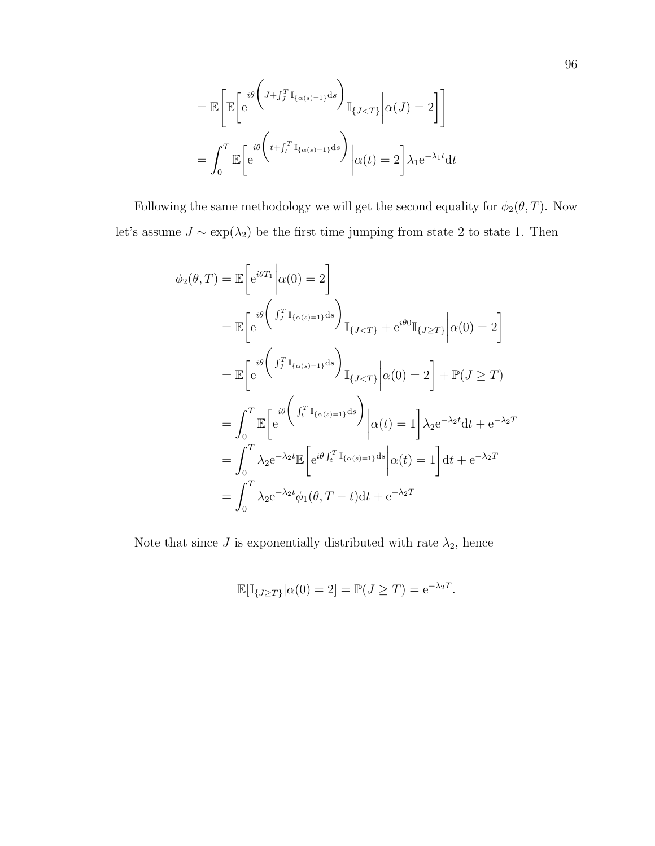$$
= \mathbb{E}\left[\mathbb{E}\left[e^{i\theta\left(J+f_J^T \mathbb{I}_{\{\alpha(s)=1\}}ds\right)}\mathbb{I}_{\{J
$$
=\int_0^T \mathbb{E}\left[e^{i\theta\left(t+f_t^T \mathbb{I}_{\{\alpha(s)=1\}}ds\right)}\middle|\alpha(t)=2\right]\lambda_1 e^{-\lambda_1 t}dt
$$
$$

Following the same methodology we will get the second equality for  $\phi_2(\theta, T)$ . Now let's assume  $J \sim \exp(\lambda_2)$  be the first time jumping from state 2 to state 1. Then

$$
\phi_2(\theta, T) = \mathbb{E} \left[ e^{i\theta T_1} \middle| \alpha(0) = 2 \right]
$$
  
\n
$$
= \mathbb{E} \left[ e^{i\theta \left( \int_J^T \mathbb{I}_{\{\alpha(s) = 1\}} ds \right)} \mathbb{I}_{\{J < T\}} + e^{i\theta 0} \mathbb{I}_{\{J \ge T\}} \middle| \alpha(0) = 2 \right] \right]
$$
  
\n
$$
= \mathbb{E} \left[ e^{i\theta \left( \int_J^T \mathbb{I}_{\{\alpha(s) = 1\}} ds \right)} \mathbb{I}_{\{J < T\}} \middle| \alpha(0) = 2 \right] + \mathbb{P}(J \ge T)
$$
  
\n
$$
= \int_0^T \mathbb{E} \left[ e^{i\theta \left( \int_J^T \mathbb{I}_{\{\alpha(s) = 1\}} ds \right)} \middle| \alpha(t) = 1 \right] \lambda_2 e^{-\lambda_2 t} dt + e^{-\lambda_2 T}
$$
  
\n
$$
= \int_0^T \lambda_2 e^{-\lambda_2 t} \mathbb{E} \left[ e^{i\theta \int_t^T \mathbb{I}_{\{\alpha(s) = 1\}} ds} \middle| \alpha(t) = 1 \right] dt + e^{-\lambda_2 T}
$$
  
\n
$$
= \int_0^T \lambda_2 e^{-\lambda_2 t} \phi_1(\theta, T - t) dt + e^{-\lambda_2 T}
$$

Note that since  $J$  is exponentially distributed with rate  $\lambda_2$ , hence

$$
\mathbb{E}[\mathbb{I}_{\{J \geq T\}} | \alpha(0) = 2] = \mathbb{P}(J \geq T) = e^{-\lambda_2 T}.
$$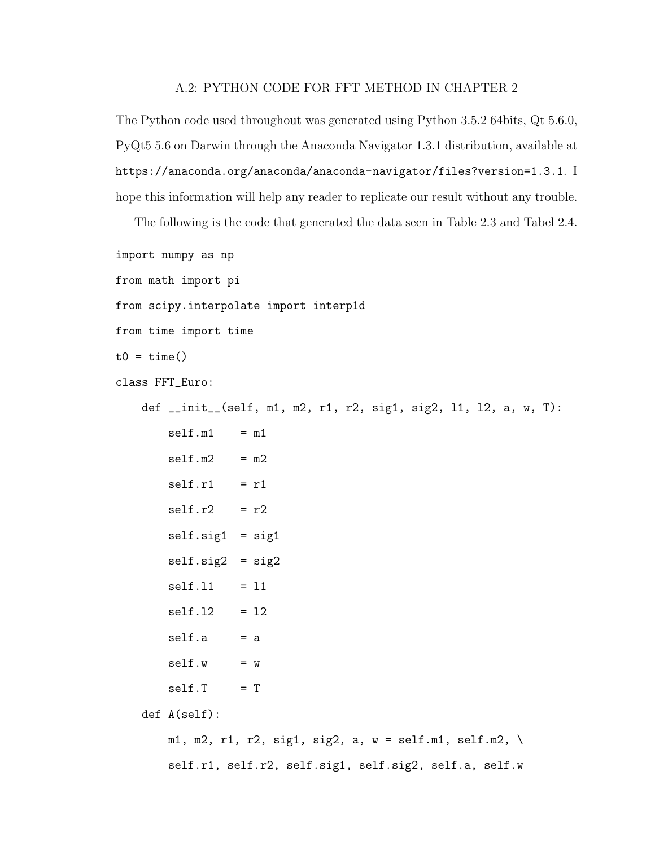## A.2: PYTHON CODE FOR FFT METHOD IN CHAPTER 2

The Python code used throughout was generated using Python 3.5.2 64bits, Qt 5.6.0, PyQt5 5.6 on Darwin through the Anaconda Navigator 1.3.1 distribution, available at https://anaconda.org/anaconda/anaconda-navigator/files?version=1.3.1. I hope this information will help any reader to replicate our result without any trouble.

The following is the code that generated the data seen in Table 2.3 and Tabel 2.4.

```
import numpy as np
from math import pi
from scipy.interpolate import interp1d
from time import time
t0 = \text{time}()class FFT_Euro:
    def __init__(self, m1, m2, r1, r2, sig1, sig2, l1, l2, a, w, T):
        self.m1 = m1self.m2 = m2self.r1 = r1self.r2 = r2self.size1 = sig1self.size2 = sig2self.11 = 11self.12 = 12self.a = aself.w = wself.T = Tdef A(self):
       m1, m2, r1, r2, sig1, sig2, a, w = \text{self.m1}, \text{self.m2}, \ \langle
```
self.r1, self.r2, self.sig1, self.sig2, self.a, self.w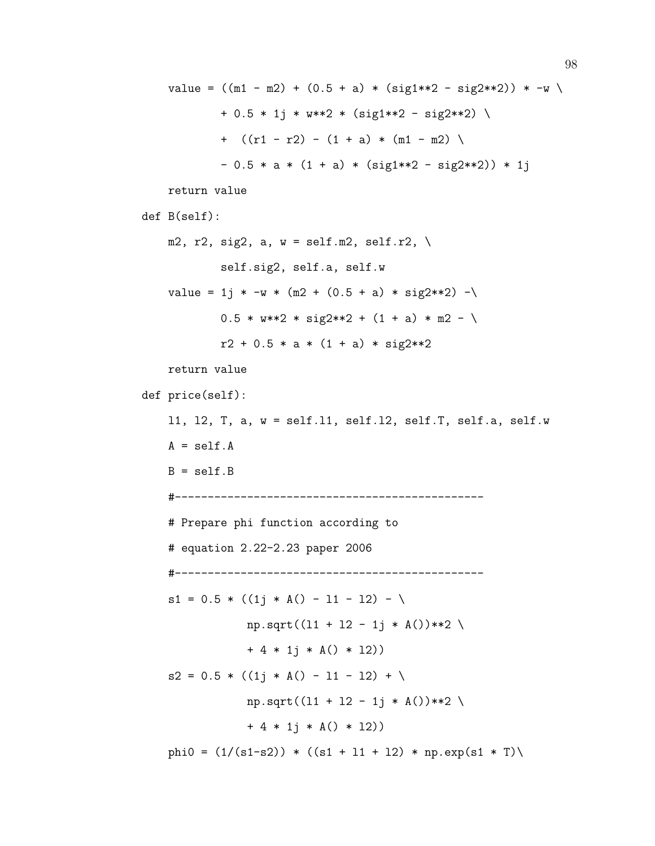```
value = ((m1 - m2) + (0.5 + a) * (sig1**2 - sig2**2)) * -w+ 0.5 * 1j * w**2 * (sig1**2 - sig2**2) \
            + ((r1 - r2) - (1 + a) * (m1 - m2) )- 0.5 * a * (1 + a) * (sig1**2 - sig2**2)) * 1jreturn value
def B(self):
   m2, r2, sig2, a, w = \text{self.m2}, self.r2, \
            self.sig2, self.a, self.w
   value = 1j * -w * (m2 + (0.5 + a) * sig2**2) -\
            0.5 * w**2 * sig2**2 + (1 + a) * m2 - \iotar2 + 0.5 * a * (1 + a) * sig2**2return value
def price(self):
    l1, l2, T, a, w = self.l1, self.l2, self.T, self.a, self.w
   A = self.AB = self.B#-----------------------------------------------
   # Prepare phi function according to
    # equation 2.22-2.23 paper 2006
    #-----------------------------------------------
   s1 = 0.5 * ((1j * A() - 11 - 12) - \sqrt{15j})np.sqrt((11 + 12 - 1j * A())**2)+ 4 * 1j * A() * 12)s2 = 0.5 * ((1j * A() - 11 - 12) + \sqrt{15j})np.sqrt((11 + 12 - 1j * A())**2)+ 4 * 1j * A() * 12)phi0 = (1/(s1-s2)) * ((s1 + 11 + 12) * np.exp(s1 * T)
```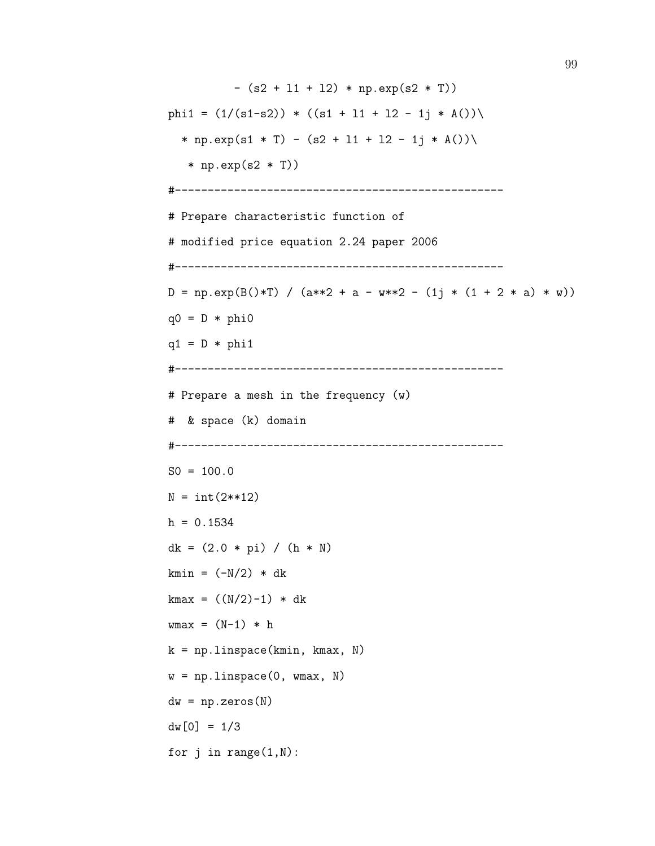```
- (s2 + 11 + 12) * np.exp(s2 * T))
phi1 = (1/(s1-s2)) * ((s1 + 11 + 12 - 1j * A)))* np.exp(s1 * T) - (s2 + 11 + 12 - 1j * A())\
   * np.exp(s2 * T))
#--------------------------------------------------
# Prepare characteristic function of
# modified price equation 2.24 paper 2006
#--------------------------------------------------
D = np.exp(B() * T) / (a * * 2 + a - w * * 2 - (1j * (1 + 2 * a) * w))q0 = D * phi0q1 = D * phi1#--------------------------------------------------
# Prepare a mesh in the frequency (w)
# & space (k) domain
#--------------------------------------------------
SO = 100.0N = int(2**12)h = 0.1534dk = (2.0 * pi) / (h * N)kmin = (-N/2) * dk
kmax = ((N/2)-1) * dkwmax = (N-1) * hk = npulinspace(kmin, kmax, N)
w = npu.linspace(0, wmax, N)
dw = np{\text{.}zeros}(N)dw[0] = 1/3for j in range(1,N):
```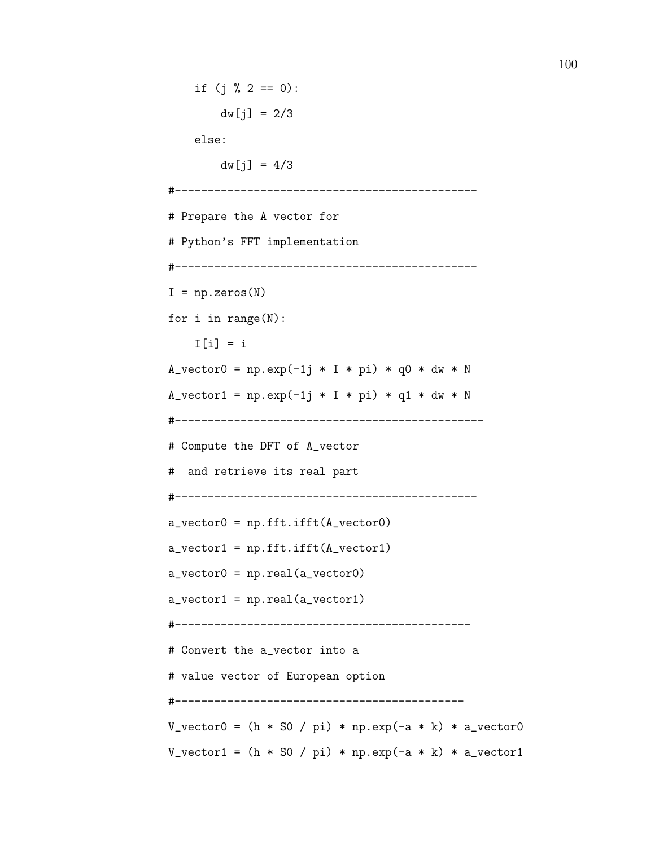```
if (j \, % 2 == 0):
        dw[j] = 2/3else:
         dw[j] = 4/3#----------------------------------------------
# Prepare the A vector for
# Python's FFT implementation
#----------------------------------------------
I = np{\text{.}zeros(N)}for i in range(N):
    I[i] = iA_v = n p. exp(-1j * I * pi) * q0 * dw * NA_vector1 = np.exp(-1j * I * pi) * q1 * dw * N
#-----------------------------------------------
# Compute the DFT of A_vector
# and retrieve its real part
#----------------------------------------------
a_vector0 = np.fft.ifft(A_vector0)
a<sub>z</sub> vector1 = np.fit.fit(A<sub>z</sub> vector1)a<sub>0</sub> vector0 = np.read(a<sub>0</sub>)a<sub>vector1</sub> = np.read(a<sub>vector1</sub>)#---------------------------------------------
# Convert the a_vector into a
# value vector of European option
#--------------------------------------------
V_{\text{vector}} = (h * S0 / pi) * np.exp(-a * k) * a_vector0
V<sub>-</sub>vector1 = (h * S0 / pi) * np.exp(-a * k) * a<sub>-</sub>vector1
```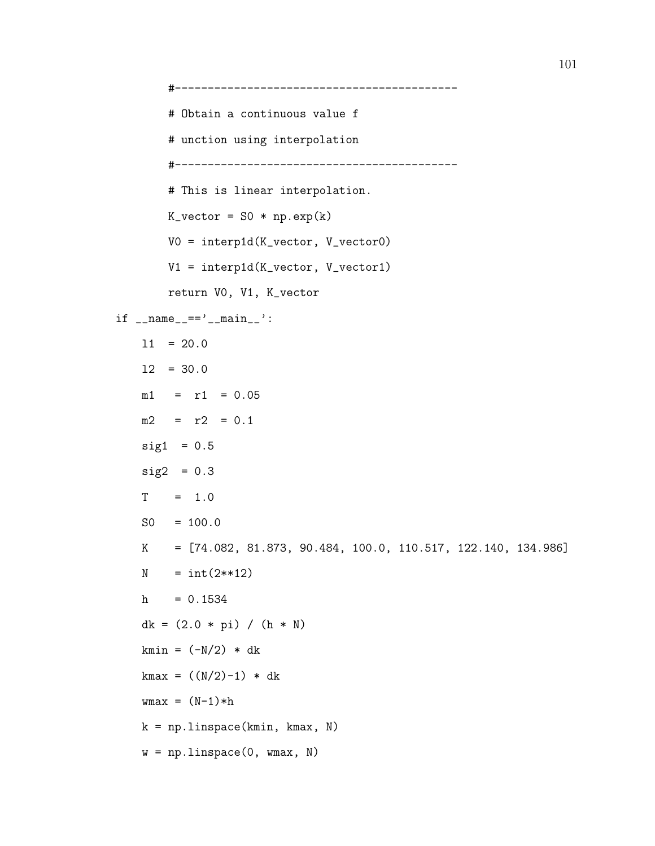#------------------------------------------- # Obtain a continuous value f # unction using interpolation #------------------------------------------- # This is linear interpolation.  $K_vector = SO * np.exp(k)$ V0 = interp1d(K\_vector, V\_vector0) V1 = interp1d(K\_vector, V\_vector1) return V0, V1, K\_vector  $if$  \_\_name\_\_=='\_\_main\_\_':  $11 = 20.0$ l2 = 30.0  $m1 = r1 = 0.05$  $m2 = r2 = 0.1$  $sig1 = 0.5$  $sig2 = 0.3$  $T = 1.0$  $SO = 100.0$ K = [74.082, 81.873, 90.484, 100.0, 110.517, 122.140, 134.986]  $N = int(2**12)$  $h = 0.1534$ dk =  $(2.0 * pi) / (h * N)$ kmin =  $(-N/2)$  \* dk  $kmax = ((N/2)-1) * dk$  $wmax = (N-1)*h$ k = np.linspace(kmin, kmax, N)  $w = npu$ . linspace(0, wmax, N)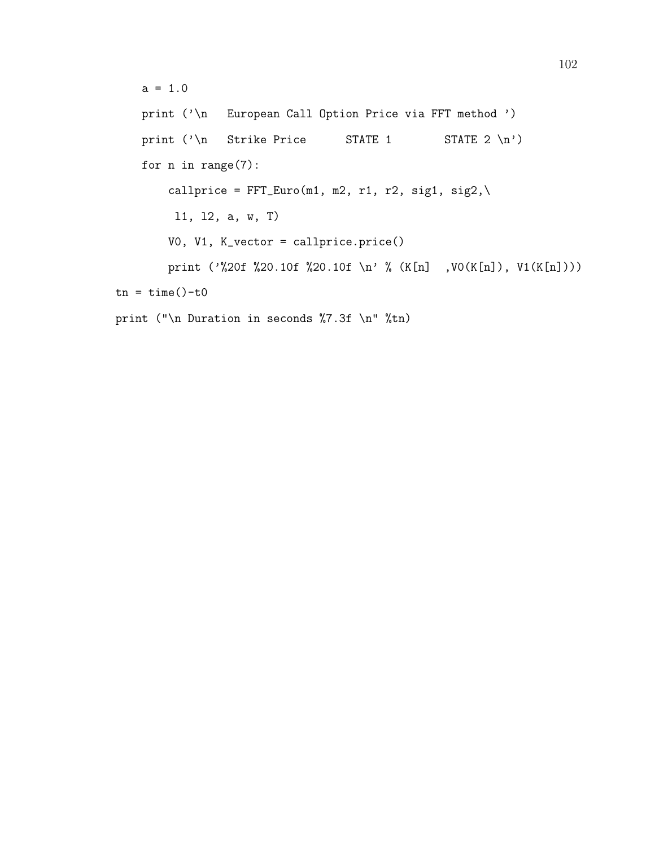$a = 1.0$ print ('\n European Call Option Price via FFT method ') print  $(\lambda n \quad \text{Strike Price} \quad \text{STATE 1} \quad \text{STATE 2 } n)$ for n in range(7): callprice =  $FFT\_Euro(m1, m2, r1, r2, sig1, sig2, \n\$ l1, l2, a, w, T) V0, V1, K\_vector = callprice.price() print ('%20f %20.10f %20.10f \n' % (K[n] ,V0(K[n]), V1(K[n])))  $tn = time() - t0$ print ("\n Duration in seconds %7.3f \n" %tn)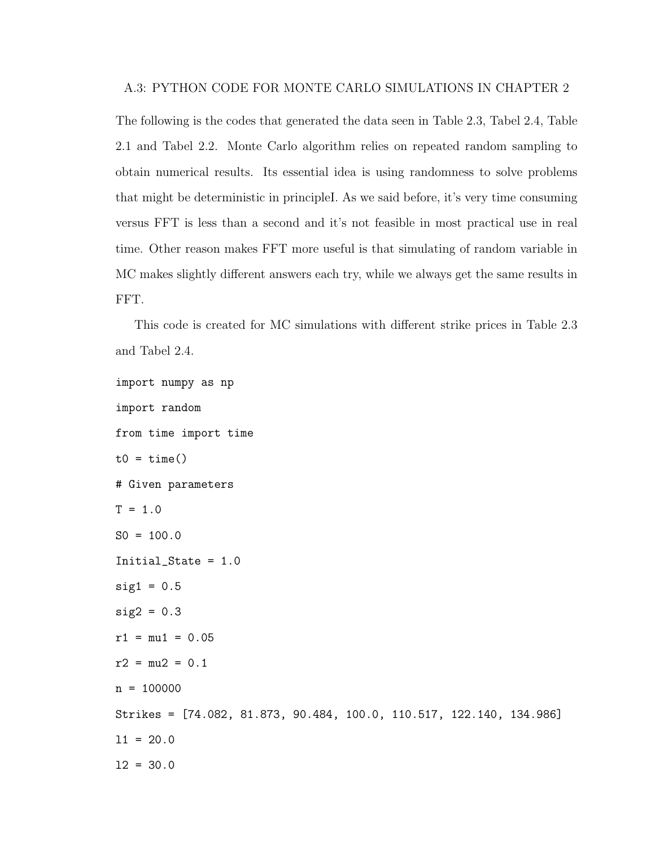The following is the codes that generated the data seen in Table 2.3, Tabel 2.4, Table 2.1 and Tabel 2.2. Monte Carlo algorithm relies on repeated random sampling to obtain numerical results. Its essential idea is using randomness to solve problems that might be deterministic in principleI. As we said before, it's very time consuming versus FFT is less than a second and it's not feasible in most practical use in real time. Other reason makes FFT more useful is that simulating of random variable in MC makes slightly different answers each try, while we always get the same results in FFT.

This code is created for MC simulations with different strike prices in Table 2.3 and Tabel 2.4.

```
import numpy as np
import random
from time import time
t0 = time()# Given parameters
T = 1.0SO = 100.0Initial_State = 1.0
sig1 = 0.5sig2 = 0.3r1 = mu1 = 0.05r2 = mu2 = 0.1n = 100000Strikes = [74.082, 81.873, 90.484, 100.0, 110.517, 122.140, 134.986]
11 = 20.012 = 30.0
```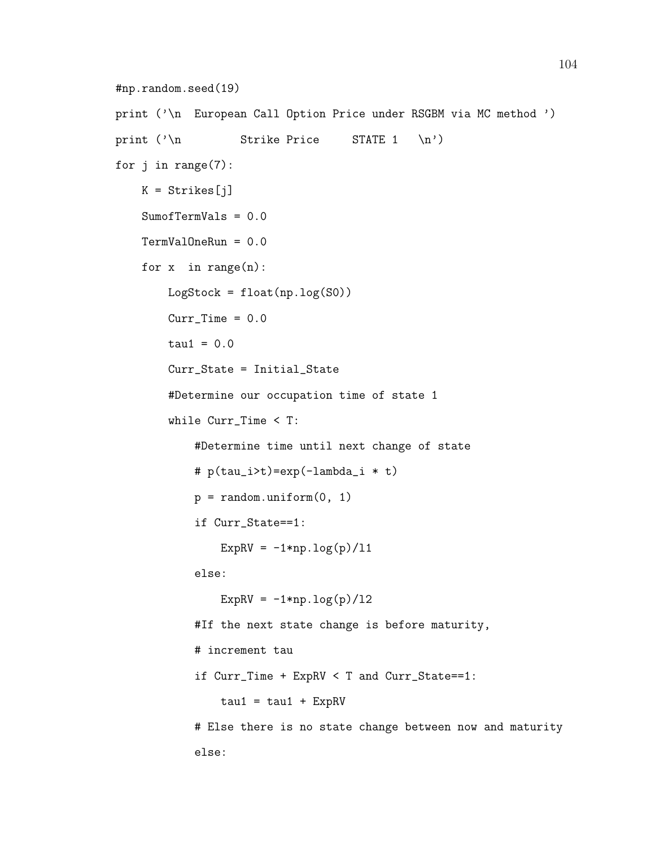```
#np.random.seed(19)
print ('\n European Call Option Price under RSGBM via MC method ')
print (\lambda)n Strike Price STATE 1 \n')
for j in range(7):
    K = Strikes[j]SumofTermVals = 0.0
    TermValOneRun = 0.0
    for x in range(n):
       LogStock = float(np.log(S0))Curr Time = 0.0tau = 0.0Curr_State = Initial_State
        #Determine our occupation time of state 1
        while Curr_Time < T:
            #Determine time until next change of state
            # p(tau_i>t)=exp(-lambda_i * t)
            p = random.minform(0, 1)if Curr_State==1:
                ExpRV = -1*np.log(p)/11else:
                ExpRV = -1*np.log(p)/12#If the next state change is before maturity,
            # increment tau
            if Curr_Time + ExpRV < T and Curr_State==1:
               tau = tau1 + ExpRV# Else there is no state change between now and maturity
            else:
```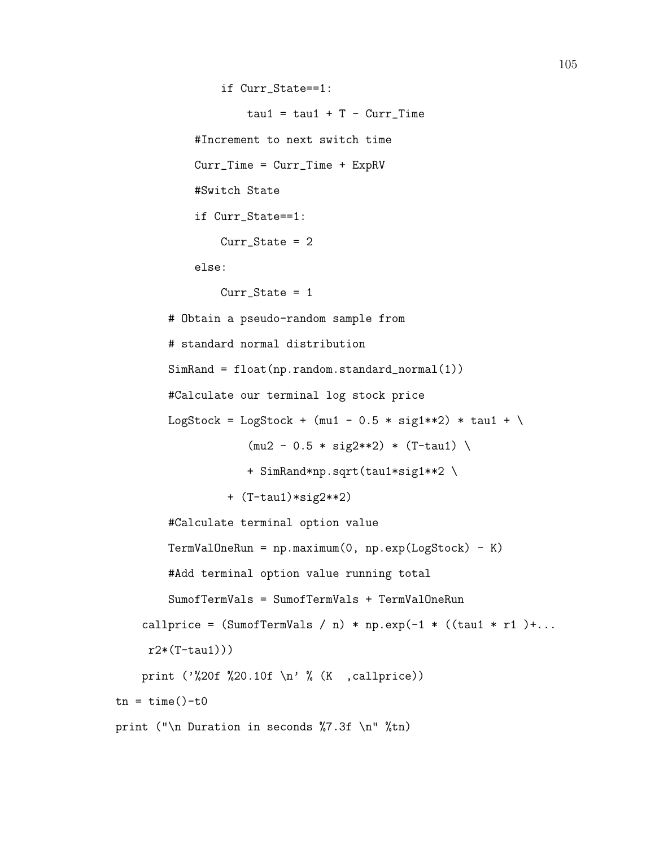```
if Curr_State==1:
                    tau = tau1 + T - Curr_Time#Increment to next switch time
            Curr_Time = Curr_Time + ExpRV
            #Switch State
            if Curr_State==1:
                Curr_State = 2
            else:
                Curr\_State = 1# Obtain a pseudo-random sample from
        # standard normal distribution
        SimRand = float(np.random.standard_normal(1))
        #Calculate our terminal log stock price
        LogStock = LogStock + (mu1 - 0.5 * sig1**2) * tau1 + \
                    (mu2 - 0.5 * sig2**2) * (T-tau1)+ SimRand*np.sqrt(tau1*sig1**2 \
                 + (T-tau1)*sig2**2)
        #Calculate terminal option value
        TermValOneRun = np.maximum(0, np.exp(LogStock) - K)#Add terminal option value running total
        SumofTermVals = SumofTermVals + TermValOneRun
    callprice = (SumofTermVals / n) * np.exp(-1 * ((tau * r1) + ...r2*(T-tau1)))
    print ('%20f %20.10f \n' % (K ,callprice))
tn = time() - t0print ("\n Duration in seconds %7.3f \n" %tn)
```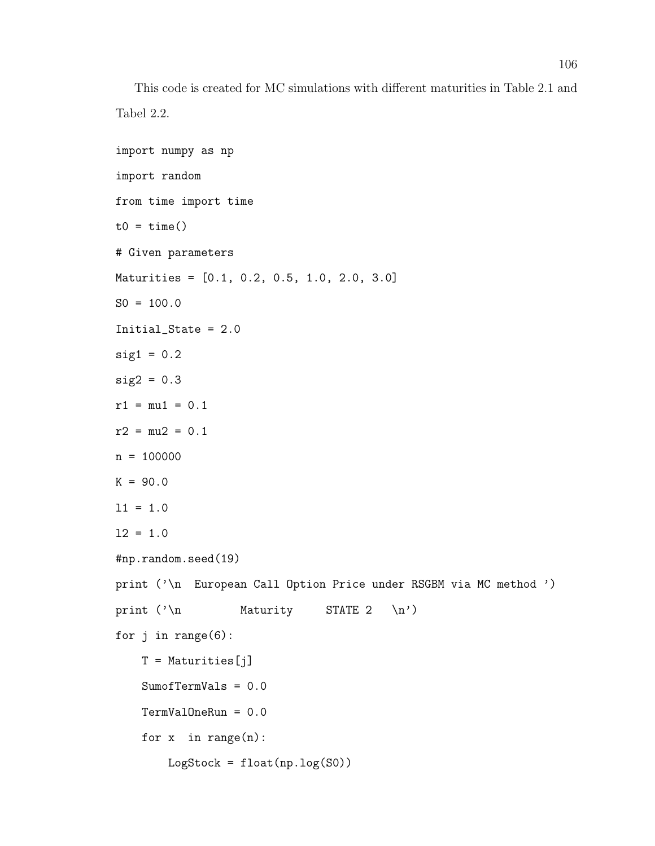This code is created for MC simulations with different maturities in Table 2.1 and Tabel 2.2.

```
import numpy as np
import random
from time import time
t0 = \text{time}()# Given parameters
Maturities = [0.1, 0.2, 0.5, 1.0, 2.0, 3.0]
SO = 100.0Initial_State = 2.0
sig1 = 0.2sig2 = 0.3r1 = mu1 = 0.1r2 = mu2 = 0.1n = 100000K = 90.011 = 1.012 = 1.0#np.random.seed(19)
print ('\n European Call Option Price under RSGBM via MC method ')
print (\lambda)n Maturity STATE 2 \n')
for j in range(6):
    T = Maturities [j]
    SumofTermVals = 0.0
    TermValOneRun = 0.0
    for x in range(n):
        LogStock = float(np.log(S0))
```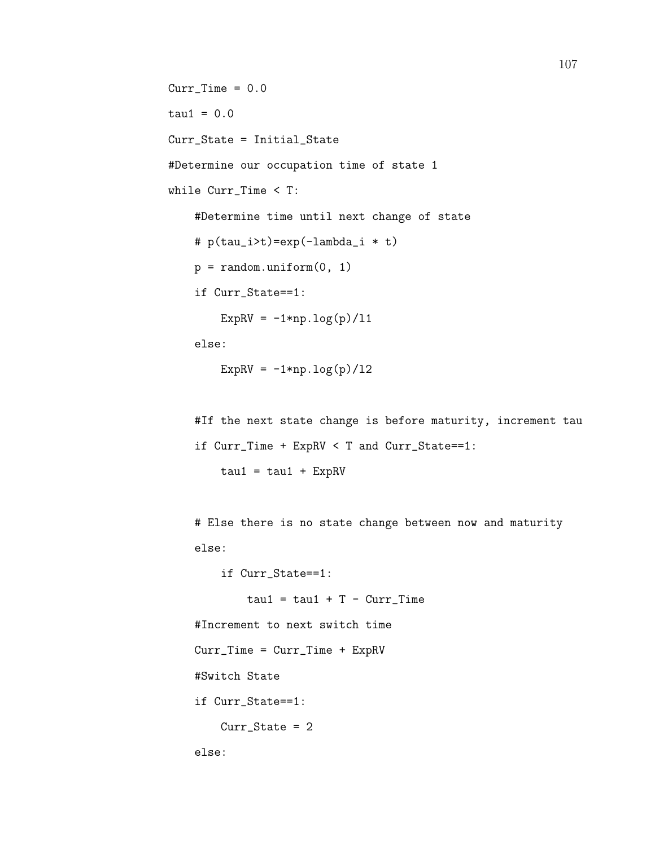```
CurrTime = 0.0tau = 0.0Curr_State = Initial_State
#Determine our occupation time of state 1
while Curr_Time < T:
    #Determine time until next change of state
    # p(tau_i>t)=exp(-lambda_i * t)
   p = random.minform(0, 1)if Curr_State==1:
       ExpRV = -1*np.log(p)/11
```
else:

ExpRV =  $-1*np.log(p)/12$ 

```
#If the next state change is before maturity, increment tau
if Curr_Time + ExpRV < T and Curr_State==1:
    tau = tau1 + ExpRV
```
# Else there is no state change between now and maturity else:

if Curr\_State==1:

 $tau = tau1 + T - Curr_Time$ 

#Increment to next switch time

Curr\_Time = Curr\_Time + ExpRV

#Switch State

if Curr\_State==1:

Curr\_State = 2

else: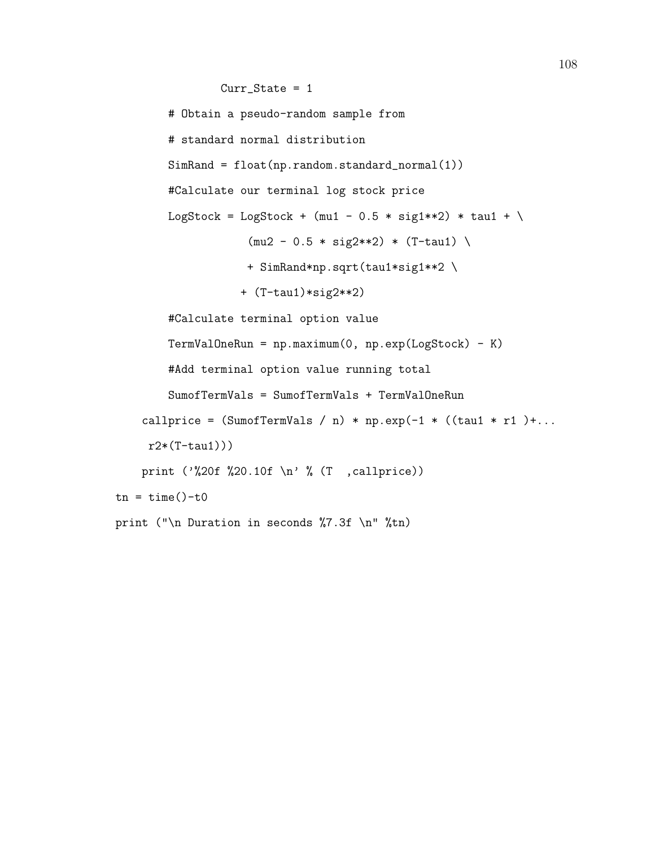```
Curr_State = 1
        # Obtain a pseudo-random sample from
        # standard normal distribution
        SimRand = float(np.random.standard_normal(1))
        #Calculate our terminal log stock price
       LogStock = LogStock + (mu1 - 0.5 * sig1**2) * tau1 + \
                    (mu2 - 0.5 * sig2**2) * (T-tau1)+ SimRand*np.sqrt(tau1*sig1**2 \
                   + (T-tau1)*sig2**2)
        #Calculate terminal option value
        TermValOneRun = np.maximum(0, np.exp(LogStock) - K)
        #Add terminal option value running total
        SumofTermVals = SumofTermVals + TermValOneRun
    callprice = (SumofTermVals / n) * np.exp(-1 * ((tau * r1) + ...r2*(T-tau1))print ('%20f %20.10f \n' % (T ,callprice))
tn = time() - t0print ("\n Duration in seconds %7.3f \n" %tn)
```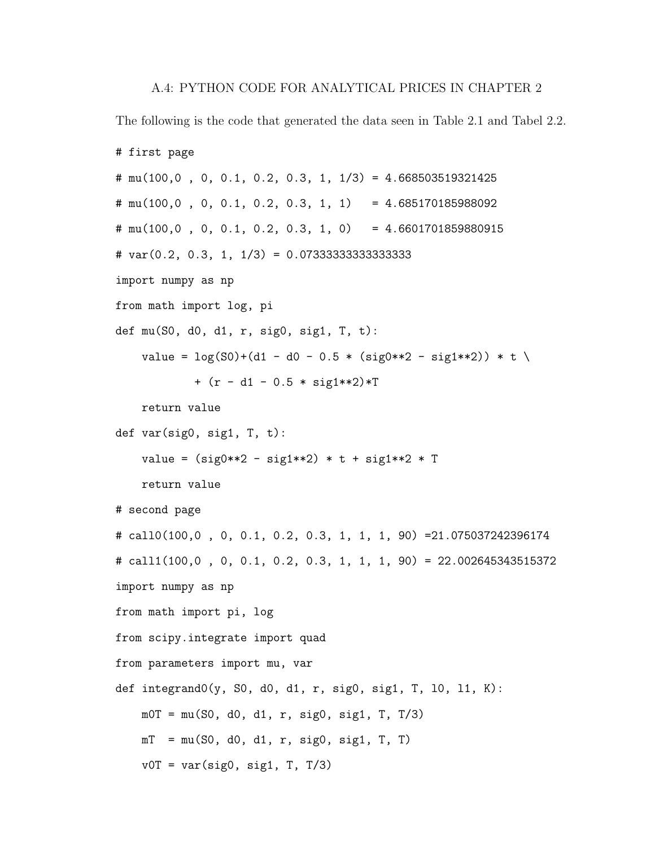The following is the code that generated the data seen in Table 2.1 and Tabel 2.2.

```
# first page
# mu(100,0 , 0, 0.1, 0.2, 0.3, 1, 1/3) = 4.668503519321425
\# mu(100,0, 0, 0.1, 0.2, 0.3, 1, 1) = 4.685170185988092
# mu(100,0 , 0, 0.1, 0.2, 0.3, 1, 0) = 4.6601701859880915
# var(0.2, 0.3, 1, 1/3) = 0.07333333333333333
import numpy as np
from math import log, pi
def mu(S0, d0, d1, r, sig0, sig1, T, t):
   value = \log(S0) + (d1 - d0 - 0.5 * (sig0**2 - sig1**2)) * t \+ (r - d1 - 0.5 * sig1**2)*Treturn value
def var(sig0, sig1, T, t):
    value = (sig0**2 - sig1**2) * t + sig1**2 * Treturn value
# second page
# call0(100,0 , 0, 0.1, 0.2, 0.3, 1, 1, 1, 90) =21.075037242396174
# call1(100,0 , 0, 0.1, 0.2, 0.3, 1, 1, 1, 90) = 22.002645343515372
import numpy as np
from math import pi, log
from scipy.integrate import quad
from parameters import mu, var
def integrand0(y, S0, d0, d1, r, sig0, sig1, T, 10, 11, K):
   m0T = mu(S0, d0, d1, r, sig0, sig1, T, T/3)mT = mu(S0, d0, d1, r, sig0, sig1, T, T)v0T = var(sign, sig1, T, T/3)
```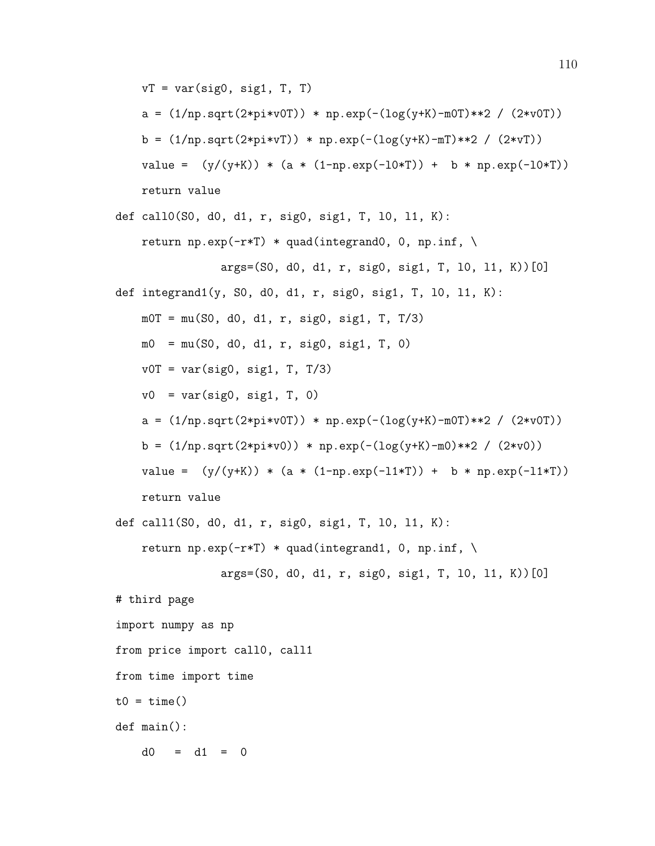$vT = var(sign, sig1, T, T)$ 

a =  $(1/np.sqrt(2*pi*v0T)) * np.exp(-(log(y+K)-m0T)*2 / (2*v0T))$ b =  $(1/np.sqrt(2*pi*vT)) * np.exp(-(log(y+K)-mT)**2 / (2*vT))$ 

value =  $(y/(y+K)) * (a * (1-np.exp(-10*T)) + b * np.exp(-10*T))$ return value

```
def call0(S0, d0, d1, r, sig0, sig1, T, l0, l1, K):
   return np.exp(-r*T) * quad(integrand0, 0, np.inf, \
                args=(S0, d0, d1, r, sig0, sig1, T, l0, l1, K))[0]
def integrand1(y, S0, d0, d1, r, sig0, sig1, T, l0, l1, K):
   m0T = mu(S0, d0, d1, r, sig0, sig1, T, T/3)m0 = mu(S0, d0, d1, r, sig0, sig1, T, 0)v0T = var(sign, sig1, T, T/3)v0 = var(sign, sig1, T, 0)a = (1/np.sqrt(2*pi*v0T)) * np.exp(-(log(y+K)-m0T)*2 / (2*v0T))b = (1/np.sqrt(2*pi*v0)) * np.exp(-(log(y+K)-m0)**2 / (2*v0))value = (y/(y+K)) * (a * (1-np.exp(-11*T)) + b * np.exp(-11*T))return value
def call1(S0, d0, d1, r, sig0, sig1, T, l0, l1, K):
   return np.exp(-r*T) * quad(integrand1, 0, np.inf, \
```

```
args=(S0, d0, d1, r, sig0, sig1, T, l0, l1, K))[0]
```
# third page

import numpy as np

from price import call0, call1

from time import time

 $t0 = \text{time}()$ 

def main():

 $d0 = d1 = 0$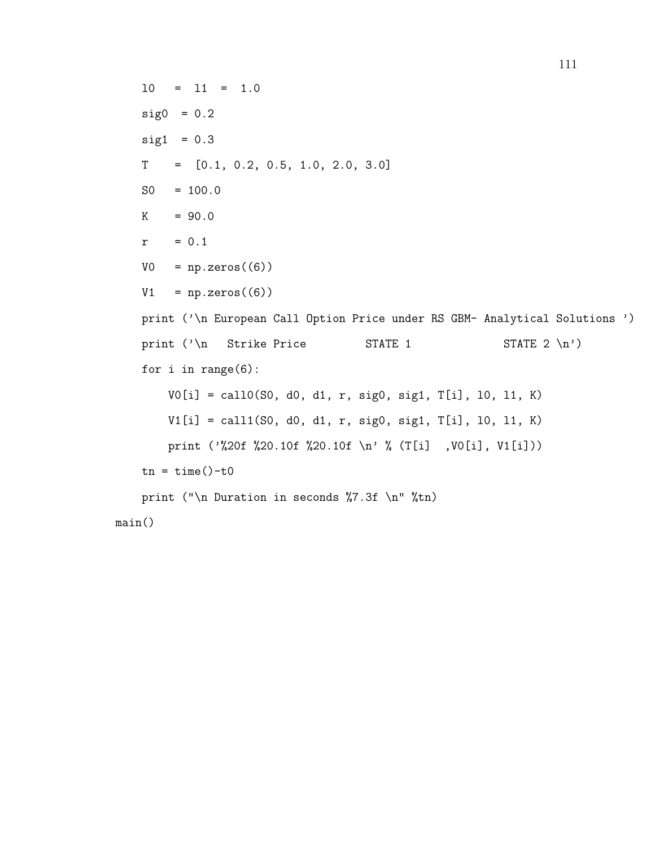l0 = l1 = 1.0  $sig0 = 0.2$  $sig1 = 0.3$  $T = [0.1, 0.2, 0.5, 1.0, 2.0, 3.0]$  $SO = 100.0$  $K = 90.0$  $r = 0.1$  $VO = np.zeros((6))$  $V1 = np{\text .}zeros((6))$ print ('\n European Call Option Price under RS GBM- Analytical Solutions ') print  $(\lambda)$  Strike Price STATE 1 STATE 2 \n<sup>'</sup>) for i in range(6): V0[i] = call0(S0, d0, d1, r, sig0, sig1, T[i], l0, l1, K) V1[i] = call1(S0, d0, d1, r, sig0, sig1, T[i], l0, l1, K) print ('%20f %20.10f %20.10f \n' % (T[i] ,V0[i], V1[i]))  $tn = time() - t0$ print ("\n Duration in seconds %7.3f \n" %tn) main()

111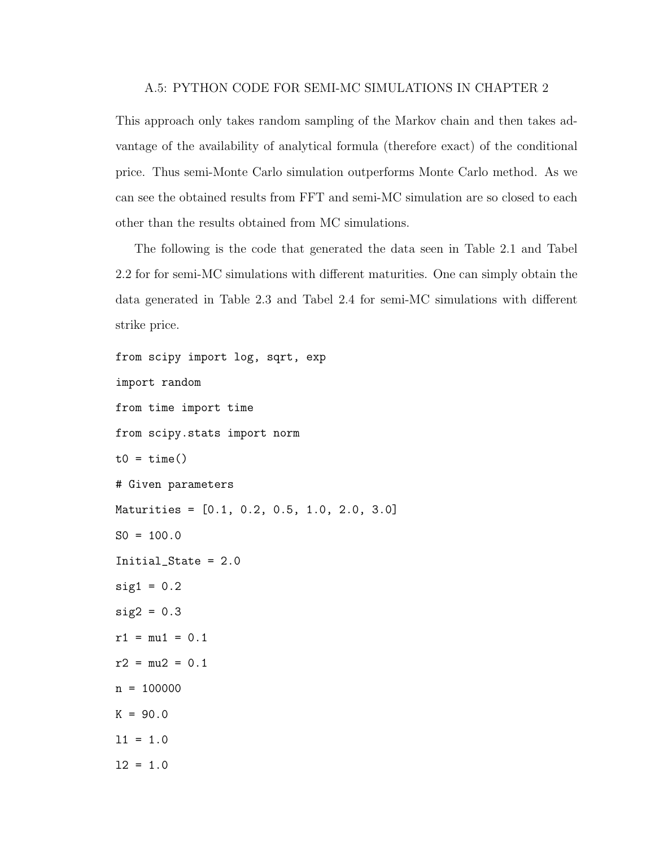## A.5: PYTHON CODE FOR SEMI-MC SIMULATIONS IN CHAPTER 2

This approach only takes random sampling of the Markov chain and then takes advantage of the availability of analytical formula (therefore exact) of the conditional price. Thus semi-Monte Carlo simulation outperforms Monte Carlo method. As we can see the obtained results from FFT and semi-MC simulation are so closed to each other than the results obtained from MC simulations.

The following is the code that generated the data seen in Table 2.1 and Tabel 2.2 for for semi-MC simulations with different maturities. One can simply obtain the data generated in Table 2.3 and Tabel 2.4 for semi-MC simulations with different strike price.

```
from scipy import log, sqrt, exp
import random
from time import time
from scipy.stats import norm
t0 = \text{time}()# Given parameters
Maturities = [0.1, 0.2, 0.5, 1.0, 2.0, 3.0]
SO = 100.0Initial_State = 2.0
sig1 = 0.2sig2 = 0.3r1 = mu1 = 0.1r2 = mu2 = 0.1n = 100000K = 90.0l1 = 1.0
12 = 1.0
```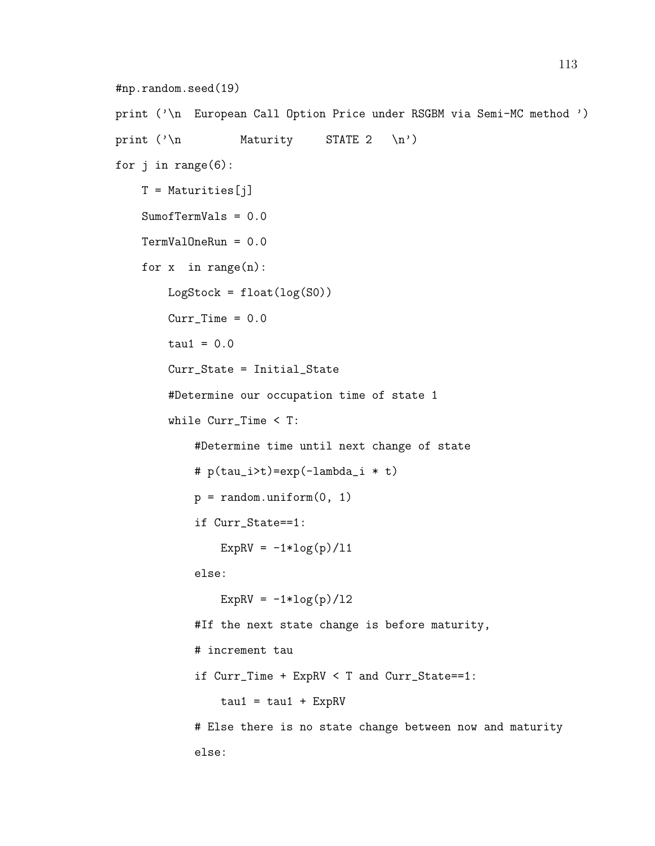```
#np.random.seed(19)
print ('\n European Call Option Price under RSGBM via Semi-MC method ')
print (\n)<sup>n</sup> Maturity STATE 2 \n')
for j in range(6):
    T = Maturities [j]
    SumofTermVals = 0.0
    TermValOneRun = 0.0
    for x in range(n):
       LogStock = float(log(S0))Curr Time = 0.0tau = 0.0Curr_State = Initial_State
        #Determine our occupation time of state 1
        while Curr_Time < T:
            #Determine time until next change of state
            # p(tau_i>t)=exp(-lambda_i * t)
            p = random.minform(0, 1)if Curr_State==1:
                ExpRV = -1*log(p)/11else:
                ExpRV = -1*log(p)/12#If the next state change is before maturity,
            # increment tau
            if Curr_Time + ExpRV < T and Curr_State==1:
                tau = tau1 + ExpRV# Else there is no state change between now and maturity
            else:
```
113